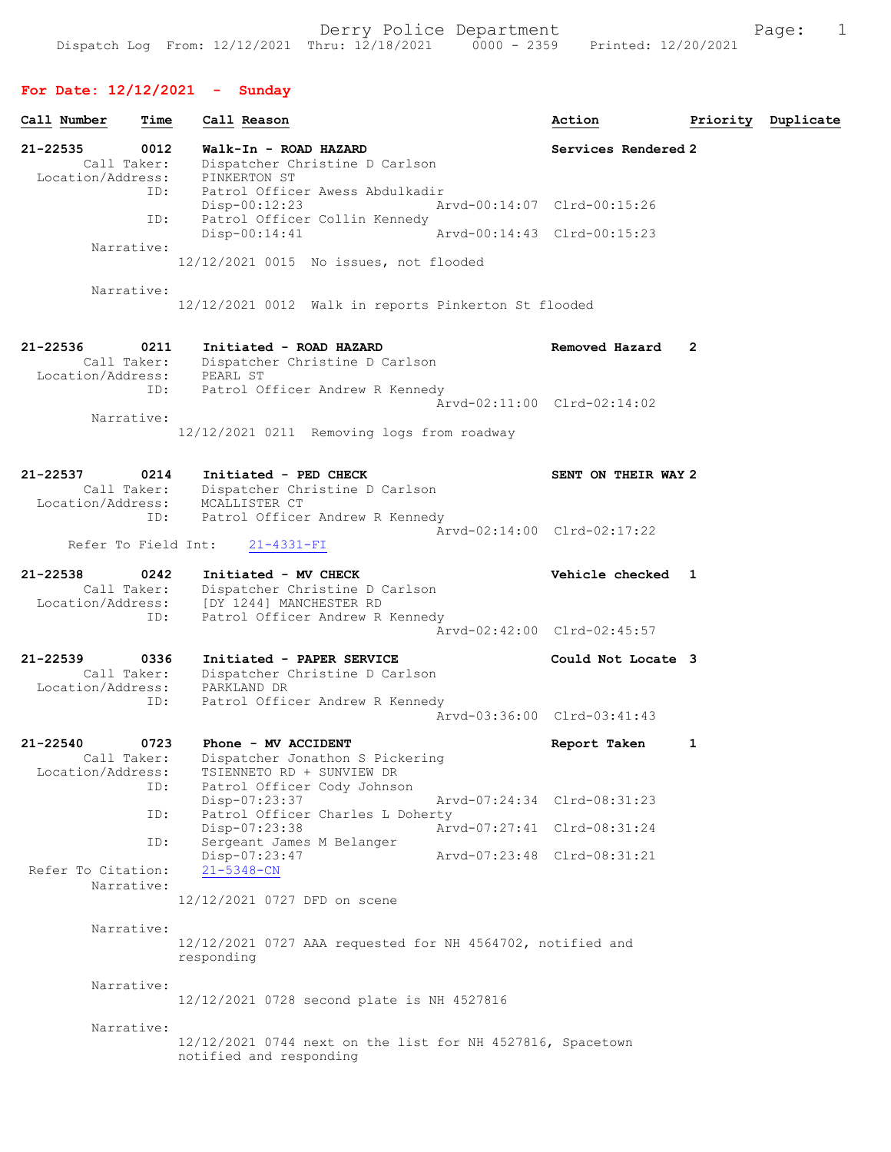## For Date: 12/12/2021 - Sunday

| Call Number                                      | Time        | Call Reason                                                                                                                            | Action                      |   | Priority Duplicate |
|--------------------------------------------------|-------------|----------------------------------------------------------------------------------------------------------------------------------------|-----------------------------|---|--------------------|
| 21-22535<br>Call Taker:<br>Location/Address:     | 0012        | Walk-In - ROAD HAZARD<br>Dispatcher Christine D Carlson<br>PINKERTON ST                                                                | Services Rendered 2         |   |                    |
|                                                  | ID:         | Patrol Officer Awess Abdulkadir<br>$Disp-00:12:23$                                                                                     | Arvd-00:14:07 Clrd-00:15:26 |   |                    |
|                                                  | ID:         | Patrol Officer Collin Kennedy<br>$Disp-00:14:41$                                                                                       | Arvd-00:14:43 Clrd-00:15:23 |   |                    |
| Narrative:                                       |             | 12/12/2021 0015 No issues, not flooded                                                                                                 |                             |   |                    |
| Narrative:                                       |             | 12/12/2021 0012 Walk in reports Pinkerton St flooded                                                                                   |                             |   |                    |
| $21 - 22536$<br>Call Taker:<br>Location/Address: | 0211        | Initiated - ROAD HAZARD<br>Dispatcher Christine D Carlson<br>PEARL ST                                                                  | Removed Hazard              | 2 |                    |
|                                                  | ID:         | Patrol Officer Andrew R Kennedy                                                                                                        | Arvd-02:11:00 Clrd-02:14:02 |   |                    |
| Narrative:                                       |             | 12/12/2021 0211 Removing logs from roadway                                                                                             |                             |   |                    |
| 21-22537                                         | 0214        | Initiated - PED CHECK<br>Call Taker: Dispatcher Christine D Carlson<br>Location/Address: MCALLISTER CT                                 | SENT ON THEIR WAY 2         |   |                    |
| Refer To Field Int:                              | ID:         | Patrol Officer Andrew R Kennedy<br>$21 - 4331 - FI$                                                                                    | Arvd-02:14:00 Clrd-02:17:22 |   |                    |
| $21 - 22538$<br>Call Taker:                      | 0242<br>ID: | Initiated - MV CHECK<br>Dispatcher Christine D Carlson<br>Location/Address: [DY 1244] MANCHESTER RD<br>Patrol Officer Andrew R Kennedy | Vehicle checked 1           |   |                    |
|                                                  |             |                                                                                                                                        | Arvd-02:42:00 Clrd-02:45:57 |   |                    |
| $21 - 22539$<br>Call Taker:<br>Location/Address: | 0336<br>ID: | Initiated - PAPER SERVICE<br>Dispatcher Christine D Carlson<br>PARKLAND DR<br>Patrol Officer Andrew R Kennedy                          | Could Not Locate 3          |   |                    |
|                                                  |             |                                                                                                                                        | Arvd-03:36:00 Clrd-03:41:43 |   |                    |
| $21 - 22540$<br>Call Taker:<br>Location/Address: | 0723<br>ID: | Phone - MV ACCIDENT<br>Dispatcher Jonathon S Pickering<br>TSIENNETO RD + SUNVIEW DR<br>Patrol Officer Cody Johnson                     | Report Taken                | 1 |                    |
|                                                  | ID:         | Disp-07:23:37<br>Patrol Officer Charles L Doherty                                                                                      | Arvd-07:24:34 Clrd-08:31:23 |   |                    |
|                                                  | ID:         | Disp-07:23:38<br>Sergeant James M Belanger                                                                                             | Arvd-07:27:41 Clrd-08:31:24 |   |                    |
| Refer To Citation:<br>Narrative:                 |             | Disp-07:23:47<br>$21 - 5348 - CN$                                                                                                      | Arvd-07:23:48 Clrd-08:31:21 |   |                    |
|                                                  |             | 12/12/2021 0727 DFD on scene                                                                                                           |                             |   |                    |
| Narrative:                                       |             | 12/12/2021 0727 AAA requested for NH 4564702, notified and<br>responding                                                               |                             |   |                    |
| Narrative:                                       |             | 12/12/2021 0728 second plate is NH 4527816                                                                                             |                             |   |                    |
| Narrative:                                       |             | 12/12/2021 0744 next on the list for NH 4527816, Spacetown<br>notified and responding                                                  |                             |   |                    |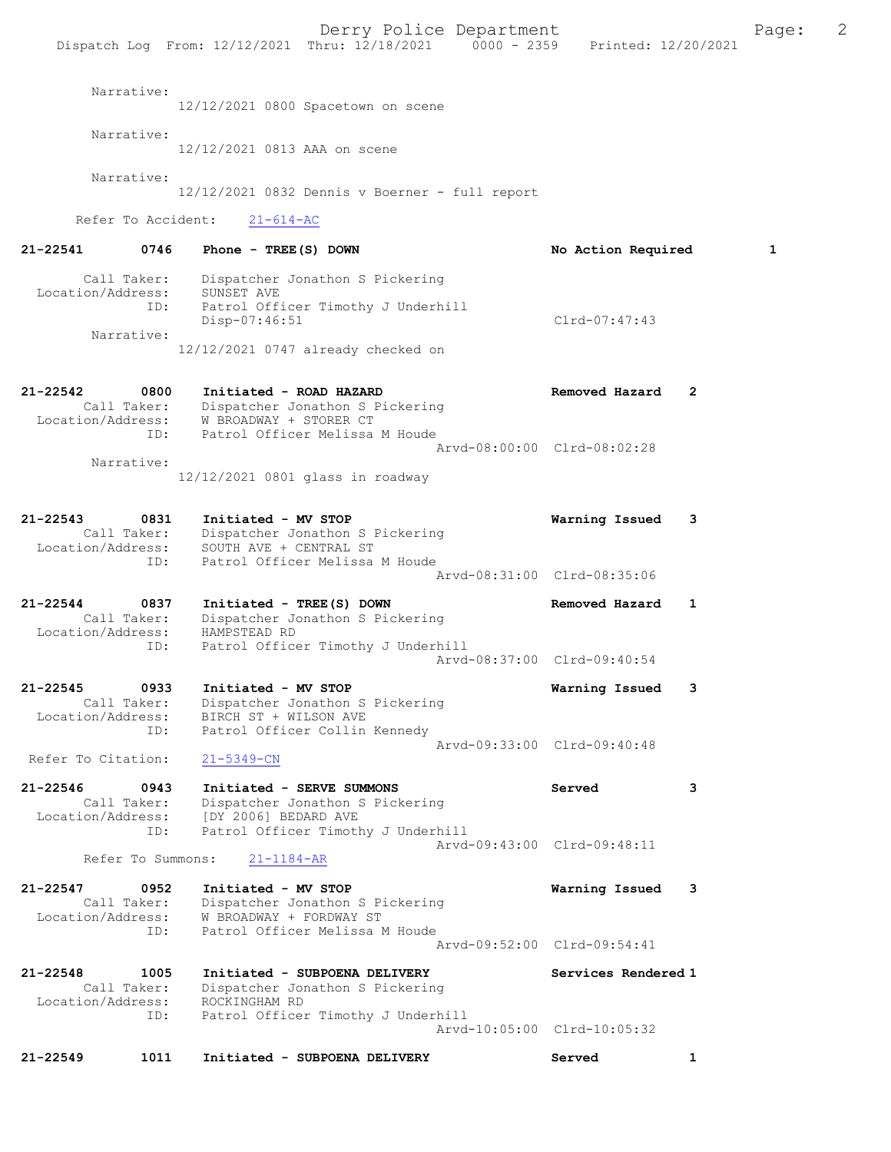Derry Police Department Fage: 2 Dispatch Log From: 12/12/2021 Thru: 12/18/2021 0000 - 2359 Printed: 12/20/2021 Narrative: 12/12/2021 0800 Spacetown on scene Narrative: 12/12/2021 0813 AAA on scene Narrative: 12/12/2021 0832 Dennis v Boerner - full report Refer To Accident: 21-614-AC 21-22541 0746 Phone - TREE(S) DOWN No Action Required 1 Call Taker: Dispatcher Jonathon S Pickering Location/Address: SUNSET AVE ID: Patrol Officer Timothy J Underhill Disp-07:46:51 Clrd-07:47:43 Narrative: 12/12/2021 0747 already checked on 21-22542 0800 Initiated - ROAD HAZARD Removed Hazard 2 Call Taker: Dispatcher Jonathon S Pickering Location/Address: W BROADWAY + STORER CT ID: Patrol Officer Melissa M Houde Arvd-08:00:00 Clrd-08:02:28 Narrative: 12/12/2021 0801 glass in roadway 21-22543 0831 Initiated - MV STOP Warning Issued 3 Call Taker: Dispatcher Jonathon S Pickering Location/Address: SOUTH AVE + CENTRAL ST ID: Patrol Officer Melissa M Houde Arvd-08:31:00 Clrd-08:35:06 21-22544 0837 Initiated - TREE(S) DOWN Removed Hazard 1 Call Taker: Dispatcher Jonathon S Pickering Location/Address: HAMPSTEAD RD ID: Patrol Officer Timothy J Underhill<br>Arvd-08:37:00 Clrd-09:40:54 Arvd-08:37:00 Clrd-09:40:54 21-22545 0933 Initiated - MV STOP Warning Issued 3 Call Taker: Dispatcher Jonathon S Pickering Location/Address: BIRCH ST + WILSON AVE ID: Patrol Officer Collin Kennedy Arvd-09:33:00 Clrd-09:40:48 Refer To Citation: 21-5349-CN 21-22546 0943 Initiated - SERVE SUMMONS Served 3 Call Taker: Dispatcher Jonathon S Pickering Location/Address: [DY 2006] BEDARD AVE ID: Patrol Officer Timothy J Underhill Arvd-09:43:00 Clrd-09:48:11 Refer To Summons: 21-1184-AR 21-22547 0952 Initiated - MV STOP Warning Issued 3 Call Taker: Dispatcher Jonathon S Pickering Location/Address: W BROADWAY + FORDWAY ST ID: Patrol Officer Melissa M Houde Arvd-09:52:00 Clrd-09:54:41 21-22548 1005 Initiated - SUBPOENA DELIVERY Services Rendered 1 Call Taker: Dispatcher Jonathon S Pickering Location/Address: ROCKINGHAM RD ID: Patrol Officer Timothy J Underhill Arvd-10:05:00 Clrd-10:05:32

21-22549 1011 Initiated - SUBPOENA DELIVERY Served 1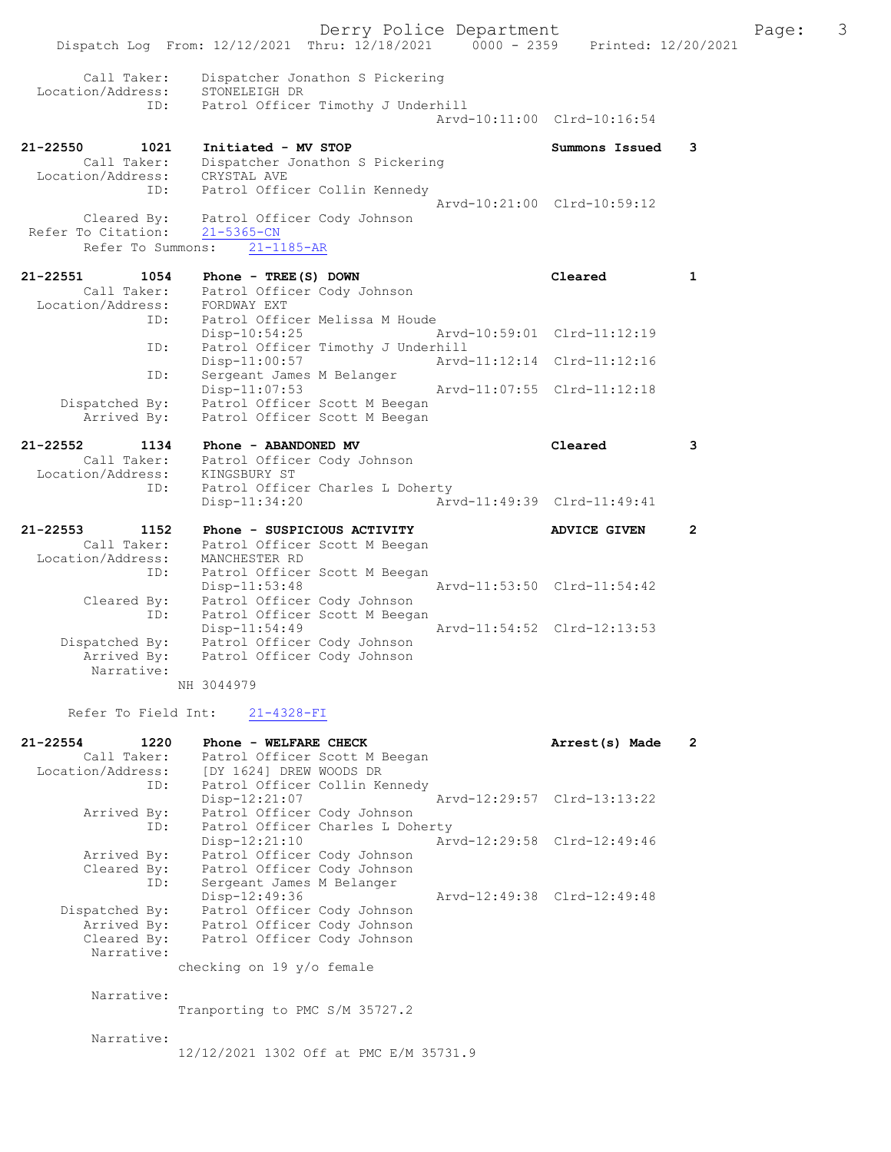Derry Police Department Fage: 3 Dispatch Log From: 12/12/2021 Thru: 12/18/2021 0000 - 2359 Printed: 12/20/2021 Call Taker: Dispatcher Jonathon S Pickering Location/Address: STONELEIGH DR ID: Patrol Officer Timothy J Underhill Arvd-10:11:00 Clrd-10:16:54 21-22550 1021 Initiated - MV STOP Summons Issued 3 Call Taker: Dispatcher Jonathon S Pickering Location/Address: CRYSTAL AVE ID: Patrol Officer Collin Kennedy Arvd-10:21:00 Clrd-10:59:12 Cleared By: Patrol Officer Cody Johnson Refer To Citation: 21-5365-CN Refer To Summons: 21-1185-AR 21-22551 1054 Phone - TREE(S) DOWN Cleared 1 Call Taker: Patrol Officer Cody Johnson Location/Address: FORDWAY EXT ID: Patrol Officer Melissa M Houde Disp-10:54:25 Arvd-10:59:01 Clrd-11:12:19 ID: Patrol Officer Timothy J Underhill Disp-11:00:57 Arvd-11:12:14 Clrd-11:12:16 ID: Sergeant James M Belanger Disp-11:07:53 Arvd-11:07:55 Clrd-11:12:18 Dispatched By: Patrol Officer Scott M Beegan Arrived By: Patrol Officer Scott M Beegan 21-22552 1134 Phone - ABANDONED MV Cleared 3 Call Taker: Patrol Officer Cody Johnson Location/Address: KINGSBURY ST ID: Patrol Officer Charles L Doherty Disp-11:34:20 Arvd-11:49:39 Clrd-11:49:41 21-22553 1152 Phone - SUSPICIOUS ACTIVITY ADVICE GIVEN 2 Call Taker: Patrol Officer Scott M Beegan Location/Address: MANCHESTER RD ID: Patrol Officer Scott M Beegan Disp-11:53:48 Arvd-11:53:50 Clrd-11:54:42 Cleared By: Patrol Officer Cody Johnson ID: Patrol Officer Scott M Beegan Disp-11:54:49 Arvd-11:54:52 Clrd-12:13:53 Dispatched By: Patrol Officer Cody Johnson Arrived By: Patrol Officer Cody Johnson Narrative: NH 3044979

Refer To Field Int: 21-4328-FI

| $21 - 22554$      | 1220        | Phone - WELFARE CHECK            | Arrest(s) Made              | $\overline{2}$ |
|-------------------|-------------|----------------------------------|-----------------------------|----------------|
|                   | Call Taker: | Patrol Officer Scott M Beegan    |                             |                |
| Location/Address: |             | [DY 1624] DREW WOODS DR          |                             |                |
|                   | ID:         | Patrol Officer Collin Kennedy    |                             |                |
|                   |             | Disp-12:21:07                    | Arvd-12:29:57 Clrd-13:13:22 |                |
|                   | Arrived By: | Patrol Officer Cody Johnson      |                             |                |
|                   | ID:         | Patrol Officer Charles L Doherty |                             |                |
|                   |             | $Disp-12:21:10$                  | Arvd-12:29:58 Clrd-12:49:46 |                |
|                   | Arrived By: | Patrol Officer Cody Johnson      |                             |                |
|                   | Cleared By: | Patrol Officer Cody Johnson      |                             |                |
|                   | ID:         | Sergeant James M Belanger        |                             |                |
|                   |             | Disp-12:49:36                    | Arvd-12:49:38 Clrd-12:49:48 |                |
| Dispatched By:    |             | Patrol Officer Cody Johnson      |                             |                |
|                   | Arrived By: | Patrol Officer Cody Johnson      |                             |                |
|                   | Cleared By: | Patrol Officer Cody Johnson      |                             |                |
|                   | Narrative:  |                                  |                             |                |
|                   |             | checking on 19 y/o female        |                             |                |
|                   |             |                                  |                             |                |
|                   | Narrative:  |                                  |                             |                |
|                   |             | Tranporting to PMC S/M 35727.2   |                             |                |
|                   |             |                                  |                             |                |
|                   | Narrative:  |                                  |                             |                |

12/12/2021 1302 Off at PMC E/M 35731.9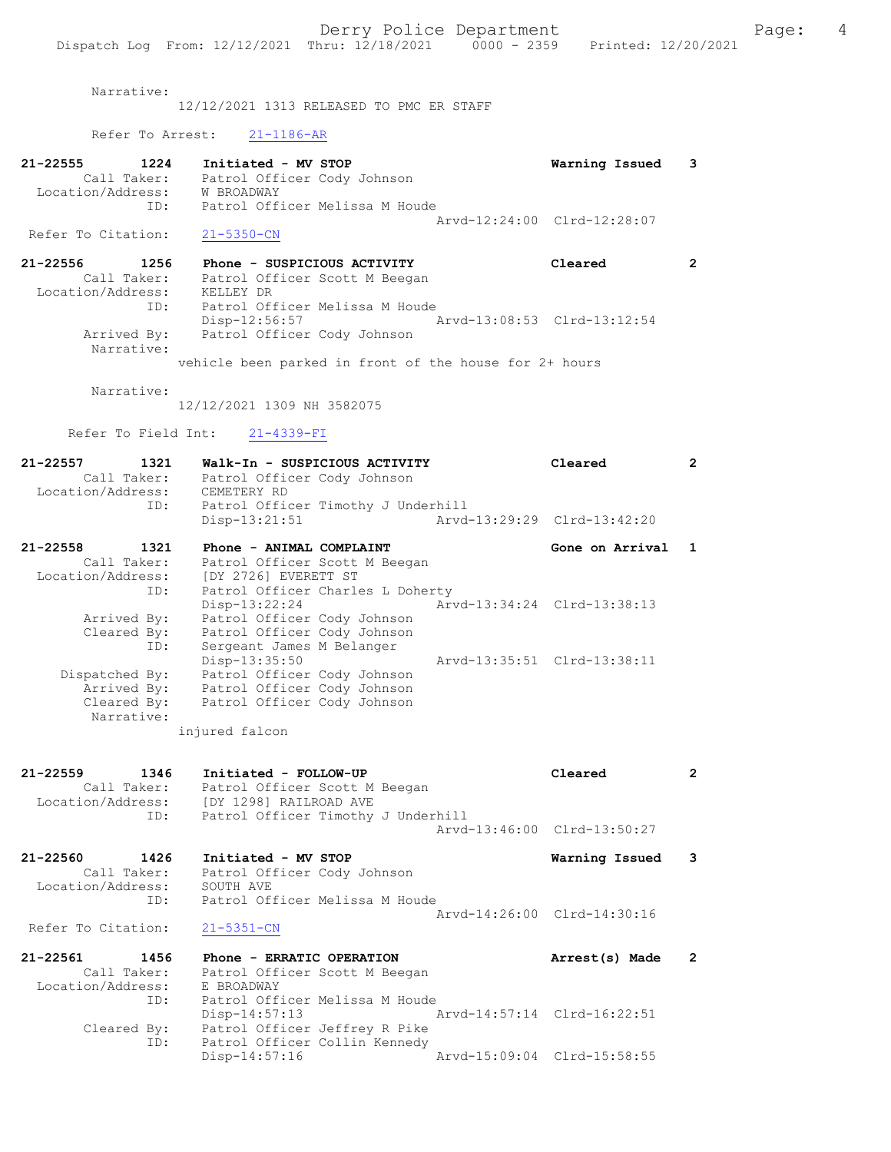Narrative:

12/12/2021 1313 RELEASED TO PMC ER STAFF

Refer To Arrest: 21-1186-AR

| 21-22555           | 1224        | Initiated - MV STOP            | Warning Issued 3            |  |
|--------------------|-------------|--------------------------------|-----------------------------|--|
|                    | Call Taker: | Patrol Officer Cody Johnson    |                             |  |
| Location/Address:  |             | W BROADWAY                     |                             |  |
|                    | TD:         | Patrol Officer Melissa M Houde |                             |  |
|                    |             |                                | Arvd-12:24:00 Clrd-12:28:07 |  |
| Refer To Citation: |             | 21-5350-CN                     |                             |  |

| 21-22556 | 1256                      | Phone - SUSPICIOUS ACTIVITY<br>Cleared       |  |
|----------|---------------------------|----------------------------------------------|--|
|          | Call Taker:               | Patrol Officer Scott M Beegan                |  |
|          | Location/Address:         | KELLEY DR                                    |  |
|          | ID:                       | Patrol Officer Melissa M Houde               |  |
|          |                           | Arvd-13:08:53 Clrd-13:12:54<br>Disp-12:56:57 |  |
|          | Arrived By:<br>Narrative: | Patrol Officer Cody Johnson                  |  |
|          |                           |                                              |  |

vehicle been parked in front of the house for 2+ hours

Narrative:

12/12/2021 1309 NH 3582075

Refer To Field Int: 21-4339-FI

| $21 - 22557$<br>Location/Address: | 1321<br>Call Taker: | Walk-In - SUSPICIOUS ACTIVITY<br>Patrol Officer Cody Johnson<br>CEMETERY RD |                             | Cleared                     | $\overline{2}$ |
|-----------------------------------|---------------------|-----------------------------------------------------------------------------|-----------------------------|-----------------------------|----------------|
|                                   |                     | ID: Patrol Officer Timothy J Underhill                                      |                             |                             |                |
|                                   |                     | Disp-13:21:51                                                               | Arvd-13:29:29 Clrd-13:42:20 |                             |                |
| 21-22558                          | 1321                | Phone - ANIMAL COMPLAINT                                                    |                             | Gone on Arrival 1           |                |
|                                   | Call Taker:         | Patrol Officer Scott M Beegan<br>Location/Address: [DY 2726] EVERETT ST     |                             |                             |                |
|                                   |                     | ID: Patrol Officer Charles L Doherty                                        |                             |                             |                |
|                                   |                     | $Disp-13:22:24$                                                             | Arvd-13:34:24 Clrd-13:38:13 |                             |                |
|                                   | Arrived By:         | Patrol Officer Cody Johnson                                                 |                             |                             |                |
|                                   |                     | Cleared By: Patrol Officer Cody Johnson                                     |                             |                             |                |
|                                   | ID:                 | Sergeant James M Belanger                                                   |                             |                             |                |
|                                   |                     | Disp-13:35:50                                                               |                             | Arvd-13:35:51 Clrd-13:38:11 |                |
|                                   | Dispatched By:      | Patrol Officer Cody Johnson                                                 |                             |                             |                |
|                                   | Arrived By:         | Patrol Officer Cody Johnson                                                 |                             |                             |                |
|                                   | Narrative:          | Cleared By: Patrol Officer Cody Johnson                                     |                             |                             |                |

injured falcon

 Cleared By: Patrol Officer Jeffrey R Pike ID: Patrol Officer Collin Kennedy

| $21 - 22559$<br>1346         | Initiated - FOLLOW-UP                    | Cleared                     | $\overline{2}$           |
|------------------------------|------------------------------------------|-----------------------------|--------------------------|
| Call Taker:                  | Patrol Officer Scott M Beegan            |                             |                          |
|                              | Location/Address: [DY 1298] RAILROAD AVE |                             |                          |
| ID:                          | Patrol Officer Timothy J Underhill       |                             |                          |
|                              |                                          | Arvd-13:46:00 Clrd-13:50:27 |                          |
| 21-22560<br>1426             | Initiated - MV STOP                      | Warning Issued              | - 3                      |
| Call Taker:                  | Patrol Officer Cody Johnson              |                             |                          |
| Location/Address:            | SOUTH AVE                                |                             |                          |
| ID:                          | Patrol Officer Melissa M Houde           |                             |                          |
|                              |                                          | Arvd-14:26:00 Clrd-14:30:16 |                          |
| Refer To Citation:           | 21-5351-CN                               |                             |                          |
| 21-22561<br>1456             | Phone - ERRATIC OPERATION                | Arrest(s) Made              | $\overline{\phantom{a}}$ |
| Call Taker:                  | Patrol Officer Scott M Beegan            |                             |                          |
| Location/Address: E BROADWAY |                                          |                             |                          |
| ID:                          | Patrol Officer Melissa M Houde           |                             |                          |

Disp-14:57:13 Arvd-14:57:14 Clrd-16:22:51

Disp-14:57:16 Arvd-15:09:04 Clrd-15:58:55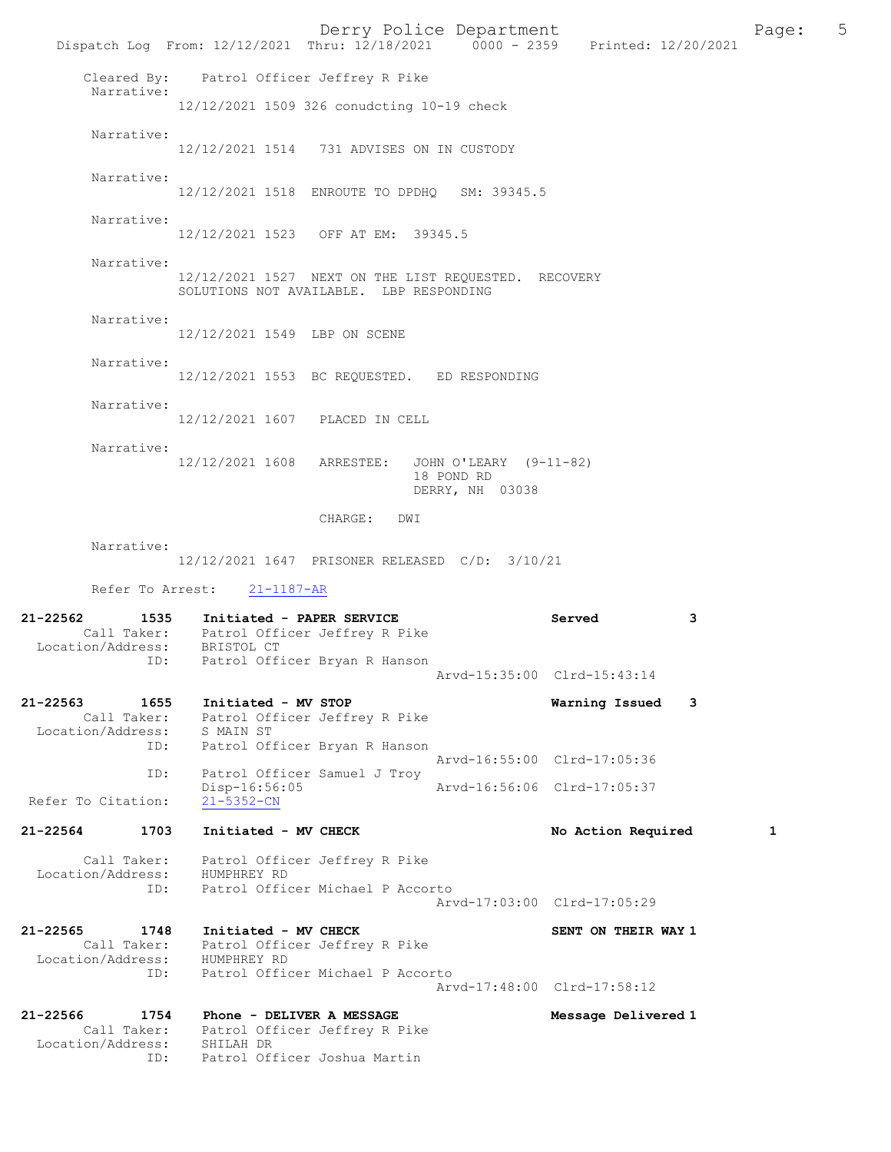Derry Police Department Fage: 5 Dispatch Log From: 12/12/2021 Thru: 12/18/2021 0000 - 2359 Printed: 12/20/2021 Cleared By: Patrol Officer Jeffrey R Pike Narrative: 12/12/2021 1509 326 conudcting 10-19 check Narrative: 12/12/2021 1514 731 ADVISES ON IN CUSTODY Narrative: 12/12/2021 1518 ENROUTE TO DPDHQ SM: 39345.5 Narrative: 12/12/2021 1523 OFF AT EM: 39345.5 Narrative: 12/12/2021 1527 NEXT ON THE LIST REQUESTED. RECOVERY SOLUTIONS NOT AVAILABLE. LBP RESPONDING Narrative: 12/12/2021 1549 LBP ON SCENE Narrative: 12/12/2021 1553 BC REQUESTED. ED RESPONDING Narrative: 12/12/2021 1607 PLACED IN CELL Narrative: 12/12/2021 1608 ARRESTEE: JOHN O'LEARY (9-11-82) 18 POND RD DERRY, NH 03038 CHARGE: DWI Narrative: 12/12/2021 1647 PRISONER RELEASED C/D: 3/10/21 Refer To Arrest: 21-1187-AR 21-22562 1535 Initiated - PAPER SERVICE Served 3 Call Taker: Patrol Officer Jeffrey R Pike Location/Address: BRISTOL CT ID: Patrol Officer Bryan R Hanson Arvd-15:35:00 Clrd-15:43:14 21-22563 1655 Initiated - MV STOP Warning Issued 3 Call Taker: Patrol Officer Jeffrey R Pike Location/Address: S MAIN ST ID: Patrol Officer Bryan R Hanson Arvd-16:55:00 Clrd-17:05:36 ID: Patrol Officer Samuel J Troy Disp-16:56:05 Arvd-16:56:06 Clrd-17:05:37 Refer To Citation: 21-22564 1703 Initiated - MV CHECK 1 No Action Required 1 Call Taker: Patrol Officer Jeffrey R Pike Location/Address: HUMPHREY RD ID: Patrol Officer Michael P Accorto Arvd-17:03:00 Clrd-17:05:29 21-22565 1748 Initiated - MV CHECK SENT ON THEIR WAY 1 Call Taker: Patrol Officer Jeffrey R Pike Location/Address: HUMPHREY RD ID: Patrol Officer Michael P Accorto Arvd-17:48:00 Clrd-17:58:12 21-22566 1754 Phone - DELIVER A MESSAGE Message Delivered 1 Call Taker: Patrol Officer Jeffrey R Pike Location/Address: SHILAH DR ID: Patrol Officer Joshua Martin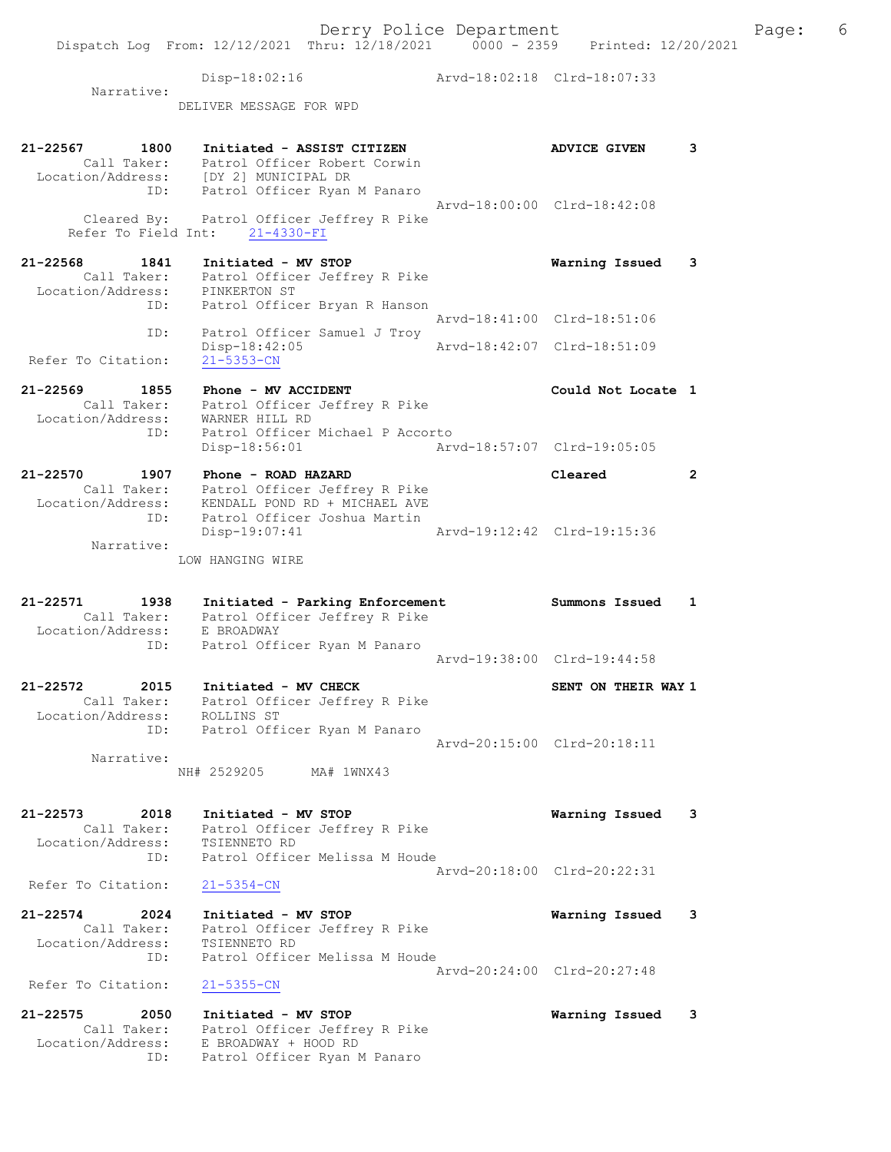Dispatch Log From: 12/12/2021 Thru: 12/18/2021 0000 - 2359 Printed: 12/20/2021 Disp-18:02:16 Arvd-18:02:18 Clrd-18:07:33 Narrative: DELIVER MESSAGE FOR WPD 21-22567 1800 Initiated - ASSIST CITIZEN ADVICE GIVEN 3 Call Taker: Patrol Officer Robert Corwin Location/Address: [DY 2] MUNICIPAL DR ID: Patrol Officer Ryan M Panaro Arvd-18:00:00 Clrd-18:42:08 Cleared By: Patrol Officer Jeffrey R Pike Refer To Field Int: 21-4330-FI 21-22568 1841 Initiated - MV STOP Warning Issued 3 Call Taker: Patrol Officer Jeffrey R Pike Location/Address: PINKERTON ST ID: Patrol Officer Bryan R Hanson Arvd-18:41:00 Clrd-18:51:06 ID: Patrol Officer Samuel J Troy Disp-18:42:05 Arvd-18:42:07 Clrd-18:51:09 Refer To Citation: 21-5353-CN 21-22569 1855 Phone - MV ACCIDENT Could Not Locate 1 Call Taker: Patrol Officer Jeffrey R Pike Location/Address: WARNER HILL RD ID: Patrol Officer Michael P Accorto Disp-18:56:01 Arvd-18:57:07 Clrd-19:05:05 21-22570 1907 Phone - ROAD HAZARD Cleared 2 Call Taker: Patrol Officer Jeffrey R Pike Location/Address: KENDALL POND RD + MICHAEL AVE ID: Patrol Officer Joshua Martin Disp-19:07:41 Arvd-19:12:42 Clrd-19:15:36 Narrative: LOW HANGING WIRE 21-22571 1938 Initiated - Parking Enforcement Summons Issued 1 Call Taker: Patrol Officer Jeffrey R Pike Location/Address: E BROADWAY ID: Patrol Officer Ryan M Panaro Arvd-19:38:00 Clrd-19:44:58 21-22572 2015 Initiated - MV CHECK SENT ON THEIR WAY 1 Call Taker: Patrol Officer Jeffrey R Pike Location/Address: ROLLINS ST ID: Patrol Officer Ryan M Panaro Arvd-20:15:00 Clrd-20:18:11 Narrative: NH# 2529205 MA# 1WNX43 21-22573 2018 Initiated - MV STOP Warning Issued 3 Call Taker: Patrol Officer Jeffrey R Pike Location/Address: TSIENNETO RD ID: Patrol Officer Melissa M Houde Arvd-20:18:00 Clrd-20:22:31 Refer To Citation: 21-5354-CN 21-22574 2024 Initiated - MV STOP Warning Issued 3 Call Taker: Patrol Officer Jeffrey R Pike Location/Address: TSIENNETO RD ID: Patrol Officer Melissa M Houde Arvd-20:24:00 Clrd-20:27:48 Refer To Citation: 21-5355-CN 21-22575 2050 Initiated - MV STOP Warning Issued 3 Call Taker: Patrol Officer Jeffrey R Pike Location/Address: E BROADWAY + HOOD RD ID: Patrol Officer Ryan M Panaro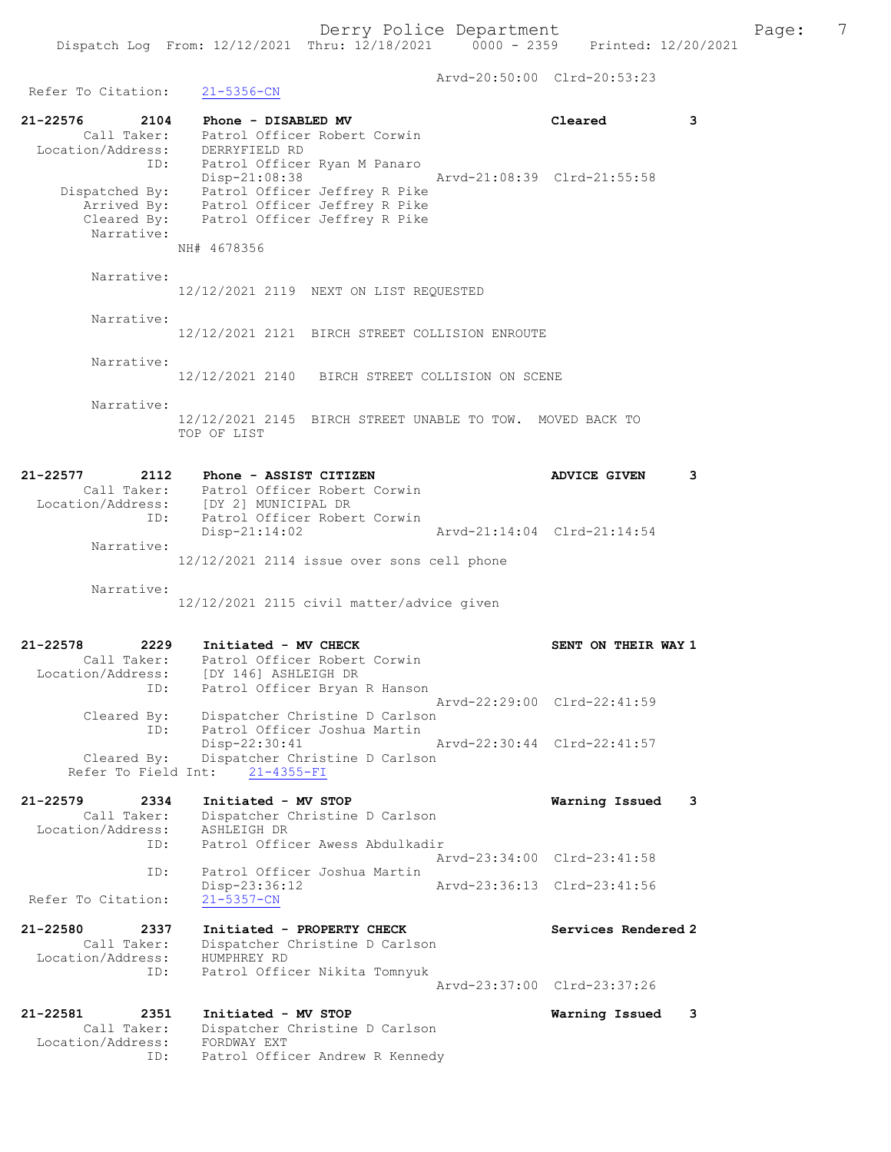Arvd-20:50:00 Clrd-20:53:23 Refer To Citation: 21-5356-CN 21-22576 2104 Phone - DISABLED MV Cleared 3 Call Taker: Patrol Officer Robert Corwin Location/Address: DERRYFIELD RD ID: Patrol Officer Ryan M Panaro Disp-21:08:38 Arvd-21:08:39 Clrd-21:55:58 Dispatched By: Patrol Officer Jeffrey R Pike Arrived By: Patrol Officer Jeffrey R Pike Cleared By: Patrol Officer Jeffrey R Pike Narrative: NH# 4678356 Narrative: 12/12/2021 2119 NEXT ON LIST REQUESTED Narrative: 12/12/2021 2121 BIRCH STREET COLLISION ENROUTE Narrative: 12/12/2021 2140 BIRCH STREET COLLISION ON SCENE Narrative: 12/12/2021 2145 BIRCH STREET UNABLE TO TOW. MOVED BACK TO TOP OF LIST 21-22577 2112 Phone - ASSIST CITIZEN 21-22577 ADVICE GIVEN 3 Call Taker: Patrol Officer Robert Corwin Location/Address: [DY 2] MUNICIPAL DR ID: Patrol Officer Robert Corwin Disp-21:14:02 Arvd-21:14:04 Clrd-21:14:54 Narrative: 12/12/2021 2114 issue over sons cell phone Narrative: 12/12/2021 2115 civil matter/advice given 21-22578 2229 Initiated - MV CHECK SENT ON THEIR WAY 1 Call Taker: Patrol Officer Robert Corwin Location/Address: [DY 146] ASHLEIGH DR ID: Patrol Officer Bryan R Hanson Arvd-22:29:00 Clrd-22:41:59 Cleared By: Dispatcher Christine D Carlson<br>ID: Patrol Officer Joshua Martin Patrol Officer Joshua Martin Disp-22:30:41 Arvd-22:30:44 Clrd-22:41:57 Cleared By: Dispatcher Christine D Carlson Refer To Field Int: 21-4355-FI 21-22579 2334 Initiated - MV STOP Warning Issued 3 Call Taker: Dispatcher Christine D Carlson Location/Address: ASHLEIGH DR ID: Patrol Officer Awess Abdulkadir Arvd-23:34:00 Clrd-23:41:58<br>TD: Patrol Officer Joshua Martin Patrol Officer Joshua Martin<br>Disp-23:36:12 Arvd-23:36:13 Clrd-23:41:56 Refer To Citation: 21-5357-CN 21-22580 2337 Initiated - PROPERTY CHECK Services Rendered 2 Call Taker: Dispatcher Christine D Carlson Location/Address: HUMPHREY RD ID: Patrol Officer Nikita Tomnyuk Arvd-23:37:00 Clrd-23:37:26 21-22581 2351 Initiated - MV STOP Warning Issued 3 Call Taker: Dispatcher Christine D Carlson Location/Address: FORDWAY EXT ID: Patrol Officer Andrew R Kennedy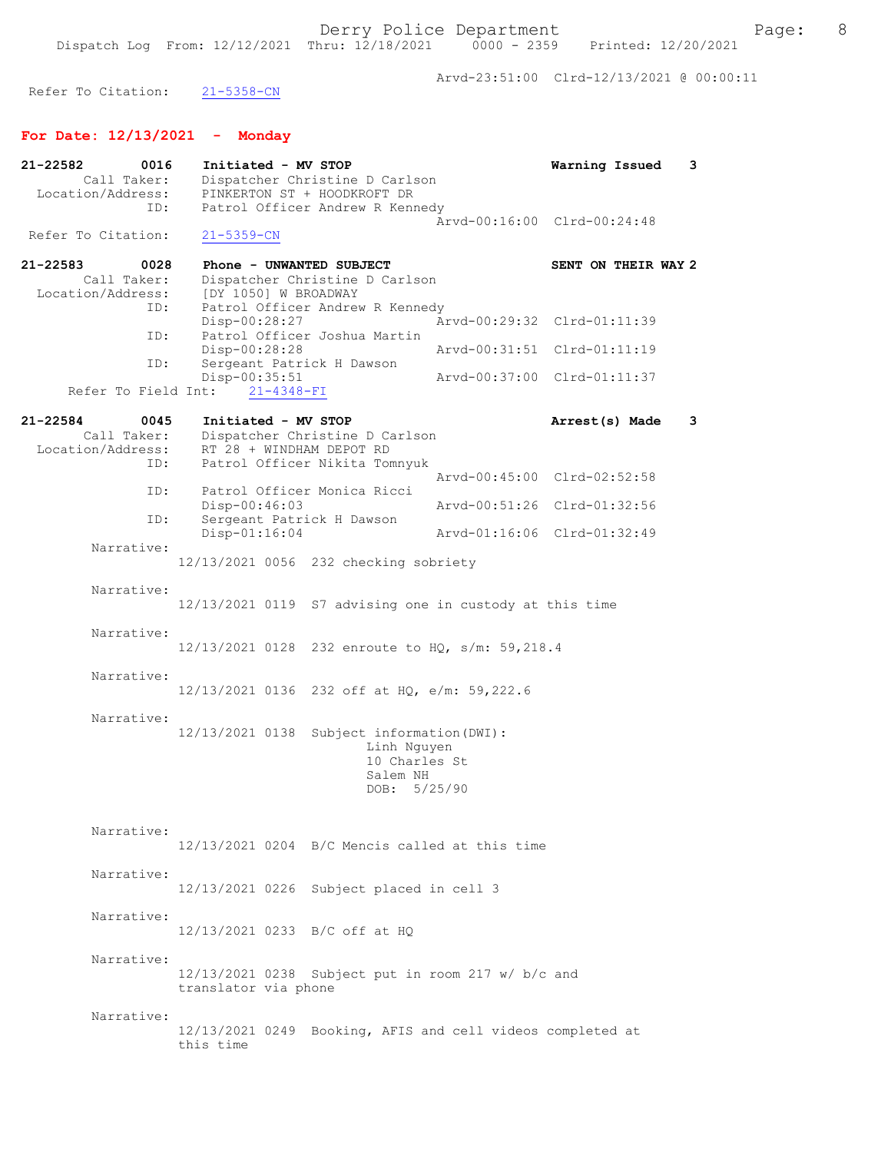Arvd-23:51:00 Clrd-12/13/2021 @ 00:00:11

Refer To Citation: 21-5358-CN

## For Date: 12/13/2021 - Monday

| 21-22582     | 0016                | Initiated - MV STOP  |                  |                                                          |                                                            | Warning Issued              | 3 |
|--------------|---------------------|----------------------|------------------|----------------------------------------------------------|------------------------------------------------------------|-----------------------------|---|
|              | Call Taker:         |                      |                  | Dispatcher Christine D Carlson                           |                                                            |                             |   |
|              | Location/Address:   |                      |                  | PINKERTON ST + HOODKROFT DR                              |                                                            |                             |   |
|              | ID:                 |                      |                  | Patrol Officer Andrew R Kennedy                          |                                                            | Arvd-00:16:00 Clrd-00:24:48 |   |
|              | Refer To Citation:  | $21 - 5359 - CN$     |                  |                                                          |                                                            |                             |   |
| $21 - 22583$ | 0028                |                      |                  | Phone - UNWANTED SUBJECT                                 |                                                            | SENT ON THEIR WAY 2         |   |
|              | Call Taker:         |                      |                  | Dispatcher Christine D Carlson                           |                                                            |                             |   |
|              | Location/Address:   | [DY 1050] W BROADWAY |                  |                                                          |                                                            |                             |   |
|              | ID:                 |                      |                  | Patrol Officer Andrew R Kennedy                          |                                                            |                             |   |
|              | ID:                 | Disp-00:28:27        |                  | Patrol Officer Joshua Martin                             |                                                            | Arvd-00:29:32 Clrd-01:11:39 |   |
|              |                     | Disp-00:28:28        |                  |                                                          |                                                            | Arvd-00:31:51 Clrd-01:11:19 |   |
|              | ID:                 |                      |                  | Sergeant Patrick H Dawson                                |                                                            |                             |   |
|              | Refer To Field Int: | Disp-00:35:51        | $21 - 4348 - FI$ |                                                          |                                                            | Arvd-00:37:00 Clrd-01:11:37 |   |
| $21 - 22584$ | 0045                | Initiated - MV STOP  |                  |                                                          |                                                            | Arrest(s) Made              | 3 |
|              | Call Taker:         |                      |                  | Dispatcher Christine D Carlson                           |                                                            |                             |   |
|              | Location/Address:   |                      |                  | RT 28 + WINDHAM DEPOT RD                                 |                                                            |                             |   |
|              | ID:                 |                      |                  | Patrol Officer Nikita Tomnyuk                            |                                                            |                             |   |
|              |                     |                      |                  |                                                          |                                                            | Arvd-00:45:00 Clrd-02:52:58 |   |
|              | ID:<br>ID:          | Disp-00:46:03        |                  | Patrol Officer Monica Ricci<br>Sergeant Patrick H Dawson |                                                            | Arvd-00:51:26 Clrd-01:32:56 |   |
|              |                     | Disp-01:16:04        |                  |                                                          |                                                            | Arvd-01:16:06 Clrd-01:32:49 |   |
|              | Narrative:          |                      |                  |                                                          |                                                            |                             |   |
|              |                     |                      |                  | 12/13/2021 0056 232 checking sobriety                    |                                                            |                             |   |
|              | Narrative:          |                      |                  |                                                          |                                                            |                             |   |
|              |                     |                      |                  |                                                          | 12/13/2021 0119 S7 advising one in custody at this time    |                             |   |
|              |                     |                      |                  |                                                          |                                                            |                             |   |
|              | Narrative:          |                      |                  |                                                          |                                                            |                             |   |
|              |                     |                      |                  |                                                          | 12/13/2021 0128 232 enroute to HQ, s/m: 59,218.4           |                             |   |
|              | Narrative:          |                      |                  |                                                          |                                                            |                             |   |
|              |                     |                      |                  |                                                          | 12/13/2021 0136 232 off at HQ, e/m: 59,222.6               |                             |   |
|              |                     |                      |                  |                                                          |                                                            |                             |   |
|              | Narrative:          | 12/13/2021 0138      |                  |                                                          |                                                            |                             |   |
|              |                     |                      |                  | Subject information (DWI) :<br>Linh Nguyen               |                                                            |                             |   |
|              |                     |                      |                  |                                                          | 10 Charles St                                              |                             |   |
|              |                     |                      |                  | Salem NH                                                 |                                                            |                             |   |
|              |                     |                      |                  | DOB:                                                     | 5/25/90                                                    |                             |   |
|              |                     |                      |                  |                                                          |                                                            |                             |   |
|              | Narrative:          |                      |                  |                                                          |                                                            |                             |   |
|              |                     |                      |                  |                                                          | 12/13/2021 0204 B/C Mencis called at this time             |                             |   |
|              | Narrative:          |                      |                  |                                                          |                                                            |                             |   |
|              |                     |                      |                  | 12/13/2021 0226 Subject placed in cell 3                 |                                                            |                             |   |
|              |                     |                      |                  |                                                          |                                                            |                             |   |
|              | Narrative:          |                      |                  |                                                          |                                                            |                             |   |
|              |                     |                      |                  | 12/13/2021 0233 B/C off at HQ                            |                                                            |                             |   |
|              | Narrative:          |                      |                  |                                                          |                                                            |                             |   |
|              |                     |                      |                  |                                                          | 12/13/2021 0238 Subject put in room 217 w/ b/c and         |                             |   |
|              |                     | translator via phone |                  |                                                          |                                                            |                             |   |
|              |                     |                      |                  |                                                          |                                                            |                             |   |
|              | Narrative:          |                      |                  |                                                          | 12/13/2021 0249 Booking, AFIS and cell videos completed at |                             |   |
|              |                     | this time            |                  |                                                          |                                                            |                             |   |
|              |                     |                      |                  |                                                          |                                                            |                             |   |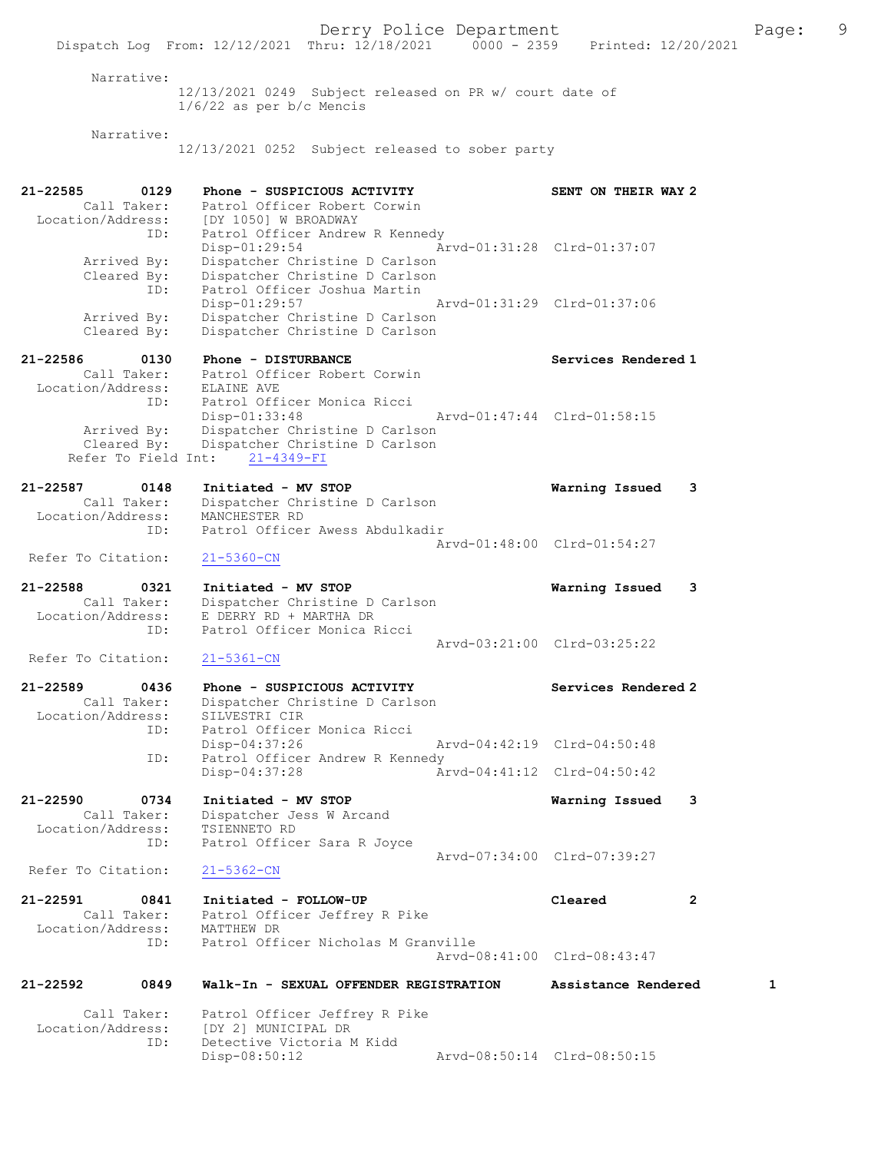Derry Police Department The Page: 9 Dispatch Log From: 12/12/2021 Thru: 12/18/2021 0000 - 2359 Printed: 12/20/2021 Narrative: 12/13/2021 0249 Subject released on PR w/ court date of 1/6/22 as per b/c Mencis Narrative: 12/13/2021 0252 Subject released to sober party 21-22585 0129 Phone - SUSPICIOUS ACTIVITY SENT ON THEIR WAY 2 Call Taker: Patrol Officer Robert Corwin Location/Address: [DY 1050] W BROADWAY ID: Patrol Officer Andrew R Kennedy Disp-01:29:54 Arvd-01:31:28 Clrd-01:37:07 Arrived By: Dispatcher Christine D Carlson Cleared By: Dispatcher Christine D Carlson ID: Patrol Officer Joshua Martin Disp-01:29:57 Arvd-01:31:29 Clrd-01:37:06 Arrived By: Dispatcher Christine D Carlson Cleared By: Dispatcher Christine D Carlson 21-22586 0130 Phone - DISTURBANCE Services Rendered 1 Call Taker: Patrol Officer Robert Corwin Location/Address: ELAINE AVE ID: Patrol Officer Monica Ricci Disp-01:33:48 Arvd-01:47:44 Clrd-01:58:15 Arrived By: Dispatcher Christine D Carlson Cleared By: Dispatcher Christine D Carlson Refer To Field Int: 21-4349-FI 21-22587 0148 Initiated - MV STOP Warning Issued 3 Call Taker: Dispatcher Christine D Carlson Location/Address: MANCHESTER RD ID: Patrol Officer Awess Abdulkadir Arvd-01:48:00 Clrd-01:54:27 Refer To Citation: 21-5360-CN 21-22588 0321 Initiated - MV STOP Warning Issued 3 Call Taker: Dispatcher Christine D Carlson Location/Address: E DERRY RD + MARTHA DR ID: Patrol Officer Monica Ricci Arvd-03:21:00 Clrd-03:25:22<br>21-5361-CN Refer To Citation: 21-22589 0436 Phone - SUSPICIOUS ACTIVITY Services Rendered 2 Call Taker: Dispatcher Christine D Carlson Location/Address: SILVESTRI CIR ID: Patrol Officer Monica Ricci Disp-04:37:26 Arvd-04:42:19 Clrd-04:50:48 ID: Patrol Officer Andrew R Kennedy Disp-04:37:28 Arvd-04:41:12 Clrd-04:50:42 21-22590 0734 Initiated - MV STOP Warning Issued 3 Call Taker: Dispatcher Jess W Arcand Location/Address: TSIENNETO RD ID: Patrol Officer Sara R Joyce Arvd-07:34:00 Clrd-07:39:27 Refer To Citation: 21-5362-CN 21-22591 0841 Initiated - FOLLOW-UP Cleared 2 Call Taker: Patrol Officer Jeffrey R Pike Location/Address: MATTHEW DR ID: Patrol Officer Nicholas M Granville Arvd-08:41:00 Clrd-08:43:47 21-22592 0849 Walk-In - SEXUAL OFFENDER REGISTRATION Assistance Rendered 1 Call Taker: Patrol Officer Jeffrey R Pike Location/Address: [DY 2] MUNICIPAL DR ID: Detective Victoria M Kidd Disp-08:50:12 Arvd-08:50:14 Clrd-08:50:15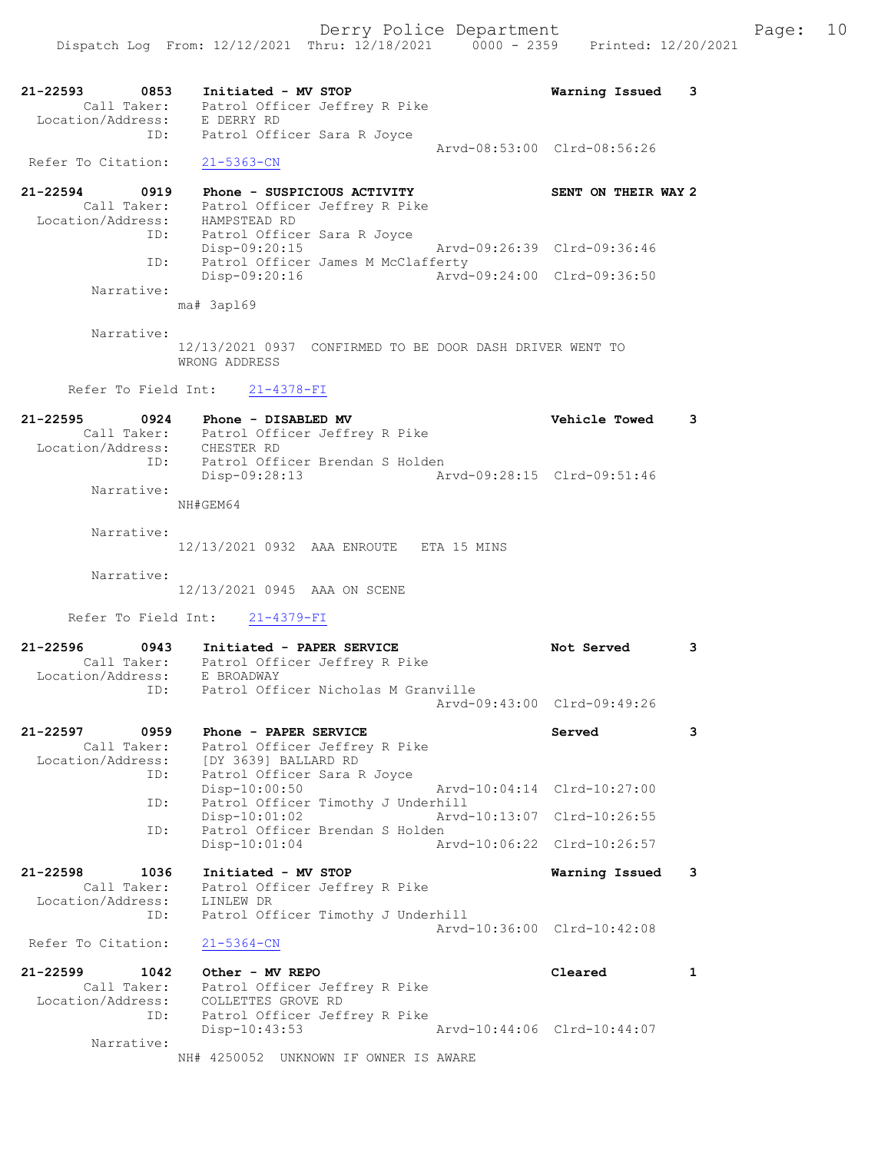|                                                      | 0853<br>Initiated - MV STOP<br>Call Taker: Patrol Officer Jeffrey R Pike<br>Location/Address: E DERRY RD | Warning Issued              | 3            |
|------------------------------------------------------|----------------------------------------------------------------------------------------------------------|-----------------------------|--------------|
| ID:<br>Refer To Citation:                            | Patrol Officer Sara R Joyce<br>$21 - 5363 - CN$                                                          | Arvd-08:53:00 Clrd-08:56:26 |              |
| 21-22594<br>0919<br>Call Taker:<br>Location/Address: | Phone - SUSPICIOUS ACTIVITY<br>Patrol Officer Jeffrey R Pike<br>HAMPSTEAD RD                             | SENT ON THEIR WAY 2         |              |
| ID:<br>ID:                                           | Patrol Officer Sara R Joyce<br>$Disp-09:20:15$<br>Patrol Officer James M McClafferty                     | Arvd-09:26:39 Clrd-09:36:46 |              |
| Narrative:                                           | Disp-09:20:16<br>Arvd-09:24:00 Clrd-09:36:50                                                             |                             |              |
|                                                      | ma# 3ap169                                                                                               |                             |              |
| Narrative:                                           | 12/13/2021 0937 CONFIRMED TO BE DOOR DASH DRIVER WENT TO<br>WRONG ADDRESS                                |                             |              |
|                                                      | Refer To Field Int: 21-4378-FI                                                                           |                             |              |
| $21 - 22595$<br>0924<br>Location/Address: CHESTER RD | Phone - DISABLED MV<br>Call Taker: Patrol Officer Jeffrey R Pike                                         | Vehicle Towed               | 3            |
| ID:<br>Narrative:                                    | Patrol Officer Brendan S Holden<br>Disp-09:28:13                                                         | Arvd-09:28:15 Clrd-09:51:46 |              |
|                                                      | NH#GEM64                                                                                                 |                             |              |
| Narrative:                                           | 12/13/2021 0932 AAA ENROUTE ETA 15 MINS                                                                  |                             |              |
| Narrative:                                           | 12/13/2021 0945 AAA ON SCENE                                                                             |                             |              |
|                                                      |                                                                                                          |                             |              |
|                                                      | Refer To Field Int: 21-4379-FI                                                                           |                             |              |
| $21 - 22596$                                         | 5 0943 Initiated - PAPER SERVICE<br>Call Taker: Patrol Officer Jeffrey R Pike                            | Not Served                  | 3            |
| Location/Address: E BROADWAY<br>ID:                  | Patrol Officer Nicholas M Granville                                                                      | Arvd-09:43:00 Clrd-09:49:26 |              |
| 0959<br>21-22597<br>Call Taker:<br>Location/Address: | Phone - PAPER SERVICE<br>Patrol Officer Jeffrey R Pike<br>[DY 3639] BALLARD RD                           | Served                      |              |
| ID:                                                  | Patrol Officer Sara R Joyce<br>Disp-10:00:50                                                             | Arvd-10:04:14 Clrd-10:27:00 |              |
| ID:                                                  | Patrol Officer Timothy J Underhill<br>$Disp-10:01:02$                                                    | Arvd-10:13:07 Clrd-10:26:55 |              |
| ID:                                                  | Patrol Officer Brendan S Holden<br>$Disp-10:01:04$                                                       | Arvd-10:06:22 Clrd-10:26:57 |              |
| 21-22598<br>1036<br>Call Taker:<br>Location/Address: | Initiated - MV STOP<br>Patrol Officer Jeffrey R Pike<br>LINLEW DR                                        | Warning Issued              | 3            |
| ID:<br>Refer To Citation:                            | Patrol Officer Timothy J Underhill<br>$21 - 5364 - CN$                                                   | Arvd-10:36:00 Clrd-10:42:08 |              |
| $21 - 22599$<br>1042                                 | Other - MV REPO                                                                                          | Cleared                     | $\mathbf{1}$ |
| Call Taker:<br>Location/Address:<br>ID:              | Patrol Officer Jeffrey R Pike<br>COLLETTES GROVE RD<br>Patrol Officer Jeffrey R Pike<br>$Disp-10:43:53$  | Arvd-10:44:06 Clrd-10:44:07 |              |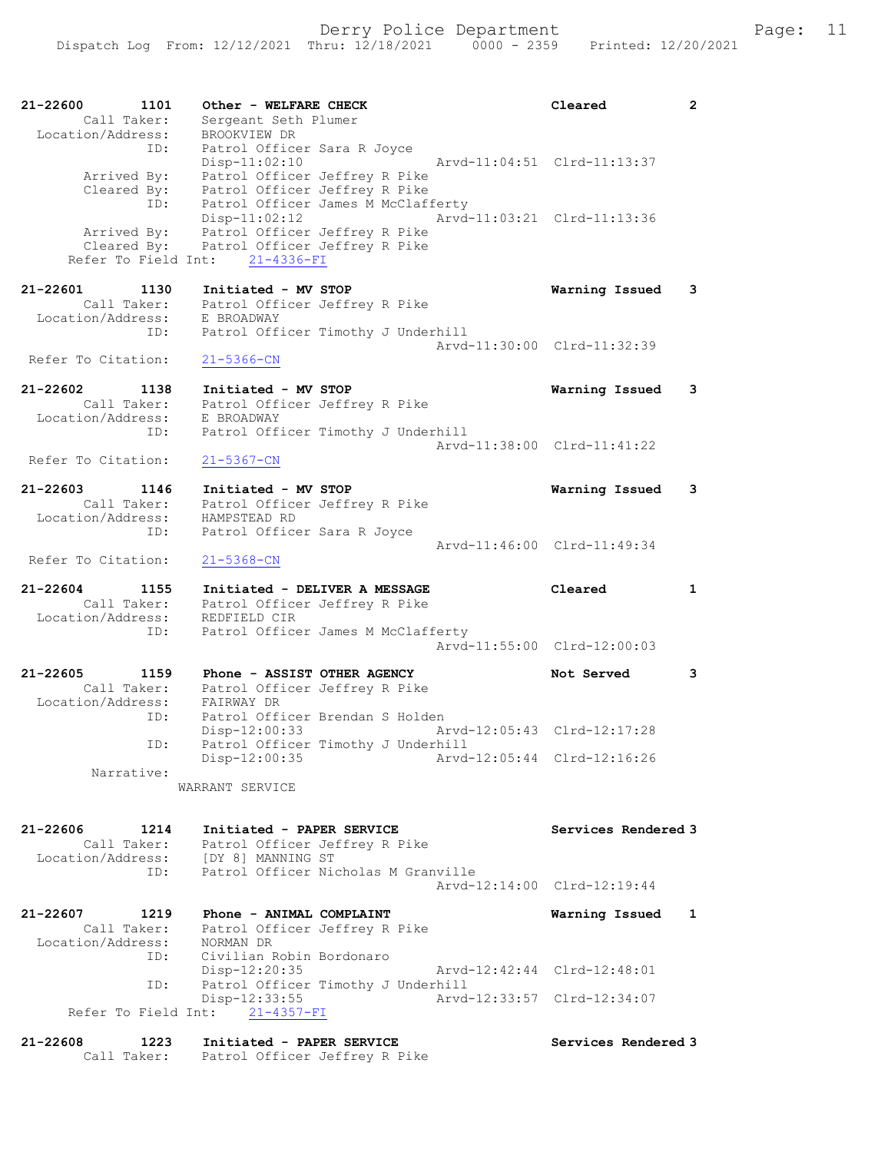| 21-22600<br>1101<br>Call Taker:<br>Location/Address:        | Other - WELFARE CHECK<br>Sergeant Seth Plumer<br>BROOKVIEW DR                                                                            | Cleared                     | $\mathbf{2}$ |
|-------------------------------------------------------------|------------------------------------------------------------------------------------------------------------------------------------------|-----------------------------|--------------|
| ID:<br>Arrived By:<br>Cleared By:                           | Patrol Officer Sara R Joyce<br>$Disp-11:02:10$<br>Patrol Officer Jeffrey R Pike<br>Patrol Officer Jeffrey R Pike                         | Arvd-11:04:51 Clrd-11:13:37 |              |
| ID:<br>Arrived By:<br>Cleared By:<br>Refer To Field Int:    | Patrol Officer James M McClafferty<br>$Disp-11:02:12$<br>Patrol Officer Jeffrey R Pike<br>Patrol Officer Jeffrey R Pike<br>21-4336-FI    | Arvd-11:03:21 Clrd-11:13:36 |              |
| $21 - 22601$<br>1130<br>Call Taker:                         | Initiated - MV STOP<br>Patrol Officer Jeffrey R Pike                                                                                     | Warning Issued              | 3            |
| Location/Address:<br>ID:                                    | E BROADWAY<br>Patrol Officer Timothy J Underhill                                                                                         |                             |              |
| Refer To Citation:                                          | $21 - 5366 - CN$                                                                                                                         | Arvd-11:30:00 Clrd-11:32:39 |              |
| 21-22602<br>1138<br>Call Taker:<br>Location/Address:        | Initiated - MV STOP<br>Patrol Officer Jeffrey R Pike<br>E BROADWAY                                                                       | Warning Issued              | 3            |
| ID:<br>Refer To Citation:                                   | Patrol Officer Timothy J Underhill<br>$21 - 5367 - CN$                                                                                   | Arvd-11:38:00 Clrd-11:41:22 |              |
| $21 - 22603$<br>1146<br>Call Taker:                         | Initiated - MV STOP<br>Patrol Officer Jeffrey R Pike                                                                                     | Warning Issued              | 3            |
| Location/Address:<br>ID:                                    | HAMPSTEAD RD<br>Patrol Officer Sara R Joyce                                                                                              | Arvd-11:46:00 Clrd-11:49:34 |              |
| Refer To Citation:                                          | $21 - 5368 - CN$                                                                                                                         |                             |              |
| $21 - 22604$<br>1155<br>Call Taker:<br>Location/Address:    | Initiated - DELIVER A MESSAGE<br>Patrol Officer Jeffrey R Pike<br>REDFIELD CIR                                                           | Cleared                     | $\mathbf{1}$ |
| ID:                                                         | Patrol Officer James M McClafferty                                                                                                       | Arvd-11:55:00 Clrd-12:00:03 |              |
| 21-22605<br>1159<br>Call Taker:<br>Location/Address:<br>ID: | Phone - ASSIST OTHER AGENCY<br>Patrol Officer Jeffrey R Pike<br>FAIRWAY DR<br>Patrol Officer Brendan S Holden                            | Not Served                  | 3            |
| ID:                                                         | $Disp-12:00:33$<br>Patrol Officer Timothy J Underhill                                                                                    | Arvd-12:05:43 Clrd-12:17:28 |              |
| Narrative:                                                  | Disp-12:00:35<br>WARRANT SERVICE                                                                                                         | Arvd-12:05:44 Clrd-12:16:26 |              |
|                                                             |                                                                                                                                          |                             |              |
| 21-22606<br>1214<br>Call Taker:<br>ID:                      | Initiated - PAPER SERVICE<br>Patrol Officer Jeffrey R Pike<br>Location/Address: [DY 8] MANNING ST<br>Patrol Officer Nicholas M Granville | Services Rendered 3         |              |
|                                                             |                                                                                                                                          | Arvd-12:14:00 Clrd-12:19:44 |              |
| 21-22607 1219<br>Call Taker:<br>Location/Address:           | Phone - ANIMAL COMPLAINT<br>Patrol Officer Jeffrey R Pike<br>NORMAN DR                                                                   | Warning Issued              | 1            |
| ID:<br>ID:                                                  | Civilian Robin Bordonaro<br>$Disp-12:20:35$<br>Patrol Officer Timothy J Underhill                                                        | Arvd-12:42:44 Clrd-12:48:01 |              |
|                                                             | Disp-12:33:55<br>Refer To Field Int: 21-4357-FI                                                                                          | Arvd-12:33:57 Clrd-12:34:07 |              |
| $21 - 22608$<br>1223                                        | Initiated - PAPER SERVICE                                                                                                                | Services Rendered 3         |              |

Call Taker: Patrol Officer Jeffrey R Pike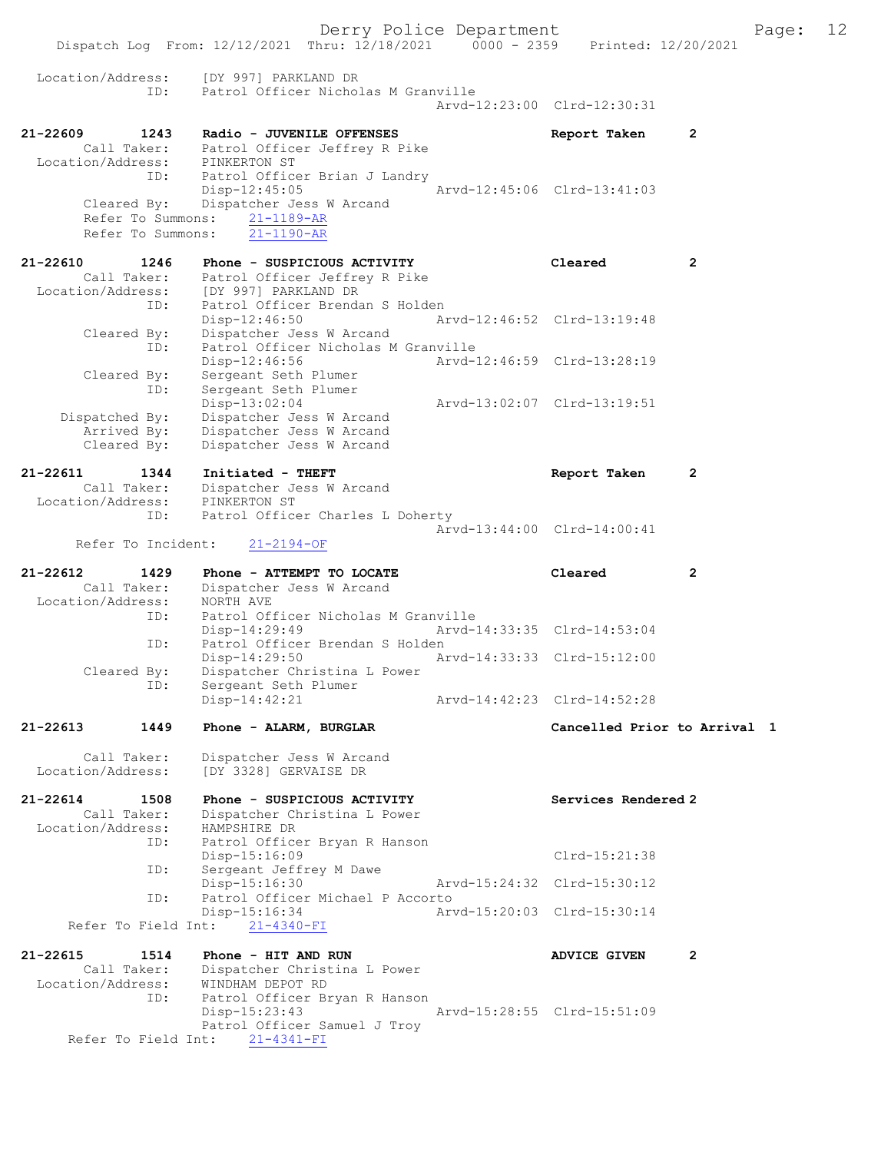Derry Police Department Fage: 12 Dispatch Log From: 12/12/2021 Thru: 12/18/2021 0000 - 2359 Printed: 12/20/2021 Location/Address: [DY 997] PARKLAND DR ID: Patrol Officer Nicholas M Granville Arvd-12:23:00 Clrd-12:30:31 21-22609 1243 Radio - JUVENILE OFFENSES Report Taken 2 Call Taker: Patrol Officer Jeffrey R Pike Location/Address: PINKERTON ST ID: Patrol Officer Brian J Landry Disp-12:45:05 Arvd-12:45:06 Clrd-13:41:03 Cleared By: Dispatcher Jess W Arcand Refer To Summons: 21-1189-AR<br>Refer To Summons: 21-1190-AR Refer To Summons: 21-22610 1246 Phone - SUSPICIOUS ACTIVITY Cleared 2 Call Taker: Patrol Officer Jeffrey R Pike Location/Address: [DY 997] PARKLAND DR ID: Patrol Officer Brendan S Holden Disp-12:46:50 Arvd-12:46:52 Clrd-13:19:48 Cleared By: Dispatcher Jess W Arcand ID: Patrol Officer Nicholas M Granville Disp-12:46:56 Arvd-12:46:59 Clrd-13:28:19 Cleared By: Sergeant Seth Plumer ID: Sergeant Seth Plumer Disp-13:02:04 Arvd-13:02:07 Clrd-13:19:51 Dispatched By: Dispatcher Jess W Arcand Arrived By: Dispatcher Jess W Arcand Cleared By: Dispatcher Jess W Arcand 21-22611 1344 Initiated - THEFT Report Taken 2 Call Taker: Dispatcher Jess W Arcand<br>ion/Address: PINKERTON ST Location/Address:<br>ID: Patrol Officer Charles L Doherty Arvd-13:44:00 Clrd-14:00:41 Refer To Incident: 21-2194-OF 21-22612 1429 Phone - ATTEMPT TO LOCATE Cleared 2 Call Taker: Dispatcher Jess W Arcand Location/Address: NORTH AVE ID: Patrol Officer Nicholas M Granville<br>Disp-14:29:49 Arvd-1 Disp-14:29:49 Arvd-14:33:35 Clrd-14:53:04 ID: Patrol Officer Brendan S Holden Disp-14:29:50 Arvd-14:33:33 Clrd-15:12:00<br>Cleared By: Dispatcher Christina L Power By: Dispatcher Christina L Power<br>TD: Sergeant Seth Plumer Sergeant Seth Plumer<br>Disp-14:42:21 Disp-14:42:21 Arvd-14:42:23 Clrd-14:52:28 21-22613 1449 Phone - ALARM, BURGLAR Cancelled Prior to Arrival 1 Call Taker: Dispatcher Jess W Arcand Location/Address: [DY 3328] GERVAISE DR 21-22614 1508 Phone - SUSPICIOUS ACTIVITY Services Rendered 2 Call Taker: Dispatcher Christina L Power -22614<br>Call Taker: Dispaction<br>Location/Address: HAMPSHIRE DR ID: Patrol Officer Bryan R Hanson Disp-15:16:09 Clrd-15:21:38 ID: Sergeant Jeffrey M Dawe Disp-15:16:30 Arvd-15:24:32 Clrd-15:30:12 ID: Patrol Officer Michael P Accorto Disp-15:16:34 Arvd-15:20:03 Clrd-15:30:14 Refer To Field Int: 21-4340-FI 21-22615 1514 Phone - HIT AND RUN ADVICE GIVEN 2 Call Taker: Dispatcher Christina L Power Location/Address: WINDHAM DEPOT RD ID: Patrol Officer Bryan R Hanson Disp-15:23:43 Arvd-15:28:55 Clrd-15:51:09 Patrol Officer Samuel J Troy Refer To Field Int: 21-4341-FI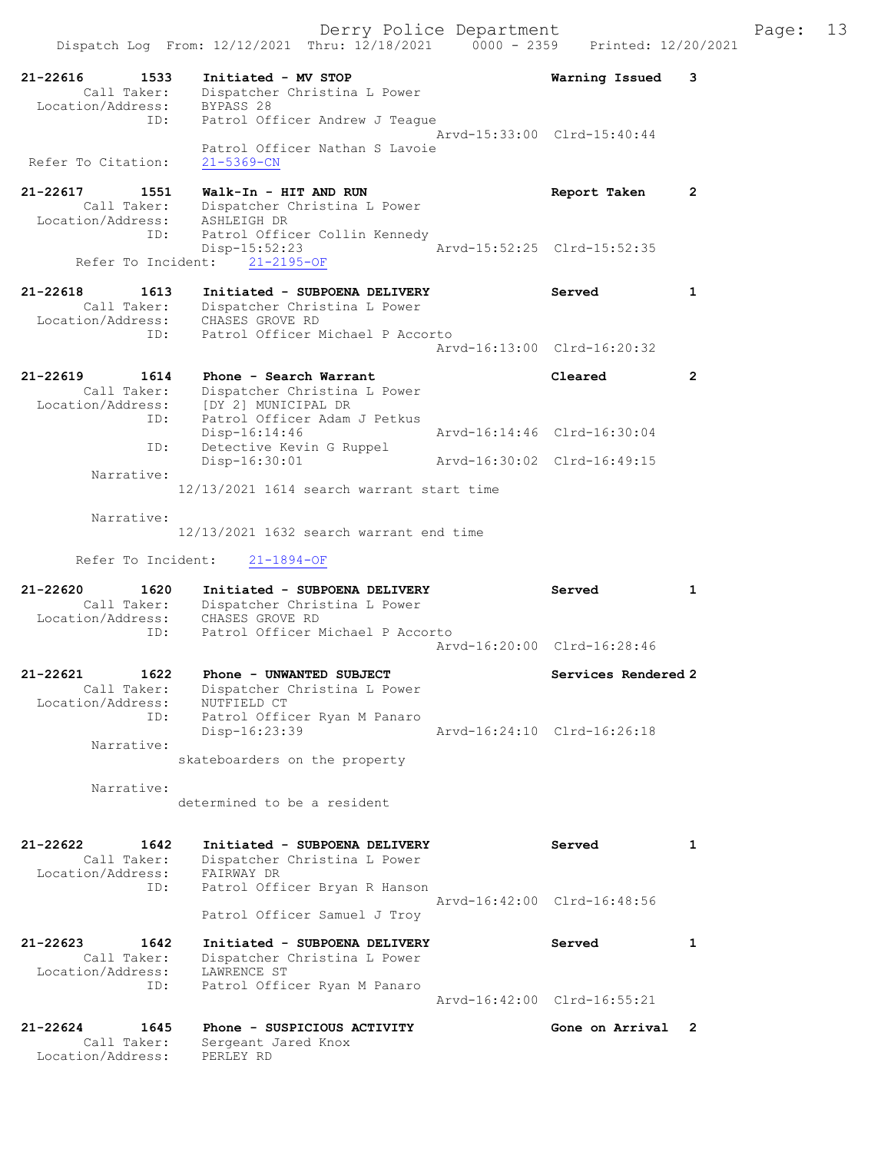| 21-22616<br>1533<br>Call Taker:<br>Location/Address: | Initiated - MV STOP<br>Dispatcher Christina L Power<br>BYPASS 28     | Warning Issued              | 3                    |
|------------------------------------------------------|----------------------------------------------------------------------|-----------------------------|----------------------|
| ID:                                                  | Patrol Officer Andrew J Teague<br>Patrol Officer Nathan S Lavoie     | Arvd-15:33:00 Clrd-15:40:44 |                      |
| Refer To Citation:                                   | $21 - 5369 - CN$                                                     |                             |                      |
| 21-22617<br>1551<br>Call Taker:<br>Location/Address: | Walk-In - HIT AND RUN<br>Dispatcher Christina L Power<br>ASHLEIGH DR | Report Taken                | $\mathbf{2}^{\circ}$ |
| ID:<br>Refer To Incident:                            | Patrol Officer Collin Kennedy<br>$Disp-15:52:23$<br>$21 - 2195 - OF$ | Arvd-15:52:25 Clrd-15:52:35 |                      |
| $21 - 22618$<br>1613                                 | Initiated - SUBPOENA DELIVERY                                        | Served                      | $\mathbf{1}$         |
| Call Taker:<br>Location/Address:                     | Dispatcher Christina L Power<br>CHASES GROVE RD                      |                             |                      |
| ID:                                                  | Patrol Officer Michael P Accorto                                     | Arvd-16:13:00 Clrd-16:20:32 |                      |
| $21 - 22619$<br>1614                                 | Phone - Search Warrant                                               | Cleared                     | $\overline{2}$       |
| Call Taker:<br>Location/Address:                     | Dispatcher Christina L Power<br>[DY 2] MUNICIPAL DR                  |                             |                      |
| ID:                                                  | Patrol Officer Adam J Petkus<br>Disp-16:14:46                        | Arvd-16:14:46 Clrd-16:30:04 |                      |
| ID:                                                  | Detective Kevin G Ruppel<br>Disp-16:30:01                            | Arvd-16:30:02 Clrd-16:49:15 |                      |
| Narrative:                                           | 12/13/2021 1614 search warrant start time                            |                             |                      |
|                                                      |                                                                      |                             |                      |
| Narrative:                                           | $12/13/2021$ 1632 search warrant end time                            |                             |                      |
| Refer To Incident:                                   | $21 - 1894 - OF$                                                     |                             |                      |
|                                                      |                                                                      |                             |                      |
| $21 - 22620$<br>1620                                 | Initiated - SUBPOENA DELIVERY                                        | Served                      | $\mathbf{1}$         |
| Call Taker:<br>Location/Address:                     | Dispatcher Christina L Power<br>CHASES GROVE RD                      |                             |                      |
| ID:                                                  | Patrol Officer Michael P Accorto                                     | Arvd-16:20:00 Clrd-16:28:46 |                      |
| 21-22621<br>1622                                     | Phone - UNWANTED SUBJECT                                             | Services Rendered 2         |                      |
| Call Taker:                                          | Dispatcher Christina L Power                                         |                             |                      |
| Location/Address:<br>ID:                             | NUTFIELD CT<br>Patrol Officer Ryan M Panaro                          |                             |                      |
| Narrative:                                           | Disp-16:23:39                                                        | Arvd-16:24:10 Clrd-16:26:18 |                      |
|                                                      | skateboarders on the property                                        |                             |                      |
| Narrative:                                           | determined to be a resident                                          |                             |                      |
|                                                      |                                                                      |                             |                      |
| $21 - 22622$<br>1642<br>Call Taker:                  | Initiated - SUBPOENA DELIVERY<br>Dispatcher Christina L Power        | Served                      | $\mathbf{1}$         |
| Location/Address:                                    | FAIRWAY DR                                                           |                             |                      |
| ID:                                                  | Patrol Officer Bryan R Hanson                                        | Arvd-16:42:00 Clrd-16:48:56 |                      |
|                                                      | Patrol Officer Samuel J Troy                                         |                             |                      |
| $21 - 22623$<br>1642<br>Call Taker:                  | Initiated - SUBPOENA DELIVERY<br>Dispatcher Christina L Power        | Served                      | $\mathbf{1}$         |
| Location/Address:<br>ID:                             | LAWRENCE ST                                                          |                             |                      |
|                                                      | Patrol Officer Ryan M Panaro                                         | Arvd-16:42:00 Clrd-16:55:21 |                      |
| $21 - 22624$<br>1645                                 | Phone - SUSPICIOUS ACTIVITY                                          | Gone on Arrival             | 2                    |
| Call Taker:<br>Location/Address:                     | Sergeant Jared Knox<br>PERLEY RD                                     |                             |                      |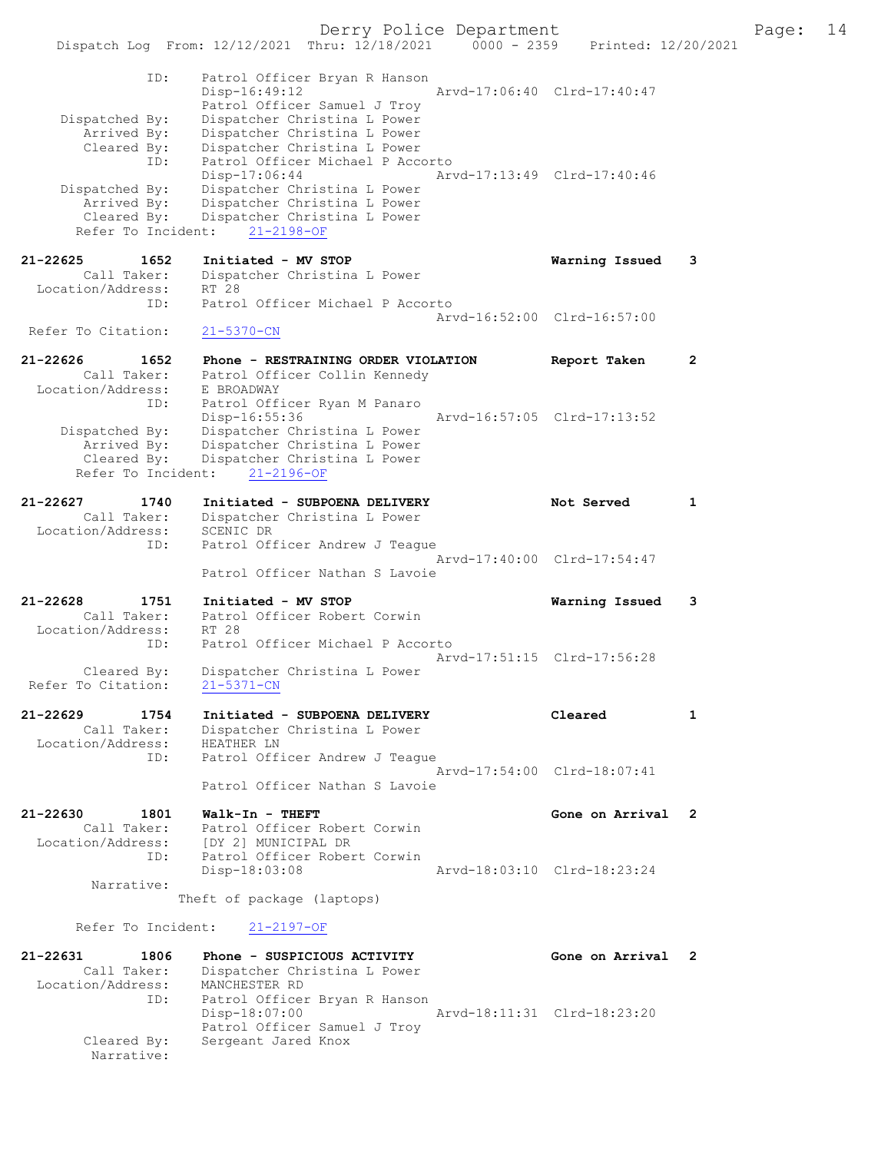Derry Police Department The Page: 14 Dispatch Log From: 12/12/2021 Thru: 12/18/2021 0000 - 2359 Printed: 12/20/2021 ID: Patrol Officer Bryan R Hanson Disp-16:49:12 Arvd-17:06:40 Clrd-17:40:47 Patrol Officer Samuel J Troy Dispatched By: Dispatcher Christina L Power Arrived By: Dispatcher Christina L Power Cleared By: Dispatcher Christina L Power ID: Patrol Officer Michael P Accorto Disp-17:06:44 Arvd-17:13:49 Clrd-17:40:46 Dispatched By: Dispatcher Christina L Power Arrived By: Dispatcher Christina L Power Cleared By: Dispatcher Christina L Power Refer To Incident: 21-2198-OF 21-22625 1652 Initiated - MV STOP Warning Issued 3 Call Taker: Dispatcher Christina L Power Location/Address: RT 28 ID: Patrol Officer Michael P Accorto Arvd-16:52:00 Clrd-16:57:00 Refer To Citation: 21-5370-CN 21-22626 1652 Phone - RESTRAINING ORDER VIOLATION Report Taken 2 Call Taker: Patrol Officer Collin Kennedy Location/Address: E BROADWAY ID: Patrol Officer Ryan M Panaro Arvd-16:57:05 Clrd-17:13:52 Dispatched By: Dispatcher Christina L Power Arrived By: Dispatcher Christina L Power Cleared By: Dispatcher Christina L Power Refer To Incident: 21-2196-OF 21-22627 1740 Initiated - SUBPOENA DELIVERY Not Served 1 Call Taker: Dispatcher Christina L Power Location/Address: SCENIC DR ID: Patrol Officer Andrew J Teague Arvd-17:40:00 Clrd-17:54:47 Patrol Officer Nathan S Lavoie 21-22628 1751 Initiated - MV STOP Warning Issued 3 Call Taker: Patrol Officer Robert Corwin Location/Address: RT 28 ID: Patrol Officer Michael P Accorto Arvd-17:51:15 Clrd-17:56:28 Cleared By: Dispatcher Christina L Power Refer To Citation: 21-5371-CN 21-22629 1754 Initiated - SUBPOENA DELIVERY Cleared 1 Call Taker: Dispatcher Christina L Power Location/Address: HEATHER LN ID: Patrol Officer Andrew J Teague Arvd-17:54:00 Clrd-18:07:41 Patrol Officer Nathan S Lavoie 21-22630 1801 Walk-In - THEFT Gone on Arrival 2<br>Call Taker: Patrol Officer Robert Corwin Call Taker: Patrol Officer Robert Corwin Location/Address: [DY 2] MUNICIPAL DR ID: Patrol Officer Robert Corwin<br>Disp-18:03:08 Disp-18:03:08 Arvd-18:03:10 Clrd-18:23:24 Narrative: Theft of package (laptops) Refer To Incident: 21-2197-OF 21-22631 1806 Phone - SUSPICIOUS ACTIVITY Gone on Arrival 2 Call Taker: Dispatcher Christina L Power Location/Address: MANCHESTER RD ID: Patrol Officer Bryan R Hanson Disp-18:07:00 Arvd-18:11:31 Clrd-18:23:20 Patrol Officer Samuel J Troy<br>Cleared By: Sergeant Jared Knox Sergeant Jared Knox Narrative: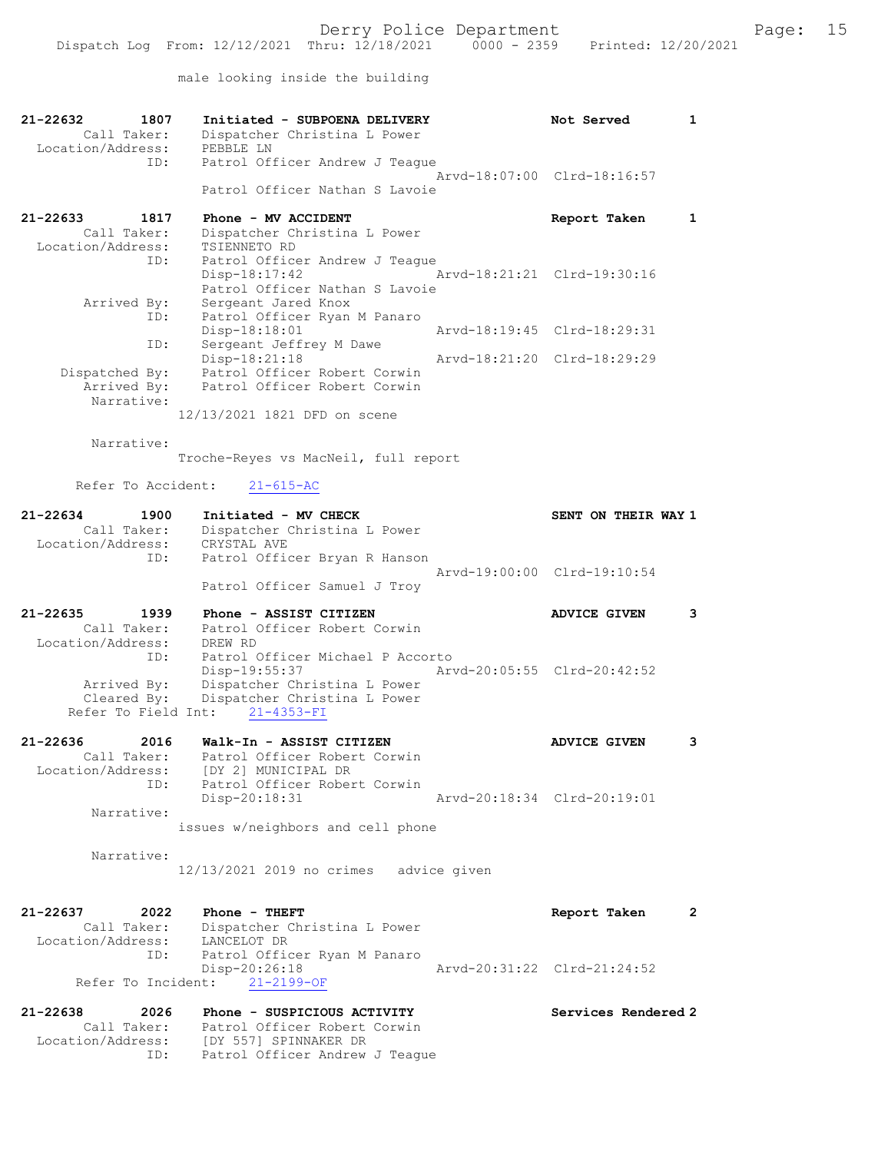male looking inside the building

| 21-22632<br>1807<br>Call Taker:<br>Location/Address:                          | Initiated - SUBPOENA DELIVERY<br>Dispatcher Christina L Power<br>PEBBLE LN                                                                       | Not Served                  | 1            |
|-------------------------------------------------------------------------------|--------------------------------------------------------------------------------------------------------------------------------------------------|-----------------------------|--------------|
| ID:                                                                           | Patrol Officer Andrew J Teaque<br>Patrol Officer Nathan S Lavoie                                                                                 | Arvd-18:07:00 Clrd-18:16:57 |              |
| 21-22633<br>1817<br>Call Taker:                                               | Phone - MV ACCIDENT<br>Dispatcher Christina L Power                                                                                              | Report Taken                | $\mathbf{1}$ |
| Location/Address:<br>ID:                                                      | TSIENNETO RD<br>Patrol Officer Andrew J Teague<br>$Disp-18:17:42$                                                                                | Arvd-18:21:21 Clrd-19:30:16 |              |
| Arrived By:<br>ID:                                                            | Patrol Officer Nathan S Lavoie<br>Sergeant Jared Knox<br>Patrol Officer Ryan M Panaro<br>Disp-18:18:01                                           | Arvd-18:19:45 Clrd-18:29:31 |              |
| ID:                                                                           | Sergeant Jeffrey M Dawe                                                                                                                          |                             |              |
| Dispatched By:<br>Arrived By:<br>Narrative:                                   | Disp-18:21:18<br>Patrol Officer Robert Corwin<br>Patrol Officer Robert Corwin                                                                    | Arvd-18:21:20 Clrd-18:29:29 |              |
|                                                                               | 12/13/2021 1821 DFD on scene                                                                                                                     |                             |              |
| Narrative:                                                                    | Troche-Reyes vs MacNeil, full report                                                                                                             |                             |              |
| Refer To Accident:                                                            | $21 - 615 - AC$                                                                                                                                  |                             |              |
| $21 - 22634$<br>1900<br>Call Taker:<br>Location/Address:                      | Initiated - MV CHECK<br>Dispatcher Christina L Power<br>CRYSTAL AVE                                                                              | SENT ON THEIR WAY 1         |              |
| ID:                                                                           | Patrol Officer Bryan R Hanson<br>Patrol Officer Samuel J Troy                                                                                    | Arvd-19:00:00 Clrd-19:10:54 |              |
| 21-22635<br>1939<br>Call Taker:                                               | Phone - ASSIST CITIZEN<br>Patrol Officer Robert Corwin                                                                                           | <b>ADVICE GIVEN</b>         | 3            |
| Location/Address:<br>ID:<br>Arrived By:<br>Cleared By:<br>Refer To Field Int: | DREW RD<br>Patrol Officer Michael P Accorto<br>Disp-19:55:37<br>Dispatcher Christina L Power<br>Dispatcher Christina L Power<br>$21 - 4353 - FI$ | Arvd-20:05:55 Clrd-20:42:52 |              |
| 21-22636<br>2016<br>Call Taker:<br>Location/Address:                          | Walk-In - ASSIST CITIZEN<br>Patrol Officer Robert Corwin<br>[DY 2] MUNICIPAL DR                                                                  | <b>ADVICE GIVEN</b>         | 3            |
| ID:<br>Narrative:                                                             | Patrol Officer Robert Corwin<br>Disp-20:18:31                                                                                                    | Arvd-20:18:34 Clrd-20:19:01 |              |
|                                                                               | issues w/neighbors and cell phone                                                                                                                |                             |              |
| Narrative:                                                                    | 12/13/2021 2019 no crimes advice given                                                                                                           |                             |              |
| 21-22637<br>2022<br>Call Taker:<br>Location/Address:                          | Phone - THEFT<br>Dispatcher Christina L Power<br>LANCELOT DR                                                                                     | Report Taken                | $\mathbf{2}$ |
| ID:<br>Refer To Incident:                                                     | Patrol Officer Ryan M Panaro<br>Disp-20:26:18<br>$21 - 2199 - OF$                                                                                | Arvd-20:31:22 Clrd-21:24:52 |              |
| 21-22638<br>2026                                                              | Phone - SUSPICIOUS ACTIVITY                                                                                                                      | Services Rendered 2         |              |
| Location/Address:<br>ID:                                                      | Call Taker: Patrol Officer Robert Corwin<br>[DY 557] SPINNAKER DR<br>Patrol Officer Andrew J Teague                                              |                             |              |
|                                                                               |                                                                                                                                                  |                             |              |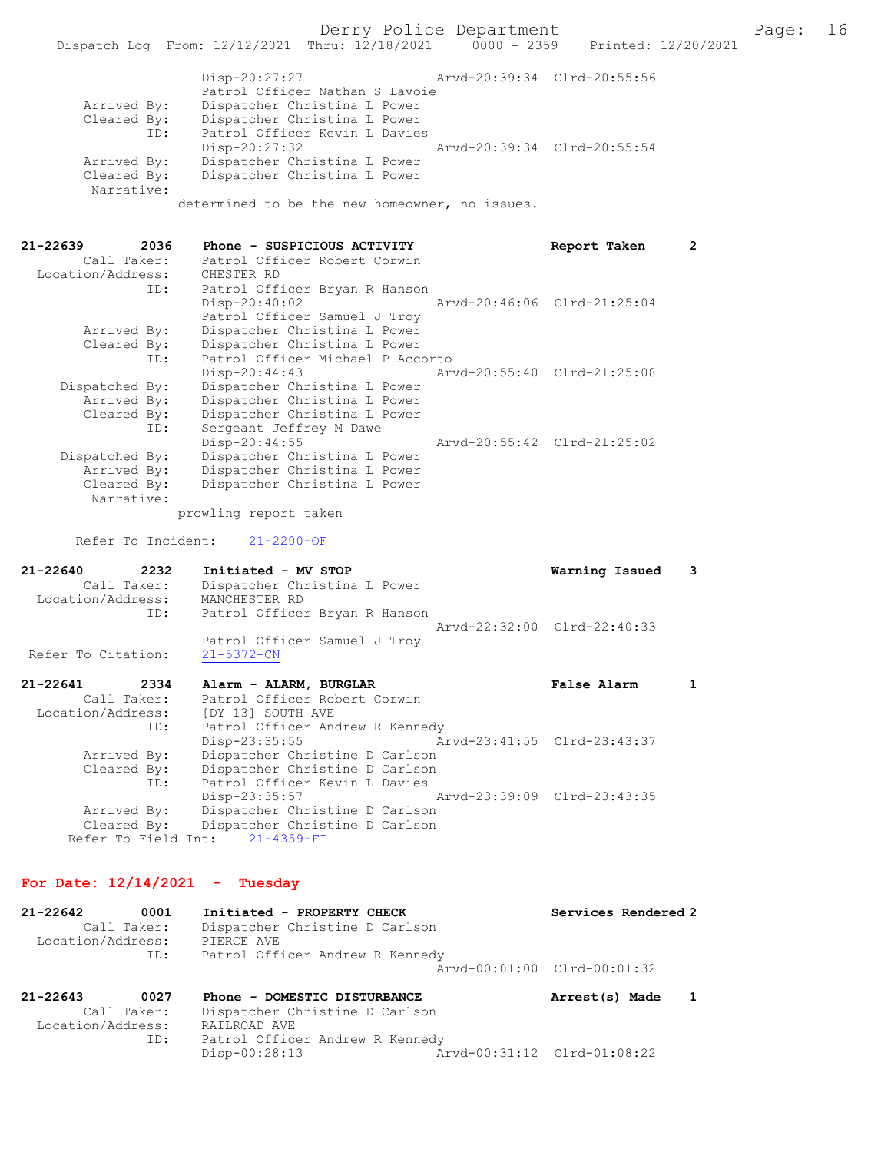|             | Disp-20:27:27                                  | Arvd-20:39:34 Clrd-20:55:56 |  |
|-------------|------------------------------------------------|-----------------------------|--|
|             | Patrol Officer Nathan S Lavoie                 |                             |  |
| Arrived By: | Dispatcher Christina L Power                   |                             |  |
| Cleared By: | Dispatcher Christina L Power                   |                             |  |
| ID:         | Patrol Officer Kevin L Davies                  |                             |  |
|             | $Disp-20:27:32$                                | Arvd-20:39:34 Clrd-20:55:54 |  |
| Arrived By: | Dispatcher Christina L Power                   |                             |  |
| Cleared By: | Dispatcher Christina L Power                   |                             |  |
| Narrative:  |                                                |                             |  |
|             | determined to be the new homeowner, no issues. |                             |  |

| $21 - 22639$<br>Call Taker:<br>Location/Address: | 2036 | Phone - SUSPICIOUS ACTIVITY<br>Patrol Officer Robert Corwin<br>CHESTER RD      | Report Taken                | 2 |
|--------------------------------------------------|------|--------------------------------------------------------------------------------|-----------------------------|---|
|                                                  | ID:  | Patrol Officer Bryan R Hanson<br>Disp-20:40:02<br>Patrol Officer Samuel J Troy | Arvd-20:46:06 Clrd-21:25:04 |   |
| Arrived By:                                      |      | Dispatcher Christina L Power                                                   |                             |   |
| Cleared By:                                      |      | Dispatcher Christina L Power                                                   |                             |   |
|                                                  | ID:  | Patrol Officer Michael P Accorto                                               |                             |   |
|                                                  |      | $Disp-20:44:43$                                                                | Arvd-20:55:40 Clrd-21:25:08 |   |
| Dispatched By:                                   |      | Dispatcher Christina L Power                                                   |                             |   |
| Arrived By:                                      |      | Dispatcher Christina L Power                                                   |                             |   |
| Cleared By:                                      |      | Dispatcher Christina L Power                                                   |                             |   |
|                                                  | ID:  | Sergeant Jeffrey M Dawe                                                        |                             |   |
|                                                  |      | $Disp-20:44:55$                                                                | Arvd-20:55:42 Clrd-21:25:02 |   |
| Dispatched By:                                   |      | Dispatcher Christina L Power                                                   |                             |   |
| Arrived By:                                      |      | Dispatcher Christina L Power                                                   |                             |   |
| Cleared By:                                      |      | Dispatcher Christina L Power                                                   |                             |   |
| Narrative:                                       |      |                                                                                |                             |   |

prowling report taken

Refer To Incident: 21-2200-OF

| 21-22640<br>Call Taker:<br>Location/Address: | 2232 | Initiated - MV STOP<br>Dispatcher Christina L Power<br>MANCHESTER RD |                               | Warning Issued 3            |  |
|----------------------------------------------|------|----------------------------------------------------------------------|-------------------------------|-----------------------------|--|
|                                              | ID:  |                                                                      | Patrol Officer Bryan R Hanson | Arvd-22:32:00 Clrd-22:40:33 |  |
| Refer To Citation:                           |      | Patrol Officer Samuel J Troy<br>$21 - 5372 - CN$                     |                               |                             |  |
| $21 - 22641$<br>Call Taker:                  | 2334 | Alarm - ALARM, BURGLAR<br>Patrol Officer Robert Corwin               |                               | False Alarm                 |  |

| Arvd-23:41:55 Clrd-23:43:37<br>Arvd-23:39:09 Clrd-23:43:35 |
|------------------------------------------------------------|

## For Date: 12/14/2021 - Tuesday

| 21-22642 | 0001                             | Initiated - PROPERTY CHECK                   |                             | Services Rendered 2 |  |
|----------|----------------------------------|----------------------------------------------|-----------------------------|---------------------|--|
|          | Call Taker:<br>Location/Address: | Dispatcher Christine D Carlson<br>PIERCE AVE |                             |                     |  |
|          | ID:                              | Patrol Officer Andrew R Kennedy              |                             |                     |  |
|          |                                  |                                              | Aryd-00:01:00 Clrd-00:01:32 |                     |  |
| 21-22643 | 0027                             | Phone - DOMESTIC DISTURBANCE                 |                             | Arrest(s) Made      |  |

| Call Taker:       | Dispatcher Christine D Carlson  |                             |
|-------------------|---------------------------------|-----------------------------|
| Location/Address: | RAILROAD AVE                    |                             |
| ID:               | Patrol Officer Andrew R Kennedy |                             |
|                   | Disp-00:28:13                   | Arvd-00:31:12 Clrd-01:08:22 |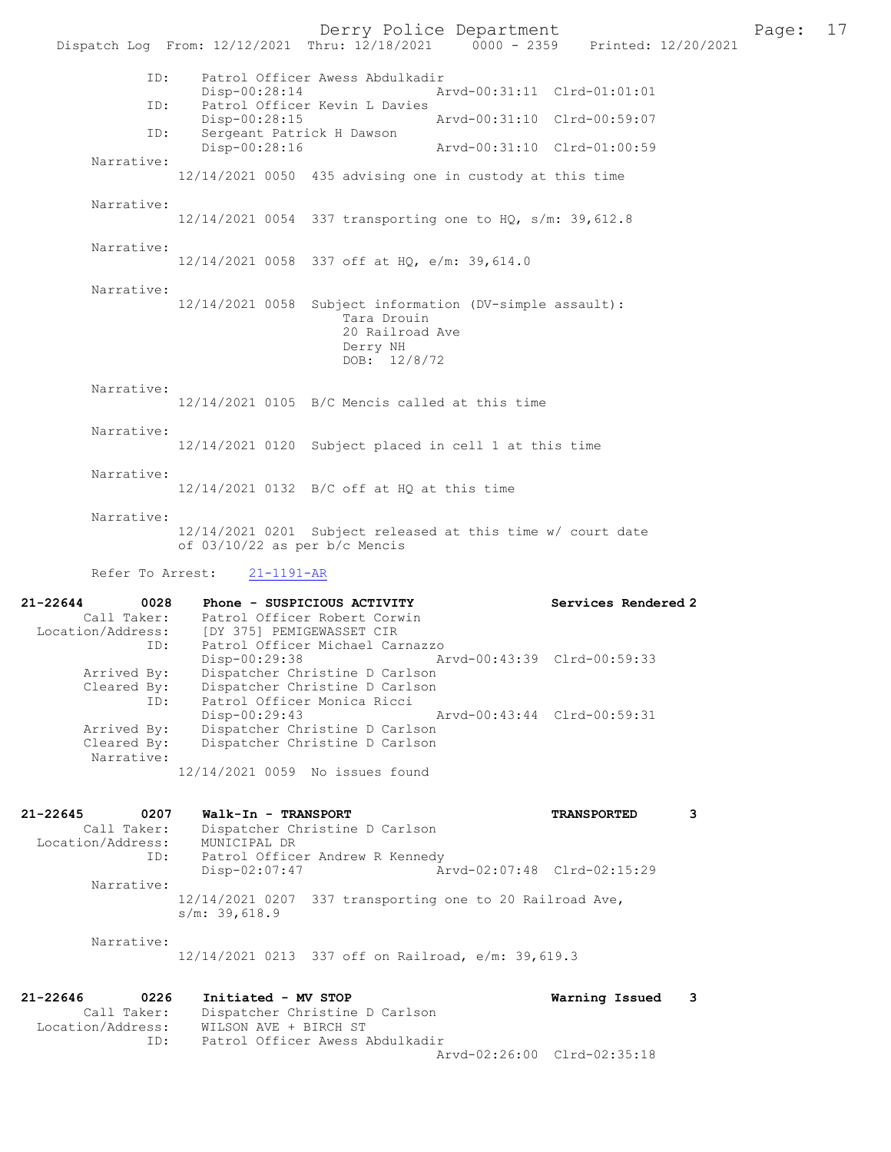Derry Police Department Fage: 17 Dispatch Log From: 12/12/2021 Thru: 12/18/2021 0000 - 2359 Printed: 12/20/2021 ID: Patrol Officer Awess Abdulkadir Disp-00:28:14 Arvd-00:31:11 Clrd-01:01:01<br>TD: Patrol Officer Kevin L Davies Patrol Officer Kevin L Davies<br>Disp-00:28:15 Disp-00:28:15 Arvd-00:31:10 Clrd-00:59:07<br>TD: Sergeant Patrick H Dawson Sergeant Patrick H Dawson<br>Disp-00:28:16 Disp-00:28:16 Arvd-00:31:10 Clrd-01:00:59 Narrative: 12/14/2021 0050 435 advising one in custody at this time Narrative: 12/14/2021 0054 337 transporting one to HQ, s/m: 39,612.8 Narrative: 12/14/2021 0058 337 off at HQ, e/m: 39,614.0 Narrative: 12/14/2021 0058 Subject information (DV-simple assault): Tara Drouin 20 Railroad Ave Derry NH DOB: 12/8/72 Narrative: 12/14/2021 0105 B/C Mencis called at this time Narrative: 12/14/2021 0120 Subject placed in cell 1 at this time Narrative: 12/14/2021 0132 B/C off at HQ at this time Narrative: 12/14/2021 0201 Subject released at this time w/ court date of 03/10/22 as per b/c Mencis Refer To Arrest: 21-1191-AR 21-22644 0028 Phone - SUSPICIOUS ACTIVITY Services Rendered 2 Call Taker: Patrol Officer Robert Corwin Location/Address: [DY 375] PEMIGEWASSET CIR ID: Patrol Officer Michael Carnazzo Disp-00:29:38 Arvd-00:43:39 Clrd-00:59:33 Arrived By: Dispatcher Christine D Carlson Cleared By: Dispatcher Christine D Carlson ID: Patrol Officer Monica Ricci Disp-00:29:43 Arvd-00:43:44 Clrd-00:59:31 Arrived By: Dispatcher Christine D Carlson Cleared By: Dispatcher Christine D Carlson Narrative: 12/14/2021 0059 No issues found 21-22645 0207 Walk-In - TRANSPORT TRANSPORTED 3 Call Taker: Dispatcher Christine D Carlson Location/Address: MUNICIPAL DR ID: Patrol Officer Andrew R Kennedy Disp-02:07:47 Arvd-02:07:48 Clrd-02:15:29 Narrative: 12/14/2021 0207 337 transporting one to 20 Railroad Ave, s/m: 39,618.9 Narrative: 12/14/2021 0213 337 off on Railroad, e/m: 39,619.3 21-22646 0226 Initiated - MV STOP Warning Issued 3<br>Call Taker: Dispatcher Christine D Carlson Call Taker: Dispatcher Christine D Carlson Location/Address: WILSON AVE + BIRCH ST ID: Patrol Officer Awess Abdulkadir Arvd-02:26:00 Clrd-02:35:18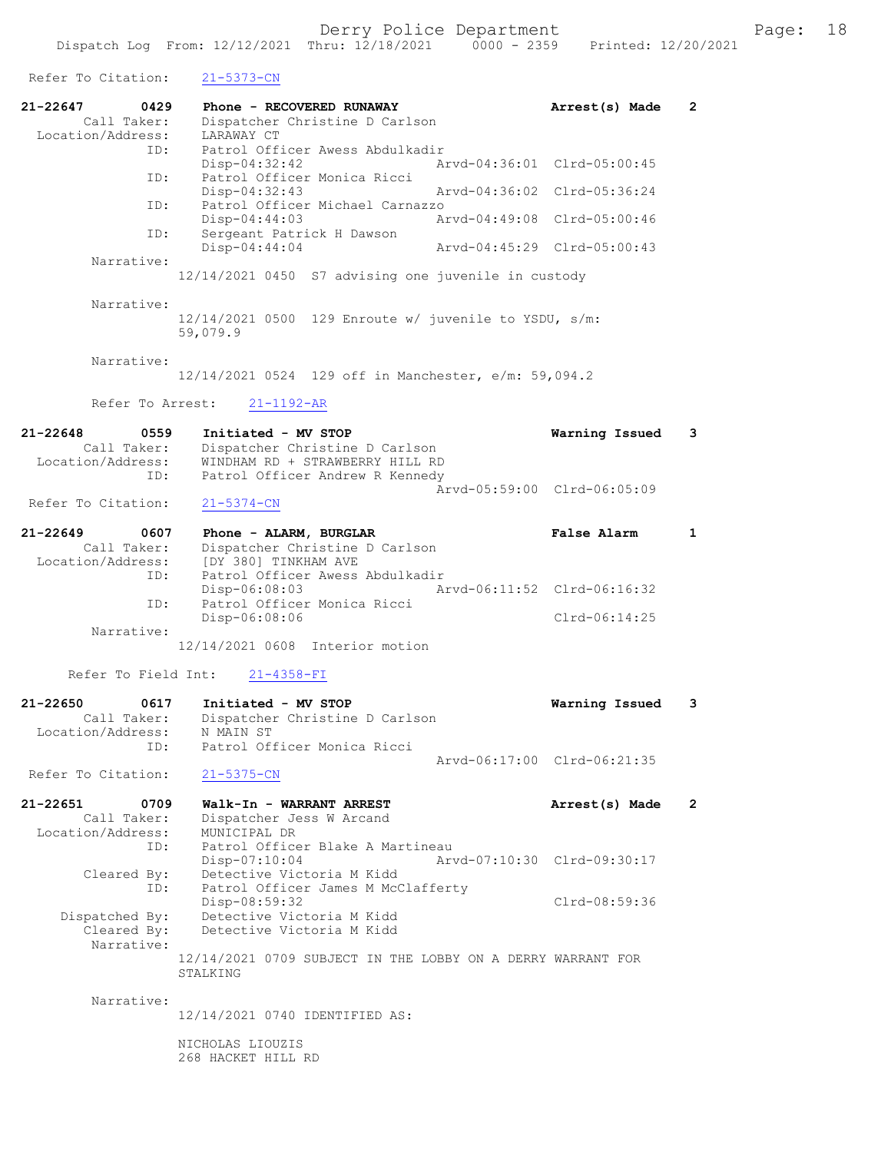Refer To Citation: 21-5373-CN 21-22647 0429 Phone - RECOVERED RUNAWAY Arrest(s) Made 2 Call Taker: Dispatcher Christine D Carlson Location/Address: LARAWAY CT ID: Patrol Officer Awess Abdulkadir Disp-04:32:42 Arvd-04:36:01 Clrd-05:00:45 ID: Patrol Officer Monica Ricci Disp-04:32:43 Arvd-04:36:02 Clrd-05:36:24<br>The Patrol Officer Michael Carnazzo Patrol Officer Michael Carnazzo<br>Disp-04:44:03 Ar Disp-04:44:03 Arvd-04:49:08 Clrd-05:00:46 ID: Sergeant Patrick H Dawson<br>Disp-04:44:04 Disp-04:44:04 Arvd-04:45:29 Clrd-05:00:43 Narrative: 12/14/2021 0450 S7 advising one juvenile in custody Narrative: 12/14/2021 0500 129 Enroute w/ juvenile to YSDU, s/m: 59,079.9 Narrative: 12/14/2021 0524 129 off in Manchester, e/m: 59,094.2 Refer To Arrest: 21-1192-AR 21-22648 0559 Initiated - MV STOP Warning Issued 3 Call Taker: Dispatcher Christine D Carlson Location/Address: WINDHAM RD + STRAWBERRY HILL RD ID: Patrol Officer Andrew R Kennedy Arvd-05:59:00 Clrd-06:05:09 Refer To Citation: 21-5374-CN 21-22649 0607 Phone - ALARM, BURGLAR False Alarm 1 Call Taker: Dispatcher Christine D Carlson<br>Location/Address: [DY 380] TINKHAM AVE Location/Address: [DY 380] TINKHAM AVE ID: Patrol Officer Awess Abdulkadir Disp-06:08:03 Arvd-06:11:52 Clrd-06:16:32 Patrol Officer Monica Ricci Disp-06:08:06 Clrd-06:14:25 Narrative: 12/14/2021 0608 Interior motion Refer To Field Int: 21-4358-FI 21-22650 0617 Initiated - MV STOP Warning Issued 3 Call Taker: Dispatcher Christine D Carlson Location/Address: N MAIN ST<br>TD: Patrol Ofi Patrol Officer Monica Ricci Arvd-06:17:00 Clrd-06:21:35 Refer To Citation: 21-5375-CN 21-22651 0709 Walk-In - WARRANT ARREST Arrest(s) Made 2 Call Taker: Dispatcher Jess W Arcand Location/Address: MUNICIPAL DR ID: Patrol Officer Blake A Martineau<br>Disp-07:10:04 Art Disp-07:10:04 Arvd-07:10:30 Clrd-09:30:17<br>Cleared By: Detective Victoria M Kidd Detective Victoria M Kidd 1 By: Detective victorian material<br>ID: Patrol Officer James M McClafferty Disp-08:59:32 Clrd-08:59:36 Dispatched By: Detective Victoria M Kidd Cleared By: Detective Victoria M Kidd Narrative: 12/14/2021 0709 SUBJECT IN THE LOBBY ON A DERRY WARRANT FOR STALKING Narrative: 12/14/2021 0740 IDENTIFIED AS: NICHOLAS LIOUZIS 268 HACKET HILL RD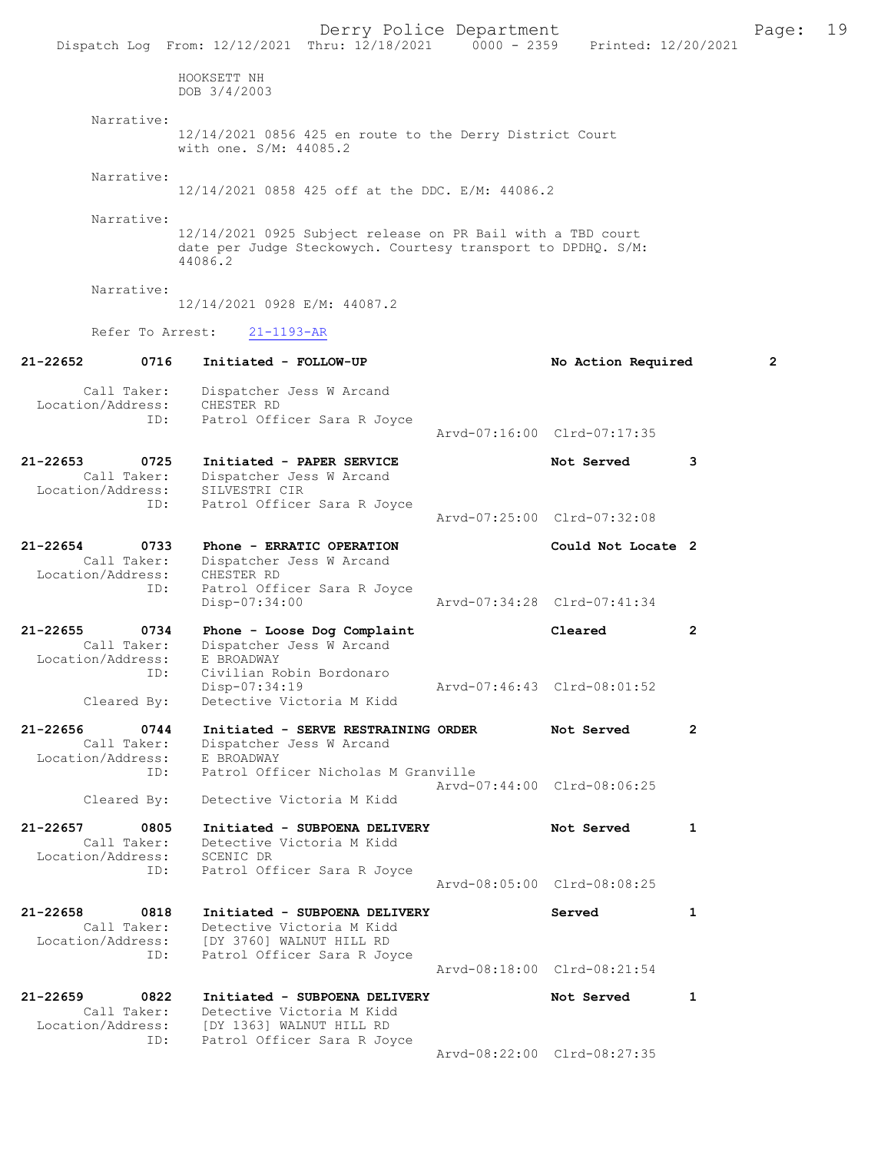|                                                      | Derry Police Department<br>Dispatch Log From: 12/12/2021 Thru: 12/18/2021 0000 - 2359 Printed: 12/20/2021                                           |                             |              | Page: | 19 |
|------------------------------------------------------|-----------------------------------------------------------------------------------------------------------------------------------------------------|-----------------------------|--------------|-------|----|
|                                                      | HOOKSETT NH<br>DOB 3/4/2003                                                                                                                         |                             |              |       |    |
| Narrative:                                           | 12/14/2021 0856 425 en route to the Derry District Court<br>with one. S/M: 44085.2                                                                  |                             |              |       |    |
| Narrative:                                           | 12/14/2021 0858 425 off at the DDC. E/M: 44086.2                                                                                                    |                             |              |       |    |
| Narrative:                                           | 12/14/2021 0925 Subject release on PR Bail with a TBD court<br>date per Judge Steckowych. Courtesy transport to DPDHQ. S/M:<br>44086.2              |                             |              |       |    |
| Narrative:                                           | 12/14/2021 0928 E/M: 44087.2                                                                                                                        |                             |              |       |    |
| Refer To Arrest:                                     | $21 - 1193 - AR$                                                                                                                                    |                             |              |       |    |
| 21-22652<br>0716                                     | Initiated - FOLLOW-UP                                                                                                                               | No Action Required          |              | 2     |    |
| Call Taker:<br>Location/Address:                     | Dispatcher Jess W Arcand<br>CHESTER RD                                                                                                              |                             |              |       |    |
| ID:                                                  | Patrol Officer Sara R Joyce                                                                                                                         | Arvd-07:16:00 Clrd-07:17:35 |              |       |    |
| 21-22653<br>0725<br>Call Taker:<br>Location/Address: | Initiated - PAPER SERVICE<br>Dispatcher Jess W Arcand<br>SILVESTRI CIR                                                                              | Not Served                  | 3            |       |    |
| ID:                                                  | Patrol Officer Sara R Joyce                                                                                                                         | Arvd-07:25:00 Clrd-07:32:08 |              |       |    |
| 21-22654<br>0733<br>Call Taker:<br>Location/Address: | Phone - ERRATIC OPERATION<br>Dispatcher Jess W Arcand<br>CHESTER RD                                                                                 | Could Not Locate 2          |              |       |    |
| ID:                                                  | Patrol Officer Sara R Joyce<br>Disp-07:34:00                                                                                                        | Arvd-07:34:28 Clrd-07:41:34 |              |       |    |
| 21-22655<br>0734<br>Call Taker:                      | Phone - Loose Dog Complaint<br>Dispatcher Jess W Arcand                                                                                             | Cleared                     | 2            |       |    |
| Location/Address:<br>ID:<br>Cleared By:              | E BROADWAY<br>Civilian Robin Bordonaro<br>Disp-07:34:19<br>Detective Victoria M Kidd                                                                | Arvd-07:46:43 Clrd-08:01:52 |              |       |    |
| 21-22656<br>0744<br>Call Taker:                      | Initiated - SERVE RESTRAINING ORDER<br>Dispatcher Jess W Arcand                                                                                     | Not Served                  | $\mathbf{2}$ |       |    |
| Location/Address:<br>ID:                             | E BROADWAY<br>Patrol Officer Nicholas M Granville                                                                                                   | Arvd-07:44:00 Clrd-08:06:25 |              |       |    |
| Cleared By:                                          | Detective Victoria M Kidd                                                                                                                           |                             |              |       |    |
| 21-22657<br>0805<br>Call Taker:<br>Location/Address: | Initiated - SUBPOENA DELIVERY<br>Detective Victoria M Kidd<br>SCENIC DR                                                                             | Not Served                  | 1            |       |    |
| ID:                                                  | Patrol Officer Sara R Joyce                                                                                                                         | Arvd-08:05:00 Clrd-08:08:25 |              |       |    |
| 21-22658<br>0818<br>ID:                              | Initiated - SUBPOENA DELIVERY<br>Call Taker: Detective Victoria M Kidd<br>Location/Address: [DY 3760] WALNUT HILL RD<br>Patrol Officer Sara R Joyce | Served                      | $\mathbf{1}$ |       |    |
|                                                      |                                                                                                                                                     | Arvd-08:18:00 Clrd-08:21:54 |              |       |    |
| 21-22659<br>0822                                     | Initiated - SUBPOENA DELIVERY<br>Call Taker: Detective Victoria M Kidd<br>Location/Address: [DY 1363] WALNUT HILL RD                                | Not Served                  | 1            |       |    |
| ID:                                                  | Patrol Officer Sara R Joyce                                                                                                                         | Arvd-08:22:00 Clrd-08:27:35 |              |       |    |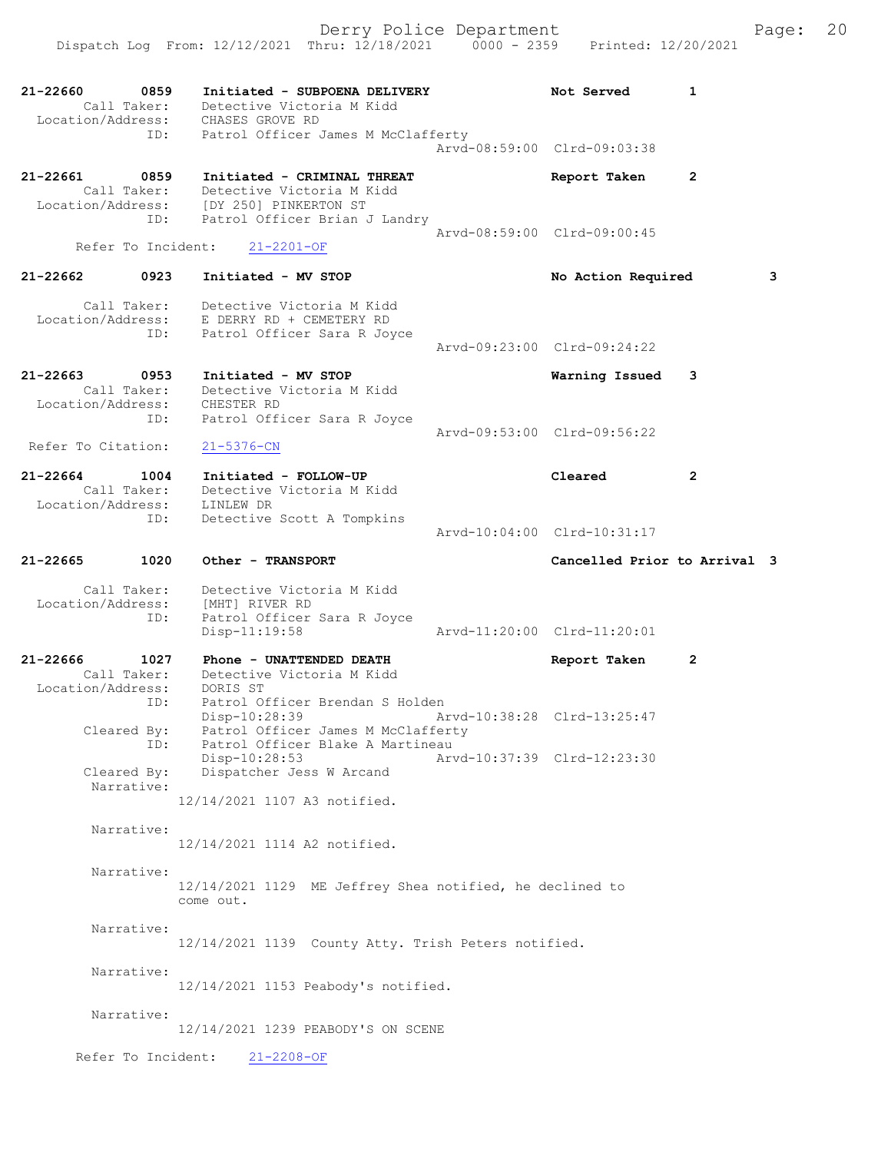Derry Police Department The Page: 20 Dispatch Log From: 12/12/2021 Thru: 12/18/2021 0000 - 2359 Printed: 12/20/2021 21-22660 0859 Initiated - SUBPOENA DELIVERY Not Served 1 Call Taker: Detective Victoria M Kidd Location/Address: CHASES GROVE RD ID: Patrol Officer James M McClafferty Arvd-08:59:00 Clrd-09:03:38 21-22661 0859 Initiated - CRIMINAL THREAT Report Taken 2 Call Taker: Detective Victoria M Kidd Location/Address: [DY 250] PINKERTON ST ID: Patrol Officer Brian J Landry Arvd-08:59:00 Clrd-09:00:45<br>21-2201-0F Refer To Incident: 21-22662 0923 Initiated - MV STOP No Action Required 3 Call Taker: Detective Victoria M Kidd Location/Address: E DERRY RD + CEMETERY RD ID: Patrol Officer Sara R Joyce Arvd-09:23:00 Clrd-09:24:22 21-22663 0953 Initiated - MV STOP Warning Issued 3 Call Taker: Detective Victoria M Kidd Location/Address: CHESTER RD ID: Patrol Officer Sara R Joyce Arvd-09:53:00 Clrd-09:56:22<br>21-5376-CN Refer To Citation: 21-22664 1004 Initiated - FOLLOW-UP Cleared 2 Call Taker: Detective Victoria M Kidd Location/Address: LINLEW DR ID: Detective Scott A Tompkins Arvd-10:04:00 Clrd-10:31:17 21-22665 1020 Other - TRANSPORT Cancelled Prior to Arrival 3 Call Taker: Detective Victoria M Kidd Location/Address: [MHT] RIVER RD<br>ID: Patrol Officer Patrol Officer Sara R Joyce<br>Disp-11:19:58 Arvd-11:20:00 Clrd-11:20:01 21-22666 1027 Phone - UNATTENDED DEATH Report Taken 2 Call Taker: Detective Victoria M Kidd Location/Address: DORIS ST ID: Patrol Officer Brendan S Holden Disp-10:28:39 Arvd-10:38:28 Clrd-13:25:47 Cleared By: Patrol Officer James M McClafferty ID: Patrol Officer Blake A Martineau Disp-10:28:53 Arvd-10:37:39 Clrd-12:23:30 Cleared By: Dispatcher Jess W Arcand Narrative: 12/14/2021 1107 A3 notified. Narrative: 12/14/2021 1114 A2 notified. Narrative: 12/14/2021 1129 ME Jeffrey Shea notified, he declined to come out. Narrative: 12/14/2021 1139 County Atty. Trish Peters notified. Narrative: 12/14/2021 1153 Peabody's notified. Narrative: 12/14/2021 1239 PEABODY'S ON SCENE

Refer To Incident: 21-2208-OF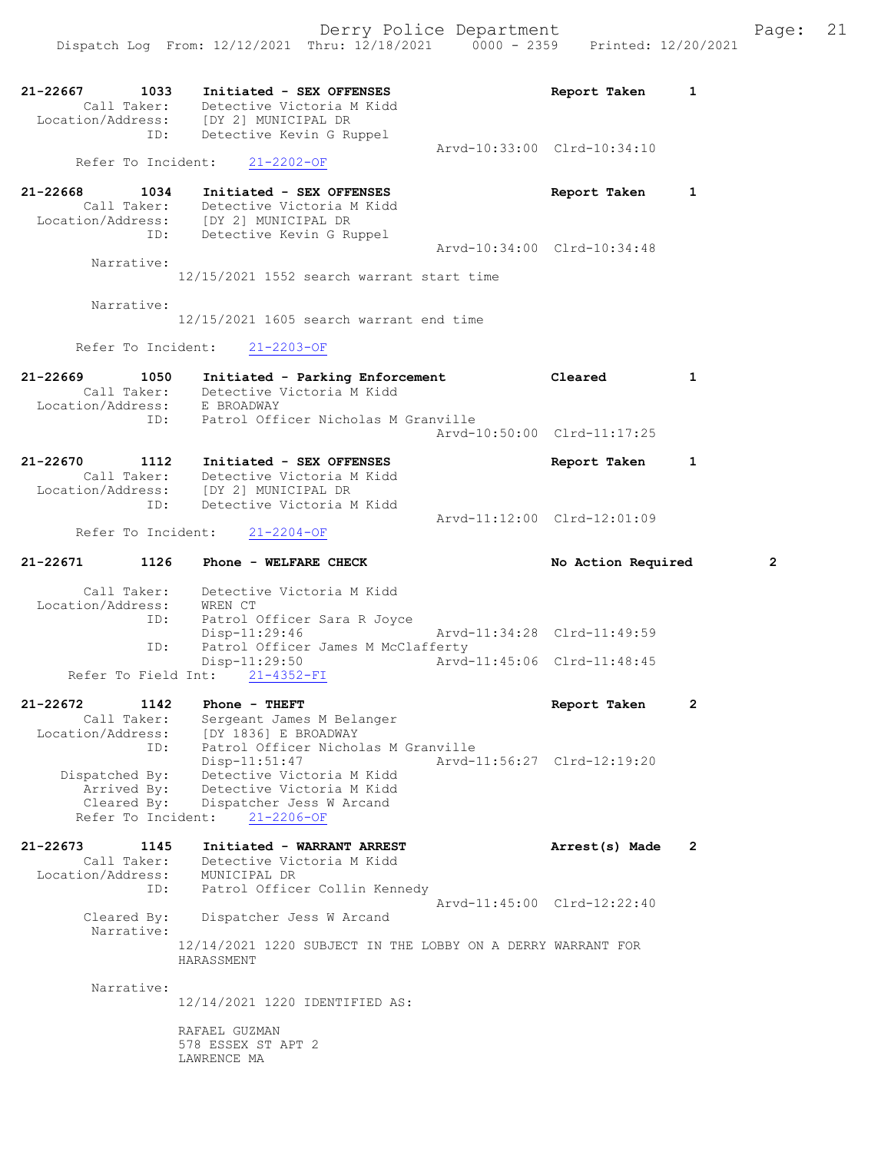21-22667 1033 Initiated - SEX OFFENSES Report Taken 1 Call Taker: Detective Victoria M Kidd Location/Address: [DY 2] MUNICIPAL DR ID: Detective Kevin G Ruppel Arvd-10:33:00 Clrd-10:34:10 Refer To Incident: 21-2202-OF 21-22668 1034 Initiated - SEX OFFENSES Report Taken 1 Call Taker: Detective Victoria M Kidd Location/Address: [DY 2] MUNICIPAL DR ID: Detective Kevin G Ruppel Arvd-10:34:00 Clrd-10:34:48 Narrative: 12/15/2021 1552 search warrant start time Narrative: 12/15/2021 1605 search warrant end time Refer To Incident: 21-2203-OF 21-22669 1050 Initiated - Parking Enforcement Cleared 1 Call Taker: Detective Victoria M Kidd Location/Address: E BROADWAY ID: Patrol Officer Nicholas M Granville Arvd-10:50:00 Clrd-11:17:25 21-22670 1112 Initiated - SEX OFFENSES Report Taken 1 Call Taker: Detective Victoria M Kidd Location/Address: [DY 2] MUNICIPAL DR ID: Detective Victoria M Kidd Arvd-11:12:00 Clrd-12:01:09<br>21-2204-OF Refer To Incident: 21-22671 1126 Phone - WELFARE CHECK No Action Required 2 Call Taker: Detective Victoria M Kidd Location/Address: WREN CT ID: Patrol Officer Sara R Joyce Disp-11:29:46 Arvd-11:34:28 Clrd-11:49:59 ID: Patrol Officer James M McClafferty<br>Disp-11:29:50 Arvd- Disp-11:29:50 Arvd-11:45:06 Clrd-11:48:45 Refer To Field Int: 21-4352-FI 21-22672 1142 Phone - THEFT Report Taken 2 Call Taker: Sergeant James M Belanger Location/Address: [DY 1836] E BROADWAY ID: Patrol Officer Nicholas M Granville Disp-11:51:47 Arvd-11:56:27 Clrd-12:19:20 Dispatched By: Detective Victoria M Kidd Arrived By: Detective Victoria M Kidd Cleared By: Dispatcher Jess W Arcand Refer To Incident: 21-2206-OF 21-22673 1145 Initiated - WARRANT ARREST Arrest(s) Made 2 Call Taker: Detective Victoria M Kidd Location/Address: MUNICIPAL DR ID: Patrol Officer Collin Kennedy Arvd-11:45:00 Clrd-12:22:40 Cleared By: Dispatcher Jess W Arcand Narrative: 12/14/2021 1220 SUBJECT IN THE LOBBY ON A DERRY WARRANT FOR HARASSMENT Narrative: 12/14/2021 1220 IDENTIFIED AS: RAFAEL GUZMAN 578 ESSEX ST APT 2 LAWRENCE MA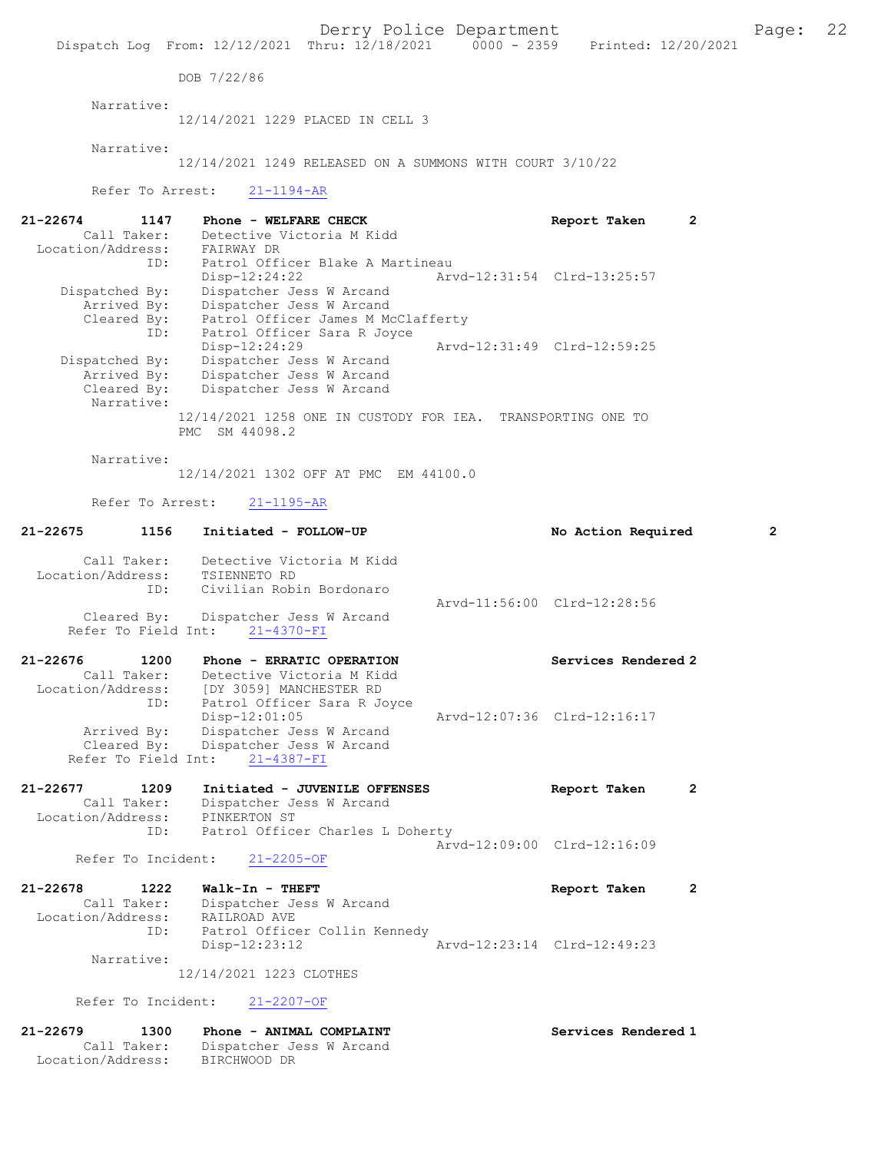Derry Police Department Fage: 22

DOB 7/22/86

Narrative:

12/14/2021 1229 PLACED IN CELL 3

Narrative:

12/14/2021 1249 RELEASED ON A SUMMONS WITH COURT 3/10/22

Refer To Arrest: 21-1194-AR

| 21-22674<br>1147  | Phone - WELFARE CHECK                                       |                             | Report Taken                | 2 |
|-------------------|-------------------------------------------------------------|-----------------------------|-----------------------------|---|
| Call Taker:       | Detective Victoria M Kidd                                   |                             |                             |   |
| Location/Address: | FAIRWAY DR                                                  |                             |                             |   |
| ID:               | Patrol Officer Blake A Martineau                            |                             |                             |   |
|                   | $Disp-12:24:22$                                             | Arvd-12:31:54 Clrd-13:25:57 |                             |   |
| Dispatched By:    | Dispatcher Jess W Arcand                                    |                             |                             |   |
| Arrived By:       | Dispatcher Jess W Arcand                                    |                             |                             |   |
| Cleared By:       | Patrol Officer James M McClafferty                          |                             |                             |   |
| ID:               | Patrol Officer Sara R Joyce                                 |                             |                             |   |
|                   | Disp-12:24:29                                               |                             | Arvd-12:31:49 Clrd-12:59:25 |   |
| Dispatched By:    | Dispatcher Jess W Arcand                                    |                             |                             |   |
| Arrived By:       | Dispatcher Jess W Arcand                                    |                             |                             |   |
| Cleared By:       | Dispatcher Jess W Arcand                                    |                             |                             |   |
| Narrative:        |                                                             |                             |                             |   |
|                   | 12/14/2021 1258 ONE IN CUSTODY FOR IEA. TRANSPORTING ONE TO |                             |                             |   |
|                   | SM 44098.2<br>PMC.                                          |                             |                             |   |

Narrative:

12/14/2021 1302 OFF AT PMC EM 44100.0

Refer To Arrest: 21-1195-AR

Call Taker: Dispatcher Jess W Arcand

Location/Address: BIRCHWOOD DR

| 21-22675                          | 1156                       | Initiated - FOLLOW-UP                                                                                                                                                                                                                                                 |                             | No Action Required          | $\overline{2}$ |
|-----------------------------------|----------------------------|-----------------------------------------------------------------------------------------------------------------------------------------------------------------------------------------------------------------------------------------------------------------------|-----------------------------|-----------------------------|----------------|
|                                   | Call Taker:<br>ID:         | Detective Victoria M Kidd<br>Location/Address: TSIENNETO RD<br>Civilian Robin Bordonaro<br>Cleared By: Dispatcher Jess W Arcand<br>Refer To Field Int: 21-4370-FI                                                                                                     |                             | Arvd-11:56:00 Clrd-12:28:56 |                |
| $21 - 22676$                      | 1200<br>ID:<br>Arrived By: | Phone - ERRATIC OPERATION<br>Call Taker: Detective Victoria M Kidd<br>Location/Address: [DY 3059] MANCHESTER RD<br>Patrol Officer Sara R Joyce<br>Disp-12:01:05<br>Dispatcher Jess W Arcand<br>Cleared By: Dispatcher Jess W Arcand<br>Refer To Field Int: 21-4387-FI | Arvd-12:07:36 Clrd-12:16:17 | Services Rendered 2         |                |
| $21 - 22677$<br>Location/Address: | 1209<br>Call Taker:        | Initiated - JUVENILE OFFENSES<br>Dispatcher Jess W Arcand<br>PINKERTON ST                                                                                                                                                                                             |                             | Report Taken                | $\overline{2}$ |
|                                   | ID:<br>Refer To Incident:  | Patrol Officer Charles L Doherty<br>$21 - 2205 - OF$                                                                                                                                                                                                                  |                             | Arvd-12:09:00 Clrd-12:16:09 |                |
| 21-22678<br>Location/Address:     | 1222<br>Call Taker:        | Walk-In - THEFT<br>Dispatcher Jess W Arcand<br>RAILROAD AVE                                                                                                                                                                                                           |                             | Report Taken                | $\overline{2}$ |
|                                   | ID:<br>Narrative:          | Patrol Officer Collin Kennedy<br>$Disp-12:23:12$<br>12/14/2021 1223 CLOTHES                                                                                                                                                                                           |                             | Arvd-12:23:14 Clrd-12:49:23 |                |
|                                   |                            | Refer To Incident: 21-2207-OF                                                                                                                                                                                                                                         |                             |                             |                |
| $21 - 22679$                      | 1300                       | Phone - ANIMAL COMPLAINT                                                                                                                                                                                                                                              |                             | Services Rendered 1         |                |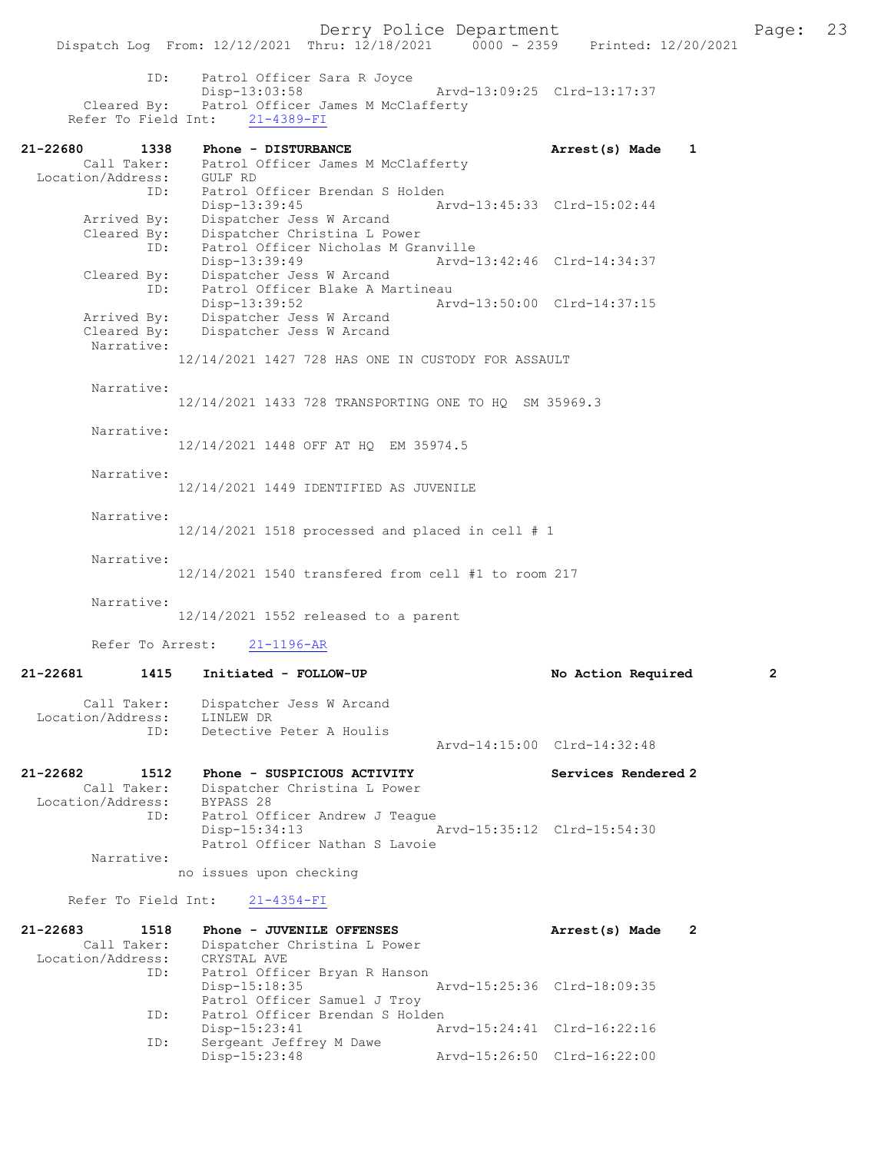Dispatch Log From: 12/12/2021 Thru: 12/18/2021 ID: Patrol Officer Sara R Joyce Disp-13:03:58 Arvd-13:09:25 Cleared By: Patrol Officer James M McClafferty Patrol Officer James M McClafferty Refer To Field Int: 21-4389-FI 21-22680 1338 Phone - DISTURBANCE 1 21-22680 Made 1 Call Taker: Patrol Officer James M McClafferty Location/Address: GULF RD ID: Patrol Officer Brendan S Holden Disp-13:39:45 Arvd-13:45:33 Clrd-15:02:44 Arrived By: Dispatcher Jess W Arcand Cleared By: Dispatcher Christina L Power ID: Patrol Officer Nicholas M Granville<br>Disp-13:39:49 Arvd-13:42:46 Clrd-14:34:37 Disp-13:39:49 Arvd-13:42:46 Clrd-14:34:37 Cleared By: Dispatcher Jess W Arcand ID: Patrol Officer Blake A Martineau Disp-13:39:52 Arvd-13:50:00 Clrd-14:37:15 Arrived By: Dispatcher Jess W Arcand<br>Cleared By: Dispatcher Jess W Arcand Dispatcher Jess W Arcand Narrative: 12/14/2021 1427 728 HAS ONE IN CUSTODY FOR ASSAULT Narrative: 12/14/2021 1433 728 TRANSPORTING ONE TO HQ SM 35969.3 Narrative: 12/14/2021 1448 OFF AT HQ EM 35974.5 Narrative: 12/14/2021 1449 IDENTIFIED AS JUVENILE Narrative:  $12/14/2021$  1518 processed and placed in cell # 1 Narrative: 12/14/2021 1540 transfered from cell #1 to room 217 Narrative: 12/14/2021 1552 released to a parent Refer To Arrest: 21-1196-AR 21-22681 1415 Initiated - FOLLOW-UP No Action Required 2 Call Taker: Dispatcher Jess W Arcand Location/Address: LINLEW DR<br>TD: Detective Detective Peter A Houlis Arvd-14:15:00 Clrd-14:32:48 21-22682 1512 Phone - SUSPICIOUS ACTIVITY Services Rendered 2 Call Taker: Dispatcher Christina L Power Location/Address: BYPASS 28 ID: Patrol Officer Andrew J Teague<br>Disp-15:34:13 Disp-15:34:13 Arvd-15:35:12 Clrd-15:54:30 Patrol Officer Nathan S Lavoie Narrative: no issues upon checking Refer To Field Int: 21-4354-FI 21-22683 1518 Phone - JUVENILE OFFENSES Arrest(s) Made 2 Call Taker: Dispatcher Christina L Power Location/Address: CRYSTAL AVE ID: Patrol Officer Bryan R Hanson Disp-15:18:35 Arvd-15:25:36 Clrd-18:09:35

Patrol Officer Samuel J Troy<br>ID: Patrol Officer Brendan S Hold Patrol Officer Brendan S Holden Disp-15:23:41 Arvd-15:24:41 Clrd-16:22:16 ID: Sergeant Jeffrey M Dawe Disp-15:23:48 Arvd-15:26:50 Clrd-16:22:00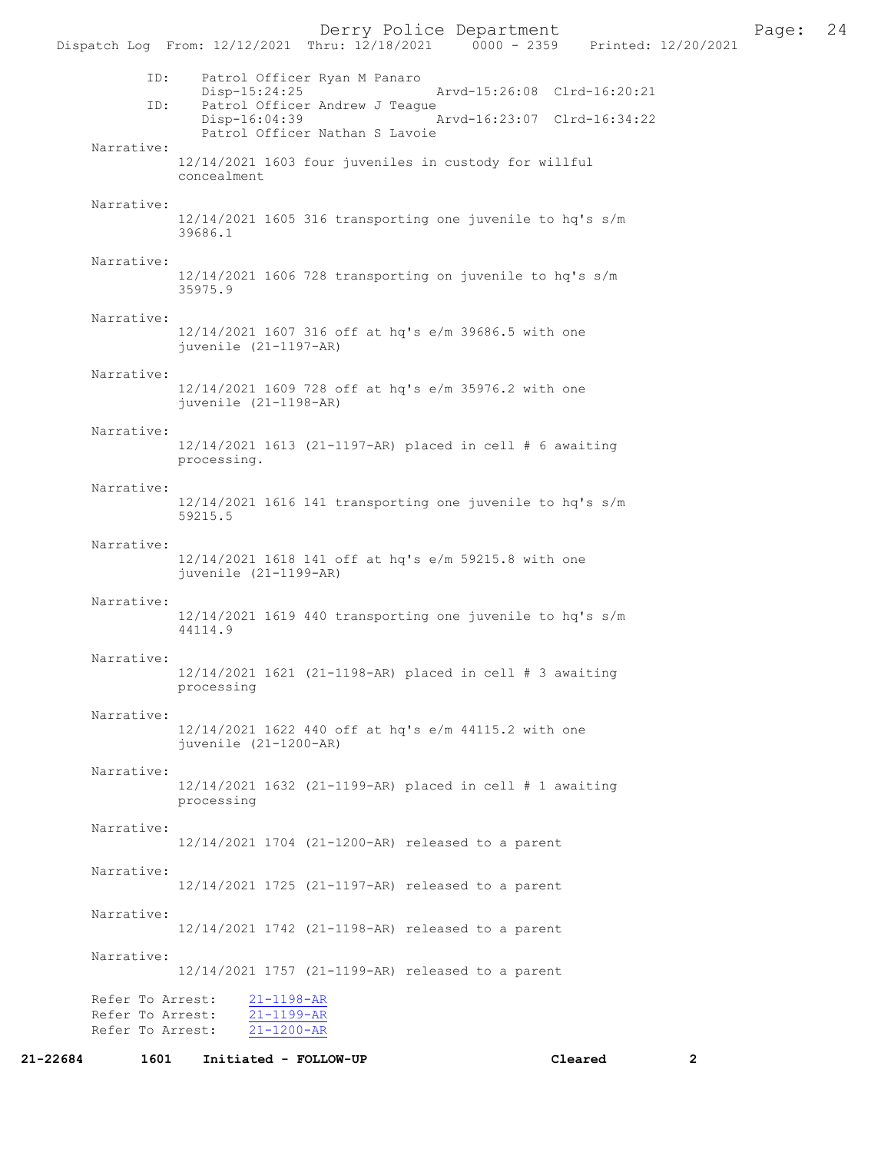Derry Police Department Fage: 24

| ID:        | Patrol Officer Ryan M Panaro<br>Disp-15:24:25<br>Arvd-15:26:08 Clrd-16:20:21     |
|------------|----------------------------------------------------------------------------------|
| ID:        | Patrol Officer Andrew J Teague<br>Arvd-16:23:07 Clrd-16:34:22<br>$Disp-16:04:39$ |
| Narrative: | Patrol Officer Nathan S Lavoie                                                   |
|            | 12/14/2021 1603 four juveniles in custody for willful<br>concealment             |
| Narrative: | 12/14/2021 1605 316 transporting one juvenile to hq's s/m                        |
|            | 39686.1                                                                          |
| Narrative: | 12/14/2021 1606 728 transporting on juvenile to hq's s/m                         |
|            | 35975.9                                                                          |
| Narrative: | 12/14/2021 1607 316 off at hq's e/m 39686.5 with one                             |
|            | juvenile (21-1197-AR)                                                            |
| Narrative: | 12/14/2021 1609 728 off at hq's e/m 35976.2 with one                             |
|            | juvenile (21-1198-AR)                                                            |
| Narrative: | 12/14/2021 1613 (21-1197-AR) placed in cell # 6 awaiting                         |
|            | processing.                                                                      |
| Narrative: | 12/14/2021 1616 141 transporting one juvenile to hq's s/m                        |
|            | 59215.5                                                                          |
| Narrative: | 12/14/2021 1618 141 off at hq's e/m 59215.8 with one<br>juvenile (21-1199-AR)    |
| Narrative: |                                                                                  |
|            | 12/14/2021 1619 440 transporting one juvenile to hq's s/m<br>44114.9             |
| Narrative: |                                                                                  |
|            | 12/14/2021 1621 (21-1198-AR) placed in cell # 3 awaiting<br>processing           |
| Narrative: |                                                                                  |
|            | 12/14/2021 1622 440 off at hq's e/m 44115.2 with one<br>juvenile (21-1200-AR)    |
| Narrative: |                                                                                  |
|            | 12/14/2021 1632 (21-1199-AR) placed in cell # 1 awaiting<br>processing           |
| Narrative: |                                                                                  |
|            | 12/14/2021 1704 (21-1200-AR) released to a parent                                |
| Narrative: | 12/14/2021 1725 (21-1197-AR) released to a parent                                |
| Narrative: |                                                                                  |
|            | 12/14/2021 1742 (21-1198-AR) released to a parent                                |
| Narrative: | 12/14/2021 1757 (21-1199-AR) released to a parent                                |

21-22684 1601 Initiated - FOLLOW-UP Cleared 2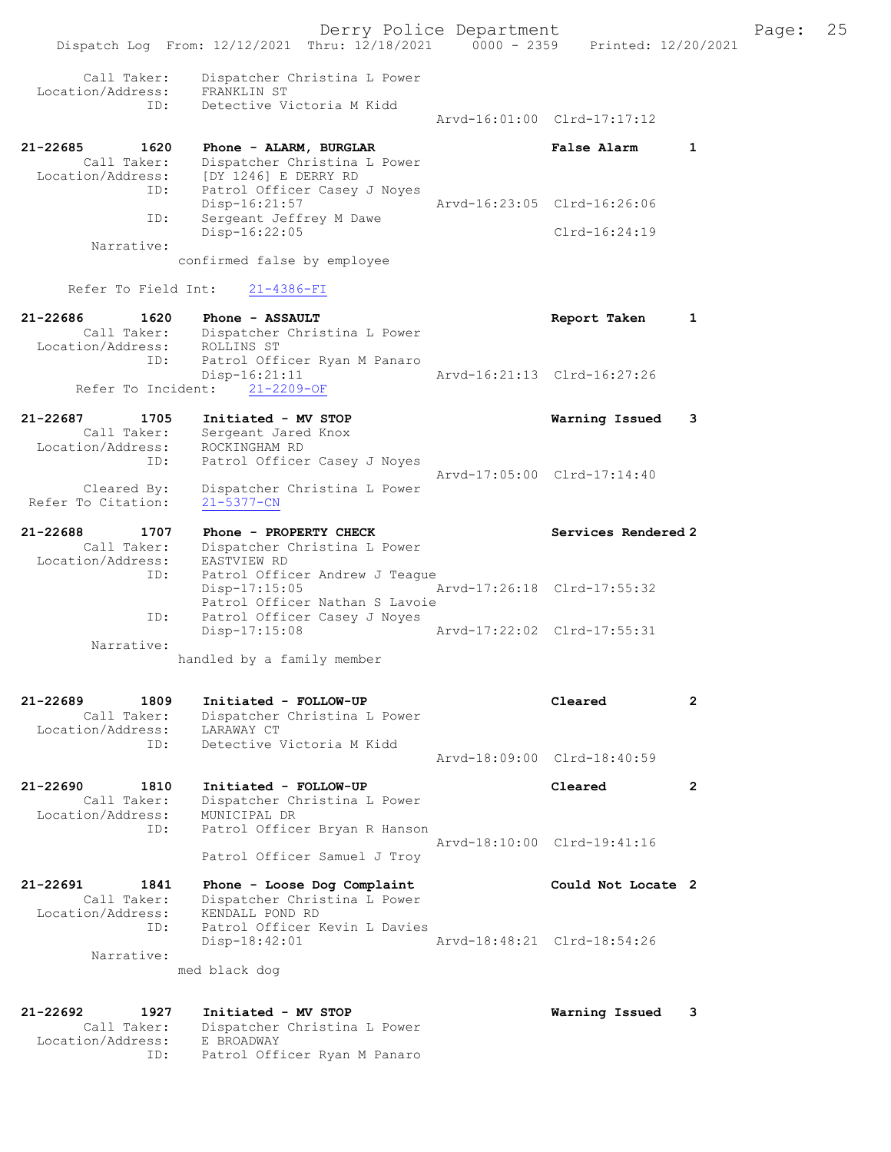|                                     |                                                             | Derry Police Department |                             |   |
|-------------------------------------|-------------------------------------------------------------|-------------------------|-----------------------------|---|
|                                     | Dispatch Log From: 12/12/2021 Thru: 12/18/2021              | $0000 - 2359$           | Printed: 12/20/2021         |   |
| Call Taker:<br>Location/Address:    | Dispatcher Christina L Power<br>FRANKLIN ST                 |                         |                             |   |
| ID:                                 | Detective Victoria M Kidd                                   |                         |                             |   |
|                                     |                                                             |                         | Arvd-16:01:00 Clrd-17:17:12 |   |
| 21-22685<br>1620                    | Phone - ALARM, BURGLAR                                      |                         | <b>False Alarm</b>          | 1 |
| Call Taker:<br>Location/Address:    | Dispatcher Christina L Power<br>[DY 1246] E DERRY RD        |                         |                             |   |
| ID:                                 | Patrol Officer Casey J Noyes                                |                         |                             |   |
| ID:                                 | Disp-16:21:57<br>Sergeant Jeffrey M Dawe                    |                         | Arvd-16:23:05 Clrd-16:26:06 |   |
|                                     | Disp-16:22:05                                               |                         | $Clrd-16:24:19$             |   |
| Narrative:                          | confirmed false by employee                                 |                         |                             |   |
|                                     |                                                             |                         |                             |   |
| Refer To Field Int:                 | $21 - 4386 - FI$                                            |                         |                             |   |
| 21-22686<br>1620<br>Call Taker:     | Phone - ASSAULT                                             |                         | Report Taken                | 1 |
| Location/Address:                   | Dispatcher Christina L Power<br>ROLLINS ST                  |                         |                             |   |
| ID:                                 | Patrol Officer Ryan M Panaro                                |                         | Arvd-16:21:13 Clrd-16:27:26 |   |
| Refer To Incident:                  | Disp-16:21:11<br>$21 - 2209 - OF$                           |                         |                             |   |
|                                     |                                                             |                         |                             |   |
| 21-22687<br>1705<br>Call Taker:     | Initiated - MV STOP<br>Sergeant Jared Knox                  |                         | Warning Issued              | 3 |
| Location/Address:                   | ROCKINGHAM RD                                               |                         |                             |   |
| ID:                                 | Patrol Officer Casey J Noyes                                |                         | Arvd-17:05:00 Clrd-17:14:40 |   |
| Cleared By:                         | Dispatcher Christina L Power                                |                         |                             |   |
| Refer To Citation:                  | $21 - 5377 - CN$                                            |                         |                             |   |
| 21-22688<br>1707                    | Phone - PROPERTY CHECK                                      |                         | Services Rendered 2         |   |
| Call Taker:<br>Location/Address:    | Dispatcher Christina L Power<br>EASTVIEW RD                 |                         |                             |   |
| ID:                                 | Patrol Officer Andrew J Teaque                              |                         |                             |   |
|                                     | $Disp-17:15:05$<br>Patrol Officer Nathan S Lavoie           |                         | Arvd-17:26:18 Clrd-17:55:32 |   |
| ID:                                 | Patrol Officer Casey J Noyes                                |                         |                             |   |
| Narrative:                          | $Disp-17:15:08$                                             |                         | Arvd-17:22:02 Clrd-17:55:31 |   |
|                                     | handled by a family member                                  |                         |                             |   |
|                                     |                                                             |                         |                             |   |
| $21 - 22689$<br>1809                | Initiated - FOLLOW-UP                                       |                         | Cleared                     | 2 |
| Call Taker:<br>Location/Address:    | Dispatcher Christina L Power<br>LARAWAY CT                  |                         |                             |   |
| ID:                                 | Detective Victoria M Kidd                                   |                         |                             |   |
|                                     |                                                             |                         | Arvd-18:09:00 Clrd-18:40:59 |   |
| 21-22690<br>1810                    | Initiated - FOLLOW-UP                                       |                         | Cleared                     | 2 |
| Call Taker:<br>Location/Address:    | Dispatcher Christina L Power<br>MUNICIPAL DR                |                         |                             |   |
| ID:                                 | Patrol Officer Bryan R Hanson                               |                         |                             |   |
|                                     | Patrol Officer Samuel J Troy                                |                         | Arvd-18:10:00 Clrd-19:41:16 |   |
|                                     |                                                             |                         |                             |   |
| 21-22691<br>1841<br>Call Taker:     | Phone - Loose Dog Complaint<br>Dispatcher Christina L Power |                         | Could Not Locate 2          |   |
| Location/Address:                   | KENDALL POND RD                                             |                         |                             |   |
| ID:                                 | Patrol Officer Kevin L Davies<br>$Disp-18:42:01$            |                         | Arvd-18:48:21 Clrd-18:54:26 |   |
| Narrative:                          |                                                             |                         |                             |   |
|                                     | med black dog                                               |                         |                             |   |
|                                     |                                                             |                         |                             |   |
| $21 - 22692$<br>1927<br>Call Taker: | Initiated - MV STOP<br>Dispatcher Christina L Power         |                         | Warning Issued              | 3 |
|                                     |                                                             |                         |                             |   |

Location/Address: E BROADWAY

ID: Patrol Officer Ryan M Panaro

Page: 25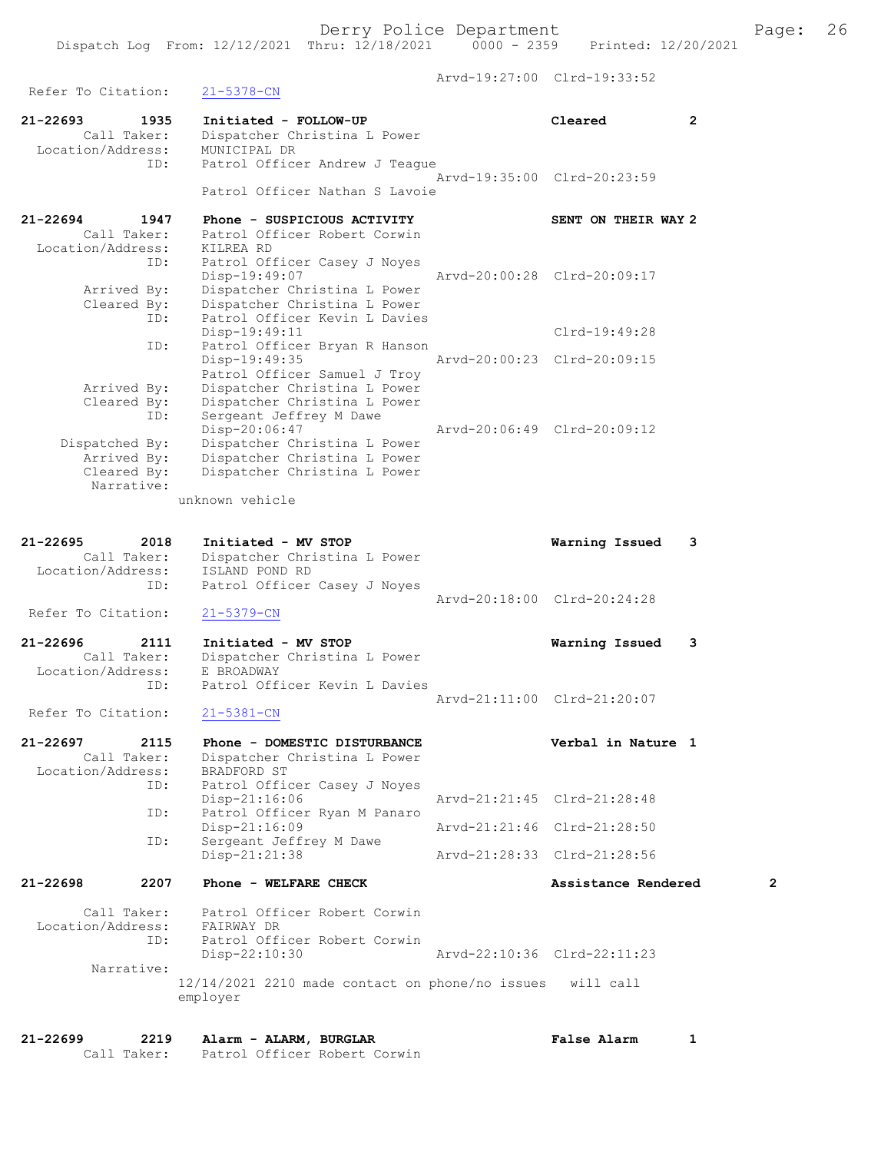Arvd-19:27:00 Clrd-19:33:52 Refer To Citation: 21-5378-CN 21-22693 1935 Initiated - FOLLOW-UP Cleared 2 Call Taker: Dispatcher Christina L Power Location/Address: MUNICIPAL DR ID: Patrol Officer Andrew J Teague Arvd-19:35:00 Clrd-20:23:59 Patrol Officer Nathan S Lavoie 21-22694 1947 Phone - SUSPICIOUS ACTIVITY SENT ON THEIR WAY 2 Call Taker: Patrol Officer Robert Corwin Location/Address: KILREA RD ID: Patrol Officer Casey J Noyes Disp-19:49:07 Arvd-20:00:28 Clrd-20:09:17 Arrived By: Dispatcher Christina L Power Cleared By: Dispatcher Christina L Power ID: Patrol Officer Kevin L Davies Disp-19:49:11 Clrd-19:49:28 ID: Patrol Officer Bryan R Hanson Disp-19:49:35 Arvd-20:00:23 Clrd-20:09:15 Patrol Officer Samuel J Troy Arrived By: Dispatcher Christina L Power Cleared By: Dispatcher Christina L Power ID: Sergeant Jeffrey M Dawe Disp-20:06:47 Arvd-20:06:49 Clrd-20:09:12 Dispatched By: Dispatcher Christina L Power Arrived By: Dispatcher Christina L Power Cleared By: Dispatcher Christina L Power Narrative: unknown vehicle 21-22695 2018 Initiated - MV STOP Warning Issued 3 Call Taker: Dispatcher Christina L Power Location/Address: ISLAND POND RD ID: Patrol Officer Casey J Noyes Arvd-20:18:00 Clrd-20:24:28 Refer To Citation: 21-5379-CN 21-22696 2111 Initiated - MV STOP Warning Issued 3 Call Taker: Dispatcher Christina L Power Location/Address: E BROADWAY ID: Patrol Officer Kevin L Davies Arvd-21:11:00 Clrd-21:20:07 Refer To Citation: 21-5381-CN 21-22697 2115 Phone - DOMESTIC DISTURBANCE Verbal in Nature 1 Call Taker: Dispatcher Christina L Power Location/Address: BRADFORD ST ID: Patrol Officer Casey J Noyes Disp-21:16:06 Arvd-21:21:45 Clrd-21:28:48 ID: Patrol Officer Ryan M Panaro Disp-21:16:09 Arvd-21:21:46 Clrd-21:28:50 ID: Sergeant Jeffrey M Dawe Disp-21:21:38 Arvd-21:28:33 Clrd-21:28:56 21-22698 2207 Phone - WELFARE CHECK 2 Assistance Rendered 2 Call Taker: Patrol Officer Robert Corwin Location/Address: FAIRWAY DR ID: Patrol Officer Robert Corwin Disp-22:10:30 Arvd-22:10:36 Clrd-22:11:23 Narrative: 12/14/2021 2210 made contact on phone/no issues will call employer

21-22699 2219 Alarm - ALARM, BURGLAR False Alarm 1 Call Taker: Patrol Officer Robert Corwin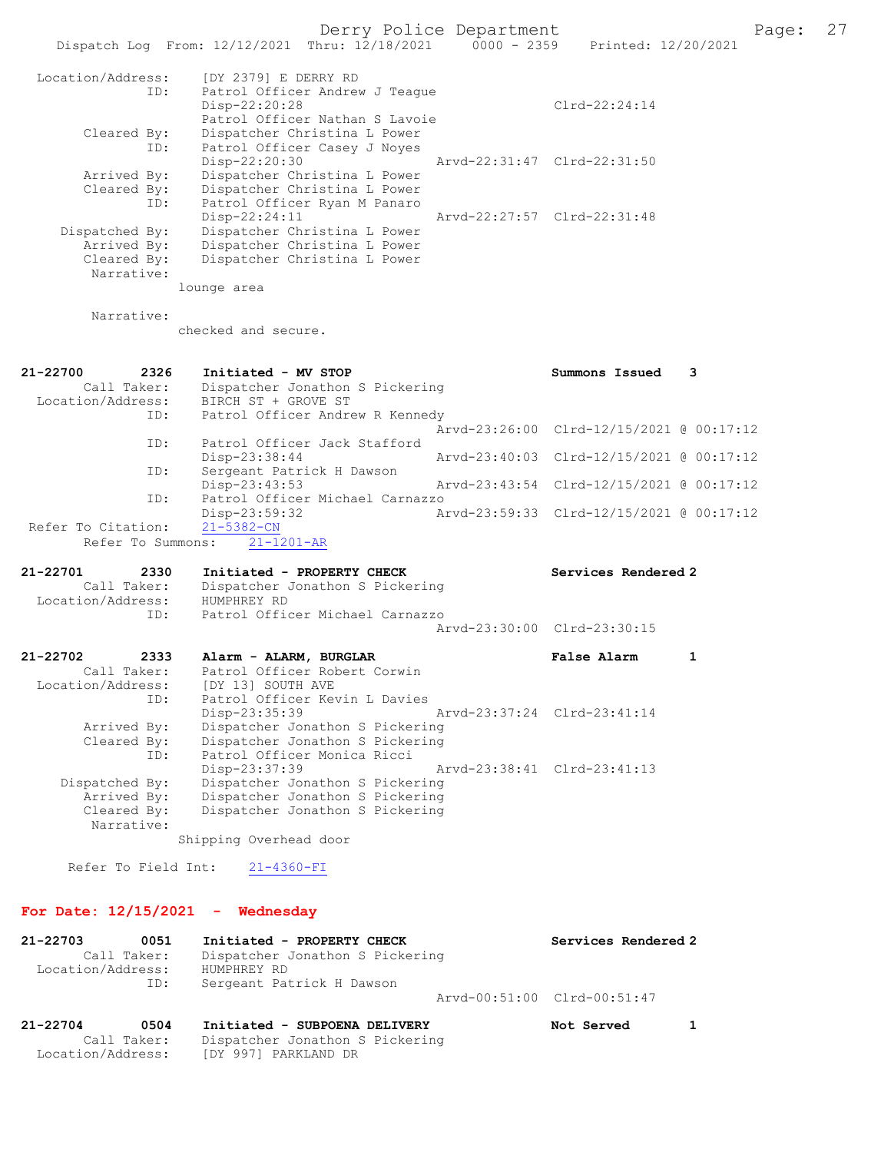|                                                             | Dispatch Log From: 12/12/2021 Thru: 12/18/2021<br>$0000 - 2359$                                                    | Printed: 12/20/2021                      |   |
|-------------------------------------------------------------|--------------------------------------------------------------------------------------------------------------------|------------------------------------------|---|
| Location/Address:<br>ID:                                    | [DY 2379] E DERRY RD<br>Patrol Officer Andrew J Teaque<br>Disp-22:20:28<br>Patrol Officer Nathan S Lavoie          | $Clrd-22:24:14$                          |   |
| Cleared By:<br>ID:                                          | Dispatcher Christina L Power<br>Patrol Officer Casey J Noyes<br>Disp-22:20:30                                      | Arvd-22:31:47 Clrd-22:31:50              |   |
| Arrived By:<br>Cleared By:<br>ID:                           | Dispatcher Christina L Power<br>Dispatcher Christina L Power<br>Patrol Officer Ryan M Panaro                       |                                          |   |
| Dispatched By:<br>Arrived By:                               | $Disp-22:24:11$<br>Dispatcher Christina L Power<br>Dispatcher Christina L Power                                    | Arvd-22:27:57 Clrd-22:31:48              |   |
| Cleared By:<br>Narrative:                                   | Dispatcher Christina L Power                                                                                       |                                          |   |
|                                                             | lounge area                                                                                                        |                                          |   |
| Narrative:                                                  | checked and secure.                                                                                                |                                          |   |
| 21-22700<br>2326                                            | Initiated - MV STOP                                                                                                | Summons Issued                           | 3 |
| Call Taker:<br>Location/Address:                            | Dispatcher Jonathon S Pickering<br>BIRCH ST + GROVE ST                                                             |                                          |   |
| ID:                                                         | Patrol Officer Andrew R Kennedy                                                                                    | Arvd-23:26:00 Clrd-12/15/2021 @ 00:17:12 |   |
| ID:                                                         | Patrol Officer Jack Stafford<br>Disp-23:38:44<br>Arvd-23:40:03                                                     | Clrd-12/15/2021 @ 00:17:12               |   |
| ID:                                                         | Sergeant Patrick H Dawson<br>Disp-23:43:53                                                                         | Arvd-23:43:54 Clrd-12/15/2021 @ 00:17:12 |   |
| ID:                                                         | Patrol Officer Michael Carnazzo<br>Disp-23:59:32                                                                   | Arvd-23:59:33 Clrd-12/15/2021 @ 00:17:12 |   |
| Refer To Citation:<br>Refer To Summons:                     | $21 - 5382 - CN$<br>$21 - 1201 - AR$                                                                               |                                          |   |
| 21-22701<br>2330                                            | Initiated - PROPERTY CHECK                                                                                         | Services Rendered 2                      |   |
| Call Taker:<br>Location/Address:                            | Dispatcher Jonathon S Pickering<br>HUMPHREY RD                                                                     |                                          |   |
| ID:                                                         | Patrol Officer Michael Carnazzo                                                                                    | Arvd-23:30:00 Clrd-23:30:15              |   |
| 21-22702<br>2333                                            | Alarm - ALARM, BURGLAR                                                                                             | False Alarm                              | 1 |
| Call Taker:<br>Location/Address:<br>ID:                     | Patrol Officer Robert Corwin<br>[DY 13] SOUTH AVE<br>Patrol Officer Kevin L Davies                                 |                                          |   |
| Arrived By:<br>Cleared By:<br>ID:                           | Disp-23:35:39<br>Dispatcher Jonathon S Pickering<br>Dispatcher Jonathon S Pickering<br>Patrol Officer Monica Ricci | Arvd-23:37:24 Clrd-23:41:14              |   |
| Dispatched By:<br>Arrived By:                               | $Disp-23:37:39$<br>Dispatcher Jonathon S Pickering<br>Dispatcher Jonathon S Pickering                              | Arvd-23:38:41 Clrd-23:41:13              |   |
| Cleared By:<br>Narrative:                                   | Dispatcher Jonathon S Pickering<br>Shipping Overhead door                                                          |                                          |   |
| Refer To Field Int:                                         | $21 - 4360 - FI$                                                                                                   |                                          |   |
|                                                             | For Date: $12/15/2021$ - Wednesday                                                                                 |                                          |   |
|                                                             |                                                                                                                    |                                          |   |
| 21-22703<br>0051<br>Call Taker:<br>Location/Address:<br>ID: | Initiated - PROPERTY CHECK<br>Dispatcher Jonathon S Pickering<br>HUMPHREY RD                                       | Services Rendered 2                      |   |
|                                                             | Sergeant Patrick H Dawson                                                                                          | Arvd-00:51:00 Clrd-00:51:47              |   |
| 21-22704<br>0504<br>Call Taker:                             | Initiated - SUBPOENA DELIVERY<br>Dispatcher Jonathon S Pickering                                                   | Not Served                               | 1 |

Location/Address: [DY 997] PARKLAND DR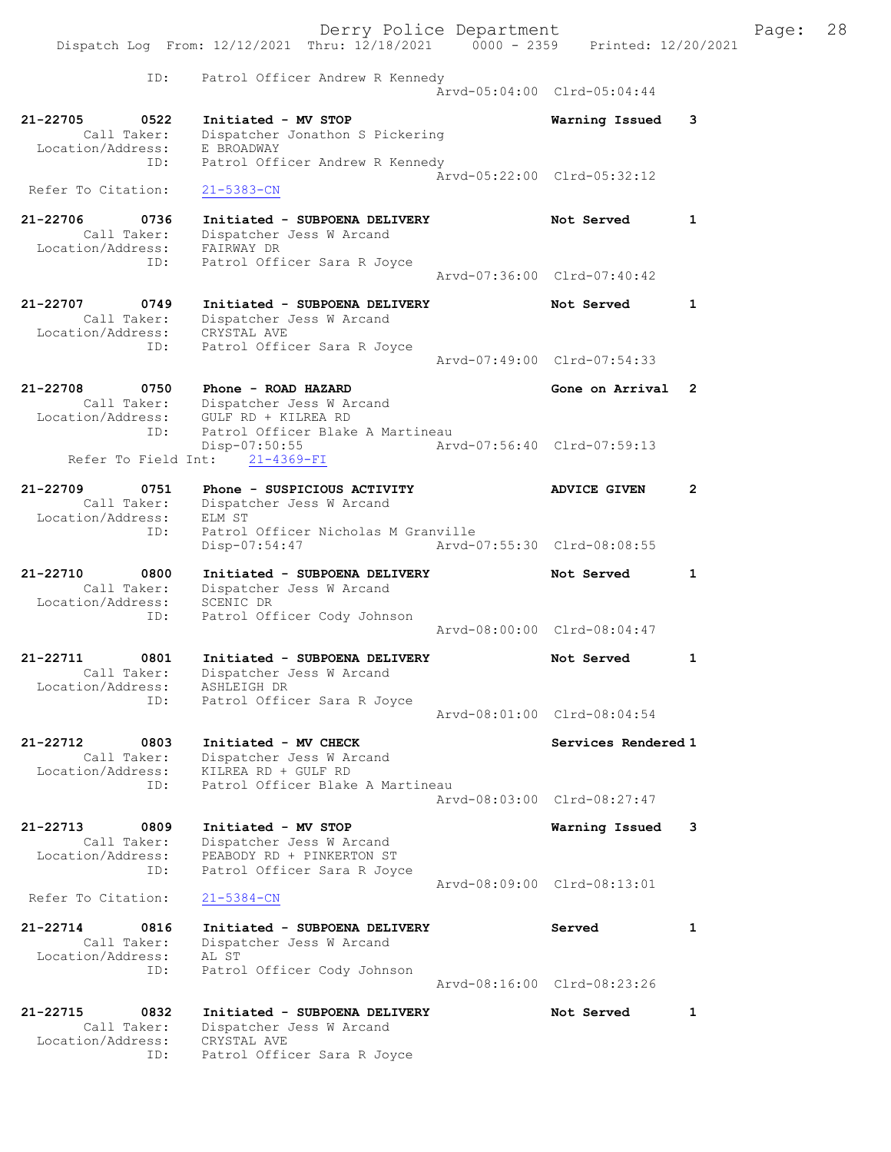|                                                                  | Derry Police Department                                                                                     |                             |   | Page: 28 |  |
|------------------------------------------------------------------|-------------------------------------------------------------------------------------------------------------|-----------------------------|---|----------|--|
|                                                                  | Dispatch Log From: 12/12/2021 Thru: 12/18/2021 0000 - 2359 Printed: 12/20/2021                              |                             |   |          |  |
| ID:                                                              | Patrol Officer Andrew R Kennedy                                                                             | Arvd-05:04:00 Clrd-05:04:44 |   |          |  |
| 21-22705<br>$\overline{0}$ 0522<br>Location/Address: E BROADWAY  | Initiated - MV STOP<br>Call Taker: Dispatcher Jonathon S Pickering                                          | Warning Issued              | 3 |          |  |
| ID:<br>Refer To Citation:                                        | Patrol Officer Andrew R Kennedy<br>$21 - 5383 - CN$                                                         | Arvd-05:22:00 Clrd-05:32:12 |   |          |  |
| 21-22706<br>0736<br>Location/Address: FAIRWAY DR                 | Initiated - SUBPOENA DELIVERY<br>Call Taker: Dispatcher Jess W Arcand                                       | Not Served                  | 1 |          |  |
| ID:                                                              | Patrol Officer Sara R Joyce                                                                                 | Arvd-07:36:00 Clrd-07:40:42 |   |          |  |
| 21-22707<br>0749<br>Location/Address: CRYSTAL AVE                | Initiated - SUBPOENA DELIVERY<br>Call Taker: Dispatcher Jess W Arcand                                       | Not Served                  | 1 |          |  |
| ID:                                                              | Patrol Officer Sara R Joyce                                                                                 | Arvd-07:49:00 Clrd-07:54:33 |   |          |  |
| 21-22708<br>0750<br>Location/Address: GULF RD + KILREA RD        | Phone - ROAD HAZARD<br>Call Taker: Dispatcher Jess W Arcand                                                 | Gone on Arrival 2           |   |          |  |
| ID:<br>Refer To Field Int:                                       | Patrol Officer Blake A Martineau<br>Disp-07:50:55<br>21-4369-FI                                             | Arvd-07:56:40 Clrd-07:59:13 |   |          |  |
| 21-22709<br>0751<br>Location/Address:                            | Phone - SUSPICIOUS ACTIVITY<br>Call Taker: Dispatcher Jess W Arcand<br>ELM ST                               | <b>ADVICE GIVEN</b>         | 2 |          |  |
| ID:                                                              | Patrol Officer Nicholas M Granville<br>Disp-07:54:47                                                        | Arvd-07:55:30 Clrd-08:08:55 |   |          |  |
| 21-22710<br>0800<br>Call Taker:<br>Location/Address: SCENIC DR   | Initiated - SUBPOENA DELIVERY<br>Dispatcher Jess W Arcand                                                   | Not Served                  | 1 |          |  |
| ID:                                                              | Patrol Officer Cody Johnson                                                                                 | Arvd-08:00:00 Clrd-08:04:47 |   |          |  |
| 21-22711<br>0801<br>Call Taker:<br>Location/Address: ASHLEIGH DR | Initiated - SUBPOENA DELIVERY<br>Dispatcher Jess W Arcand                                                   | Not Served                  |   |          |  |
| ID:                                                              | Patrol Officer Sara R Joyce                                                                                 | Arvd-08:01:00 Clrd-08:04:54 |   |          |  |
| 21-22712<br>0803<br>Call Taker:<br>Location/Address:             | Initiated - MV CHECK<br>Dispatcher Jess W Arcand<br>KILREA RD + GULF RD                                     | Services Rendered 1         |   |          |  |
| ID:                                                              | Patrol Officer Blake A Martineau                                                                            | Arvd-08:03:00 Clrd-08:27:47 |   |          |  |
| 21-22713<br>0809<br>Call Taker:<br>Location/Address:<br>ID:      | Initiated - MV STOP<br>Dispatcher Jess W Arcand<br>PEABODY RD + PINKERTON ST<br>Patrol Officer Sara R Joyce | Warning Issued              | 3 |          |  |
| Refer To Citation:                                               | $21 - 5384 - CN$                                                                                            | Arvd-08:09:00 Clrd-08:13:01 |   |          |  |
| 21-22714<br>0816<br>Call Taker:<br>Location/Address:<br>ID:      | Initiated - SUBPOENA DELIVERY<br>Dispatcher Jess W Arcand<br>AL ST<br>Patrol Officer Cody Johnson           | Served                      | 1 |          |  |
|                                                                  |                                                                                                             | Arvd-08:16:00 Clrd-08:23:26 |   |          |  |
| 21-22715<br>0832<br>Call Taker:<br>Location/Address:<br>ID:      | Initiated - SUBPOENA DELIVERY<br>Dispatcher Jess W Arcand<br>CRYSTAL AVE<br>Patrol Officer Sara R Joyce     | Not Served                  | 1 |          |  |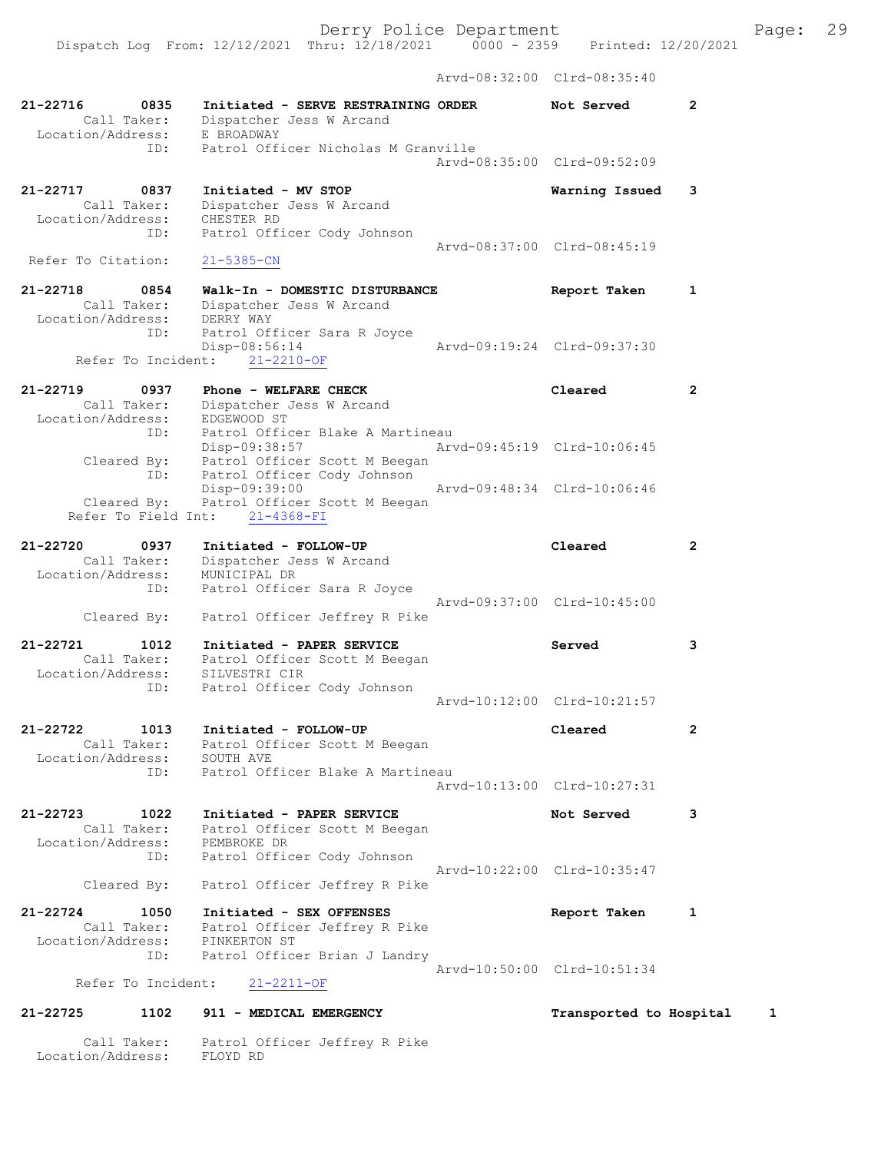Dispatch Log From: 12/12/2021 Thru: 12/18/2021 0000 - 2359 Printed: 12/20/2021 Arvd-08:32:00 Clrd-08:35:40

21-22716 0835 Initiated - SERVE RESTRAINING ORDER Not Served 2 Call Taker: Dispatcher Jess W Arcand Location/Address: E BROADWAY ID: Patrol Officer Nicholas M Granville Arvd-08:35:00 Clrd-09:52:09 21-22717 0837 Initiated - MV STOP Warning Issued 3 Call Taker: Dispatcher Jess W Arcand Location/Address: CHESTER RD ID: Patrol Officer Cody Johnson Arvd-08:37:00 Clrd-08:45:19<br>21-5385-CN Refer To Citation: 21-22718 0854 Walk-In - DOMESTIC DISTURBANCE Report Taken 1 Call Taker: Dispatcher Jess W Arcand Location/Address: DERRY WAY ID: Patrol Officer Sara R Joyce Disp-08:56:14 Arvd-09:19:24 Clrd-09:37:30 Refer To Incident: 21-2210-OF 21-22719 0937 Phone - WELFARE CHECK Cleared 2 Call Taker: Dispatcher Jess W Arcand Location/Address: EDGEWOOD ST ID: Patrol Officer Blake A Martineau Disp-09:38:57 Arvd-09:45:19 Clrd-10:06:45 Cleared By: Patrol Officer Scott M Beegan ID: Patrol Officer Cody Johnson Disp-09:39:00 Arvd-09:48:34 Clrd-10:06:46 Cleared By: Patrol Officer Scott M Beegan Refer To Field Int: 21-4368-FI 21-22720 0937 Initiated - FOLLOW-UP Cleared 2 Call Taker: Dispatcher Jess W Arcand Location/Address: MUNICIPAL DR ID: Patrol Officer Sara R Joyce Arvd-09:37:00 Clrd-10:45:00 Cleared By: Patrol Officer Jeffrey R Pike 21-22721 1012 Initiated - PAPER SERVICE Served 3 Call Taker: Patrol Officer Scott M Beegan Location/Address: SILVESTRI CIR ID: Fatrol Officer Cody Johnson Arvd-10:12:00 Clrd-10:21:57 21-22722 1013 Initiated - FOLLOW-UP Cleared 2 Call Taker: Patrol Officer Scott M Beegan Location/Address: SOUTH AVE ID: Patrol Officer Blake A Martineau Arvd-10:13:00 Clrd-10:27:31 21-22723 1022 Initiated - PAPER SERVICE Not Served 3 Call Taker: Patrol Officer Scott M Beegan Location/Address: PEMBROKE DR ID: Patrol Officer Cody Johnson Arvd-10:22:00 Clrd-10:35:47 Cleared By: Patrol Officer Jeffrey R Pike 21-22724 1050 Initiated - SEX OFFENSES Report Taken 1 Call Taker: Patrol Officer Jeffrey R Pike Location/Address: PINKERTON ST ID: Patrol Officer Brian J Landry Arvd-10:50:00 Clrd-10:51:34 Refer To Incident: 21-2211-OF 21-22725 1102 911 - MEDICAL EMERGENCY Transported to Hospital 1 Call Taker: Patrol Officer Jeffrey R Pike

Location/Address: FLOYD RD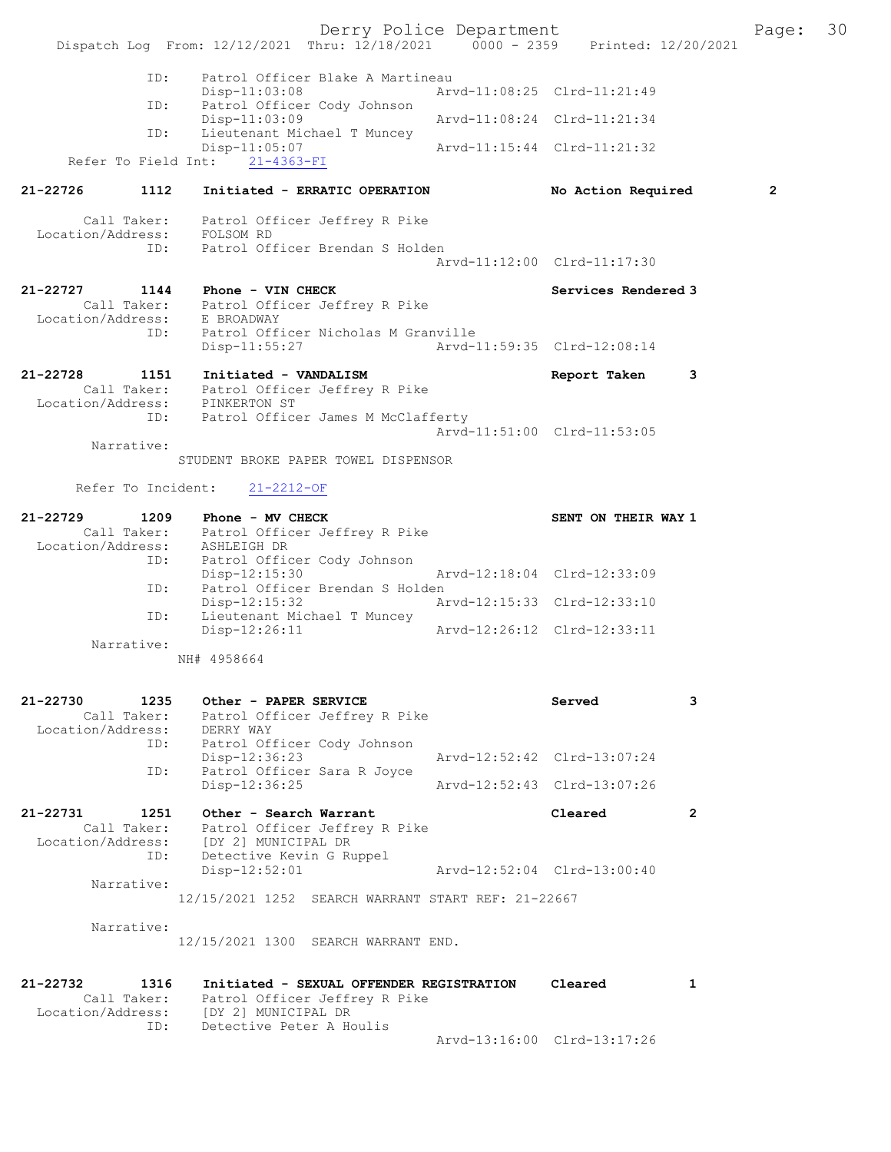Derry Police Department Fage: 30 Dispatch Log From: 12/12/2021 Thru: 12/18/2021 0000 - 2359 Printed: 12/20/2021 ID: Patrol Officer Blake A Martineau Disp-11:03:08 Arvd-11:08:25 Clrd-11:21:49<br>TD: Patrol Officer Cody Johnson Port<br>Patrol Officer Cody Johnson<br>Disp-11:03:09 Disp-11:03:09 <br>Th: Lieutenant Michael T Muncey Lieutenant Michael T Muncey<br>Disp-11:05:07 Arvd-11:15:44 Clrd-11:21:32 Refer To Field Int: 21-4363-FI 21-22726 1112 Initiated - ERRATIC OPERATION No Action Required 2 Call Taker: Patrol Officer Jeffrey R Pike Location/Address: FOLSOM RD ID: Patrol Officer Brendan S Holden Arvd-11:12:00 Clrd-11:17:30 21-22727 1144 Phone - VIN CHECK Services Rendered 3 Call Taker: Patrol Officer Jeffrey R Pike Location/Address: E BROADWAY ID: Patrol Officer Nicholas M Granville Disp-11:55:27 Arvd-11:59:35 Clrd-12:08:14 21-22728 1151 Initiated - VANDALISM Report Taken 3 Call Taker: Patrol Officer Jeffrey R Pike Location/Address: PINKERTON ST ID: Patrol Officer James M McClafferty Arvd-11:51:00 Clrd-11:53:05 Narrative: STUDENT BROKE PAPER TOWEL DISPENSOR Refer To Incident: 21-2212-OF 21-22729 1209 Phone - MV CHECK SENT ON THEIR WAY 1 Call Taker: Patrol Officer Jeffrey R Pike Location/Address: ASHLEIGH DR ID: Patrol Officer Cody Johnson Disp-12:15:30 Arvd-12:18:04 Clrd-12:33:09 ID: Patrol Officer Brendan S Holden<br>Disp-12:15:32 Ar Arvd-12:15:33 Clrd-12:33:10 ID: Lieutenant Michael T Muncey Disp-12:26:11 Arvd-12:26:12 Clrd-12:33:11 Narrative: NH# 4958664 21-22730 1235 Other - PAPER SERVICE Served 3 Call Taker: Patrol Officer Jeffrey R Pike Location/Address: DERRY WAY ID: Patrol Officer Cody Johnson Disp-12:36:23 Arvd-12:52:42 Clrd-13:07:24 ID: Patrol Officer Sara R Joyce Disp-12:36:25 Arvd-12:52:43 Clrd-13:07:26 21-22731 1251 Other - Search Warrant Cleared 2 Call Taker: Patrol Officer Jeffrey R Pike Location/Address: [DY 2] MUNICIPAL DR ID: Detective Kevin G Ruppel Disp-12:52:01 Arvd-12:52:04 Clrd-13:00:40 Narrative: 12/15/2021 1252 SEARCH WARRANT START REF: 21-22667 Narrative: 12/15/2021 1300 SEARCH WARRANT END. 21-22732 1316 Initiated - SEXUAL OFFENDER REGISTRATION Cleared 1

 Call Taker: Patrol Officer Jeffrey R Pike Location/Address: [DY 2] MUNICIPAL DR ID: Detective Peter A Houlis

Arvd-13:16:00 Clrd-13:17:26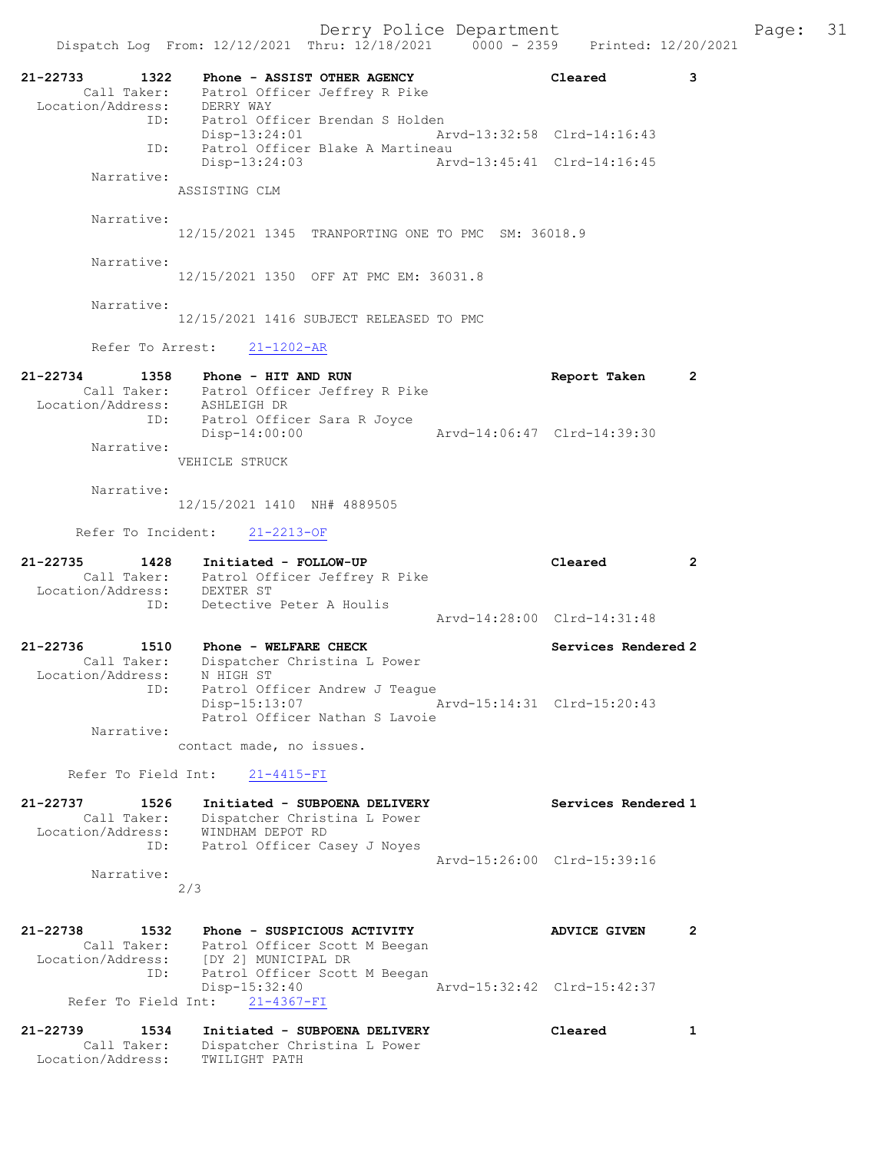Derry Police Department Fage: 31 Dispatch Log From: 12/12/2021 Thru: 12/18/2021 0000 - 2359 Printed: 12/20/2021 21-22733 1322 Phone - ASSIST OTHER AGENCY Cleared 3 Call Taker: Patrol Officer Jeffrey R Pike Location/Address: DERRY WAY ID: Patrol Officer Brendan S Holden Disp-13:24:01 Arvd-13:32:58 Clrd-14:16:43 ID: Patrol Officer Blake A Martineau Disp-13:24:03 Narrative: ASSISTING CLM Narrative: 12/15/2021 1345 TRANPORTING ONE TO PMC SM: 36018.9 Narrative: 12/15/2021 1350 OFF AT PMC EM: 36031.8 Narrative: 12/15/2021 1416 SUBJECT RELEASED TO PMC Refer To Arrest: 21-1202-AR 21-22734 1358 Phone - HIT AND RUN Report Taken 2 Call Taker: Patrol Officer Jeffrey R Pike Location/Address: ASHLEIGH DR ID: Patrol Officer Sara R Joyce Disp-14:00:00 Arvd-14:06:47 Clrd-14:39:30 Narrative: VEHICLE STRUCK Narrative: 12/15/2021 1410 NH# 4889505 Refer To Incident: 21-2213-OF 21-22735 1428 Initiated - FOLLOW-UP Cleared 2 Call Taker: Patrol Officer Jeffrey R Pike Location/Address: DEXTER ST ID: Detective Peter A Houlis Arvd-14:28:00 Clrd-14:31:48 21-22736 1510 Phone - WELFARE CHECK Services Rendered 2 Call Taker: Dispatcher Christina L Power Location/Address: N HIGH ST ID: Patrol Officer Andrew J Teague Disp-15:13:07 Arvd-15:14:31 Clrd-15:20:43 Patrol Officer Nathan S Lavoie Narrative: contact made, no issues. Refer To Field Int: 21-4415-FI 21-22737 1526 Initiated - SUBPOENA DELIVERY Services Rendered 1 Call Taker: Dispatcher Christina L Power Location/Address: WINDHAM DEPOT RD ID: Patrol Officer Casey J Noyes Arvd-15:26:00 Clrd-15:39:16

 Narrative: 2/3

- 21-22738 1532 Phone SUSPICIOUS ACTIVITY ADVICE GIVEN 2 Call Taker: Patrol Officer Scott M Beegan Location/Address: [DY 2] MUNICIPAL DR ID: Patrol Officer Scott M Beegan Disp-15:32:40 Arvd-15:32:42 Clrd-15:42:37 Refer To Field Int: 21-4367-FI
- 21-22739 1534 Initiated SUBPOENA DELIVERY Cleared 1 Call Taker: Dispatcher Christina L Power Location/Address: TWILIGHT PATH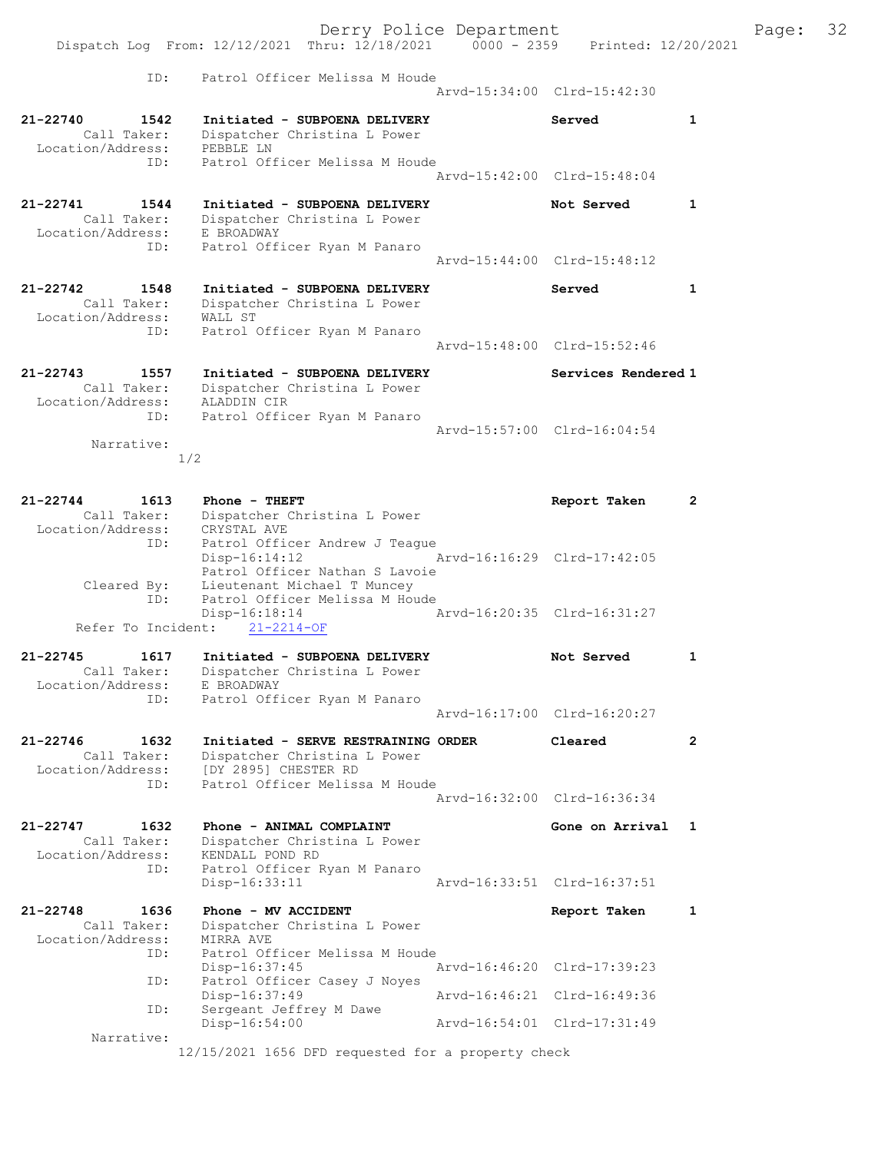Derry Police Department Fage: 32 Dispatch Log From: 12/12/2021 Thru: 12/18/2021 0000 - 2359 Printed: 12/20/2021 ID: Patrol Officer Melissa M Houde Arvd-15:34:00 Clrd-15:42:30 21-22740 1542 Initiated - SUBPOENA DELIVERY Served 1 Call Taker: Dispatcher Christina L Power Location/Address: PEBBLE LN ID: Patrol Officer Melissa M Houde Arvd-15:42:00 Clrd-15:48:04 21-22741 1544 Initiated - SUBPOENA DELIVERY Not Served 1 Call Taker: Dispatcher Christina L Power Location/Address: E BROADWAY ID: Patrol Officer Ryan M Panaro Arvd-15:44:00 Clrd-15:48:12 21-22742 1548 Initiated - SUBPOENA DELIVERY Served 1 Call Taker: Dispatcher Christina L Power Location/Address: WALL ST ID: Patrol Officer Ryan M Panaro Arvd-15:48:00 Clrd-15:52:46 21-22743 1557 Initiated - SUBPOENA DELIVERY Services Rendered 1 Call Taker: Dispatcher Christina L Power Location/Address: ALADDIN CIR ID: Patrol Officer Ryan M Panaro Arvd-15:57:00 Clrd-16:04:54 Narrative: 1/2 21-22744 1613 Phone - THEFT Report Taken 2 Call Taker: Dispatcher Christina L Power Location/Address: CRYSTAL AVE ID: Patrol Officer Andrew J Teague Disp-16:14:12 Arvd-16:16:29 Clrd-17:42:05 Patrol Officer Nathan S Lavoie Cleared By: Lieutenant Michael T Muncey ID: Patrol Officer Melissa M Houde Disp-16:18:14 Arvd-16:20:35 Clrd-16:31:27 Refer To Incident: 21-2214-OF 21-22745 1617 Initiated - SUBPOENA DELIVERY Not Served 1 Call Taker: Dispatcher Christina L Power Location/Address: E BROADWAY ID: Patrol Officer Ryan M Panaro Arvd-16:17:00 Clrd-16:20:27 21-22746 1632 Initiated - SERVE RESTRAINING ORDER Cleared 2 Call Taker: Dispatcher Christina L Power Location/Address: [DY 2895] CHESTER RD ID: Patrol Officer Melissa M Houde Arvd-16:32:00 Clrd-16:36:34 21-22747 1632 Phone - ANIMAL COMPLAINT New Sone on Arrival 1 Call Taker: Dispatcher Christina L Power Location/Address: KENDALL POND RD ID: Patrol Officer Ryan M Panaro Disp-16:33:11 Arvd-16:33:51 Clrd-16:37:51 21-22748 1636 Phone - MV ACCIDENT Report Taken 1 Call Taker: Dispatcher Christina L Power Location/Address: MIRRA AVE ID: Patrol Officer Melissa M Houde Disp-16:37:45 Arvd-16:46:20 Clrd-17:39:23 ID: Patrol Officer Casey J Noyes<br>Disp-16:37:49 Arvd-16:46:21 Clrd-16:49:36 Disp-16:37:49 Arvd-16:46:21 Clrd-16:49:36 ID: Sergeant Jeffrey M Dawe Disp-16:54:00 Arvd-16:54:01 Clrd-17:31:49 Narrative: 12/15/2021 1656 DFD requested for a property check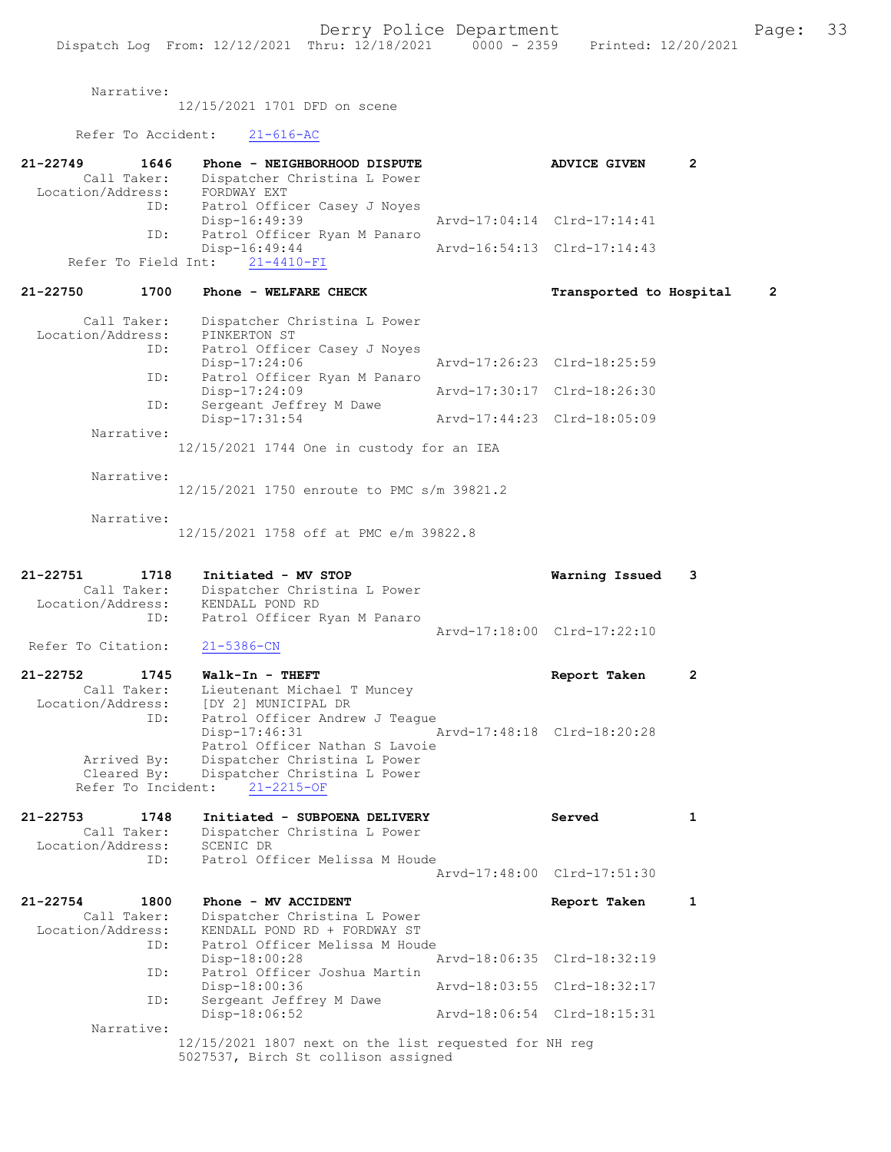Narrative:

12/15/2021 1701 DFD on scene

Refer To Accident: 21-616-AC

| 21-22749<br>1646<br>Call Taker:<br>Location/Address:<br>ID: | Phone - NEIGHBORHOOD DISPUTE<br>Dispatcher Christina L Power<br>FORDWAY EXT<br>Patrol Officer Casey J Noyes                           | <b>ADVICE GIVEN</b>                                        | 2            |
|-------------------------------------------------------------|---------------------------------------------------------------------------------------------------------------------------------------|------------------------------------------------------------|--------------|
| ID:<br>Refer To Field Int:                                  | Disp-16:49:39<br>Patrol Officer Ryan M Panaro<br>Disp-16:49:44<br>$21 - 4410 - FI$                                                    | Arvd-17:04:14 Clrd-17:14:41<br>Arvd-16:54:13 Clrd-17:14:43 |              |
| 21-22750<br>1700                                            | Phone - WELFARE CHECK                                                                                                                 | Transported to Hospital                                    | 2            |
| Call Taker:<br>Location/Address:<br>ID:                     | Dispatcher Christina L Power<br>PINKERTON ST<br>Patrol Officer Casey J Noyes                                                          |                                                            |              |
| ID:                                                         | Disp-17:24:06<br>Patrol Officer Ryan M Panaro                                                                                         | Arvd-17:26:23 Clrd-18:25:59                                |              |
| ID:                                                         | Disp-17:24:09<br>Sergeant Jeffrey M Dawe                                                                                              | Arvd-17:30:17 Clrd-18:26:30                                |              |
| Narrative:                                                  | Disp-17:31:54                                                                                                                         | Arvd-17:44:23 Clrd-18:05:09                                |              |
|                                                             | 12/15/2021 1744 One in custody for an IEA                                                                                             |                                                            |              |
| Narrative:                                                  | 12/15/2021 1750 enroute to PMC s/m 39821.2                                                                                            |                                                            |              |
| Narrative:                                                  | 12/15/2021 1758 off at PMC e/m 39822.8                                                                                                |                                                            |              |
| 21-22751<br>1718<br>Call Taker:<br>Location/Address:        | Initiated - MV STOP<br>Dispatcher Christina L Power<br>KENDALL POND RD                                                                | Warning Issued                                             | 3            |
| ID:<br>Refer To Citation:                                   | Patrol Officer Ryan M Panaro<br>$21 - 5386 - CN$                                                                                      | Arvd-17:18:00 Clrd-17:22:10                                |              |
| 21-22752<br>1745<br>Call Taker:<br>Location/Address:<br>ID: | Walk-In - THEFT<br>Lieutenant Michael T Muncey<br>[DY 2] MUNICIPAL DR<br>Patrol Officer Andrew J Teague                               | Report Taken                                               | 2            |
| Arrived By:<br>Cleared By:<br>Refer To Incident:            | $Disp-17:46:31$<br>Patrol Officer Nathan S Lavoie<br>Dispatcher Christina L Power<br>Dispatcher Christina L Power<br>$21 - 2215 - OF$ | Arvd-17:48:18 Clrd-18:20:28                                |              |
| 21-22753<br>1748<br>Call Taker:<br>Location/Address:        | Initiated - SUBPOENA DELIVERY<br>Dispatcher Christina L Power<br>SCENIC DR                                                            | Served                                                     | 1            |
| ID:                                                         | Patrol Officer Melissa M Houde                                                                                                        | Arvd-17:48:00 Clrd-17:51:30                                |              |
| $21 - 22754$<br>1800<br>Call Taker:<br>Location/Address:    | Phone - MV ACCIDENT<br>Dispatcher Christina L Power<br>KENDALL POND RD + FORDWAY ST                                                   | Report Taken                                               | $\mathbf{1}$ |
| ID:                                                         | Patrol Officer Melissa M Houde<br>$Disp-18:00:28$                                                                                     | Arvd-18:06:35 Clrd-18:32:19                                |              |
| ID:                                                         | Patrol Officer Joshua Martin<br>Disp-18:00:36                                                                                         | Arvd-18:03:55 Clrd-18:32:17                                |              |
| ID:<br>Narrative:                                           | Sergeant Jeffrey M Dawe<br>Disp-18:06:52                                                                                              | Arvd-18:06:54 Clrd-18:15:31                                |              |
|                                                             | 12/15/2021 1807 next on the list requested for NH reg<br>5027537, Birch St collison assigned                                          |                                                            |              |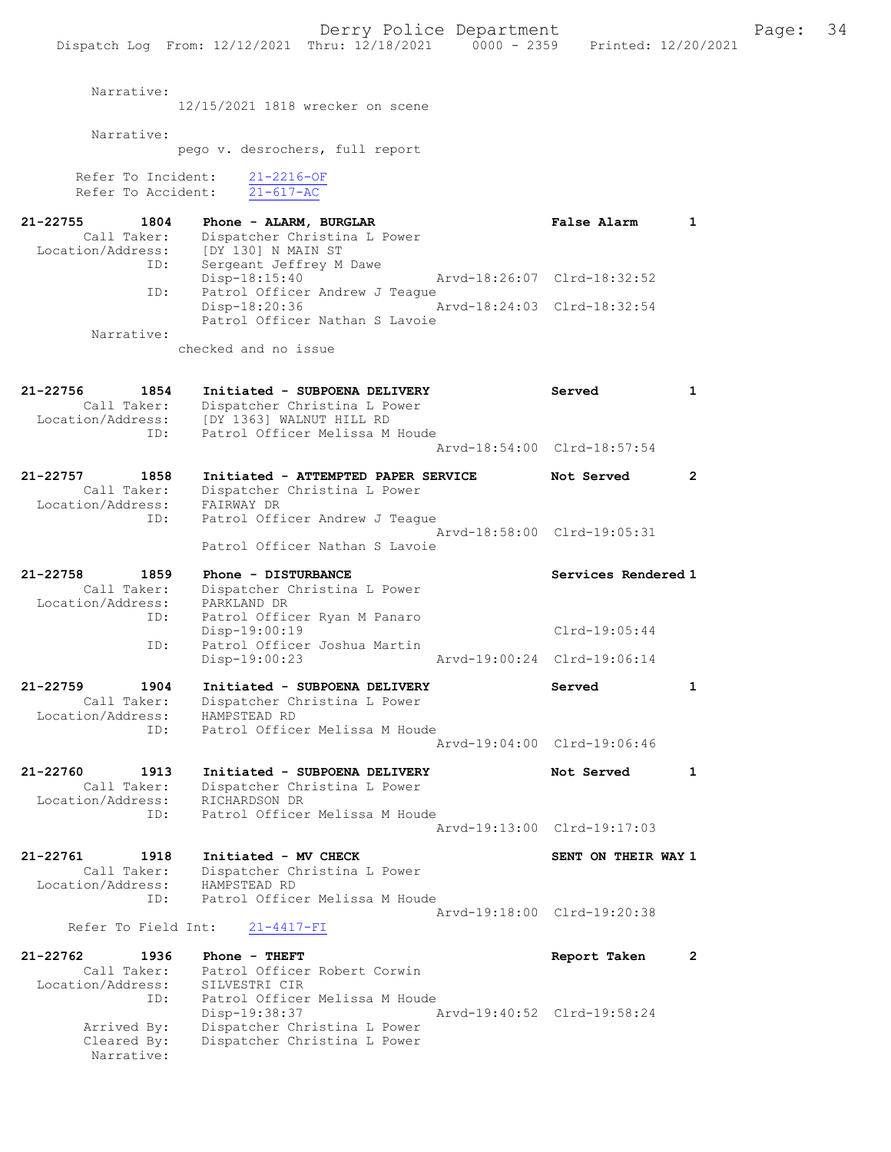Derry Police Department Fage: 34 Dispatch Log From: 12/12/2021 Thru: 12/18/2021 0000 - 2359 Printed: 12/20/2021 Narrative: 12/15/2021 1818 wrecker on scene Narrative: pego v. desrochers, full report Refer To Incident: 21-2216-OF Refer To Accident: 21-617-AC 21-22755 1804 Phone - ALARM, BURGLAR False Alarm 1 Call Taker: Dispatcher Christina L Power Location/Address: [DY 130] N MAIN ST ID: Sergeant Jeffrey M Dawe Disp-18:15:40 Arvd-18:26:07 Clrd-18:32:52<br>ID: Patrol Officer Andrew J Teague Patrol Officer Andrew J Teague<br>Disp-18:20:36 A Disp-18:20:36 Arvd-18:24:03 Clrd-18:32:54 Patrol Officer Nathan S Lavoie Narrative: checked and no issue 21-22756 1854 Initiated - SUBPOENA DELIVERY Served 1 Call Taker: Dispatcher Christina L Power Location/Address: [DY 1363] WALNUT HILL RD ID: Patrol Officer Melissa M Houde Arvd-18:54:00 Clrd-18:57:54 21-22757 1858 Initiated - ATTEMPTED PAPER SERVICE Not Served 2 Call Taker: Dispatcher Christina L Power Location/Address: FAIRWAY DR ID: Patrol Officer Andrew J Teague Arvd-18:58:00 Clrd-19:05:31 Patrol Officer Nathan S Lavoie 21-22758 1859 Phone - DISTURBANCE Services Rendered 1 Call Taker: Dispatcher Christina L Power Location/Address: PARKLAND DR ID: Patrol Officer Ryan M Panaro Disp-19:00:19 Clrd-19:05:44<br>Disp-19:00:19 Clrd-19:05:44<br>Disp-19:00:23 Arvd-19:00:24 Clrd-19:06:14 Patrol Officer Joshua Martin Disp-19:00:23 Arvd-19:00:24 Clrd-19:06:14 21-22759 1904 Initiated - SUBPOENA DELIVERY Served 1 Call Taker: Dispatcher Christina L Power Location/Address: HAMPSTEAD RD ID: Patrol Officer Melissa M Houde Arvd-19:04:00 Clrd-19:06:46 21-22760 1913 Initiated - SUBPOENA DELIVERY Not Served 1 Call Taker: Dispatcher Christina L Power Location/Address: RICHARDSON DR ID: Patrol Officer Melissa M Houde Arvd-19:13:00 Clrd-19:17:03 21-22761 1918 Initiated - MV CHECK SENT ON THEIR WAY 1 Call Taker: Dispatcher Christina L Power Location/Address: HAMPSTEAD RD ID: Patrol Officer Melissa M Houde Arvd-19:18:00 Clrd-19:20:38 Refer To Field Int: 21-4417-FI 21-22762 1936 Phone - THEFT Report Taken 2 Call Taker: Patrol Officer Robert Corwin Location/Address: SILVESTRI CIR ID: Patrol Officer Melissa M Houde Disp-19:38:37 Arvd-19:40:52 Clrd-19:58:24 Arrived By: Dispatcher Christina L Power Cleared By: Dispatcher Christina L Power Narrative: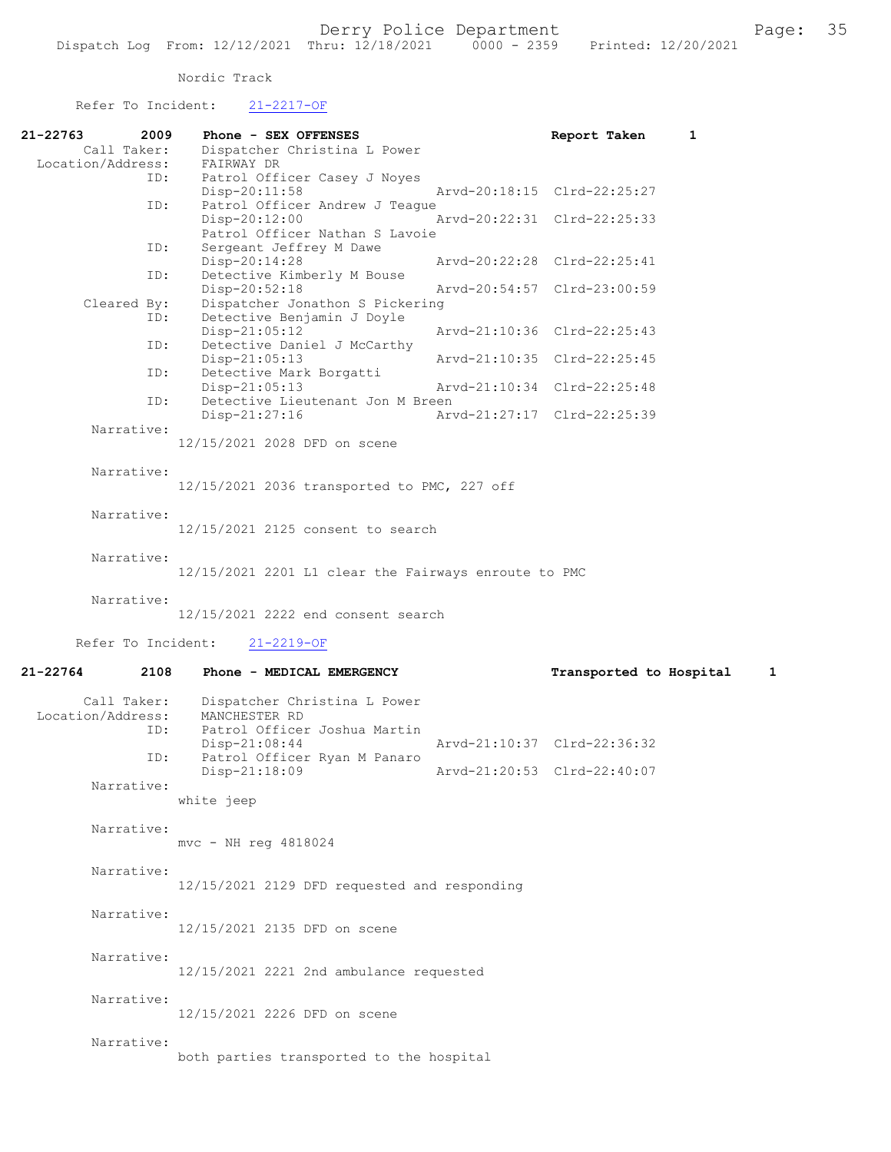| Refer To Incident:                      | $21 - 2217 - OF$                                                               |                              |  |  |  |  |
|-----------------------------------------|--------------------------------------------------------------------------------|------------------------------|--|--|--|--|
| $21 - 22763$<br>2009<br>Call Taker:     | Phone - SEX OFFENSES<br>Dispatcher Christina L Power                           | 1<br>Report Taken            |  |  |  |  |
| Location/Address:                       | FAIRWAY DR                                                                     |                              |  |  |  |  |
| ID:                                     | Patrol Officer Casey J Noyes<br>Disp-20:11:58                                  | Arvd-20:18:15 Clrd-22:25:27  |  |  |  |  |
| ID:                                     | Patrol Officer Andrew J Teague<br>Disp-20:12:00                                | Arvd-20:22:31 Clrd-22:25:33  |  |  |  |  |
| ID:                                     | Patrol Officer Nathan S Lavoie<br>Sergeant Jeffrey M Dawe                      |                              |  |  |  |  |
| ID:                                     | Disp-20:14:28<br>Detective Kimberly M Bouse                                    | Arvd-20:22:28 Clrd-22:25:41  |  |  |  |  |
| Cleared By:                             | Disp-20:52:18<br>Dispatcher Jonathon S Pickering                               | Aryd-20:54:57 Clrd-23:00:59  |  |  |  |  |
| ID:                                     | Detective Benjamin J Doyle<br>Disp-21:05:12                                    | Arvd-21:10:36 Clrd-22:25:43  |  |  |  |  |
| ID:                                     | Detective Daniel J McCarthy<br>Disp-21:05:13                                   | Arvd-21:10:35 Clrd-22:25:45  |  |  |  |  |
| ID:                                     | Detective Mark Borgatti<br>$Disp-21:05:13$                                     | Arvd-21:10:34 Clrd-22:25:48  |  |  |  |  |
| ID:                                     | Detective Lieutenant Jon M Breen                                               | Arvd-21:27:17 Clrd-22:25:39  |  |  |  |  |
| Narrative:                              | Disp-21:27:16                                                                  |                              |  |  |  |  |
|                                         | 12/15/2021 2028 DFD on scene                                                   |                              |  |  |  |  |
| Narrative:                              | 12/15/2021 2036 transported to PMC, 227 off                                    |                              |  |  |  |  |
| Narrative:                              | 12/15/2021 2125 consent to search                                              |                              |  |  |  |  |
| Narrative:                              | 12/15/2021 2201 L1 clear the Fairways enroute to PMC                           |                              |  |  |  |  |
|                                         |                                                                                |                              |  |  |  |  |
| Narrative:                              | 12/15/2021 2222 end consent search                                             |                              |  |  |  |  |
| Refer To Incident:                      | $21 - 2219 - OF$                                                               |                              |  |  |  |  |
| $21 - 22764$<br>2108                    | Phone - MEDICAL EMERGENCY                                                      | Transported to Hospital<br>1 |  |  |  |  |
| Call Taker:<br>Location/Address:<br>ID: | Dispatcher Christina L Power<br>MANCHESTER RD<br>Patrol Officer Joshua Martin  |                              |  |  |  |  |
| ID:                                     | Arvd-21:10:37 Clrd-22:36:32<br>$Disp-21:08:44$<br>Patrol Officer Ryan M Panaro |                              |  |  |  |  |
| Narrative:                              | Disp-21:18:09<br>Arvd-21:20:53 Clrd-22:40:07                                   |                              |  |  |  |  |
|                                         | white jeep                                                                     |                              |  |  |  |  |
| Narrative:                              | mvc - NH reg 4818024                                                           |                              |  |  |  |  |
| Narrative:                              | 12/15/2021 2129 DFD requested and responding                                   |                              |  |  |  |  |
| Narrative:                              | 12/15/2021 2135 DFD on scene                                                   |                              |  |  |  |  |
| Narrative:                              | 12/15/2021 2221 2nd ambulance requested                                        |                              |  |  |  |  |
| Narrative:                              | 12/15/2021 2226 DFD on scene                                                   |                              |  |  |  |  |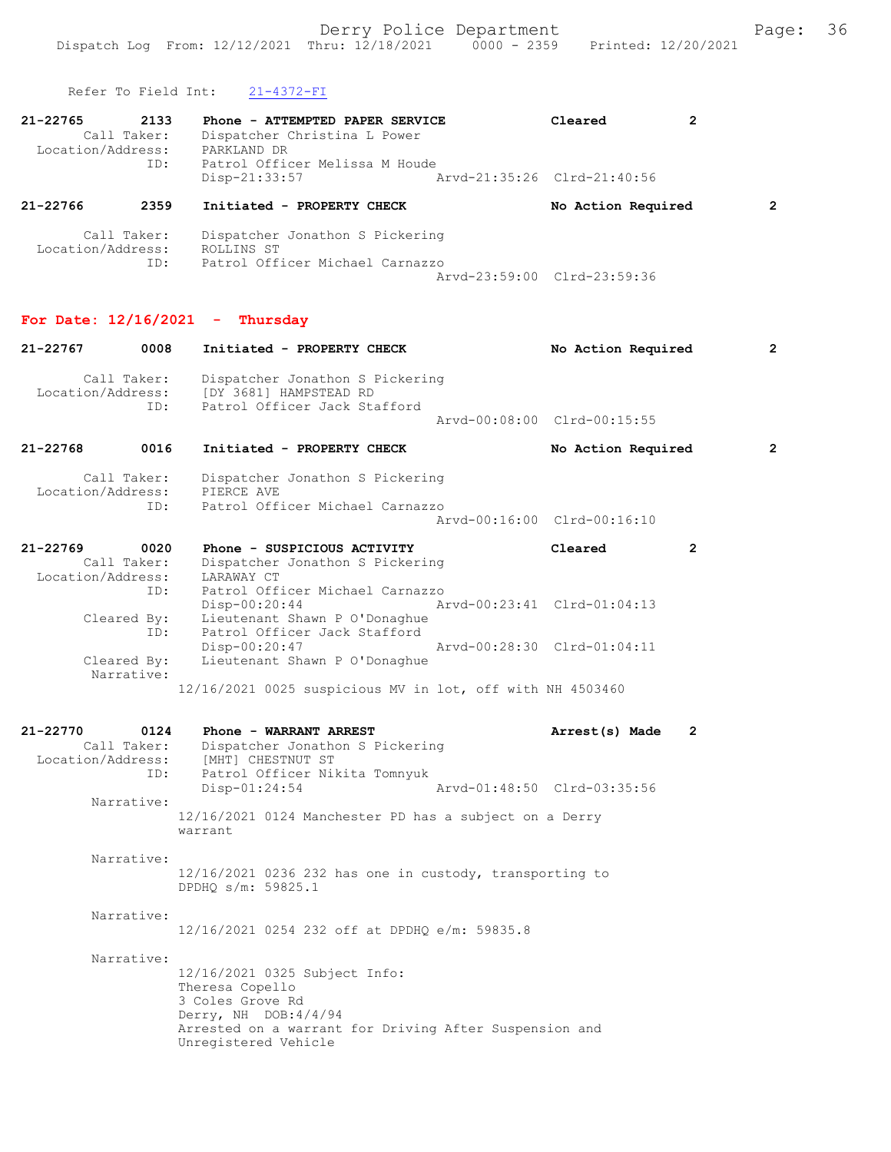Refer To Field Int: 21-4372-FI

| Keter to Field TUC:                                                                                | 21-4372-FI                                                                                                        |  |                             |   |                |
|----------------------------------------------------------------------------------------------------|-------------------------------------------------------------------------------------------------------------------|--|-----------------------------|---|----------------|
| 21-22765<br>2133<br>Phone - ATTEMPTED PAPER SERVICE<br>Call Taker:<br>Dispatcher Christina L Power |                                                                                                                   |  | Cleared                     | 2 |                |
| Location/Address:<br>ID:                                                                           | PARKLAND DR<br>Patrol Officer Melissa M Houde<br>Disp-21:33:57                                                    |  | Arvd-21:35:26 Clrd-21:40:56 |   |                |
| 21-22766<br>2359                                                                                   | Initiated - PROPERTY CHECK                                                                                        |  | No Action Required          |   | 2              |
| Call Taker:<br>Location/Address:<br>ID:                                                            | Dispatcher Jonathon S Pickering<br>ROLLINS ST<br>Patrol Officer Michael Carnazzo                                  |  | Arvd-23:59:00 Clrd-23:59:36 |   |                |
|                                                                                                    | For Date: $12/16/2021$ - Thursday                                                                                 |  |                             |   |                |
| 21-22767<br>0008                                                                                   | Initiated - PROPERTY CHECK                                                                                        |  | No Action Required          |   | $\overline{2}$ |
| Call Taker:<br>ID:                                                                                 | Dispatcher Jonathon S Pickering<br>Location/Address: [DY 3681] HAMPSTEAD RD<br>Patrol Officer Jack Stafford       |  | Arvd-00:08:00 Clrd-00:15:55 |   |                |
| $21 - 22768$<br>0016                                                                               | Initiated - PROPERTY CHECK                                                                                        |  | No Action Required          |   | $\overline{2}$ |
| Call Taker:<br>Location/Address:<br>ID:                                                            | Dispatcher Jonathon S Pickering<br>PIERCE AVE<br>Patrol Officer Michael Carnazzo                                  |  | Arvd-00:16:00 Clrd-00:16:10 |   |                |
| 21-22769<br>0020<br>Call Taker:<br>Location/Address:                                               | Phone - SUSPICIOUS ACTIVITY<br>Dispatcher Jonathon S Pickering<br>LARAWAY CT                                      |  | Cleared                     | 2 |                |
| ID:<br>Cleared By:<br>ID:                                                                          | Patrol Officer Michael Carnazzo<br>Disp-00:20:44<br>Lieutenant Shawn P O'Donaghue<br>Patrol Officer Jack Stafford |  | Arvd-00:23:41 Clrd-01:04:13 |   |                |
| Cleared By:<br>Narrative:                                                                          | Disp-00:20:47<br>Lieutenant Shawn P O'Donaghue                                                                    |  | Arvd-00:28:30 Clrd-01:04:11 |   |                |
|                                                                                                    | 12/16/2021 0025 suspicious MV in lot, off with NH 4503460                                                         |  |                             |   |                |
| 21-22770<br>0124<br>Call Taker:<br>Location/Address:<br>ID:                                        | Phone - WARRANT ARREST<br>Dispatcher Jonathon S Pickering<br>[MHT] CHESTNUT ST<br>Patrol Officer Nikita Tomnyuk   |  | Arrest(s) Made              | 2 |                |
| Narrative:                                                                                         | Disp-01:24:54<br>12/16/2021 0124 Manchester PD has a subject on a Derry<br>warrant                                |  | Aryd-01:48:50 Clrd-03:35:56 |   |                |
| Narrative:                                                                                         | 12/16/2021 0236 232 has one in custody, transporting to<br>DPDHQ s/m: 59825.1                                     |  |                             |   |                |
| Narrative:                                                                                         | 12/16/2021 0254 232 off at DPDHQ e/m: 59835.8                                                                     |  |                             |   |                |
| Narrative:                                                                                         | 12/16/2021 0325 Subject Info:<br>Theresa Copello<br>3 Coles Grove Rd<br>Derry, NH DOB: 4/4/94                     |  |                             |   |                |

Arrested on a warrant for Driving After Suspension and

Unregistered Vehicle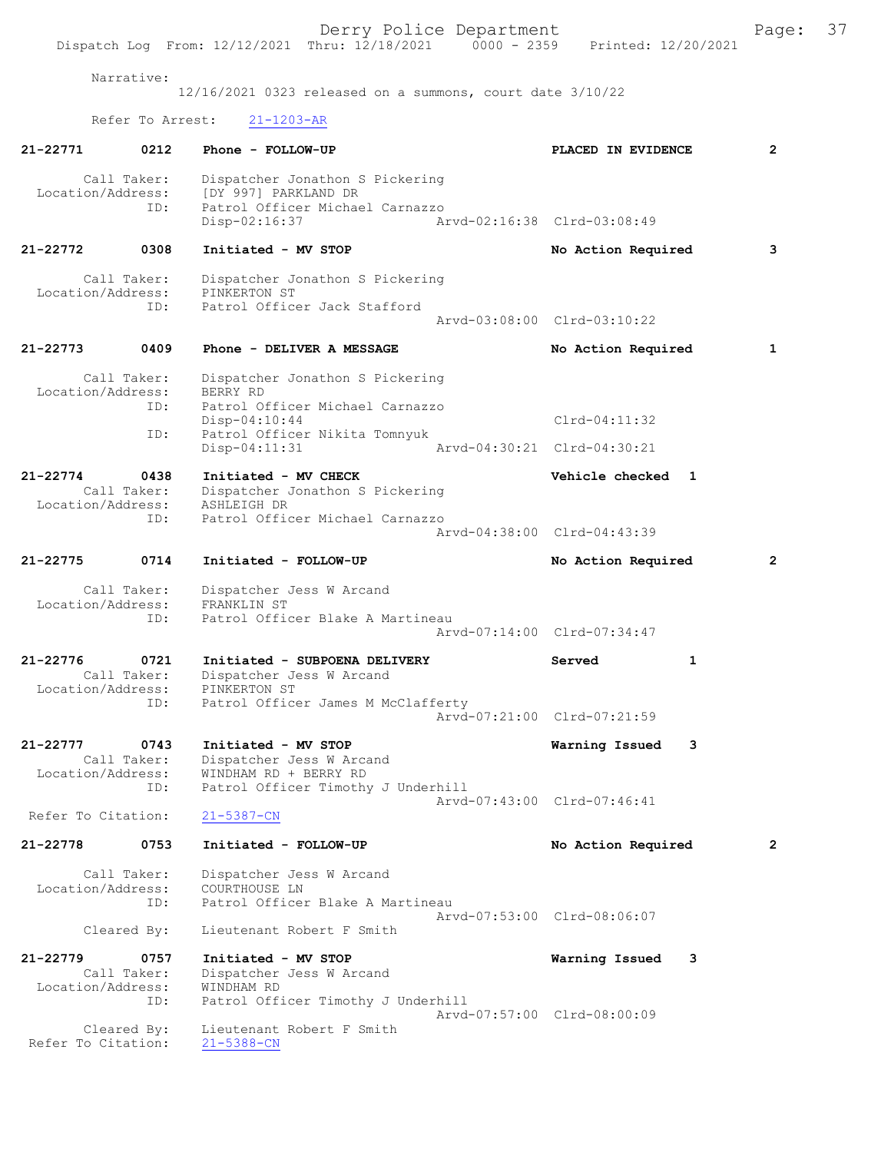Derry Police Department<br>
Page: 37<br>
Printed: 12/20/2021<br>
Printed: 12/20/2021 Dispatch Log From: 12/12/2021 Thru: 12/18/2021 Narrative: 12/16/2021 0323 released on a summons, court date 3/10/22 Refer To Arrest: 21-1203-AR 21-22771 0212 Phone - FOLLOW-UP PLACED IN EVIDENCE 2 Call Taker: Dispatcher Jonathon S Pickering<br>Location/Address: [DY 997] PARKLAND DR [DY 997] PARKLAND DR ID: Patrol Officer Michael Carnazzo Disp-02:16:37 Arvd-02:16:38 Clrd-03:08:49 21-22772 0308 Initiated - MV STOP No Action Required 3 Call Taker: Dispatcher Jonathon S Pickering<br>ion/Address: PINKERTON ST Location/Address:<br>ID: Patrol Officer Jack Stafford Arvd-03:08:00 Clrd-03:10:22 21-22773 0409 Phone - DELIVER A MESSAGE No Action Required 1 Call Taker: Dispatcher Jonathon S Pickering<br>.on/Address: BERRY RD Location/Address:<br>ID: Patrol Officer Michael Carnazzo Disp-04:10:44 Clrd-04:11:32 ID: Patrol Officer Nikita Tomnyuk Disp-04:11:31 Arvd-04:30:21 Clrd-04:30:21 21-22774 0438 Initiated - MV CHECK Vehicle checked 1<br>Call Taker: Dispatcher Jonathon S Pickering Dispatcher Jonathon S Pickering<br>ASHLEIGH DR Location/Address:<br>ID: Patrol Officer Michael Carnazzo Arvd-04:38:00 Clrd-04:43:39 21-22775 0714 Initiated - FOLLOW-UP No Action Required 2 Call Taker: Dispatcher Jess W Arcand<br>.on/Address: FRANKLIN ST Location/Address:<br>ID: Patrol Officer Blake A Martineau Arvd-07:14:00 Clrd-07:34:47 21-22776 0721 Initiated - SUBPOENA DELIVERY Served 1<br>Call Taker: Dispatcher Jess W Arcand Dispatcher Jess W Arcand<br>PINKERTON ST Location/Address:<br>ID: Patrol Officer James M McClafferty Arvd-07:21:00 Clrd-07:21:59 21-22777 0743 Initiated - MV STOP 1988 1989 Warning Issued 3<br>Call Taker: Dispatcher Jess W Arcand Call Taker: Dispatcher Jess W Arcand<br>Location/Address: WINDHAM RD + BERRY RD WINDHAM RD + BERRY RD ID: Patrol Officer Timothy J Underhill Arvd-07:43:00 Clrd-07:46:41<br>21-5387-CN Refer To Citation: 21-22778 0753 Initiated - FOLLOW-UP No Action Required 2 Call Taker: Dispatcher Jess W Arcand<br>.on/Address: COURTHOUSE LN Location/Address:<br>TD: Patrol Officer Blake A Martineau Arvd-07:53:00 Clrd-08:06:07<br>Cleared By: Lieutenant Robert F Smith Lieutenant Robert F Smith 21-22779 0757 Initiated - MV STOP 1988 1989 Warning Issued 3<br>Call Taker: Dispatcher Jess W Arcand Dispatcher Jess W Arcand<br>WINDHAM RD Location/Address: ID: Patrol Officer Timothy J Underhill Arvd-07:57:00 Clrd-08:00:09 Lieutenant Robert F Smith<br>21-5388-CN Cleared By:<br>Refer To Citation: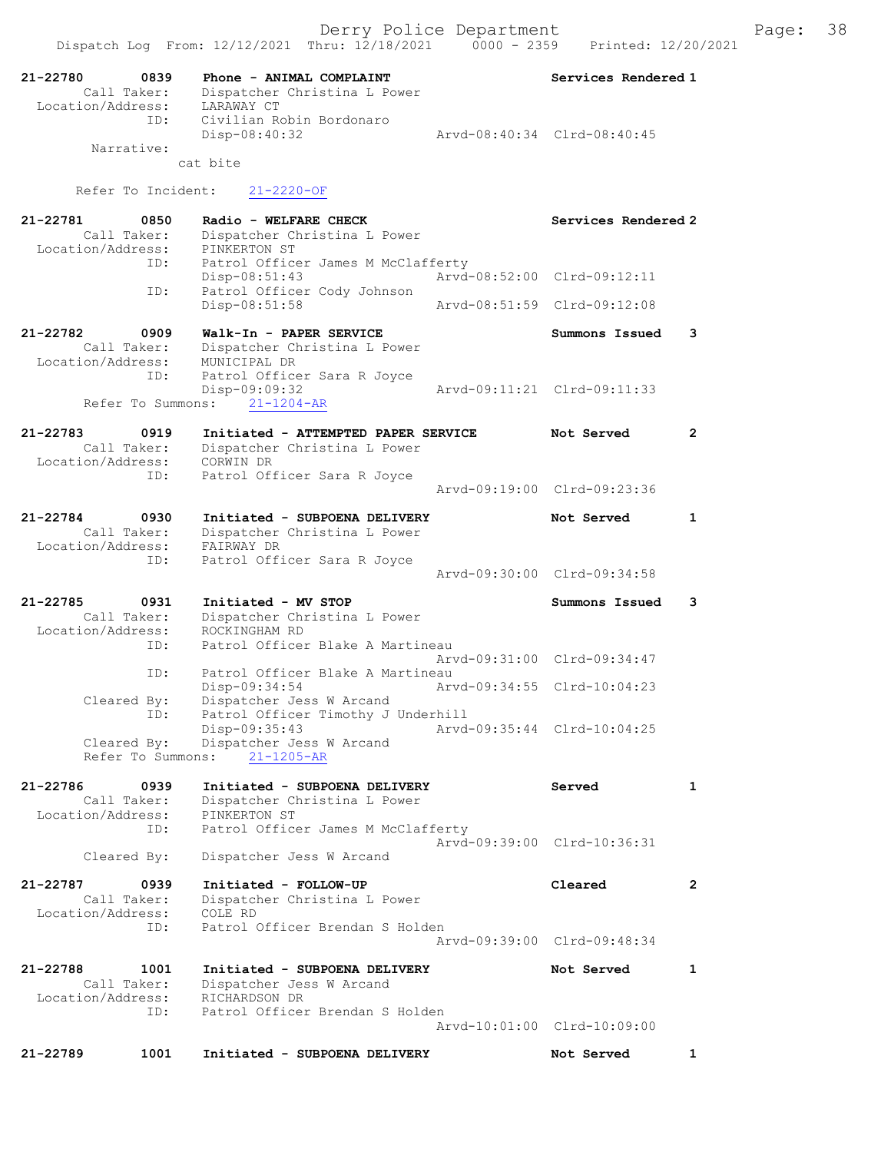| 21-22780<br>Call Taker:<br>Location/Address: | 0839 | Phone - ANIMAL COMPLAINT<br>Dispatcher Christina L Power<br>LARAWAY CT | Services Rendered 1         |                |
|----------------------------------------------|------|------------------------------------------------------------------------|-----------------------------|----------------|
| Narrative:                                   | ID:  | Civilian Robin Bordonaro<br>Disp-08:40:32<br>cat bite                  | Arvd-08:40:34 Clrd-08:40:45 |                |
| Refer To Incident:                           |      | $21 - 2220 - OF$                                                       |                             |                |
|                                              |      |                                                                        |                             |                |
| 21-22781<br>Call Taker:                      | 0850 | Radio - WELFARE CHECK<br>Dispatcher Christina L Power                  | Services Rendered 2         |                |
| Location/Address:                            | ID:  | PINKERTON ST<br>Patrol Officer James M McClafferty                     |                             |                |
|                                              |      | $Disp-08:51:43$                                                        | Arvd-08:52:00 Clrd-09:12:11 |                |
|                                              | ID:  | Patrol Officer Cody Johnson<br>Disp-08:51:58                           | Arvd-08:51:59 Clrd-09:12:08 |                |
| 21-22782                                     | 0909 | Walk-In - PAPER SERVICE                                                | Summons Issued              | 3              |
| Call Taker:<br>Location/Address:             |      | Dispatcher Christina L Power<br>MUNICIPAL DR                           |                             |                |
|                                              | ID:  | Patrol Officer Sara R Joyce                                            |                             |                |
| Refer To Summons:                            |      | Disp-09:09:32<br>$21 - 1204 - AR$                                      | Arvd-09:11:21 Clrd-09:11:33 |                |
| 21-22783                                     | 0919 | Initiated - ATTEMPTED PAPER SERVICE                                    | Not Served                  | 2              |
| Call Taker:<br>Location/Address:             |      | Dispatcher Christina L Power                                           |                             |                |
|                                              | ID:  | CORWIN DR<br>Patrol Officer Sara R Joyce                               |                             |                |
|                                              |      |                                                                        | Arvd-09:19:00 Clrd-09:23:36 |                |
| 21-22784                                     | 0930 | Initiated - SUBPOENA DELIVERY                                          | Not Served                  | 1              |
| Call Taker:<br>Location/Address:             |      | Dispatcher Christina L Power<br>FAIRWAY DR                             |                             |                |
|                                              | ID:  | Patrol Officer Sara R Joyce                                            | Arvd-09:30:00 Clrd-09:34:58 |                |
|                                              |      |                                                                        |                             |                |
| 21-22785<br>Call Taker:                      | 0931 | Initiated - MV STOP<br>Dispatcher Christina L Power                    | Summons Issued              | 3              |
| Location/Address:                            | ID:  | ROCKINGHAM RD<br>Patrol Officer Blake A Martineau                      |                             |                |
|                                              |      |                                                                        | Arvd-09:31:00 Clrd-09:34:47 |                |
|                                              | ID:  | Patrol Officer Blake A Martineau<br>Disp-09:34:54                      | Arvd-09:34:55 Clrd-10:04:23 |                |
| Cleared By:                                  |      | Dispatcher Jess W Arcand                                               |                             |                |
|                                              | ID:  | Patrol Officer Timothy J Underhill<br>Disp-09:35:43                    | Arvd-09:35:44 Clrd-10:04:25 |                |
| Cleared By:<br>Refer To Summons:             |      | Dispatcher Jess W Arcand<br>$21 - 1205 - AR$                           |                             |                |
| 21-22786                                     | 0939 | Initiated - SUBPOENA DELIVERY                                          | Served                      | 1              |
| Call Taker:<br>Location/Address:             |      | Dispatcher Christina L Power<br>PINKERTON ST                           |                             |                |
|                                              | ID:  | Patrol Officer James M McClafferty                                     | Arvd-09:39:00 Clrd-10:36:31 |                |
| Cleared By:                                  |      | Dispatcher Jess W Arcand                                               |                             |                |
| 21-22787                                     | 0939 | Initiated - FOLLOW-UP                                                  | Cleared                     | $\overline{2}$ |
| Call Taker:<br>Location/Address:             |      | Dispatcher Christina L Power<br>COLE RD                                |                             |                |
|                                              | ID:  | Patrol Officer Brendan S Holden                                        |                             |                |
|                                              |      |                                                                        | Arvd-09:39:00 Clrd-09:48:34 |                |
| 21-22788<br>Call Taker:                      | 1001 | Initiated - SUBPOENA DELIVERY<br>Dispatcher Jess W Arcand              | Not Served                  | 1              |
| Location/Address:                            |      | RICHARDSON DR                                                          |                             |                |
|                                              | ID:  | Patrol Officer Brendan S Holden                                        | Arvd-10:01:00 Clrd-10:09:00 |                |
| 21-22789                                     | 1001 | Initiated - SUBPOENA DELIVERY                                          | Not Served                  | 1              |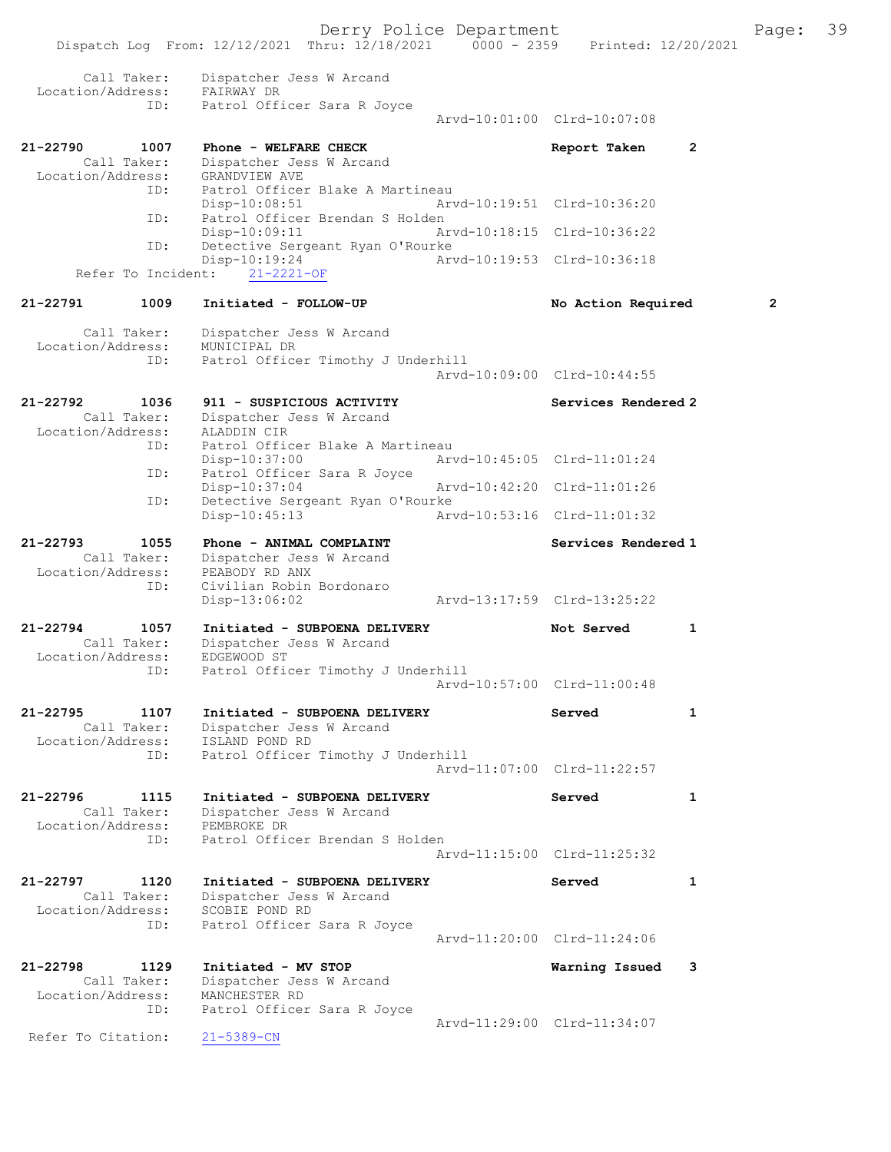|                                              |             | Dispatch Log From: 12/12/2021 Thru: 12/18/2021 0000 - 2359 Printed: 12/20/2021                                    | Derry Police Department |                             |   | Page:          | 39 |
|----------------------------------------------|-------------|-------------------------------------------------------------------------------------------------------------------|-------------------------|-----------------------------|---|----------------|----|
| Call Taker:                                  |             | Dispatcher Jess W Arcand                                                                                          |                         |                             |   |                |    |
| Location/Address: FAIRWAY DR                 |             |                                                                                                                   |                         |                             |   |                |    |
|                                              | ID:         | Patrol Officer Sara R Joyce                                                                                       |                         | Arvd-10:01:00 Clrd-10:07:08 |   |                |    |
| 21-22790<br>Call Taker:                      | 1007        | Phone - WELFARE CHECK<br>Dispatcher Jess W Arcand                                                                 |                         | Report Taken                | 2 |                |    |
| Location/Address:                            |             | GRANDVIEW AVE                                                                                                     |                         |                             |   |                |    |
|                                              | ID:         | Patrol Officer Blake A Martineau<br>$Disp-10:08:51$                                                               |                         | Arvd-10:19:51 Clrd-10:36:20 |   |                |    |
|                                              | ID:<br>ID:  | Patrol Officer Brendan S Holden<br>Disp-10:09:11<br>Detective Sergeant Ryan O'Rourke                              |                         | Arvd-10:18:15 Clrd-10:36:22 |   |                |    |
|                                              |             | Disp-10:19:24<br>Refer To Incident: 21-2221-OF                                                                    |                         | Arvd-10:19:53 Clrd-10:36:18 |   |                |    |
| 21-22791                                     | 1009        | Initiated - FOLLOW-UP                                                                                             |                         | No Action Required          |   | $\overline{2}$ |    |
| Call Taker:                                  |             | Dispatcher Jess W Arcand                                                                                          |                         |                             |   |                |    |
| Location/Address:                            | ID:         | MUNICIPAL DR<br>Patrol Officer Timothy J Underhill                                                                |                         |                             |   |                |    |
|                                              |             |                                                                                                                   |                         | Arvd-10:09:00 Clrd-10:44:55 |   |                |    |
| 21-22792<br>Call Taker:                      | 1036        | 911 - SUSPICIOUS ACTIVITY<br>Dispatcher Jess W Arcand                                                             |                         | Services Rendered 2         |   |                |    |
| Location/Address:                            |             | ALADDIN CIR                                                                                                       |                         |                             |   |                |    |
|                                              | ID:<br>ID:  | Patrol Officer Blake A Martineau<br>$Disp-10:37:00$<br>Patrol Officer Sara R Joyce                                |                         | Arvd-10:45:05 Clrd-11:01:24 |   |                |    |
|                                              |             | $Disp-10:37:04$                                                                                                   |                         | Arvd-10:42:20 Clrd-11:01:26 |   |                |    |
|                                              | ID:         | Detective Sergeant Ryan O'Rourke<br>Disp-10:45:13                                                                 |                         | Arvd-10:53:16 Clrd-11:01:32 |   |                |    |
| 21-22793<br>Call Taker:<br>Location/Address: | 1055        | Phone - ANIMAL COMPLAINT<br>Dispatcher Jess W Arcand<br>PEABODY RD ANX                                            |                         | Services Rendered 1         |   |                |    |
|                                              | ID:         | Civilian Robin Bordonaro<br>$Disp-13:06:02$                                                                       |                         | Arvd-13:17:59 Clrd-13:25:22 |   |                |    |
| 21-22794<br>Call Taker:<br>Location/Address: | 1057        | Initiated - SUBPOENA DELIVERY<br>Dispatcher Jess W Arcand<br>EDGEWOOD ST                                          |                         | Not Served                  | 1 |                |    |
| ID:                                          |             | Patrol Officer Timothy J Underhill                                                                                |                         | Arvd-10:57:00 Clrd-11:00:48 |   |                |    |
| 21-22795<br>Call Taker:<br>Location/Address: | 1107<br>ID: | Initiated - SUBPOENA DELIVERY<br>Dispatcher Jess W Arcand<br>ISLAND POND RD<br>Patrol Officer Timothy J Underhill |                         | Served                      | 1 |                |    |
|                                              |             |                                                                                                                   |                         | Arvd-11:07:00 Clrd-11:22:57 |   |                |    |
| 21-22796<br>Call Taker:<br>Location/Address: | 1115<br>ID: | Initiated - SUBPOENA DELIVERY<br>Dispatcher Jess W Arcand<br>PEMBROKE DR<br>Patrol Officer Brendan S Holden       |                         | Served                      | 1 |                |    |
|                                              |             |                                                                                                                   |                         | Arvd-11:15:00 Clrd-11:25:32 |   |                |    |
| 21-22797<br>Call Taker:<br>Location/Address: | 1120        | Initiated - SUBPOENA DELIVERY<br>Dispatcher Jess W Arcand<br>SCOBIE POND RD                                       |                         | Served                      | 1 |                |    |
|                                              | ID:         | Patrol Officer Sara R Joyce                                                                                       |                         | Arvd-11:20:00 Clrd-11:24:06 |   |                |    |
| 21-22798<br>Call Taker:<br>Location/Address: | 1129<br>ID: | Initiated - MV STOP<br>Dispatcher Jess W Arcand<br>MANCHESTER RD<br>Patrol Officer Sara R Joyce                   |                         | Warning Issued              | 3 |                |    |
| Refer To Citation:                           |             | $21 - 5389 - CN$                                                                                                  |                         | Arvd-11:29:00 Clrd-11:34:07 |   |                |    |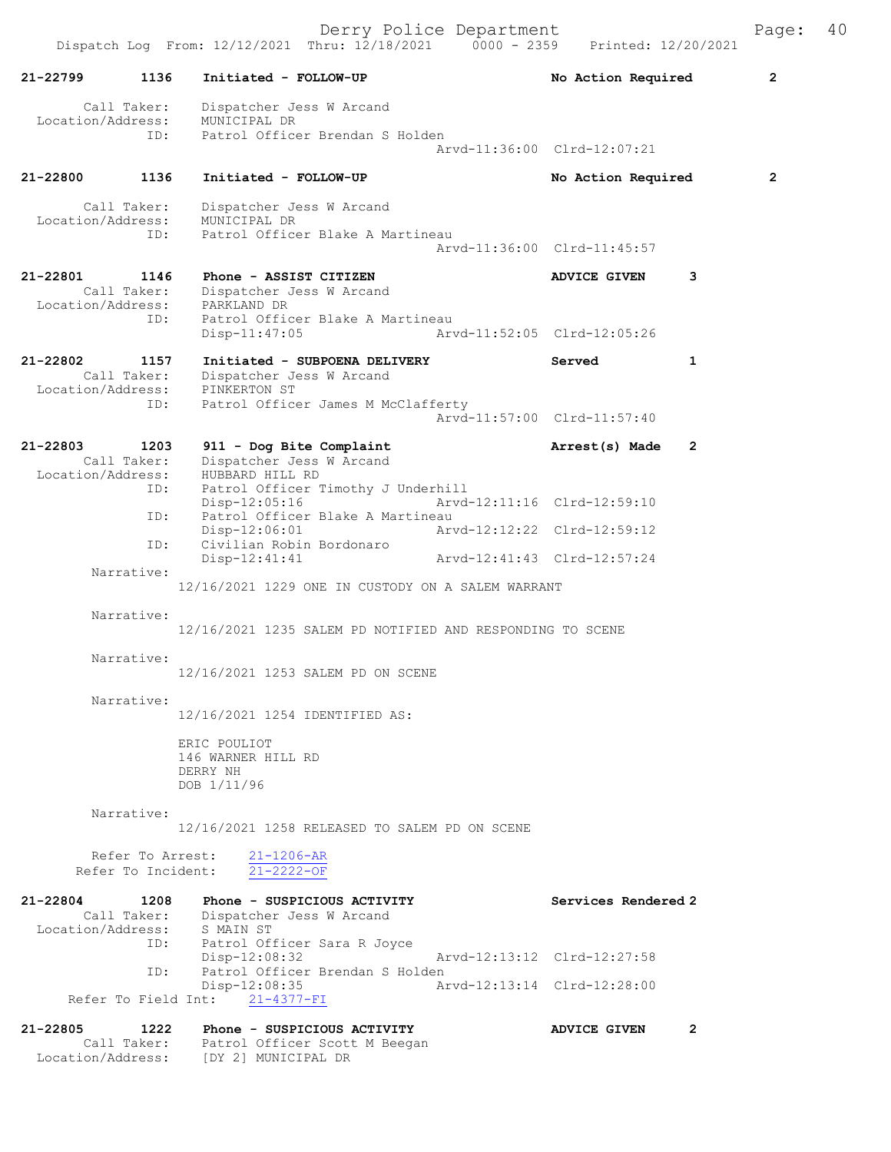Derry Police Department Fage: 40

|                                                                  | Dispatch Log From: 12/12/2021 Thru: 12/18/2021<br>$0000 - 2359$                                                   | Printed: 12/20/2021          |                |
|------------------------------------------------------------------|-------------------------------------------------------------------------------------------------------------------|------------------------------|----------------|
| $21 - 22799$<br>1136                                             | Initiated - FOLLOW-UP                                                                                             | No Action Required           | $\overline{2}$ |
| Call Taker:<br>Location/Address:<br>ID:                          | Dispatcher Jess W Arcand<br>MUNICIPAL DR<br>Patrol Officer Brendan S Holden                                       | Arvd-11:36:00 Clrd-12:07:21  |                |
|                                                                  |                                                                                                                   |                              |                |
| 21-22800<br>1136                                                 | Initiated - FOLLOW-UP                                                                                             | No Action Required           | $\overline{2}$ |
| Call Taker:<br>Location/Address:<br>ID:                          | Dispatcher Jess W Arcand<br>MUNICIPAL DR<br>Patrol Officer Blake A Martineau                                      |                              |                |
|                                                                  |                                                                                                                   | Arvd-11:36:00 Clrd-11:45:57  |                |
| 21-22801<br>1146<br>Call Taker:<br>Location/Address: PARKLAND DR | Phone - ASSIST CITIZEN<br>Dispatcher Jess W Arcand                                                                | 3<br><b>ADVICE GIVEN</b>     |                |
| ID:                                                              | Patrol Officer Blake A Martineau<br>$Disp-11:47:05$                                                               | Arvd-11:52:05 Clrd-12:05:26  |                |
| 21-22802<br>1157<br>Call Taker:                                  | Initiated - SUBPOENA DELIVERY<br>Dispatcher Jess W Arcand                                                         | 1<br>Served                  |                |
| Location/Address: PINKERTON ST<br>ID: Patrol Office              | Patrol Officer James M McClafferty                                                                                | Arvd-11:57:00 Clrd-11:57:40  |                |
| 21-22803<br>1203<br>Call Taker:<br>Location/Address:             | 911 - Dog Bite Complaint<br>Dispatcher Jess W Arcand<br>HUBBARD HILL RD                                           | 2<br>Arrest(s) Made          |                |
| ID:                                                              | Patrol Officer Timothy J Underhill<br>$Disp-12:05:16$                                                             | Arvd-12:11:16 Clrd-12:59:10  |                |
| ID:                                                              | Patrol Officer Blake A Martineau<br>$Disp-12:06:01$<br>Arvd-12:12:22 Clrd-12:59:12                                |                              |                |
| ID:                                                              | Civilian Robin Bordonaro<br>$Disp-12:41:41$<br>Arvd-12:41:43 Clrd-12:57:24                                        |                              |                |
| Narrative:                                                       | 12/16/2021 1229 ONE IN CUSTODY ON A SALEM WARRANT                                                                 |                              |                |
| Narrative:                                                       | 12/16/2021 1235 SALEM PD NOTIFIED AND RESPONDING TO SCENE                                                         |                              |                |
| Narrative:                                                       | 12/16/2021 1253 SALEM PD ON SCENE                                                                                 |                              |                |
| Narrative:                                                       | 12/16/2021 1254 IDENTIFIED AS:                                                                                    |                              |                |
|                                                                  | ERIC POULIOT<br>146 WARNER HILL RD<br>DERRY NH<br>DOB 1/11/96                                                     |                              |                |
| Narrative:                                                       | 12/16/2021 1258 RELEASED TO SALEM PD ON SCENE                                                                     |                              |                |
| Refer To Arrest:<br>Refer To Incident:                           | $21 - 1206 - AR$<br>$21 - 2222 - OF$                                                                              |                              |                |
| 21-22804<br>1208<br>Location/Address:                            | Phone - SUSPICIOUS ACTIVITY<br>Call Taker: Dispatcher Jess W Arcand<br>S MAIN ST                                  | Services Rendered 2          |                |
| ID:                                                              | Patrol Officer Sara R Joyce<br>Disp-12:08:32                                                                      | Arvd-12:13:12 Clrd-12:27:58  |                |
| ID:                                                              | Patrol Officer Brendan S Holden<br>Disp-12:08:35                                                                  | Arvd-12:13:14 Clrd-12:28:00  |                |
|                                                                  | Refer To Field Int: 21-4377-FI                                                                                    |                              |                |
| 21-22805<br>1222                                                 | Phone - SUSPICIOUS ACTIVITY<br>Call Taker: Patrol Officer Scott M Beegan<br>Location/Address: [DY 2] MUNICIPAL DR | $\mathbf{2}$<br>ADVICE GIVEN |                |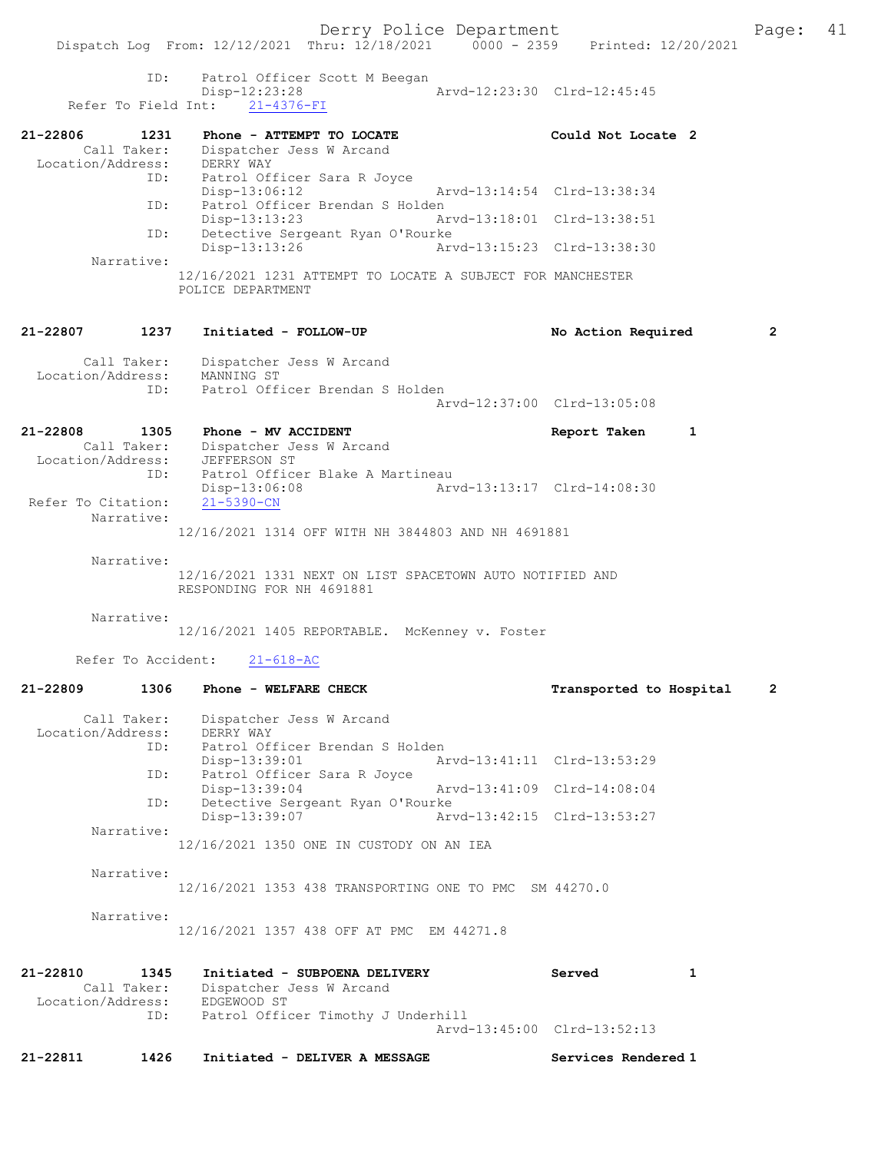Derry Police Department Fage: 41 Dispatch Log From: 12/12/2021 Thru: 12/18/2021 0000 - 2359 Printed: 12/20/2021 ID: Patrol Officer Scott M Beegan Disp-12:23:28 Arvd-12:23:30 Clrd-12:45:45 Refer To Field Int: 21-4376-FI 21-22806 1231 Phone - ATTEMPT TO LOCATE Could Not Locate 2 Call Taker: Dispatcher Jess W Arcand Location/Address: DERRY WAY ID: Patrol Officer Sara R Joyce Disp-13:06:12 Arvd-13:14:54 Clrd-13:38:34 ID: Patrol Officer Brendan S Holden Disp-13:13:23 Arvd-13:18:01 Clrd-13:38:51 ID: Detective Sergeant Ryan O'Rourke<br>Disp-13:13:26 Arvd-13:15:23 Clrd-13:38:30 Disp-13:13:26 Narrative: 12/16/2021 1231 ATTEMPT TO LOCATE A SUBJECT FOR MANCHESTER

POLICE DEPARTMENT

#### 21-22807 1237 Initiated - FOLLOW-UP No Action Required 2

| Call Taker:<br>Location/Address: | Dispatcher Jess W Arcand<br>MANNING ST |  |
|----------------------------------|----------------------------------------|--|
| TD:                              | Patrol Officer Brendan S Holden        |  |
|                                  | Aryd-12:37:00 Clrd-13:05:08            |  |

### 21-22808 1305 Phone - MV ACCIDENT Report Taken 1 Call Taker: Dispatcher Jess W Arcand

 Location/Address: JEFFERSON ST ID: Patrol Officer Blake A Martineau Disp-13:06:08 Arvd-13:13:17 Clrd-14:08:30 Refer To Citation: 21-5390-CN Narrative: 12/16/2021 1314 OFF WITH NH 3844803 AND NH 4691881

Narrative:

12/16/2021 1331 NEXT ON LIST SPACETOWN AUTO NOTIFIED AND RESPONDING FOR NH 4691881

Narrative:

12/16/2021 1405 REPORTABLE. McKenney v. Foster

Refer To Accident: 21-618-AC

# 21-22809 1306 Phone - WELFARE CHECK Transported to Hospital 2

 Call Taker: Dispatcher Jess W Arcand Location/Address: DERRY WAY ID: Patrol Officer Brendan S Holden<br>Disp-13:39:01 Ar Disp-13:39:01 Arvd-13:41:11 Clrd-13:53:29 ID: Patrol Officer Sara R Joyce Disp-13:39:04 Arvd-13:41:09 Clrd-14:08:04 ID: Detective Sergeant Ryan O'Rourke<br>Disp-13:39:07 Art Disp-13:39:07 Arvd-13:42:15 Clrd-13:53:27 Narrative: 12/16/2021 1350 ONE IN CUSTODY ON AN IEA

Narrative:

12/16/2021 1353 438 TRANSPORTING ONE TO PMC SM 44270.0

Narrative:

12/16/2021 1357 438 OFF AT PMC EM 44271.8

| 21-22810          | 1345        | Initiated - SUBPOENA DELIVERY      | Served                      |  |
|-------------------|-------------|------------------------------------|-----------------------------|--|
|                   | Call Taker: | Dispatcher Jess W Arcand           |                             |  |
| Location/Address: |             | EDGEWOOD ST                        |                             |  |
|                   | ID:         | Patrol Officer Timothy J Underhill |                             |  |
|                   |             |                                    | Arvd-13:45:00 Clrd-13:52:13 |  |

21-22811 1426 Initiated - DELIVER A MESSAGE Services Rendered 1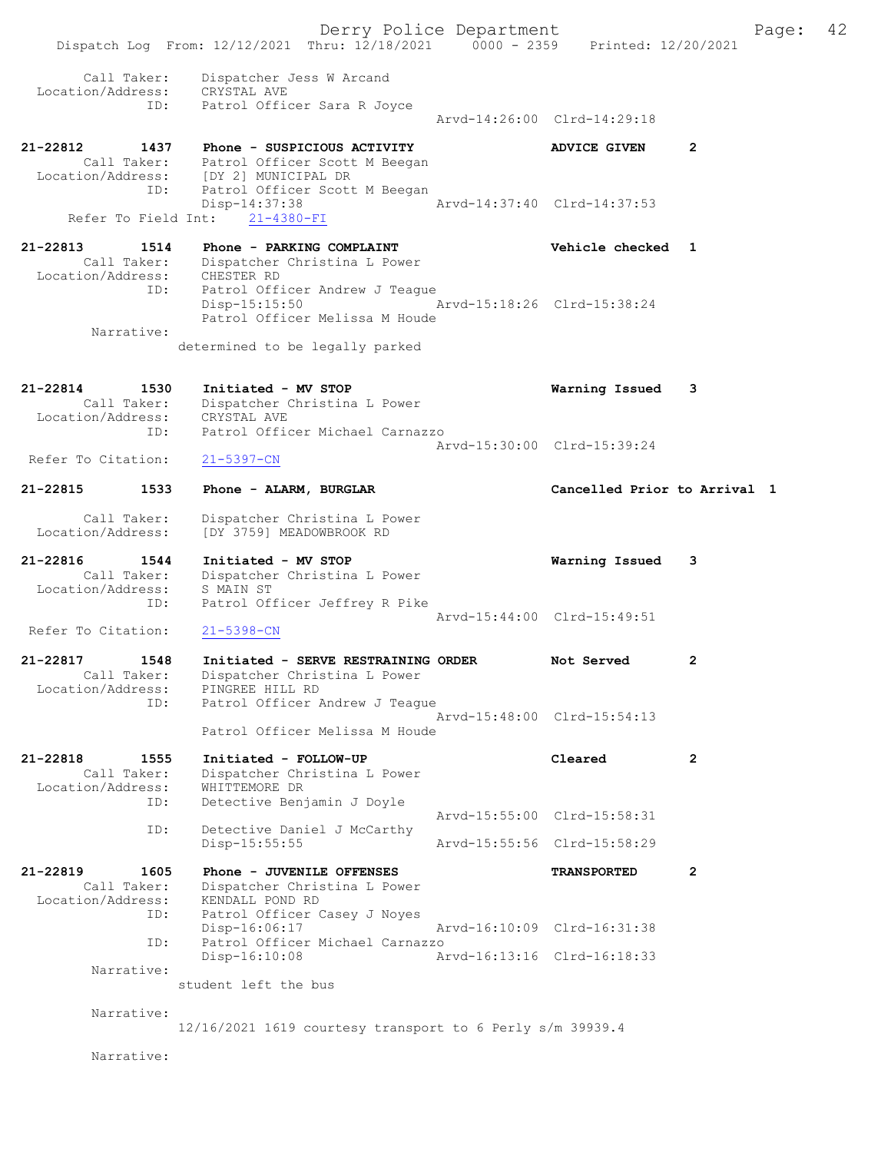Derry Police Department Fage: 42 Dispatch Log From: 12/12/2021 Thru: 12/18/2021 0000 - 2359 Printed: 12/20/2021 Call Taker: Dispatcher Jess W Arcand Location/Address: CRYSTAL AVE ID: Patrol Officer Sara R Joyce Arvd-14:26:00 Clrd-14:29:18 21-22812 1437 Phone - SUSPICIOUS ACTIVITY ADVICE GIVEN 2 Call Taker: Patrol Officer Scott M Beegan Location/Address: [DY 2] MUNICIPAL DR ess: [DI Z] MONICIPAL DK<br>ID: Patrol Officer Scott M Beegan<br>Disp-14:37:38 Disp-14:37:38 Arvd-14:37:40 Clrd-14:37:53 Refer To Field Int: 21-4380-FI 21-22813 1514 Phone - PARKING COMPLAINT Vehicle checked 1 Call Taker: Dispatcher Christina L Power Location/Address: CHESTER RD ID: Patrol Officer Andrew J Teague Disp-15:15:50 Arvd-15:18:26 Clrd-15:38:24 Patrol Officer Melissa M Houde Narrative: determined to be legally parked 21-22814 1530 Initiated - MV STOP Warning Issued 3 Call Taker: Dispatcher Christina L Power Location/Address: CRYSTAL AVE ID: Patrol Officer Michael Carnazzo Arvd-15:30:00 Clrd-15:39:24<br>21-5397-CN Refer To Citation: 21-22815 1533 Phone - ALARM, BURGLAR Cancelled Prior to Arrival 1 Call Taker: Dispatcher Christina L Power Location/Address: [DY 3759] MEADOWBROOK RD 21-22816 1544 Initiated - MV STOP Warning Issued 3 Call Taker: Dispatcher Christina L Power Location/Address: S MAIN ST ID: Patrol Officer Jeffrey R Pike Arvd-15:44:00 Clrd-15:49:51<br>21-5398-CN Refer To Citation: 21-22817 1548 Initiated - SERVE RESTRAINING ORDER Not Served 2 Call Taker: Dispatcher Christina L Power Location/Address: PINGREE HILL RD ID: Patrol Officer Andrew J Teague Arvd-15:48:00 Clrd-15:54:13 Patrol Officer Melissa M Houde 21-22818 1555 Initiated - FOLLOW-UP Cleared 2 Call Taker: Dispatcher Christina L Power Location/Address: WHITTEMORE DR ID: Detective Benjamin J Doyle Arvd-15:55:00 Clrd-15:58:31<br>ID: Detective Daniel J McCarthy Detective Daniel J McCarthy<br>Disp-15:55:55 Disp-15:55:55 Arvd-15:55:56 Clrd-15:58:29 21-22819 1605 Phone - JUVENILE OFFENSES TRANSPORTED 2 Call Taker: Dispatcher Christina L Power Location/Address: KENDALL POND RD<br>ID: Patrol Officer C Patrol Officer Casey J Noyes Disp-16:06:17 Arvd-16:10:09 Clrd-16:31:38 ID: Patrol Officer Michael Carnazzo Arvd-16:13:16 Clrd-16:18:33 Narrative: student left the bus Narrative: 12/16/2021 1619 courtesy transport to 6 Perly s/m 39939.4 Narrative: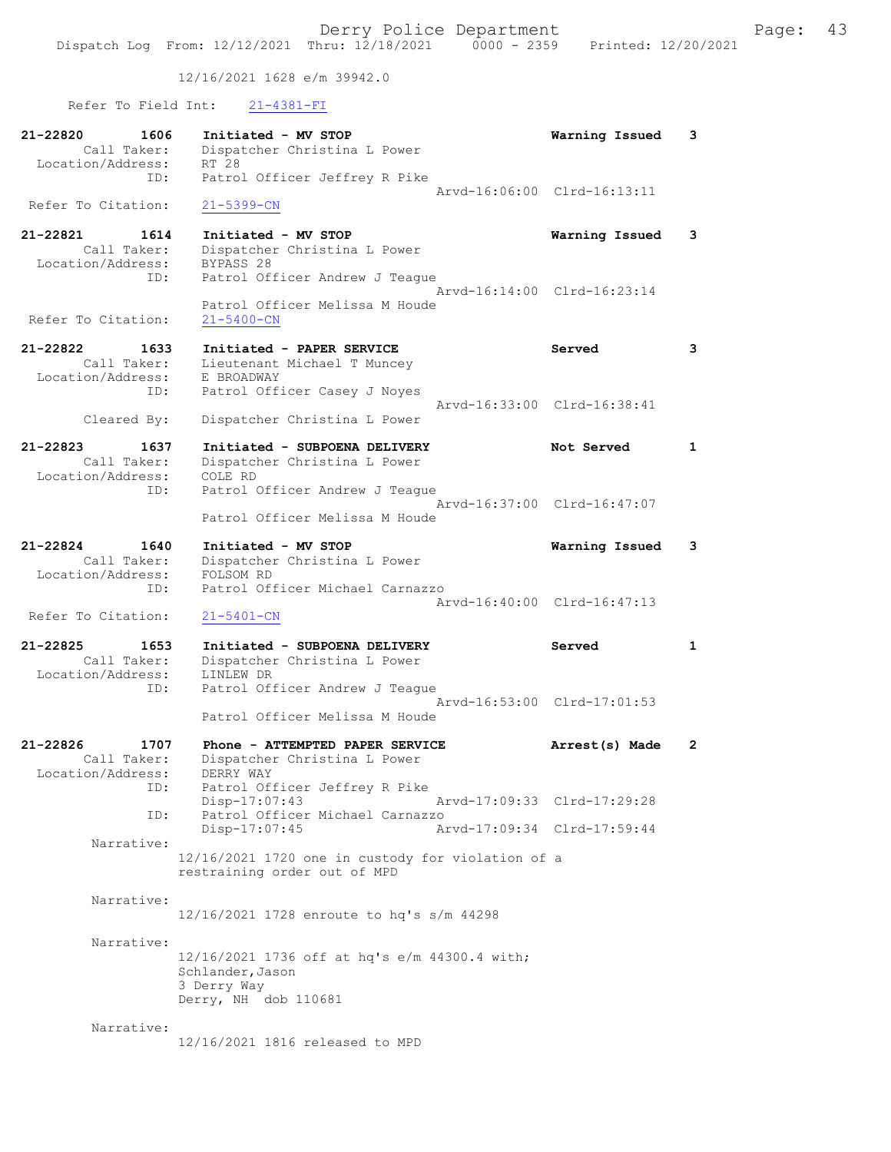12/16/2021 1628 e/m 39942.0

Refer To Field Int: 21-4381-FI

| 21-22820<br>1606<br>Call Taker:<br>Location/Address:        | Initiated - MV STOP<br>Dispatcher Christina L Power<br>RT 28                                                 | Warning Issued                                             | 3            |
|-------------------------------------------------------------|--------------------------------------------------------------------------------------------------------------|------------------------------------------------------------|--------------|
| ID:<br>Refer To Citation:                                   | Patrol Officer Jeffrey R Pike<br>$21 - 5399 - CN$                                                            | Arvd-16:06:00 Clrd-16:13:11                                |              |
| 21-22821<br>1614<br>Call Taker:<br>Location/Address:<br>ID: | Initiated - MV STOP<br>Dispatcher Christina L Power<br>BYPASS 28<br>Patrol Officer Andrew J Teaque           | Warning Issued                                             | 3            |
| Refer To Citation:                                          | Patrol Officer Melissa M Houde<br>$21 - 5400 - CN$                                                           | Arvd-16:14:00 Clrd-16:23:14                                |              |
| 21-22822<br>1633<br>Call Taker:<br>Location/Address:        | Initiated - PAPER SERVICE<br>Lieutenant Michael T Muncey<br>E BROADWAY                                       | Served                                                     | 3            |
| ID:<br>Cleared By:                                          | Patrol Officer Casey J Noyes<br>Dispatcher Christina L Power                                                 | Arvd-16:33:00 Clrd-16:38:41                                |              |
| 21-22823<br>1637<br>Call Taker:<br>Location/Address:        | Initiated - SUBPOENA DELIVERY<br>Dispatcher Christina L Power<br>COLE RD                                     | Not Served                                                 | $\mathbf 1$  |
| ID:                                                         | Patrol Officer Andrew J Teague<br>Patrol Officer Melissa M Houde                                             | Arvd-16:37:00 Clrd-16:47:07                                |              |
| 21-22824<br>1640<br>Call Taker:<br>Location/Address:        | Initiated - MV STOP<br>Dispatcher Christina L Power<br>FOLSOM RD                                             | Warning Issued                                             | 3            |
| ID:<br>Refer To Citation:                                   | Patrol Officer Michael Carnazzo<br>$21 - 5401 - CN$                                                          | Arvd-16:40:00 Clrd-16:47:13                                |              |
| 21-22825<br>1653<br>Call Taker:<br>Location/Address:<br>ID: | Initiated - SUBPOENA DELIVERY<br>Dispatcher Christina L Power<br>LINLEW DR<br>Patrol Officer Andrew J Teaque | Served                                                     | 1            |
|                                                             | Patrol Officer Melissa M Houde                                                                               | Arvd-16:53:00 Clrd-17:01:53                                |              |
| 21-22826<br>1707<br>Call Taker:<br>Location/Address:        | Phone - ATTEMPTED PAPER SERVICE<br>Dispatcher Christina L Power<br>DERRY WAY                                 | Arrest(s) Made                                             | $\mathbf{2}$ |
| ID:<br>ID:                                                  | Patrol Officer Jeffrey R Pike<br>Disp-17:07:43<br>Patrol Officer Michael Carnazzo<br>Disp-17:07:45           | Arvd-17:09:33 Clrd-17:29:28<br>Arvd-17:09:34 Clrd-17:59:44 |              |
| Narrative:                                                  | 12/16/2021 1720 one in custody for violation of a<br>restraining order out of MPD                            |                                                            |              |
| Narrative:                                                  | 12/16/2021 1728 enroute to hq's s/m 44298                                                                    |                                                            |              |
| Narrative:                                                  | 12/16/2021 1736 off at hq's e/m 44300.4 with;<br>Schlander, Jason<br>3 Derry Way<br>Derry, NH dob 110681     |                                                            |              |
| Narrative:                                                  | 12/16/2021 1816 released to MPD                                                                              |                                                            |              |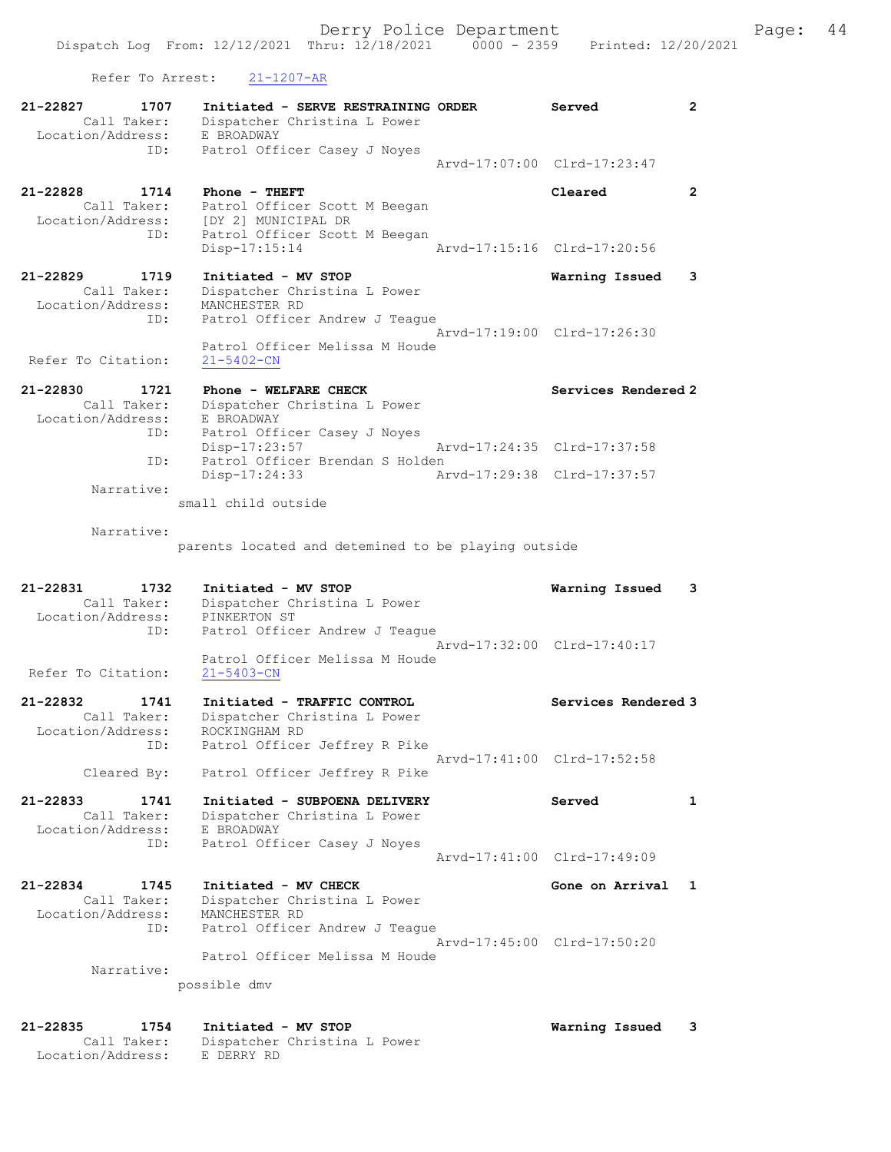Refer To Arrest: 21-1207-AR

Location/Address: E DERRY RD

| 21-22827<br>1707<br>Call Taker:<br>Location/Address:        | Initiated - SERVE RESTRAINING ORDER<br>Dispatcher Christina L Power<br>E BROADWAY                      | Served                      | 2                    |
|-------------------------------------------------------------|--------------------------------------------------------------------------------------------------------|-----------------------------|----------------------|
| ID:                                                         | Patrol Officer Casey J Noyes                                                                           | Arvd-17:07:00 Clrd-17:23:47 |                      |
| 21-22828<br>1714<br>Call Taker:<br>Location/Address:<br>ID: | Phone - THEFT<br>Patrol Officer Scott M Beegan<br>[DY 2] MUNICIPAL DR<br>Patrol Officer Scott M Beegan | Cleared                     | $\mathbf{2}^{\circ}$ |
|                                                             | $Disp-17:15:14$                                                                                        | Arvd-17:15:16 Clrd-17:20:56 |                      |
| 21-22829<br>1719<br>Call Taker:<br>Location/Address:<br>ID: | Initiated - MV STOP<br>Dispatcher Christina L Power<br>MANCHESTER RD<br>Patrol Officer Andrew J Teague | Warning Issued              | 3                    |
|                                                             | Patrol Officer Melissa M Houde                                                                         | Arvd-17:19:00 Clrd-17:26:30 |                      |
| Refer To Citation:                                          | $21 - 5402 - CN$                                                                                       |                             |                      |
| 21-22830<br>1721<br>Call Taker:<br>Location/Address:        | Phone - WELFARE CHECK<br>Dispatcher Christina L Power<br>E BROADWAY                                    | Services Rendered 2         |                      |
| ID:<br>ID:                                                  | Patrol Officer Casey J Noyes<br>$Disp-17:23:57$<br>Patrol Officer Brendan S Holden                     | Arvd-17:24:35 Clrd-17:37:58 |                      |
| Narrative:                                                  | Disp-17:24:33                                                                                          | Arvd-17:29:38 Clrd-17:37:57 |                      |
|                                                             | small child outside                                                                                    |                             |                      |
| Narrative:                                                  | parents located and detemined to be playing outside                                                    |                             |                      |
|                                                             |                                                                                                        |                             |                      |
| 21-22831<br>1732<br>Call Taker:                             | Initiated - MV STOP<br>Dispatcher Christina L Power                                                    | Warning Issued              | 3                    |
| Location/Address:<br>ID:                                    | PINKERTON ST<br>Patrol Officer Andrew J Teague                                                         | Arvd-17:32:00 Clrd-17:40:17 |                      |
| Refer To Citation:                                          | Patrol Officer Melissa M Houde<br>$21 - 5403 - CN$                                                     |                             |                      |
| 21-22832<br>1741<br>Call Taker:<br>Location/Address:        | Initiated - TRAFFIC CONTROL<br>Dispatcher Christina L Power<br>ROCKINGHAM RD                           | Services Rendered 3         |                      |
| ID:<br>Cleared By:                                          | Patrol Officer Jeffrey R Pike<br>Patrol Officer Jeffrey R Pike                                         | Arvd-17:41:00 Clrd-17:52:58 |                      |
| $21 - 22833$<br>1741                                        | Initiated - SUBPOENA DELIVERY                                                                          | Served                      | 1                    |
| Call Taker:<br>Location/Address:                            | Dispatcher Christina L Power<br>E BROADWAY                                                             |                             |                      |
| ID:                                                         | Patrol Officer Casey J Noyes                                                                           | Arvd-17:41:00 Clrd-17:49:09 |                      |
| 21-22834<br>1745<br>Call Taker:                             | Initiated - MV CHECK<br>Dispatcher Christina L Power                                                   | Gone on Arrival             | 1                    |
| Location/Address:<br>ID:                                    | MANCHESTER RD<br>Patrol Officer Andrew J Teaque                                                        | Arvd-17:45:00 Clrd-17:50:20 |                      |
| Narrative:                                                  | Patrol Officer Melissa M Houde                                                                         |                             |                      |
|                                                             | possible dmv                                                                                           |                             |                      |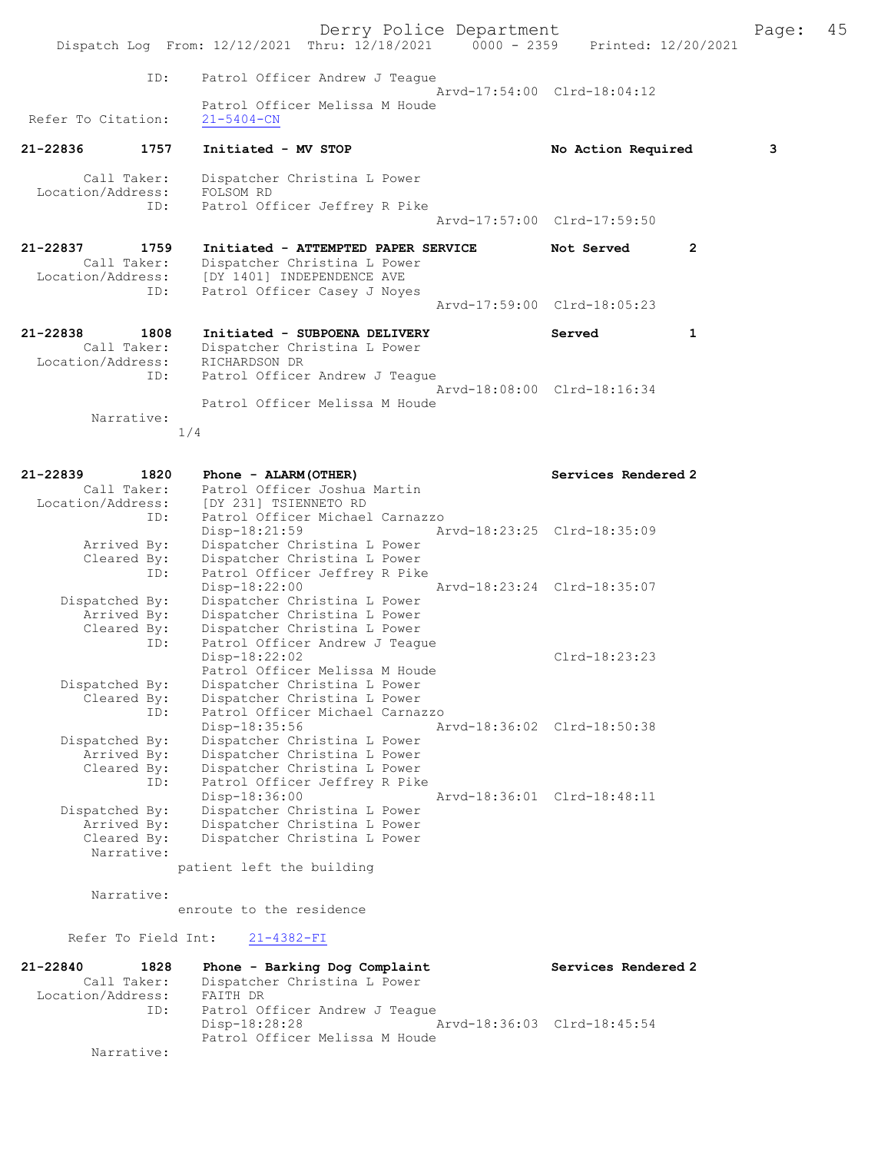|                                              |             | Dispatch Log From: 12/12/2021 Thru: 12/18/2021 0000 - 2359                                                                        | Derry Police Department     | Printed: 12/20/2021         |   | Page: | 45 |
|----------------------------------------------|-------------|-----------------------------------------------------------------------------------------------------------------------------------|-----------------------------|-----------------------------|---|-------|----|
|                                              | ID:         | Patrol Officer Andrew J Teague                                                                                                    |                             |                             |   |       |    |
| Refer To Citation:                           |             | Patrol Officer Melissa M Houde<br>$21 - 5404 - CN$                                                                                |                             | Arvd-17:54:00 Clrd-18:04:12 |   |       |    |
| 21-22836                                     | 1757        | Initiated - MV STOP                                                                                                               |                             | No Action Required          |   | 3     |    |
| Call Taker:<br>Location/Address:             | ID:         | Dispatcher Christina L Power<br>FOLSOM RD<br>Patrol Officer Jeffrey R Pike                                                        |                             |                             |   |       |    |
|                                              |             |                                                                                                                                   |                             | Arvd-17:57:00 Clrd-17:59:50 |   |       |    |
| 21-22837<br>Call Taker:<br>Location/Address: | 1759<br>ID: | Initiated - ATTEMPTED PAPER SERVICE<br>Dispatcher Christina L Power<br>[DY 1401] INDEPENDENCE AVE<br>Patrol Officer Casey J Noyes |                             | Not Served                  | 2 |       |    |
|                                              |             |                                                                                                                                   |                             | Arvd-17:59:00 Clrd-18:05:23 |   |       |    |
| 21-22838<br>Call Taker:<br>Location/Address: | 1808        | Initiated - SUBPOENA DELIVERY<br>Dispatcher Christina L Power<br>RICHARDSON DR                                                    |                             | Served                      | 1 |       |    |
|                                              | ID:         | Patrol Officer Andrew J Teague<br>Patrol Officer Melissa M Houde                                                                  |                             | Arvd-18:08:00 Clrd-18:16:34 |   |       |    |
| Narrative:                                   | 1/4         |                                                                                                                                   |                             |                             |   |       |    |
|                                              |             |                                                                                                                                   |                             |                             |   |       |    |
| 21-22839<br>Call Taker:<br>Location/Address: | 1820        | Phone - ALARM (OTHER)<br>Patrol Officer Joshua Martin<br>[DY 231] TSIENNETO RD                                                    |                             | Services Rendered 2         |   |       |    |
|                                              | ID:         | Patrol Officer Michael Carnazzo                                                                                                   |                             |                             |   |       |    |
| Arrived By:<br>Cleared By:                   |             | $Disp-18:21:59$<br>Dispatcher Christina L Power<br>Dispatcher Christina L Power                                                   | Arvd-18:23:25 Clrd-18:35:09 |                             |   |       |    |
|                                              | ID:         | Patrol Officer Jeffrey R Pike<br>Disp-18:22:00                                                                                    |                             | Arvd-18:23:24 Clrd-18:35:07 |   |       |    |
| Dispatched By:<br>Arrived By:<br>Cleared By: |             | Dispatcher Christina L Power<br>Dispatcher Christina L Power<br>Dispatcher Christina L Power                                      |                             |                             |   |       |    |
|                                              | ID:         | Patrol Officer Andrew J Teaque<br>Disp-18:22:02<br>Patrol Officer Melissa M Houde                                                 |                             | Clrd-18:23:23               |   |       |    |
| Dispatched By:<br>Cleared By:                | ID:         | Dispatcher Christina L Power<br>Dispatcher Christina L Power<br>Patrol Officer Michael Carnazzo                                   |                             |                             |   |       |    |
| Dispatched By:<br>Arrived By:                |             | Disp-18:35:56<br>Dispatcher Christina L Power<br>Dispatcher Christina L Power                                                     |                             | Aryd-18:36:02 Clrd-18:50:38 |   |       |    |
| Cleared By:                                  | ID:         | Dispatcher Christina L Power<br>Patrol Officer Jeffrey R Pike<br>Disp-18:36:00                                                    |                             | Aryd-18:36:01 Clrd-18:48:11 |   |       |    |
| Dispatched By:<br>Arrived By:                |             | Dispatcher Christina L Power<br>Dispatcher Christina L Power                                                                      |                             |                             |   |       |    |
| Cleared By:<br>Narrative:                    |             | Dispatcher Christina L Power<br>patient left the building                                                                         |                             |                             |   |       |    |
|                                              |             |                                                                                                                                   |                             |                             |   |       |    |

Narrative:

enroute to the residence

# Refer To Field Int:  $21-4382-FI$

| 21-22840          | 1828        | Phone - Barking Dog Complaint  | Services Rendered 2         |
|-------------------|-------------|--------------------------------|-----------------------------|
|                   | Call Taker: | Dispatcher Christina L Power   |                             |
| Location/Address: |             | FAITH DR                       |                             |
|                   | ID:         | Patrol Officer Andrew J Teaque |                             |
|                   |             | Disp-18:28:28                  | Arvd-18:36:03 Clrd-18:45:54 |
|                   |             | Patrol Officer Melissa M Houde |                             |
|                   | Narrative:  |                                |                             |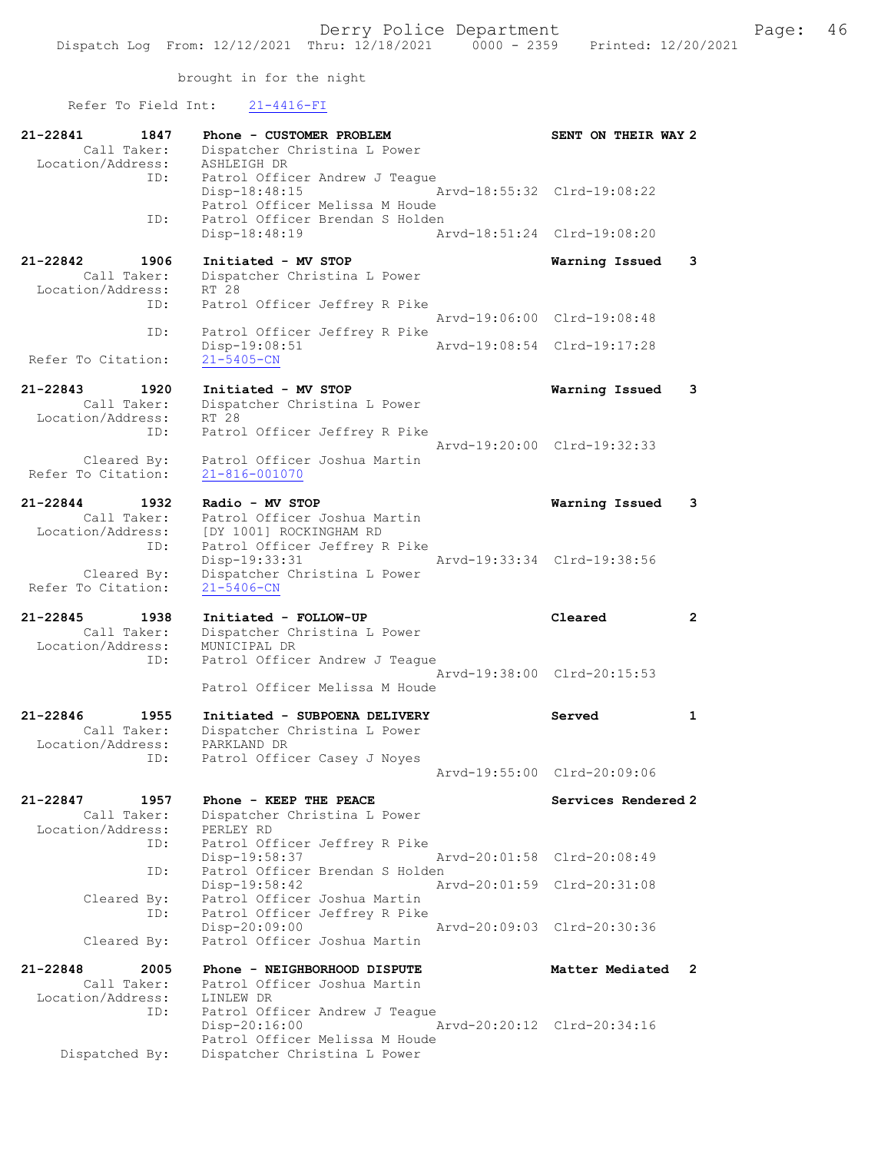# Refer To Field Int: 21-4416-FI

| 21-22841<br>1847<br>Call Taker:<br>Location/Address:            | Phone - CUSTOMER PROBLEM<br>Dispatcher Christina L Power<br>ASHLEIGH DR                                 | SENT ON THEIR WAY 2         |                      |
|-----------------------------------------------------------------|---------------------------------------------------------------------------------------------------------|-----------------------------|----------------------|
| ID:                                                             | Patrol Officer Andrew J Teague<br>Disp-18:48:15<br>Patrol Officer Melissa M Houde                       | Arvd-18:55:32 Clrd-19:08:22 |                      |
| ID:                                                             | Patrol Officer Brendan S Holden<br>Disp-18:48:19                                                        | Arvd-18:51:24 Clrd-19:08:20 |                      |
| 21-22842<br>1906<br>Call Taker:<br>Location/Address:            | Initiated - MV STOP<br>Dispatcher Christina L Power<br>RT 28                                            | Warning Issued              | 3                    |
| ID:                                                             | Patrol Officer Jeffrey R Pike                                                                           | Aryd-19:06:00 Clrd-19:08:48 |                      |
| ID:<br>Refer To Citation:                                       | Patrol Officer Jeffrey R Pike<br>Disp-19:08:51<br>$21 - 5405 - CN$                                      | Arvd-19:08:54 Clrd-19:17:28 |                      |
| 21-22843<br>1920<br>Call Taker:<br>Location/Address:            | Initiated - MV STOP<br>Dispatcher Christina L Power<br>RT 28                                            | Warning Issued              | 3                    |
| ID:<br>Cleared By:                                              | Patrol Officer Jeffrey R Pike<br>Patrol Officer Joshua Martin                                           | Arvd-19:20:00 Clrd-19:32:33 |                      |
| Refer To Citation:                                              | 21-816-001070                                                                                           |                             |                      |
| $21 - 22844$<br>1932<br>Call Taker:<br>Location/Address:        | Radio - MV STOP<br>Patrol Officer Joshua Martin<br>[DY 1001] ROCKINGHAM RD                              | Warning Issued              | 3                    |
| ID:<br>Cleared By:                                              | Patrol Officer Jeffrey R Pike<br>Disp-19:33:31<br>Dispatcher Christina L Power                          | Arvd-19:33:34 Clrd-19:38:56 |                      |
| Refer To Citation:                                              | 21-5406-CN                                                                                              |                             |                      |
|                                                                 |                                                                                                         |                             |                      |
| 21-22845<br>1938<br>Call Taker:<br>Location/Address:<br>ID:     | Initiated - FOLLOW-UP<br>Dispatcher Christina L Power<br>MUNICIPAL DR<br>Patrol Officer Andrew J Teague | Cleared                     | $\mathbf{2}^{\circ}$ |
|                                                                 | Patrol Officer Melissa M Houde                                                                          | Arvd-19:38:00 Clrd-20:15:53 |                      |
| $21 - 22846$<br>1955<br>Call Taker:<br>Location/Address:<br>ID: | Initiated - SUBPOENA DELIVERY<br>Dispatcher Christina L Power<br>PARKLAND DR                            | Served                      | $\mathbf{1}$         |
|                                                                 | Patrol Officer Casey J Noyes                                                                            | Arvd-19:55:00 Clrd-20:09:06 |                      |
| 1957<br>21-22847<br>Call Taker:<br>Location/Address:            | Phone - KEEP THE PEACE<br>Dispatcher Christina L Power<br>PERLEY RD                                     | Services Rendered 2         |                      |
| ID:<br>ID:                                                      | Patrol Officer Jeffrey R Pike<br>Disp-19:58:37<br>Patrol Officer Brendan S Holden                       | Arvd-20:01:58 Clrd-20:08:49 |                      |
| Cleared By:                                                     | Disp-19:58:42<br>Patrol Officer Joshua Martin                                                           | Arvd-20:01:59 Clrd-20:31:08 |                      |
| ID:<br>Cleared By:                                              | Patrol Officer Jeffrey R Pike<br>Disp-20:09:00<br>Patrol Officer Joshua Martin                          | Arvd-20:09:03 Clrd-20:30:36 |                      |
| 21-22848<br>2005                                                | Phone - NEIGHBORHOOD DISPUTE                                                                            | Matter Mediated             | $\overline{2}$       |
| Call Taker:<br>Location/Address:<br>ID:                         | Patrol Officer Joshua Martin<br>LINLEW DR<br>Patrol Officer Andrew J Teague<br>Disp-20:16:00            | Arvd-20:20:12 Clrd-20:34:16 |                      |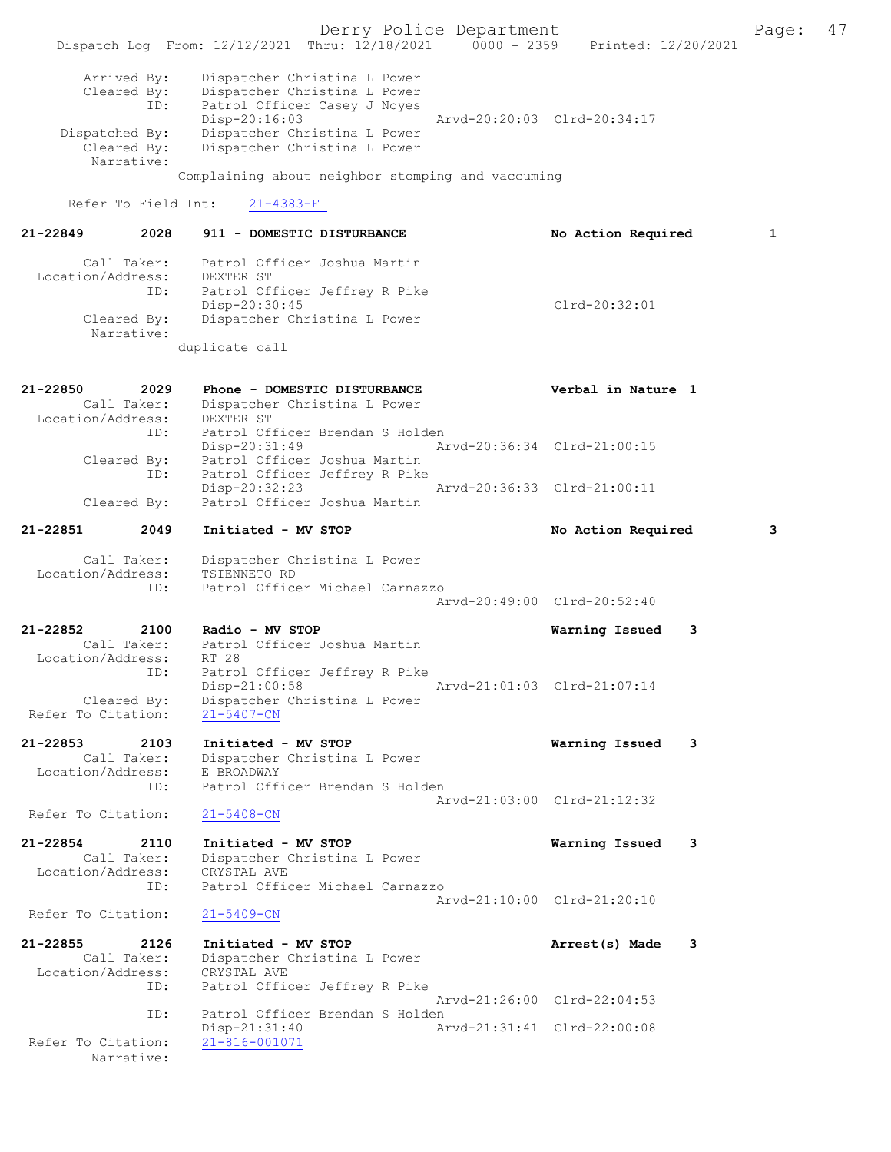Derry Police Department Fage: 47 Dispatch Log From: 12/12/2021 Thru: 12/18/2021 0000 - 2359 Printed: 12/20/2021 Arrived By: Dispatcher Christina L Power Cleared By: Dispatcher Christina L Power ID: Patrol Officer Casey J Noyes Disp-20:16:03 Arvd-20:20:03 Clrd-20:34:17 Dispatched By: Dispatcher Christina L Power<br>Cleared By: Dispatcher Christina L Power Dispatcher Christina L Power Narrative: Complaining about neighbor stomping and vaccuming Refer To Field Int: 21-4383-FI 21-22849 2028 911 - DOMESTIC DISTURBANCE No Action Required 1 Call Taker: Patrol Officer Joshua Martin Location/Address: DEXTER ST ID: Patrol Officer Jeffrey R Pike Disp-20:30:45 Clrd-20:32:01 Cleared By: Dispatcher Christina L Power Narrative: duplicate call 21-22850 2029 Phone - DOMESTIC DISTURBANCE Verbal in Nature 1 Call Taker: Dispatcher Christina L Power Location/Address: DEXTER ST ID: Patrol Officer Brendan S Holden Disp-20:31:49 Arvd-20:36:34 Clrd-21:00:15 Cleared By: Patrol Officer Joshua Martin ID: Patrol Officer Jeffrey R Pike Disp-20:32:23 Arvd-20:36:33 Clrd-21:00:11<br>Cleared By: Patrol Officer Joshua Martin Patrol Officer Joshua Martin 21-22851 2049 Initiated - MV STOP No Action Required 3 Call Taker: Dispatcher Christina L Power Location/Address: TSIENNETO RD ID: Patrol Officer Michael Carnazzo Arvd-20:49:00 Clrd-20:52:40 21-22852 2100 Radio - MV STOP Warning Issued 3 Call Taker: Patrol Officer Joshua Martin Location/Address: RT 28 ID: Patrol Officer Jeffrey R Pike Disp-21:00:58 Arvd-21:01:03 Clrd-21:07:14 Cleared By: Dispatcher Christina L Power Refer To Citation: 21-5407-CN 21-22853 2103 Initiated - MV STOP Warning Issued 3 Call Taker: Dispatcher Christina L Power Location/Address: E BROADWAY ID: Patrol Officer Brendan S Holden Arvd-21:03:00 Clrd-21:12:32 Refer To Citation: 21-22854 2110 Initiated - MV STOP Warning Issued 3 Call Taker: Dispatcher Christina L Power Location/Address: CRYSTAL AVE ID: Patrol Officer Michael Carnazzo Arvd-21:10:00 Clrd-21:20:10 Refer To Citation: 21-5409-CN 21-22855 2126 Initiated - MV STOP **Arrest(s)** Made 3 Call Taker: Dispatcher Christina L Power Location/Address: CRYSTAL AVE ID: Patrol Officer Jeffrey R Pike Arvd-21:26:00 Clrd-22:04:53<br>ID: Patrol Officer Brendan S Holden Patrol Officer Brendan S Holden Disp-21:31:40 Arvd-21:31:41 Clrd-22:00:08 Refer To Citation:

Narrative: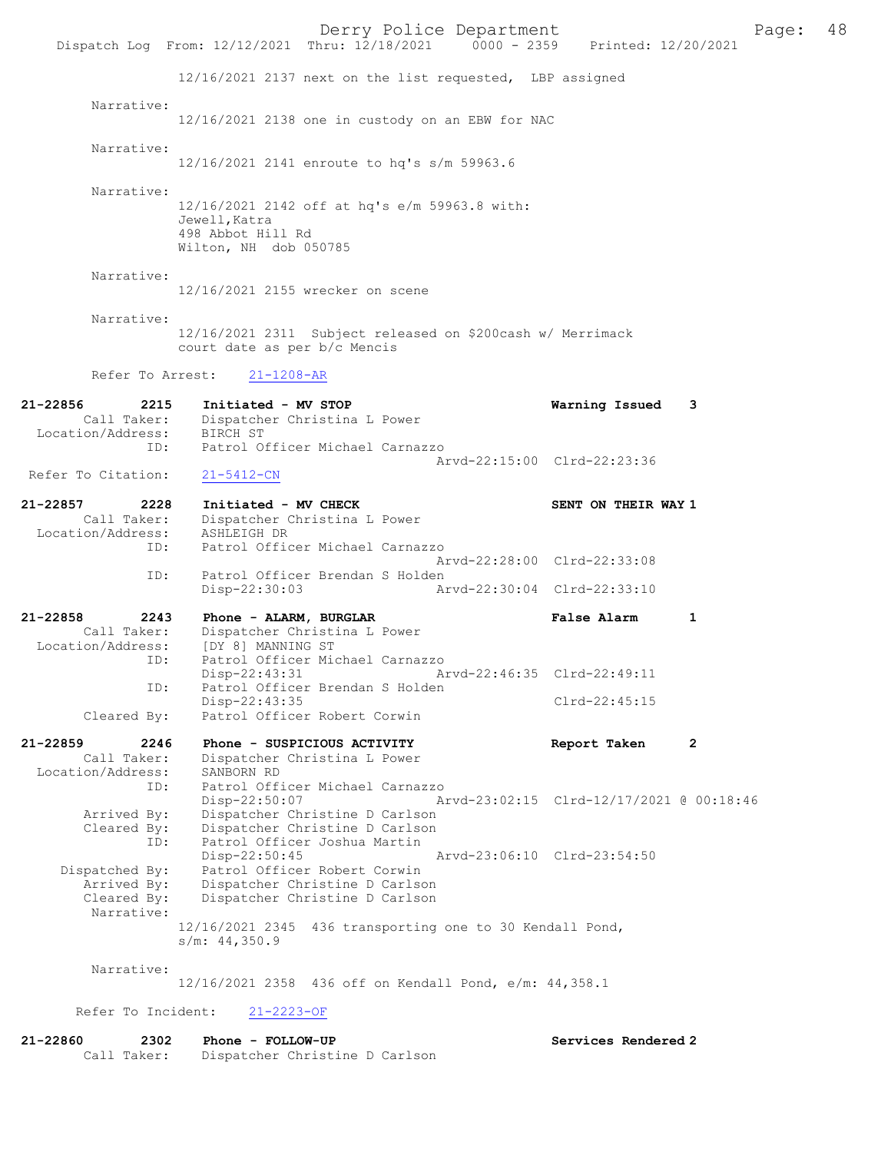Derry Police Department<br>
Page: 48<br>
Printed: 12/20/2021<br>
Printed: 12/20/2021 Dispatch Log From: 12/12/2021 Thru: 12/18/2021 12/16/2021 2137 next on the list requested, LBP assigned Narrative: 12/16/2021 2138 one in custody on an EBW for NAC Narrative: 12/16/2021 2141 enroute to hq's s/m 59963.6 Narrative: 12/16/2021 2142 off at hq's e/m 59963.8 with: Jewell,Katra 498 Abbot Hill Rd Wilton, NH dob 050785 Narrative: 12/16/2021 2155 wrecker on scene Narrative: 12/16/2021 2311 Subject released on \$200cash w/ Merrimack court date as per b/c Mencis Refer To Arrest: 21-1208-AR 21-22856 2215 Initiated - MV STOP Warning Issued 3 Call Taker: Dispatcher Christina L Power Location/Address: BIRCH ST ID: Patrol Officer Michael Carnazzo Arvd-22:15:00 Clrd-22:23:36<br>21-5412-CN Refer To Citation: 21-22857 2228 Initiated - MV CHECK SENT ON THEIR WAY 1 Call Taker: Dispatcher Christina L Power Location/Address: ASHLEIGH DR<br>TD: Patrol Offic Patrol Officer Michael Carnazzo Arvd-22:28:00 Clrd-22:33:08 ID: Patrol Officer Brendan S Holden<br>Disp-22:30:03 Ar Disp-22:30:03 Arvd-22:30:04 Clrd-22:33:10 21-22858 2243 Phone - ALARM, BURGLAR False Alarm 1 Call Taker: Dispatcher Christina L Power<br>ion/Address: [DY 8] MANNING ST Location/Address: ID: Patrol Officer Michael Carnazzo Disp-22:43:31 Arvd-22:46:35 Clrd-22:49:11<br>TD: Patrol Officer Brendan S Holden Patrol Officer Brendan S Holden Disp-22:43:35 Cleared By: Patrol Officer Robert Corwin Patrol Officer Robert Corwin 21-22859 2246 Phone - SUSPICIOUS ACTIVITY Report Taken 2 Call Taker: Dispatcher Christina L Power Location/Address: SANBORN RD ID: Patrol Officer Michael Carnazzo Disp-22:50:07 Arvd-23:02:15 Clrd-12/17/2021 @ 00:18:46 Arrived By: Dispatcher Christine D Carlson Cleared By: Dispatcher Christine D Carlson ID: Patrol Officer Joshua Martin<br>Disp-22:50:45 Disp-22:50:45 Arvd-23:06:10 Clrd-23:54:50<br>Dispatched By: Patrol Officer Robert Corwin patched By: Patrol Officer Robert Corwin<br>Arrived By: Dispatcher Christine D Carlso Arrived By: Dispatcher Christine D Carlson Cleared By: Dispatcher Christine D Carlson Narrative: 12/16/2021 2345 436 transporting one to 30 Kendall Pond, s/m: 44,350.9 Narrative: 12/16/2021 2358 436 off on Kendall Pond, e/m: 44,358.1

Services Rendered 2

Refer To Incident: 21-2223-OF

| 21-22860 | 2302        | Phone - FOLLOW-UP              |
|----------|-------------|--------------------------------|
|          | Call Taker: | Dispatcher Christine D Carlson |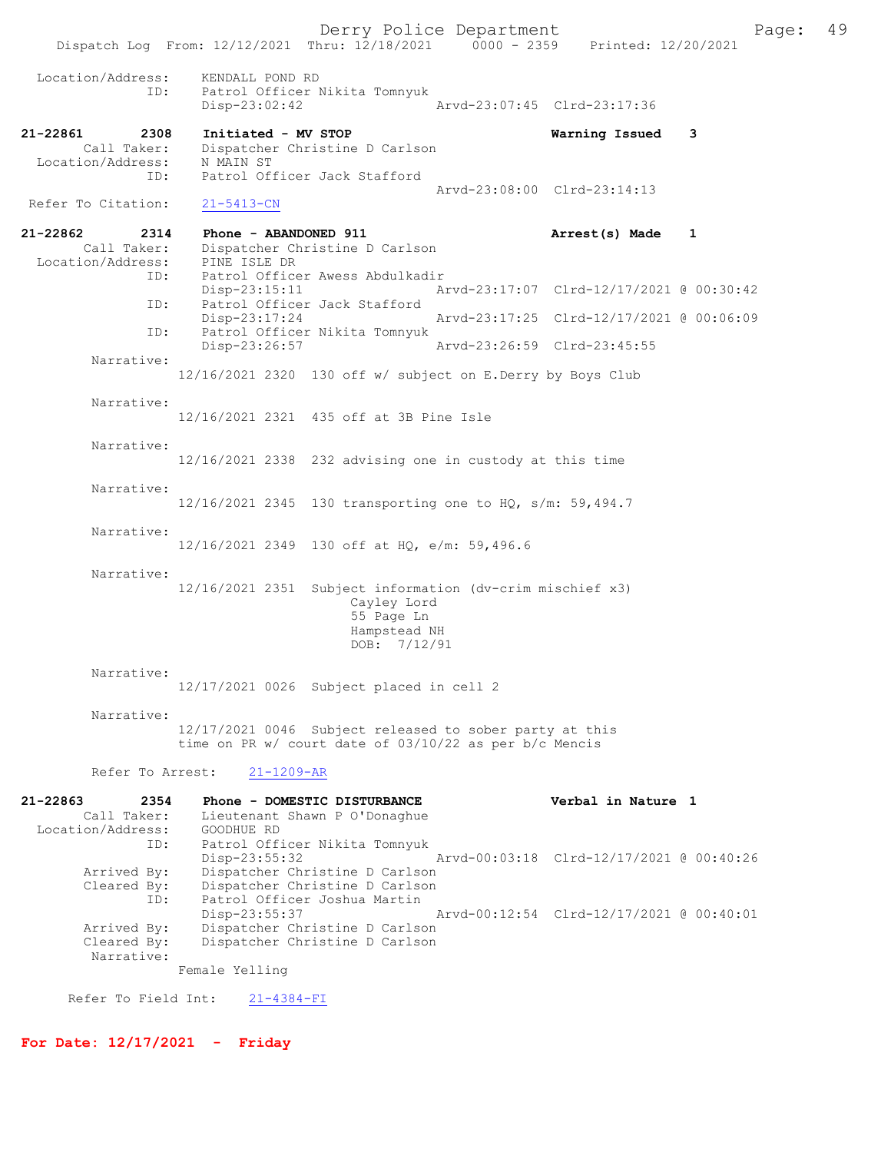Derry Police Department The Page: 49 Dispatch Log From: 12/12/2021 Thru: 12/18/2021 0000 - 2359 Printed: 12/20/2021 Location/Address: KENDALL POND RD ID: Patrol Officer Nikita Tomnyuk Disp-23:02:42 Arvd-23:07:45 Clrd-23:17:36 21-22861 2308 Initiated - MV STOP Warning Issued 3 Call Taker: Dispatcher Christine D Carlson Location/Address: N MAIN ST Call Taker: Urbyaconor Sharpsons:<br>
Location/Address: N MAIN ST<br>
ID: Patrol Officer Jack Stafford Arvd-23:08:00 Clrd-23:14:13 Refer To Citation: 21-5413-CN 21-22862 2314 Phone - ABANDONED 911 Arrest(s) Made 1 Call Taker: Dispatcher Christine D Carlson<br>ion/Address: PINE ISLE DR Location/Address: ID: Patrol Officer Awess Abdulkadir Disp-23:15:11 Arvd-23:17:07 Clrd-12/17/2021 @ 00:30:42<br>ID: Patrol Officer Jack Stafford Patrol Officer Jack Stafford<br>Disp-23:17:24 Disp-23:17:24 Arvd-23:17:25 Clrd-12/17/2021 @ 00:06:09<br>ID: Patrol Officer Nikita Tomnyuk Patrol Officer Nikita Tomnyuk<br>Disp-23:26:57 Disp-23:26:57 Arvd-23:26:59 Clrd-23:45:55 Narrative: 12/16/2021 2320 130 off w/ subject on E.Derry by Boys Club Narrative: 12/16/2021 2321 435 off at 3B Pine Isle Narrative: 12/16/2021 2338 232 advising one in custody at this time Narrative: 12/16/2021 2345 130 transporting one to HQ, s/m: 59,494.7 Narrative: 12/16/2021 2349 130 off at HQ, e/m: 59,496.6 Narrative: 12/16/2021 2351 Subject information (dv-crim mischief x3) Cayley Lord 55 Page Ln Hampstead NH DOB: 7/12/91 Narrative: 12/17/2021 0026 Subject placed in cell 2 Narrative: 12/17/2021 0046 Subject released to sober party at this time on PR w/ court date of 03/10/22 as per b/c Mencis Refer To Arrest: 21-1209-AR 21-22863 2354 Phone - DOMESTIC DISTURBANCE Verbal in Nature 1 Call Taker: Lieutenant Shawn P O'Donaghue Location/Address: GOODHUE RD ID: Patrol Officer Nikita Tomnyuk Disp-23:55:32 Arvd-00:03:18 Clrd-12/17/2021 @ 00:40:26<br>Arrived By: Dispatcher Christine D Carlson Dispatcher Christine D Carlson Cleared By: Dispatcher Christine D Carlson ID: Patrol Officer Joshua Martin Disp-23:55:37 Arvd-00:12:54 Clrd-12/17/2021 @ 00:40:01<br>Arrived By: Dispatcher Christine D Carlson Arrived By: Dispatcher Christine D Carlson<br>Cleared By: Dispatcher Christine D Carlson Dispatcher Christine D Carlson Narrative: Female Yelling Refer To Field Int: 21-4384-FI

For Date: 12/17/2021 - Friday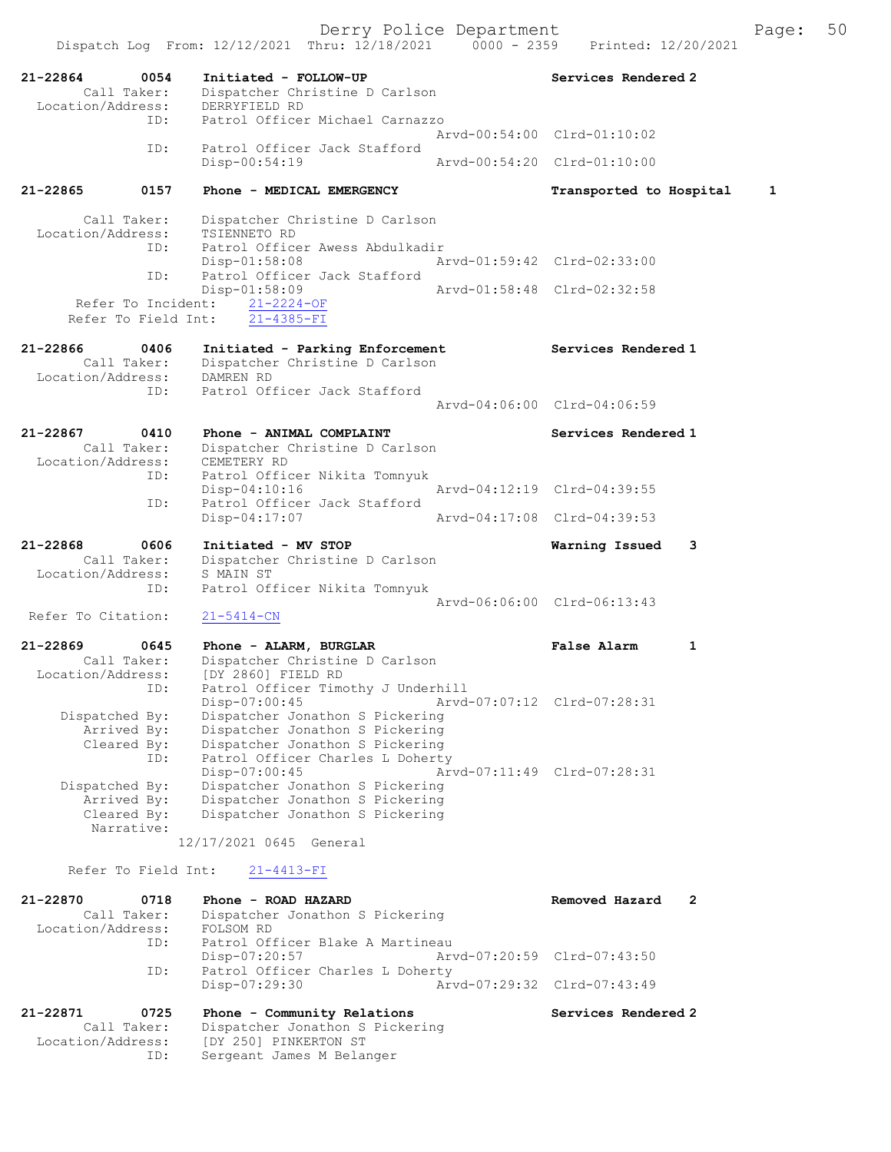Dispatch Log From: 12/12/2021 Thru: 12/18/2021 0000 - 2359 Printed: 12/20/2021 21-22864 0054 Initiated - FOLLOW-UP Services Rendered 2 Call Taker: Dispatcher Christine D Carlson -22864<br>Call Taker: Dispatener Call Taker: DERRYFIELD RD<br>Location/Address: DERRYFIELD RD ID: Patrol Officer Michael Carnazzo Arvd-00:54:00 Clrd-01:10:02 ID: Patrol Officer Jack Stafford<br>Disp-00:54:19 Disp-00:54:19 Arvd-00:54:20 Clrd-01:10:00 21-22865 0157 Phone - MEDICAL EMERGENCY Transported to Hospital 1

 Call Taker: Dispatcher Christine D Carlson Location/Address: TSIENNETO RD ID: Patrol Officer Awess Abdulkadir Disp-01:58:08 Arvd-01:59:42 Clrd-02:33:00 ID: Patrol Officer Jack Stafford Disp-01:58:09 Arvd-01:58:48 Clrd-02:32:58 Refer To Incident:  $\frac{21-2224-OF}{21-4385-FI}$ Refer To Field Int:

#### 21-22866 0406 Initiated - Parking Enforcement Services Rendered 1 Call Taker: Dispatcher Christine D Carlson Location/Address: DAMREN RD ID: Patrol Officer Jack Stafford Arvd-04:06:00 Clrd-04:06:59

# 21-22867 0410 Phone - ANIMAL COMPLAINT Services Rendered 1 Call Taker: Dispatcher Christine D Carlson Location/Address: CEMETERY RD ID: Patrol Officer Nikita Tomnyuk Disp-04:10:16 <br>
Disp-04:10:16 <br>
Disp-04:10:16 <br>
Disp-04:10:16 <br>
Disp-04:10:16 <br>
Disp-04:10:16 <br>
Disp-04:10:16 <br>
Displaces Jack Stafford Patrol Officer Jack Stafford<br>Disp-04:17:07 Disp-04:17:07 Arvd-04:17:08 Clrd-04:39:53 21-22868 0606 Initiated - MV STOP Warning Issued 3

### Call Taker: Dispatcher Christine D Carlson Location/Address: S MAIN ST ID: Patrol Officer Nikita Tomnyuk Arvd-06:06:00 Clrd-06:13:43<br>
21-5414-CN Refer To Citation:

21-22869 0645 Phone - ALARM, BURGLAR False Alarm 1 Call Taker: Dispatcher Christine D Carlson Location/Address: [DY 2860] FIELD RD ID: Patrol Officer Timothy J Underhill Disp-07:00:45 Arvd-07:07:12 Clrd-07:28:31 Dispatched By: Dispatcher Jonathon S Pickering Arrived By: Dispatcher Jonathon S Pickering Cleared By: Dispatcher Jonathon S Pickering ID: Patrol Officer Charles L Doherty Disp-07:00:45 Arvd-07:11:49 Clrd-07:28:31 Dispatched By: Dispatcher Jonathon S Pickering Arrived By: Dispatcher Jonathon S Pickering<br>Cleared By: Dispatcher Jonathon S Pickering Dispatcher Jonathon S Pickering Narrative: 12/17/2021 0645 General

Refer To Field Int: 21-4413-FI

| 21-22870          | 0718        | Phone - ROAD HAZARD              | Removed Hazard              | $\overline{2}$ |
|-------------------|-------------|----------------------------------|-----------------------------|----------------|
|                   | Call Taker: | Dispatcher Jonathon S Pickering  |                             |                |
| Location/Address: |             | FOLSOM RD                        |                             |                |
|                   | ID:         | Patrol Officer Blake A Martineau |                             |                |
|                   |             | Disp-07:20:57                    | Arvd-07:20:59 Clrd-07:43:50 |                |
|                   | ID:         | Patrol Officer Charles L Doherty |                             |                |
|                   |             | Disp-07:29:30                    | Arvd-07:29:32 Clrd-07:43:49 |                |
| 21-22871          | 0725        | Phone - Community Relations      | Services Rendered 2         |                |
|                   | Call Taker: | Dispatcher Jonathon S Pickering  |                             |                |

# Location/Address: [DY 250] PINKERTON ST ID: Sergeant James M Belanger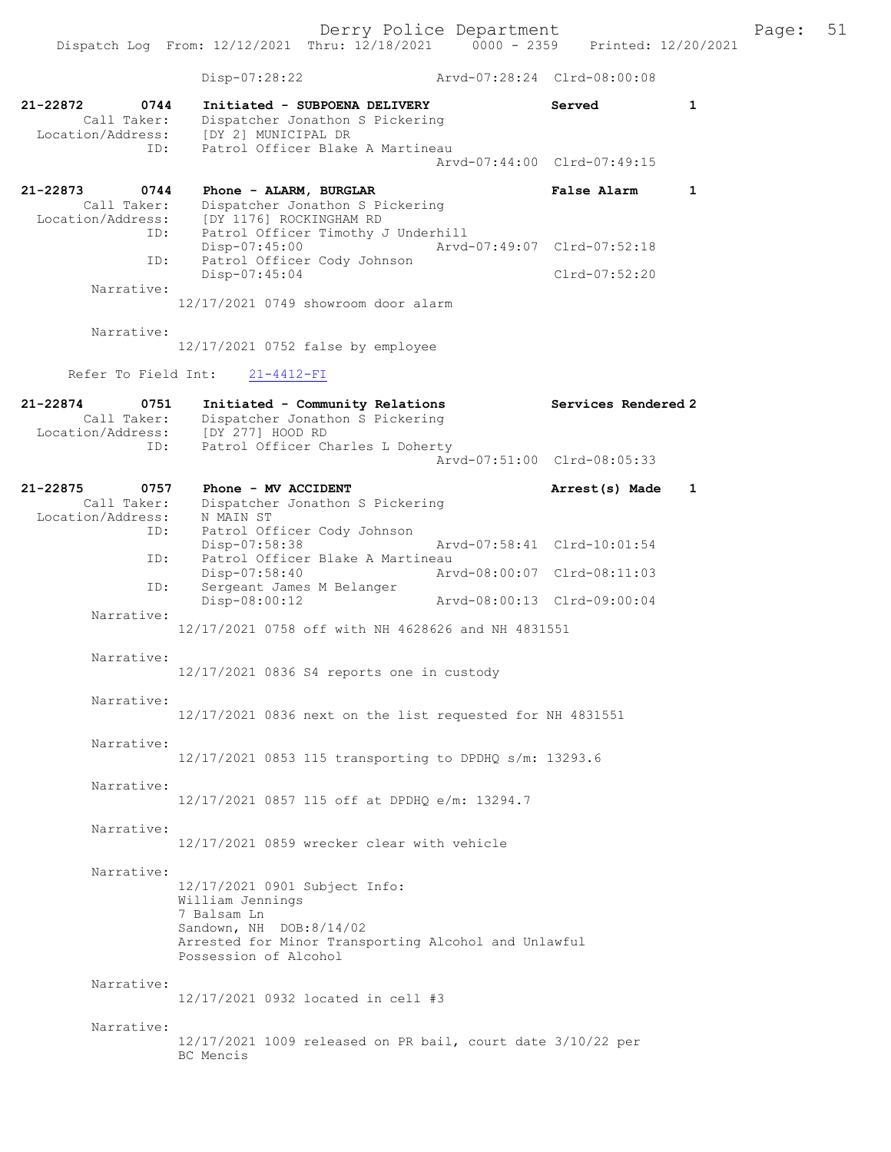|                                                             | Dispatch Log From: 12/12/2021 Thru: 12/18/2021                                                                                                                               | $0000 - 2359$ | Printed: 12/20/2021                                        |              |
|-------------------------------------------------------------|------------------------------------------------------------------------------------------------------------------------------------------------------------------------------|---------------|------------------------------------------------------------|--------------|
|                                                             | Disp-07:28:22                                                                                                                                                                |               | Arvd-07:28:24 Clrd-08:00:08                                |              |
| 21-22872<br>0744<br>Call Taker:<br>ID:                      | Initiated - SUBPOENA DELIVERY<br>Dispatcher Jonathon S Pickering<br>Location/Address: [DY 2] MUNICIPAL DR<br>Patrol Officer Blake A Martineau                                |               | Served<br>Arvd-07:44:00 Clrd-07:49:15                      | $\mathbf{1}$ |
| 21-22873<br>0744                                            | Phone - ALARM, BURGLAR                                                                                                                                                       |               | False Alarm                                                | $\mathbf{1}$ |
| Call Taker:<br>Location/Address:<br>ID:<br>ID:              | Dispatcher Jonathon S Pickering<br>[DY 1176] ROCKINGHAM RD<br>Patrol Officer Timothy J Underhill<br>Disp-07:45:00<br>Patrol Officer Cody Johnson<br>Disp-07:45:04            |               | Arvd-07:49:07 Clrd-07:52:18<br>$Clrd-07:52:20$             |              |
| Narrative:                                                  | 12/17/2021 0749 showroom door alarm                                                                                                                                          |               |                                                            |              |
| Narrative:                                                  | 12/17/2021 0752 false by employee                                                                                                                                            |               |                                                            |              |
| Refer To Field Int:                                         | $21 - 4412 - FI$                                                                                                                                                             |               |                                                            |              |
| 21-22874<br>0751<br>Call Taker:<br>Location/Address:        | Initiated - Community Relations<br>Dispatcher Jonathon S Pickering<br>[DY 277] HOOD RD                                                                                       |               | Services Rendered 2                                        |              |
| ID:                                                         | Patrol Officer Charles L Doherty                                                                                                                                             |               | Arvd-07:51:00 Clrd-08:05:33                                |              |
| 21-22875<br>0757<br>Call Taker:<br>Location/Address:<br>ID: | Phone - MV ACCIDENT<br>Dispatcher Jonathon S Pickering<br>N MAIN ST<br>Patrol Officer Cody Johnson                                                                           |               | Arrest(s) Made                                             | 1            |
| ID:                                                         | Disp-07:58:38<br>Patrol Officer Blake A Martineau<br>Disp-07:58:40                                                                                                           |               | Arvd-07:58:41 Clrd-10:01:54<br>Arvd-08:00:07 Clrd-08:11:03 |              |
| ID:                                                         | Sergeant James M Belanger<br>Disp-08:00:12                                                                                                                                   |               | Arvd-08:00:13 Clrd-09:00:04                                |              |
| Narrative:                                                  | 12/17/2021 0758 off with NH 4628626 and NH 4831551                                                                                                                           |               |                                                            |              |
| Narrative:                                                  | 12/17/2021 0836 S4 reports one in custody                                                                                                                                    |               |                                                            |              |
| Narrative:                                                  | 12/17/2021 0836 next on the list requested for NH 4831551                                                                                                                    |               |                                                            |              |
| Narrative:                                                  | 12/17/2021 0853 115 transporting to DPDHQ s/m: 13293.6                                                                                                                       |               |                                                            |              |
| Narrative:                                                  | 12/17/2021 0857 115 off at DPDHQ e/m: 13294.7                                                                                                                                |               |                                                            |              |
| Narrative:                                                  | 12/17/2021 0859 wrecker clear with vehicle                                                                                                                                   |               |                                                            |              |
| Narrative:                                                  | 12/17/2021 0901 Subject Info:<br>William Jennings<br>7 Balsam Ln<br>Sandown, NH DOB:8/14/02<br>Arrested for Minor Transporting Alcohol and Unlawful<br>Possession of Alcohol |               |                                                            |              |
| Narrative:                                                  | 12/17/2021 0932 located in cell #3                                                                                                                                           |               |                                                            |              |
| Narrative:                                                  | 12/17/2021 1009 released on PR bail, court date 3/10/22 per<br>BC Mencis                                                                                                     |               |                                                            |              |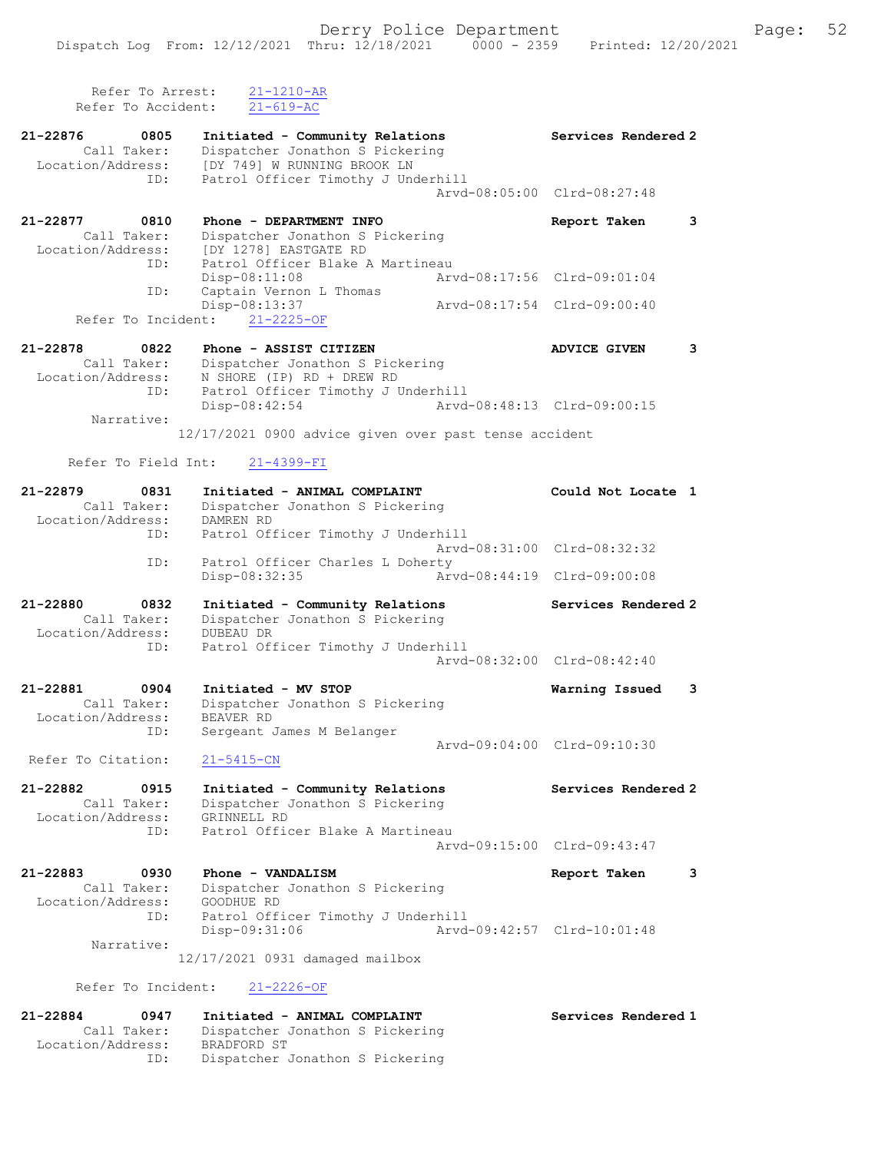Refer To Arrest: 21-1210-AR Refer To Accident: 21-619-AC 21-22876 0805 Initiated - Community Relations Services Rendered 2 Call Taker: Dispatcher Jonathon S Pickering Location/Address: [DY 749] W RUNNING BROOK LN ID: Patrol Officer Timothy J Underhill Arvd-08:05:00 Clrd-08:27:48 21-22877 0810 Phone - DEPARTMENT INFO Report Taken 3 Call Taker: Dispatcher Jonathon S Pickering Location/Address: [DY 1278] EASTGATE RD ID: Patrol Officer Blake A Martineau<br>Disp-08:11:08 Arw Disp-08:11:08 Arvd-08:17:56 Clrd-09:01:04<br>ID: Captain Vernon L Thomas Captain Vernon L Thomas<br>Disp-08:13:37 L Thomas<br>Arvd-08:17:54 Clrd-09:00:40 Refer To Incident: 21-2225-OF 21-22878 0822 Phone - ASSIST CITIZEN ADVICE GIVEN 3 Call Taker: Dispatcher Jonathon S Pickering Location/Address: N SHORE (IP) RD + DREW RD ID: Patrol Officer Timothy J Underhill Disp-08:42:54 Arvd-08:48:13 Clrd-09:00:15 Narrative: 12/17/2021 0900 advice given over past tense accident Refer To Field Int: 21-4399-FI 21-22879 0831 Initiated - ANIMAL COMPLAINT Could Not Locate 1 Call Taker: Dispatcher Jonathon S Pickering Location/Address: DAMREN RD ID: Patrol Officer Timothy J Underhill Arvd-08:31:00 Clrd-08:32:32 ID: Patrol Officer Charles L Doherty<br>Disp-08:32:35 Art Disp-08:32:35 Arvd-08:44:19 Clrd-09:00:08 21-22880 0832 Initiated - Community Relations Services Rendered 2 Call Taker: Dispatcher Jonathon S Pickering Location/Address: DUBEAU DR ID: Patrol Officer Timothy J Underhill Arvd-08:32:00 Clrd-08:42:40 21-22881 0904 Initiated - MV STOP Warning Issued 3 Call Taker: Dispatcher Jonathon S Pickering Location/Address: BEAVER RD ID: Sergeant James M Belanger Arvd-09:04:00 Clrd-09:10:30 Refer To Citation: 21-5415-CN 21-22882 0915 Initiated - Community Relations Services Rendered 2 Call Taker: Dispatcher Jonathon S Pickering Location/Address: GRINNELL RD ID: Patrol Officer Blake A Martineau Arvd-09:15:00 Clrd-09:43:47 21-22883 0930 Phone - VANDALISM Report Taken 3 Call Taker: Dispatcher Jonathon S Pickering Location/Address: GOODHUE RD ID: Patrol Officer Timothy J Underhill Disp-09:31:06 Arvd-09:42:57 Clrd-10:01:48 Narrative: 12/17/2021 0931 damaged mailbox

Refer To Incident: 21-2226-OF

| 21-22884<br>0947  | Initiated - ANIMAL COMPLAINT    | Services Rendered 1 |
|-------------------|---------------------------------|---------------------|
| Call Taker:       | Dispatcher Jonathon S Pickering |                     |
| Location/Address: | BRADFORD ST                     |                     |
| ID:               | Dispatcher Jonathon S Pickering |                     |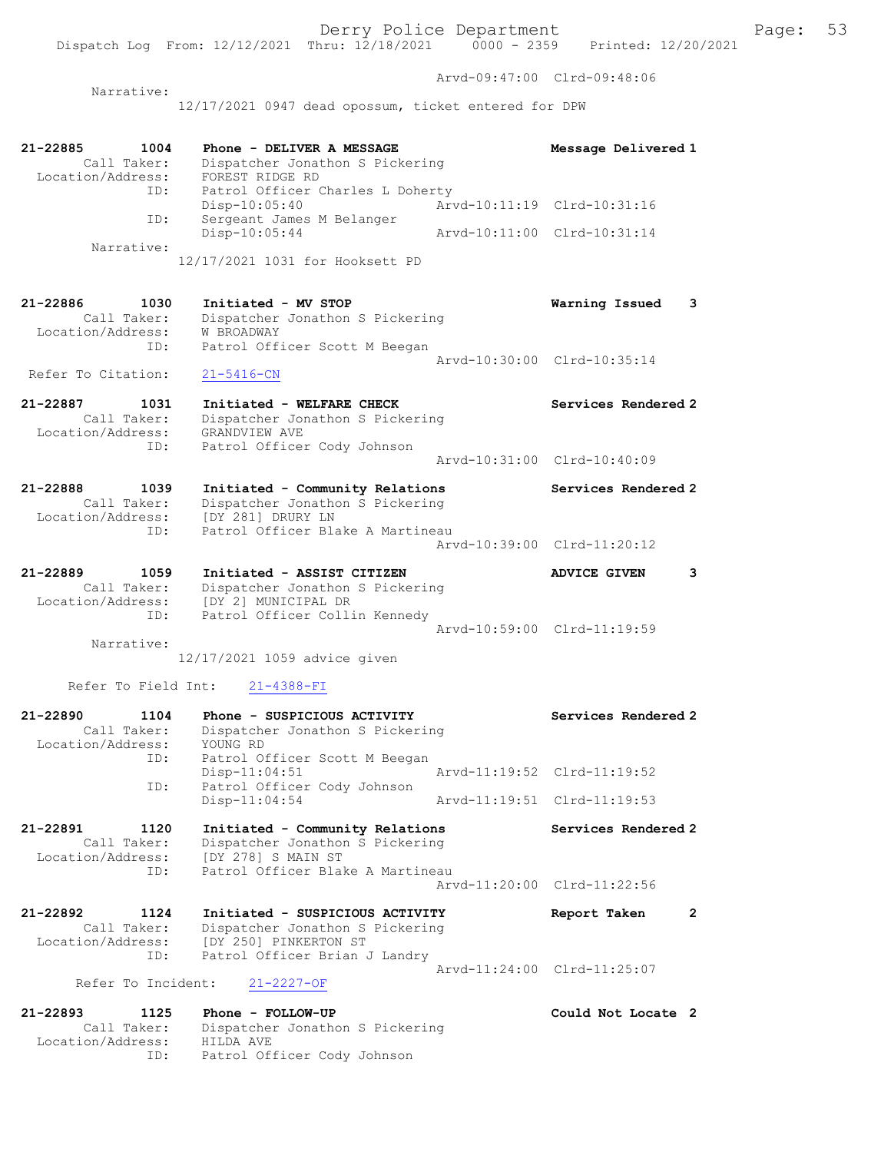Dispatch Log From: 12/12/2021 Thru: 12/18/2021 0000 - 2359 Printed: 12/20/2021 Arvd-09:47:00 Clrd-09:48:06 Narrative: 12/17/2021 0947 dead opossum, ticket entered for DPW 21-22885 1004 Phone - DELIVER A MESSAGE Message Delivered 1 Call Taker: Dispatcher Jonathon S Pickering Location/Address: FOREST RIDGE RD ID: Patrol Officer Charles L Doherty Disp-10:05:40 Arvd-10:11:19 Clrd-10:31:16 ID: Sergeant James M Belanger ID: Sergeant James M Belanger<br>Disp-10:05:44 Arvd-10:11:00 Clrd-10:31:14 Narrative: 12/17/2021 1031 for Hooksett PD 21-22886 1030 Initiated - MV STOP Warning Issued 3 Call Taker: Dispatcher Jonathon S Pickering Location/Address: W BROADWAY ID: Patrol Officer Scott M Beegan Arvd-10:30:00 Clrd-10:35:14 Refer To Citation: 21-5416-CN 21-22887 1031 Initiated - WELFARE CHECK Services Rendered 2 Call Taker: Dispatcher Jonathon S Pickering Location/Address: GRANDVIEW AVE ID: Patrol Officer Cody Johnson Arvd-10:31:00 Clrd-10:40:09

21-22888 1039 Initiated - Community Relations Services Rendered 2 Call Taker: Dispatcher Jonathon S Pickering Location/Address: [DY 281] DRURY LN ID: Patrol Officer Blake A Martineau Arvd-10:39:00 Clrd-11:20:12

21-22889 1059 Initiated - ASSIST CITIZEN ADVICE GIVEN 3 Call Taker: Dispatcher Jonathon S Pickering Location/Address: [DY 2] MUNICIPAL DR ID: Patrol Officer Collin Kennedy Arvd-10:59:00 Clrd-11:19:59 Narrative:

12/17/2021 1059 advice given

## Refer To Field Int: 21-4388-FI

Location/Address: HILDA AVE

ID: Patrol Officer Cody Johnson

| $21 - 22890$      | 1104        | Phone - SUSPICIOUS ACTIVITY             | Services Rendered 2         |                |
|-------------------|-------------|-----------------------------------------|-----------------------------|----------------|
|                   | Call Taker: | Dispatcher Jonathon S Pickering         |                             |                |
| Location/Address: |             | YOUNG RD                                |                             |                |
|                   | ID:         | Patrol Officer Scott M Beegan           |                             |                |
|                   |             | $Disp-11:04:51$                         |                             |                |
|                   | ID:         | Patrol Officer Cody Johnson             |                             |                |
|                   |             | $Disp-11:04:54$                         |                             |                |
| 21-22891 1120     |             | Initiated - Community Relations         | Services Rendered 2         |                |
|                   | Call Taker: | Dispatcher Jonathon S Pickering         |                             |                |
| Location/Address: |             | [DY 278] S MAIN ST                      |                             |                |
|                   | ID:         | Patrol Officer Blake A Martineau        |                             |                |
|                   |             |                                         | Arvd-11:20:00 Clrd-11:22:56 |                |
| 21-22892          | 1124        | Initiated - SUSPICIOUS ACTIVITY         | Report Taken                | $\overline{2}$ |
|                   | Call Taker: | Dispatcher Jonathon S Pickering         |                             |                |
|                   |             | Location/Address: [DY 250] PINKERTON ST |                             |                |
|                   | ID:         | Patrol Officer Brian J Landry           |                             |                |
|                   |             |                                         | Arvd-11:24:00 Clrd-11:25:07 |                |
|                   |             | Refer To Incident: 21-2227-OF           |                             |                |
|                   |             | 21-22893 1125 Phone - FOLLOW-UP         | Could Not Locate 2          |                |
|                   | Call Taker: | Dispatcher Jonathon S Pickering         |                             |                |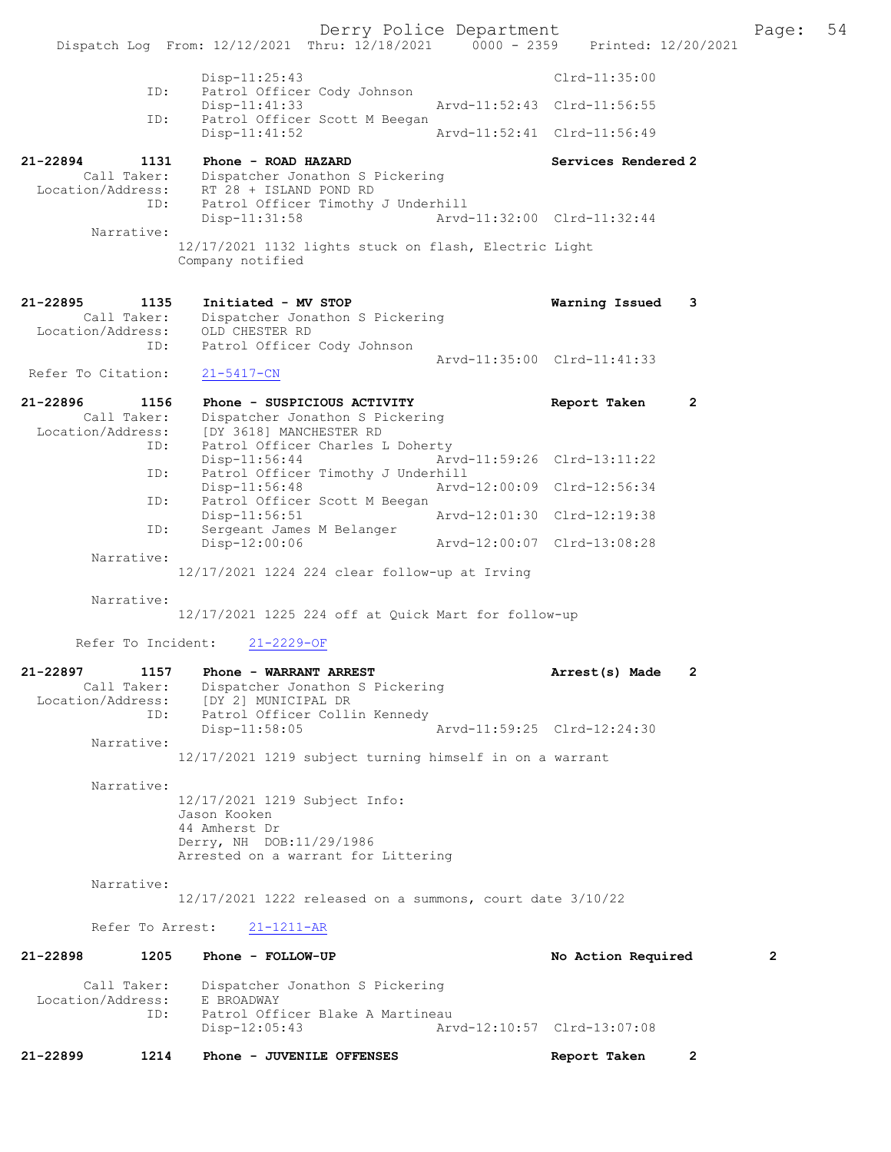Derry Police Department The Page: 54 Dispatch Log From: 12/12/2021 Thru: 12/18/2021 0000 - 2359 Printed: 12/20/2021 Disp-11:25:43 Clrd-11:35:00 ID: Patrol Officer Cody Johnson Disp-11:41:33 Arvd-11:52:43 Clrd-11:56:55<br>TD: Patrol Officer Scott M Beegan Patrol Officer Scott M Beegan<br>Disp-11:41:52 Arvd-11:52:41 Clrd-11:56:49 21-22894 1131 Phone - ROAD HAZARD 21-22894 Services Rendered 2 Call Taker: Dispatcher Jonathon S Pickering Location/Address: RT 28 + ISLAND POND RD ID: Patrol Officer Timothy J Underhill Disp-11:31:58 Arvd-11:32:00 Clrd-11:32:44 Narrative: 12/17/2021 1132 lights stuck on flash, Electric Light Company notified 21-22895 1135 Initiated - MV STOP Warning Issued 3 Call Taker: Dispatcher Jonathon S Pickering Location/Address: OLD CHESTER RD ID: Patrol Officer Cody Johnson Arvd-11:35:00 Clrd-11:41:33 Refer To Citation: 21-5417-CN 21-22896 1156 Phone - SUSPICIOUS ACTIVITY Report Taken 2 Call Taker: Dispatcher Jonathon S Pickering Location/Address: [DY 3618] MANCHESTER RD ID: Patrol Officer Charles L Doherty Disp-11:56:44 Arvd-11:59:26 Clrd-13:11:22 ID: Patrol Officer Timothy J Underhill<br>Disp-11:56:48 Arvd-Arvd-12:00:09 Clrd-12:56:34 ID: Patrol Officer Scott M Beegan<br>Disp-11:56:51 Disp-11:56:51 Arvd-12:01:30 Clrd-12:19:38<br>ID: Sergeant James M Belanger ---.<br>Sergeant James M Belanger<br>Disp-12:00:06 Disp-12:00:06 Arvd-12:00:07 Clrd-13:08:28 Narrative: 12/17/2021 1224 224 clear follow-up at Irving Narrative: 12/17/2021 1225 224 off at Quick Mart for follow-up Refer To Incident: 21-2229-OF 21-22897 1157 Phone - WARRANT ARREST Arrest(s) Made 2 Call Taker: Dispatcher Jonathon S Pickering Location/Address: [DY 2] MUNICIPAL DR ID: Patrol Officer Collin Kennedy Disp-11:58:05 Arvd-11:59:25 Clrd-12:24:30 Narrative: 12/17/2021 1219 subject turning himself in on a warrant Narrative: 12/17/2021 1219 Subject Info: Jason Kooken 44 Amherst Dr Derry, NH DOB:11/29/1986 Arrested on a warrant for Littering Narrative: 12/17/2021 1222 released on a summons, court date 3/10/22 Refer To Arrest: 21-1211-AR 21-22898 1205 Phone - FOLLOW-UP No Action Required 2 Call Taker: Dispatcher Jonathon S Pickering<br>ion/Address: E BROADWAY Location/Address:<br>TD: Patrol Officer Blake A Martineau Disp-12:05:43 Arvd-12:10:57 Clrd-13:07:08 21-22899 1214 Phone - JUVENILE OFFENSES Report Taken 2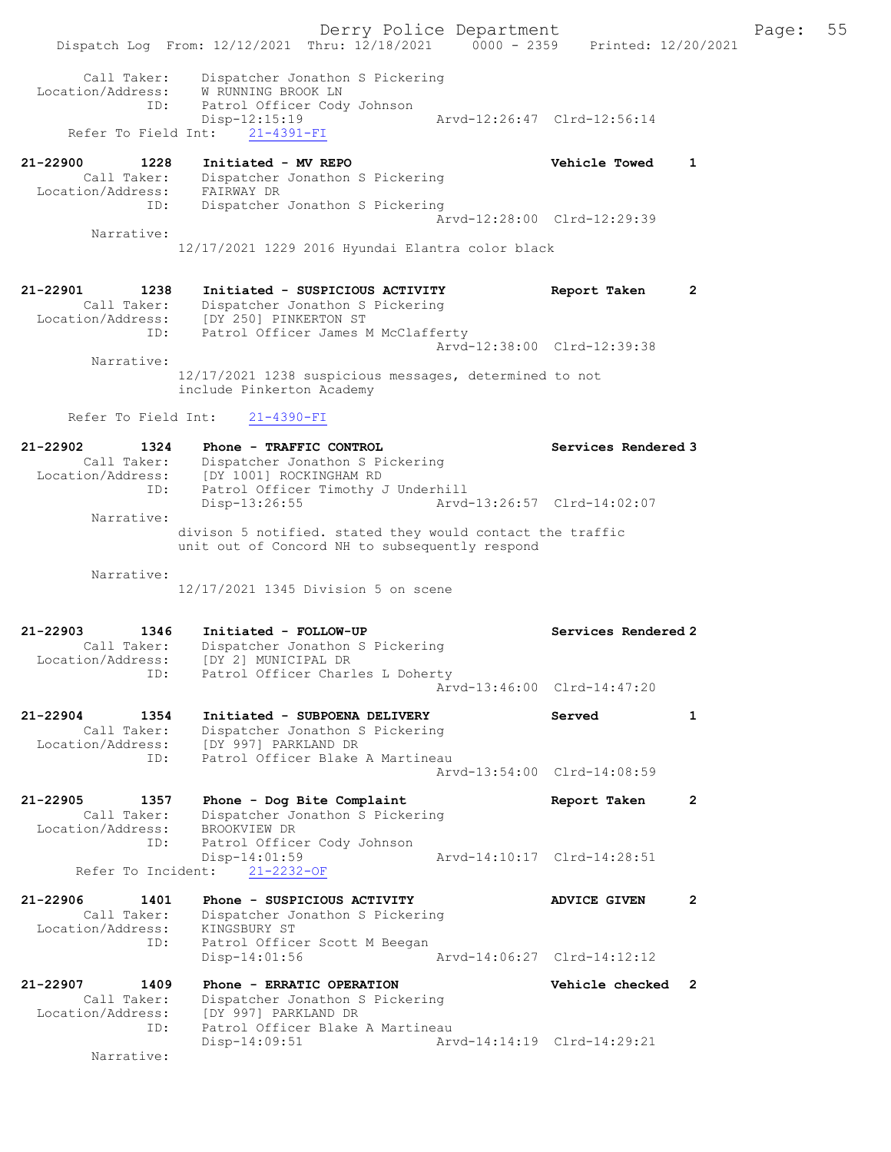Derry Police Department Fage: 55 Dispatch Log From: 12/12/2021 Thru: 12/18/2021 0000 - 2359 Printed: 12/20/2021 Call Taker: Dispatcher Jonathon S Pickering Location/Address: W RUNNING BROOK LN ID: Patrol Officer Cody Johnson Disp-12:15:19 Arvd-12:26:47 Clrd-12:56:14 Disp-12:15:19<br>Refer To Field Int: 21-4391-FI<br>Refer To Field Int: 21-4391-FI 21-22900 1228 Initiated - MV REPO Vehicle Towed 1 Call Taker: Dispatcher Jonathon S Pickering Location/Address: FAIRWAY DR ID: Dispatcher Jonathon S Pickering Arvd-12:28:00 Clrd-12:29:39 Narrative: 12/17/2021 1229 2016 Hyundai Elantra color black 21-22901 1238 Initiated - SUSPICIOUS ACTIVITY Report Taken 2 Call Taker: Dispatcher Jonathon S Pickering Location/Address: [DY 250] PINKERTON ST ID: Patrol Officer James M McClafferty Arvd-12:38:00 Clrd-12:39:38 Narrative: 12/17/2021 1238 suspicious messages, determined to not include Pinkerton Academy Refer To Field Int: 21-4390-FI 21-22902 1324 Phone - TRAFFIC CONTROL Services Rendered 3 Call Taker: Dispatcher Jonathon S Pickering Location/Address: [DY 1001] ROCKINGHAM RD ID: Patrol Officer Timothy J Underhill Disp-13:26:55 Arvd-13:26:57 Clrd-14:02:07 Narrative: divison 5 notified. stated they would contact the traffic unit out of Concord NH to subsequently respond Narrative: 12/17/2021 1345 Division 5 on scene 21-22903 1346 Initiated - FOLLOW-UP Services Rendered 2 Call Taker: Dispatcher Jonathon S Pickering Location/Address: [DY 2] MUNICIPAL DR ID: Patrol Officer Charles L Doherty Arvd-13:46:00 Clrd-14:47:20 21-22904 1354 Initiated - SUBPOENA DELIVERY Served 1 Call Taker: Dispatcher Jonathon S Pickering Location/Address: [DY 997] PARKLAND DR ID: Patrol Officer Blake A Martineau Arvd-13:54:00 Clrd-14:08:59 21-22905 1357 Phone - Dog Bite Complaint Report Taken 2 Call Taker: Dispatcher Jonathon S Pickering Location/Address: BROOKVIEW DR ID: Patrol Officer Cody Johnson  $Disp-14:01:59$ <br>Arvd-14:10:17 Clrd-14:28:51 Refer To Incident: 21-2232-OF 21-22906 1401 Phone - SUSPICIOUS ACTIVITY ADVICE GIVEN 2 Call Taker: Dispatcher Jonathon S Pickering Location/Address: KINGSBURY ST ID: Patrol Officer Scott M Beegan Disp-14:01:56 Arvd-14:06:27 Clrd-14:12:12 21-22907 1409 Phone - ERRATIC OPERATION Vehicle checked 2 Call Taker: Dispatcher Jonathon S Pickering Location/Address: [DY 997] PARKLAND DR ID: Patrol Officer Blake A Martineau Disp-14:09:51 Arvd-14:14:19 Clrd-14:29:21 Narrative: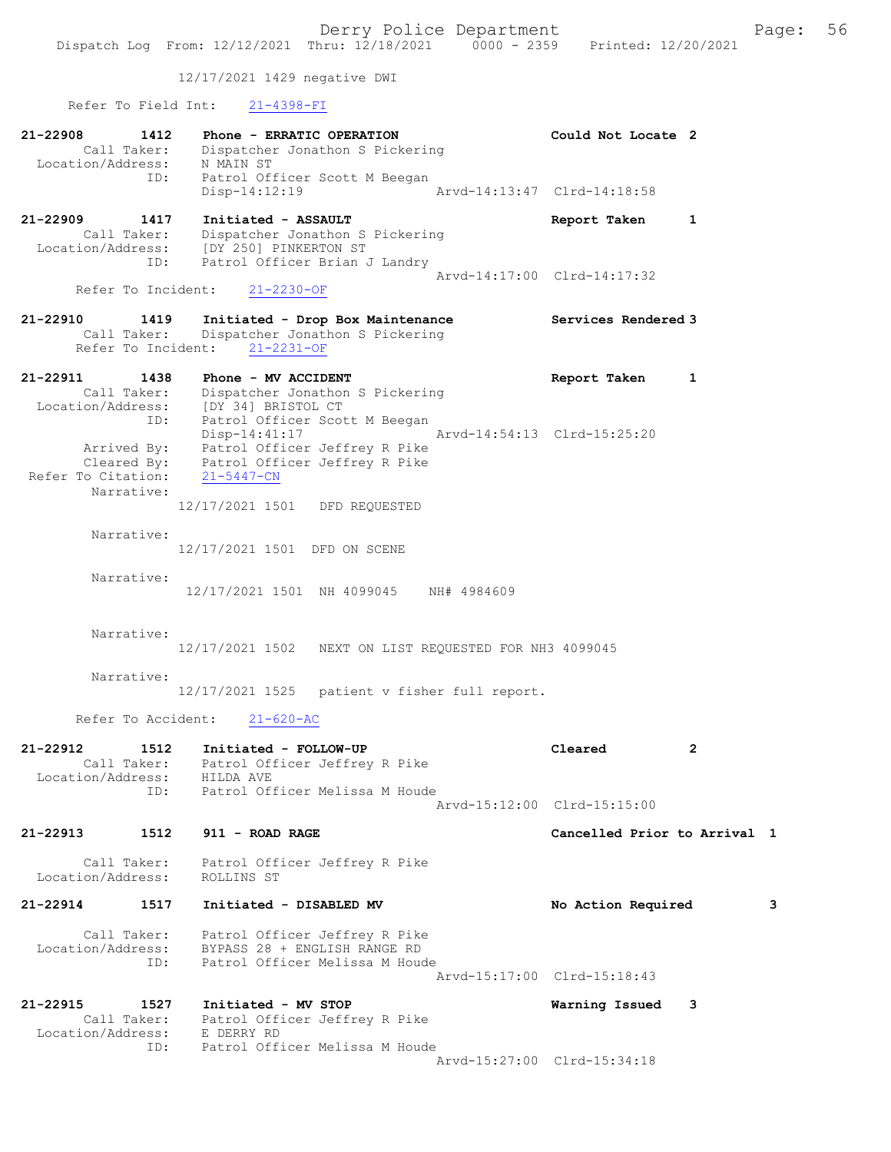12/17/2021 1429 negative DWI

Refer To Field Int: 21-4398-FI

ID: Patrol Officer Melissa M Houde

| 21-22908<br>1412<br>Call Taker:<br>Location/Address:        | Phone - ERRATIC OPERATION<br>Dispatcher Jonathon S Pickering<br>N MAIN ST                                        | Could Not Locate 2           |              |
|-------------------------------------------------------------|------------------------------------------------------------------------------------------------------------------|------------------------------|--------------|
| ID:                                                         | Patrol Officer Scott M Beegan<br>$Disp-14:12:19$                                                                 | Arvd-14:13:47 Clrd-14:18:58  |              |
| 21-22909<br>1417<br>Call Taker:<br>Location/Address:<br>ID: | Initiated - ASSAULT<br>Dispatcher Jonathon S Pickering<br>[DY 250] PINKERTON ST<br>Patrol Officer Brian J Landry | Report Taken                 | $\mathbf{1}$ |
| Refer To Incident:                                          | $21 - 2230 - OF$                                                                                                 | Arvd-14:17:00 Clrd-14:17:32  |              |
| 21-22910<br>1419<br>Call Taker:<br>Refer To Incident:       | Initiated - Drop Box Maintenance<br>Dispatcher Jonathon S Pickering<br>$21 - 2231 - OF$                          | Services Rendered 3          |              |
| 21-22911<br>1438                                            | Phone - MV ACCIDENT                                                                                              | Report Taken                 | 1            |
| Call Taker:<br>Location/Address:<br>ID:                     | Dispatcher Jonathon S Pickering<br>[DY 34] BRISTOL CT<br>Patrol Officer Scott M Beegan                           |                              |              |
| Arrived By:<br>Cleared By:<br>Refer To Citation:            | $Disp-14:41:17$<br>Patrol Officer Jeffrey R Pike<br>Patrol Officer Jeffrey R Pike<br>$21 - 5447 - CN$            | Arvd-14:54:13 Clrd-15:25:20  |              |
| Narrative:                                                  | 12/17/2021 1501 DFD REQUESTED                                                                                    |                              |              |
| Narrative:                                                  | 12/17/2021 1501 DFD ON SCENE                                                                                     |                              |              |
| Narrative:                                                  | 12/17/2021 1501 NH 4099045 NH# 4984609                                                                           |                              |              |
| Narrative:                                                  | 12/17/2021 1502<br>NEXT ON LIST REQUESTED FOR NH3 4099045                                                        |                              |              |
| Narrative:                                                  | 12/17/2021 1525 patient v fisher full report.                                                                    |                              |              |
| Refer To Accident:                                          | $21 - 620 - AC$                                                                                                  |                              |              |
| 21-22912<br>1512<br>Call Taker:<br>Location/Address:        | Initiated - FOLLOW-UP<br>Patrol Officer Jeffrey R Pike<br>HILDA AVE                                              | Cleared                      | 2            |
| ID:                                                         | Patrol Officer Melissa M Houde                                                                                   | Arvd-15:12:00 Clrd-15:15:00  |              |
| 21-22913<br>1512                                            | 911 - ROAD RAGE                                                                                                  | Cancelled Prior to Arrival 1 |              |
| Call Taker:<br>Location/Address:                            | Patrol Officer Jeffrey R Pike<br>ROLLINS ST                                                                      |                              |              |
| 21-22914<br>1517                                            | Initiated - DISABLED MV                                                                                          | No Action Required           | 3            |
| Call Taker:<br>Location/Address:<br>ID:                     | Patrol Officer Jeffrey R Pike<br>BYPASS 28 + ENGLISH RANGE RD<br>Patrol Officer Melissa M Houde                  | Arvd-15:17:00 Clrd-15:18:43  |              |
| $21 - 22915$<br>1527<br>Call Taker:<br>Location/Address:    | Initiated - MV STOP<br>Patrol Officer Jeffrey R Pike<br>E DERRY RD                                               | Warning Issued               | 3            |

Arvd-15:27:00 Clrd-15:34:18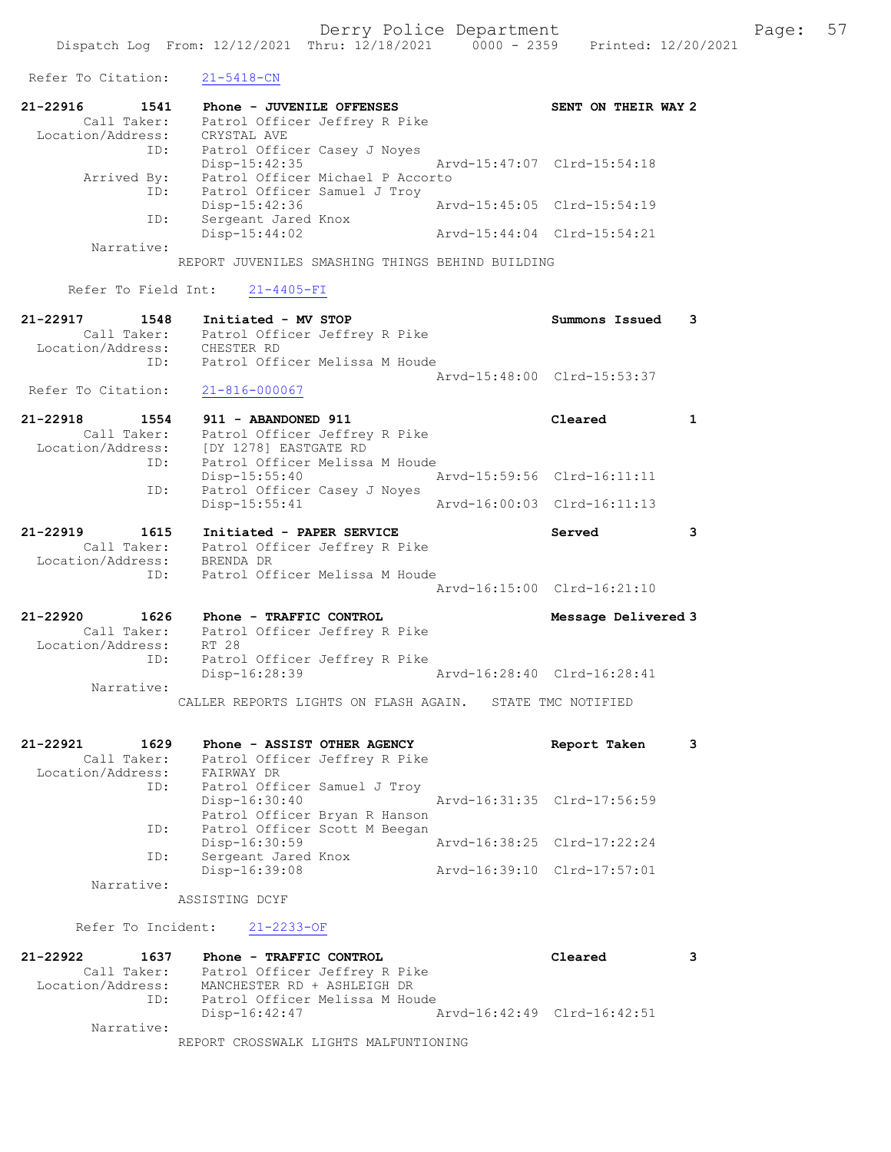| Refer To Citation:                                              | $21 - 5418 - CN$                                                                                                          |                                       |              |
|-----------------------------------------------------------------|---------------------------------------------------------------------------------------------------------------------------|---------------------------------------|--------------|
| 21-22916<br>1541<br>Call Taker:                                 | Phone - JUVENILE OFFENSES<br>Patrol Officer Jeffrey R Pike                                                                | SENT ON THEIR WAY 2                   |              |
| Location/Address:<br>ID:                                        | CRYSTAL AVE<br>Patrol Officer Casey J Noyes<br>$Disp-15:42:35$                                                            | Arvd-15:47:07 Clrd-15:54:18           |              |
| Arrived By:<br>ID:                                              | Patrol Officer Michael P Accorto<br>Patrol Officer Samuel J Troy<br>Disp-15:42:36                                         | Arvd-15:45:05 Clrd-15:54:19           |              |
| ID:                                                             | Sergeant Jared Knox<br>Disp-15:44:02                                                                                      | Arvd-15:44:04 Clrd-15:54:21           |              |
| Narrative:                                                      | REPORT JUVENILES SMASHING THINGS BEHIND BUILDING                                                                          |                                       |              |
| Refer To Field Int:                                             | $21 - 4405 - FI$                                                                                                          |                                       |              |
| 21-22917<br>1548<br>Location/Address:                           | Initiated - MV STOP<br>Call Taker: Patrol Officer Jeffrey R Pike<br>.on/Address: CHESTER RD                               | Summons Issued                        | 3            |
| ID:                                                             | Patrol Officer Melissa M Houde                                                                                            | Arvd-15:48:00 Clrd-15:53:37           |              |
| Refer To Citation:                                              | $21 - 816 - 000067$                                                                                                       |                                       |              |
| $21 - 22918$<br>1554<br>Call Taker:<br>Location/Address:        | 911 - ABANDONED 911<br>Patrol Officer Jeffrey R Pike<br>[DY 1278] EASTGATE RD                                             | Cleared                               | $\mathbf{1}$ |
| ID:<br>ID:                                                      | Patrol Officer Melissa M Houde<br>Disp-15:55:40<br>Patrol Officer Casey J Noyes                                           | Arvd-15:59:56 Clrd-16:11:11           |              |
|                                                                 | Disp-15:55:41                                                                                                             | Arvd-16:00:03 Clrd-16:11:13           |              |
| 21-22919<br>1615<br>Call Taker:<br>Location/Address:<br>ID:     | Initiated - PAPER SERVICE<br>Patrol Officer Jeffrey R Pike<br>BRENDA DR<br>Patrol Officer Melissa M Houde                 | Served<br>Arvd-16:15:00 Clrd-16:21:10 | 3            |
|                                                                 |                                                                                                                           |                                       |              |
| 21-22920<br>1626<br>Call Taker:<br>Location/Address:<br>ID:     | Phone - TRAFFIC CONTROL<br>Patrol Officer Jeffrey R Pike<br>RT 28<br>Patrol Officer Jeffrey R Pike                        | Message Delivered 3                   |              |
| Narrative:                                                      | Disp-16:28:39                                                                                                             | Arvd-16:28:40 Clrd-16:28:41           |              |
|                                                                 | CALLER REPORTS LIGHTS ON FLASH AGAIN. STATE TMC NOTIFIED                                                                  |                                       |              |
| 21-22921<br>1629<br>Call Taker:<br>Location/Address:            | Phone - ASSIST OTHER AGENCY<br>Patrol Officer Jeffrey R Pike<br>FAIRWAY DR                                                | Report Taken                          | 3            |
| ID:<br>ID:                                                      | Patrol Officer Samuel J Troy<br>Disp-16:30:40<br>Patrol Officer Bryan R Hanson                                            | Arvd-16:31:35 Clrd-17:56:59           |              |
| ID:                                                             | Patrol Officer Scott M Beegan<br>Disp-16:30:59<br>Sergeant Jared Knox                                                     | Arvd-16:38:25 Clrd-17:22:24           |              |
| Narrative:                                                      | Disp-16:39:08                                                                                                             | Arvd-16:39:10 Clrd-17:57:01           |              |
|                                                                 | ASSISTING DCYF                                                                                                            |                                       |              |
| Refer To Incident:                                              | $21 - 2233 - OF$                                                                                                          |                                       |              |
| $21 - 22922$<br>1637<br>Call Taker:<br>Location/Address:<br>ID: | Phone - TRAFFIC CONTROL<br>Patrol Officer Jeffrey R Pike<br>MANCHESTER RD + ASHLEIGH DR<br>Patrol Officer Melissa M Houde | Cleared                               | 3            |

Narrative:

REPORT CROSSWALK LIGHTS MALFUNTIONING

Disp-16:42:47 Arvd-16:42:49 Clrd-16:42:51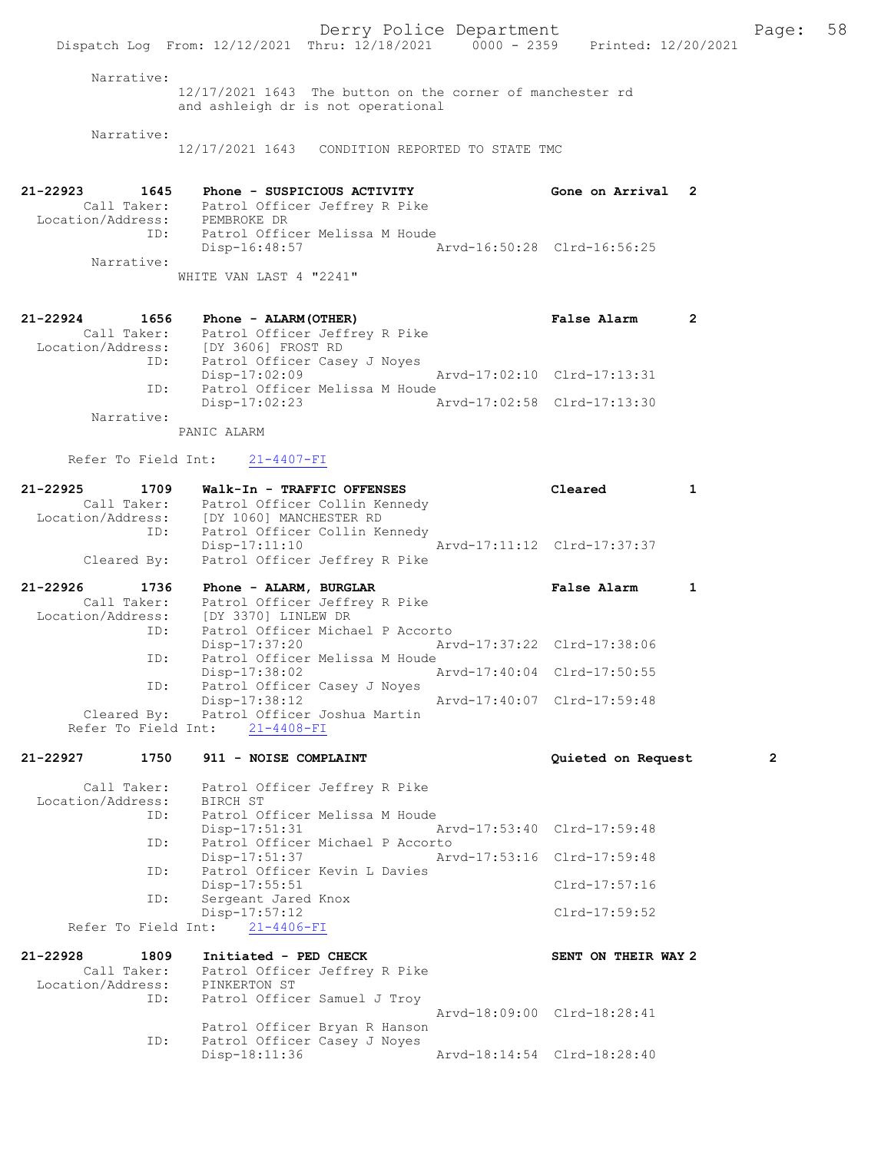Narrative:

12/17/2021 1643 The button on the corner of manchester rd and ashleigh dr is not operational

Narrative:

12/17/2021 1643 CONDITION REPORTED TO STATE TMC

21-22923 1645 Phone - SUSPICIOUS ACTIVITY Gone on Arrival 2 Call Taker: Patrol Officer Jeffrey R Pike Location/Address: PEMBROKE DR ID: Patrol Officer Melissa M Houde<br>Disp-16:48:57 Arvd-16:50:28 Clrd-16:56:25 Narrative: WHITE VAN LAST 4 "2241"

| $21 - 22924$      | 1656        | Phone - ALARM (OTHER)          |                             | False Alarm | $\overline{2}$ |
|-------------------|-------------|--------------------------------|-----------------------------|-------------|----------------|
|                   | Call Taker: | Patrol Officer Jeffrey R Pike  |                             |             |                |
| Location/Address: |             | [DY 3606] FROST RD             |                             |             |                |
|                   | ID:         | Patrol Officer Casey J Noyes   |                             |             |                |
|                   |             | $Disp-17:02:09$                | Arvd-17:02:10 Clrd-17:13:31 |             |                |
|                   | ID:         | Patrol Officer Melissa M Houde |                             |             |                |
|                   |             | $Disp-17:02:23$                | Arvd-17:02:58 Clrd-17:13:30 |             |                |
|                   | Narrative:  |                                |                             |             |                |

PANIC ALARM

Refer To Field Int: 21-4407-FI

| 21-22925          | 1709        | Walk-In - TRAFFIC OFFENSES    | Cleared                     |  |
|-------------------|-------------|-------------------------------|-----------------------------|--|
|                   | Call Taker: | Patrol Officer Collin Kennedy |                             |  |
| Location/Address: |             | [DY 1060] MANCHESTER RD       |                             |  |
|                   | ID:         | Patrol Officer Collin Kennedy |                             |  |
|                   |             | Disp-17:11:10                 | Arvd-17:11:12 Clrd-17:37:37 |  |
|                   | Cleared By: | Patrol Officer Jeffrey R Pike |                             |  |

| 21-22926          | 1736        | Phone - ALARM, BURGLAR                   |                             | False Alarm                 |  |
|-------------------|-------------|------------------------------------------|-----------------------------|-----------------------------|--|
|                   | Call Taker: | Patrol Officer Jeffrey R Pike            |                             |                             |  |
| Location/Address: |             | [DY 3370] LINLEW DR                      |                             |                             |  |
|                   | ID:         | Patrol Officer Michael P Accorto         |                             |                             |  |
|                   |             | Disp-17:37:20                            | Arvd-17:37:22 Clrd-17:38:06 |                             |  |
|                   | ID:         | Patrol Officer Melissa M Houde           |                             |                             |  |
|                   |             | Disp-17:38:02                            |                             | Arvd-17:40:04 Clrd-17:50:55 |  |
|                   | ID:         | Patrol Officer Casey J Noves             |                             |                             |  |
|                   |             | Disp-17:38:12                            |                             | Arvd-17:40:07 Clrd-17:59:48 |  |
|                   |             | Cleared By: Patrol Officer Joshua Martin |                             |                             |  |
|                   |             | Refer To Field Int: 21-4408-FI           |                             |                             |  |

#### 21-22927 1750 911 - NOISE COMPLAINT Quieted on Request 2

 Call Taker: Patrol Officer Jeffrey R Pike Location/Address: BIRCH ST ID: Patrol Officer Melissa M Houde<br>Disp-17:51:31 1 Disp-17:51:31 Arvd-17:53:40 Clrd-17:59:48<br>TD: Patrol Officer Michael P Accorto ID: Patrol Officer Michael P Accorto Disp-17:51:37 Arvd-17:53:16 Clrd-17:59:48 ID: Patrol Officer Kevin L Davies Disp-17:55:51 Clrd-17:57:16<br>ID: Sergeant Jared Knox Sergeant Jared Knox Disp-17:57:12 Clrd-17:59:52 Refer To Field Int: 21-4406-FI

21-22928 1809 Initiated - PED CHECK SENT ON THEIR WAY 2 Call Taker: Patrol Officer Jeffrey R Pike Location/Address: PINKERTON ST<br>ID: Patrol Office Patrol Officer Samuel J Troy Arvd-18:09:00 Clrd-18:28:41 Patrol Officer Bryan R Hanson ID: Patrol Officer Casey J Noyes Disp-18:11:36 Arvd-18:14:54 Clrd-18:28:40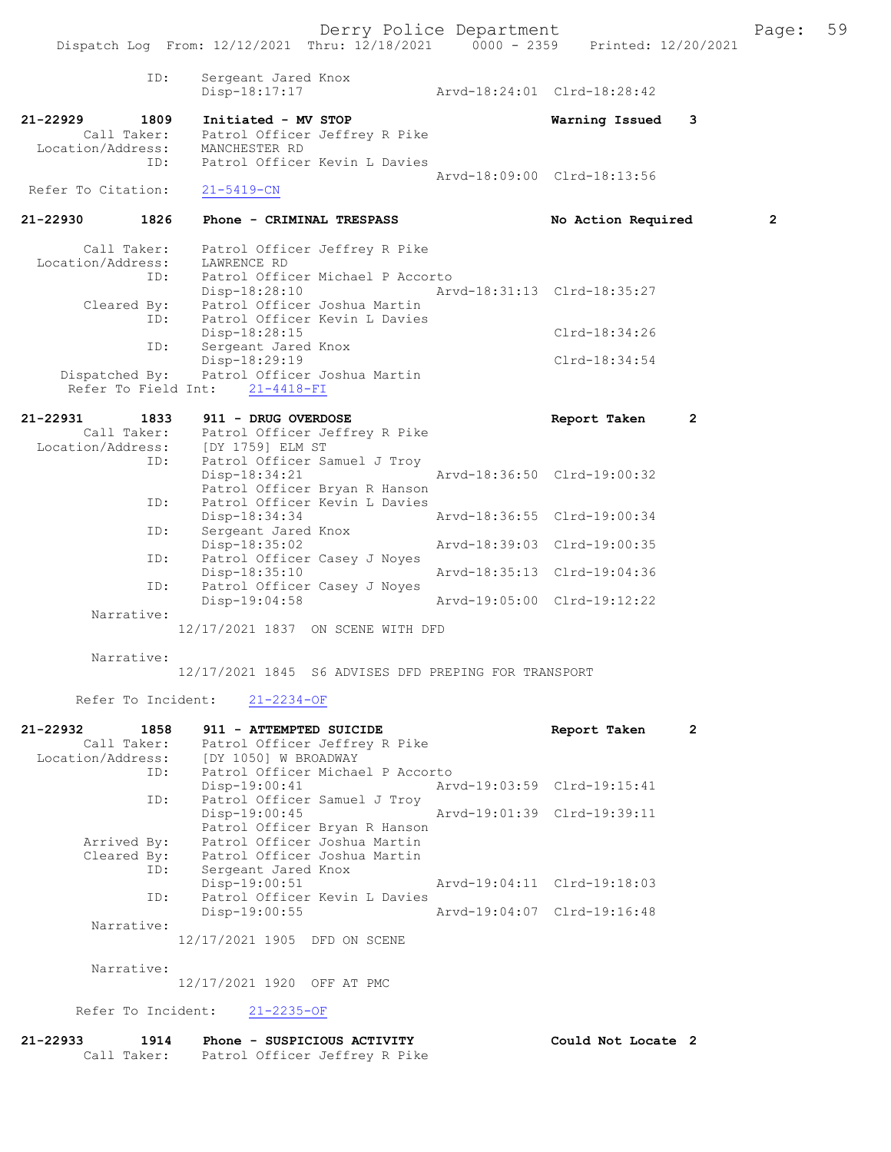Derry Police Department Fage: 59 Dispatch Log From: 12/12/2021 Thru: 12/18/2021 0000 - 2359 Printed: 12/20/2021 ID: Sergeant Jared Knox Disp-18:17:17 Arvd-18:24:01 Clrd-18:28:42 21-22929 1809 Initiated - MV STOP Warning Issued 3 Call Taker: Patrol Officer Jeffrey R Pike Location/Address: MANCHESTER RD<br>TD: Patrol Officer Patrol Officer Kevin L Davies Arvd-18:09:00 Clrd-18:13:56<br>21-5419-CN Refer To Citation: 21-22930 1826 Phone - CRIMINAL TRESPASS No Action Required 2 Call Taker: Patrol Officer Jeffrey R Pike Location/Address: LAWRENCE RD ID: Patrol Officer Michael P Accorto Disp-18:28:10 Arvd-18:31:13 Clrd-18:35:27 Cleared By: Patrol Officer Joshua Martin ID: Patrol Officer Kevin L Davies Disp-18:28:15 Clrd-18:34:26 ID: Sergeant Jared Knox Disp-18:29:19 Clrd-18:34:54 Dispatched By: Patrol Officer Joshua Martin Refer To Field Int: 21-4418-FI 21-22931 1833 911 - DRUG OVERDOSE Report Taken 2 Call Taker: Patrol Officer Jeffrey R Pike Location/Address: [DY 1759] ELM ST<br>ID: Patrol Officer Sa Patrol Officer Samuel J Troy<br>Disp-18:34:21 Disp-18:34:21 Arvd-18:36:50 Clrd-19:00:32 Patrol Officer Bryan R Hanson ID: Patrol Officer Kevin L Davies Disp-18:34:34<br>ID: Sergeant Jared Knox<br>ID: Sergeant Jared Knox -<br>Sergeant Jared Knox<br>Disp-18:35:02 Disp-18:35:02 Arvd-18:39:03 Clrd-19:00:35 ID: Patrol Officer Casey J Noyes<br>Disp-18:35:10 Disp-18:35:10 Arvd-18:35:13 Clrd-19:04:36 ID: Patrol Officer Casey J Noyes Disp-19:04:58 Arvd-19:05:00 Clrd-19:12:22 Narrative: 12/17/2021 1837 ON SCENE WITH DFD Narrative: 12/17/2021 1845 S6 ADVISES DFD PREPING FOR TRANSPORT Refer To Incident: 21-2234-OF 21-22932 1858 911 - ATTEMPTED SUICIDE Report Taken 2 Call Taker: Patrol Officer Jeffrey R Pike Location/Address: [DY 1050] W BROADWAY ID: Patrol Officer Michael P Accorto<br>Disp-19:00:41 Arv Disp-19:00:41 Arvd-19:03:59 Clrd-19:15:41 ID: Patrol Officer Samuel J Troy<br>Disp-19:00:45 Disp-19:00:45 Arvd-19:01:39 Clrd-19:39:11 Patrol Officer Bryan R Hanson Arrived By: Patrol Officer Joshua Martin Cleared By: Patrol Officer Joshua Martin ID: Sergeant Jared Knox<br>Disp-19:00:51 Disp-19:00:51 Arvd-19:04:11 Clrd-19:18:03<br>TD: Patrol Officer Kevin L Davies Patrol Officer Kevin L Davies<br>Disp-19:00:55 Disp-19:00:55 Arvd-19:04:07 Clrd-19:16:48 Narrative: 12/17/2021 1905 DFD ON SCENE Narrative: 12/17/2021 1920 OFF AT PMC

Refer To Incident: 21-2235-OF

| 21-22933 | 1914        | Phone - SUSPICIOUS ACTIVITY   | Could Not Locate 2 |
|----------|-------------|-------------------------------|--------------------|
|          | Call Taker: | Patrol Officer Jeffrey R Pike |                    |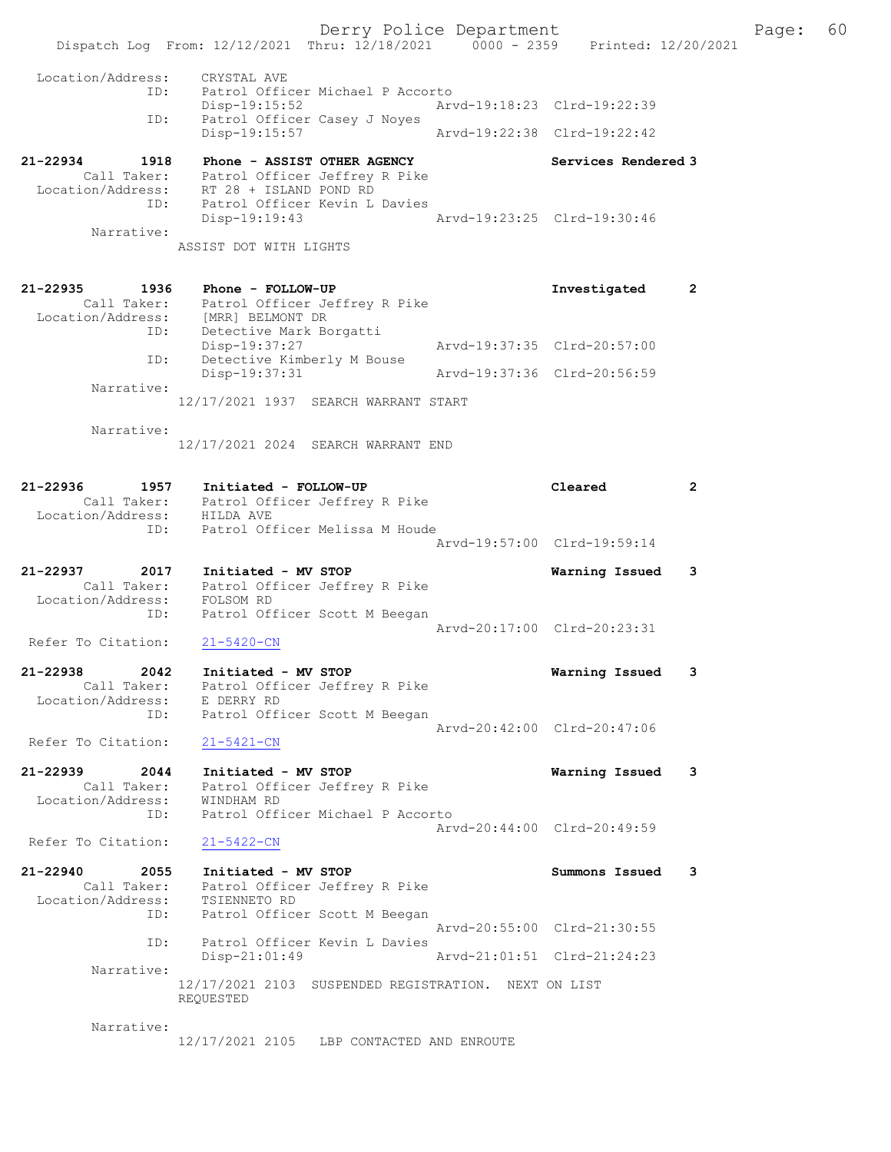Derry Police Department Fage: 60 Dispatch Log From: 12/12/2021 Thru: 12/18/2021 0000 - 2359 Printed: 12/20/2021 Location/Address: CRYSTAL AVE ID: Patrol Officer Michael P Accorto Disp-19:15:52 Arvd-19:18:23 Clrd-19:22:39 ID: Patrol Officer Casey J Noyes<br>Disp-19:15:57 Disp-19:15:57 Arvd-19:22:38 Clrd-19:22:42 21-22934 1918 Phone - ASSIST OTHER AGENCY Services Rendered 3 Call Taker: Patrol Officer Jeffrey R Pike Location/Address: RT 28 + ISLAND POND RD ID: Patrol Officer Kevin L Davies Disp-19:19:43 Arvd-19:23:25 Clrd-19:30:46 Narrative: ASSIST DOT WITH LIGHTS 21-22935 1936 Phone - FOLLOW-UP Investigated 2 Call Taker: Patrol Officer Jeffrey R Pike Location/Address: [MRR] BELMONT DR ID: Detective Mark Borgatti Disp-19:37:27 Arvd-19:37:35 Clrd-20:57:00 ID: Detective Kimberly M Bouse Disp-19:37:31 Arvd-19:37:36 Clrd-20:56:59 Narrative: 12/17/2021 1937 SEARCH WARRANT START Narrative: 12/17/2021 2024 SEARCH WARRANT END 21-22936 1957 Initiated - FOLLOW-UP Cleared 2 Call Taker: Patrol Officer Jeffrey R Pike Location/Address: HILDA AVE ID: Patrol Officer Melissa M Houde Arvd-19:57:00 Clrd-19:59:14 21-22937 2017 Initiated - MV STOP Warning Issued 3 Call Taker: Patrol Officer Jeffrey R Pike Location/Address: FOLSOM RD ID: Patrol Officer Scott M Beegan Arvd-20:17:00 Clrd-20:23:31<br>21-5420-CN Refer To Citation: 21-22938 2042 Initiated - MV STOP Warning Issued 3 Call Taker: Patrol Officer Jeffrey R Pike Location/Address: E DERRY RD ID: Patrol Officer Scott M Beegan Arvd-20:42:00 Clrd-20:47:06 Refer To Citation: 21-5421-CN 21-22939 2044 Initiated - MV STOP Warning Issued 3 Call Taker: Patrol Officer Jeffrey R Pike Location/Address: WINDHAM RD ID: Patrol Officer Michael P Accorto Arvd-20:44:00 Clrd-20:49:59<br>21-5422-CN Refer To Citation: 21-22940 2055 Initiated - MV STOP Summons Issued 3 Call Taker: Patrol Officer Jeffrey R Pike Location/Address: TSIENNETO RD ID: Patrol Officer Scott M Beegan Arvd-20:55:00 Clrd-21:30:55 ID: Patrol Officer Kevin L Davies Disp-21:01:49 Arvd-21:01:51 Clrd-21:24:23 Narrative: 12/17/2021 2103 SUSPENDED REGISTRATION. NEXT ON LIST REQUESTED

12/17/2021 2105 LBP CONTACTED AND ENROUTE

Narrative: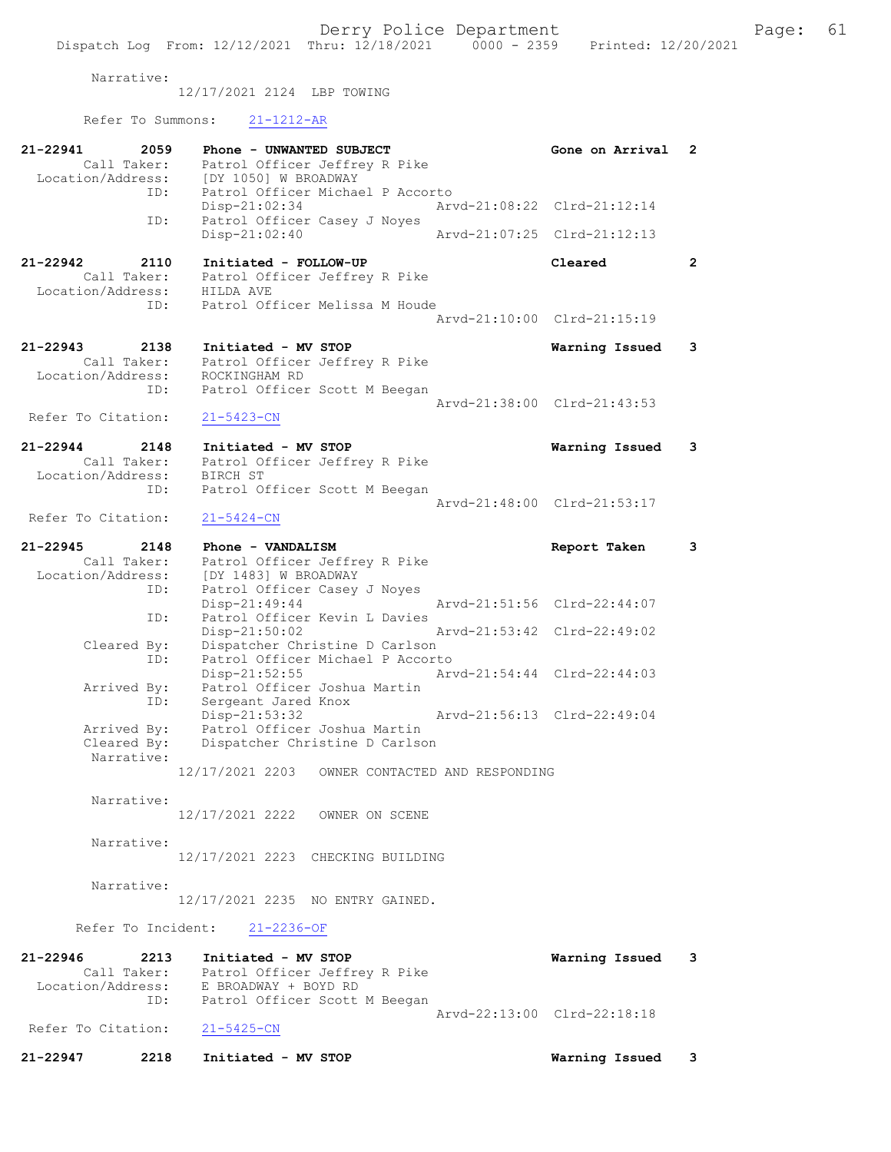Narrative:

12/17/2021 2124 LBP TOWING

Refer To Summons: 21-1212-AR

| 21-22941<br>2059<br>Call Taker:<br>Location/Address:            | Phone - UNWANTED SUBJECT<br>Patrol Officer Jeffrey R Pike<br>[DY 1050] W BROADWAY                                               | Gone on Arrival                               | 2                    |
|-----------------------------------------------------------------|---------------------------------------------------------------------------------------------------------------------------------|-----------------------------------------------|----------------------|
| ID:                                                             | Patrol Officer Michael P Accorto<br>$Disp-21:02:34$                                                                             | Arvd-21:08:22 Clrd-21:12:14                   |                      |
| ID:                                                             | Patrol Officer Casey J Noyes<br>Disp-21:02:40                                                                                   | Arvd-21:07:25 Clrd-21:12:13                   |                      |
| $21 - 22942$<br>2110<br>Call Taker:<br>Location/Address:<br>ID: | Initiated - FOLLOW-UP<br>Patrol Officer Jeffrey R Pike<br>HILDA AVE<br>Patrol Officer Melissa M Houde                           | Cleared                                       | $\mathbf{2}^{\circ}$ |
|                                                                 |                                                                                                                                 | Aryd-21:10:00 Clrd-21:15:19                   |                      |
| 21-22943<br>2138<br>Call Taker:<br>Location/Address:            | Initiated - MV STOP<br>Patrol Officer Jeffrey R Pike<br>ROCKINGHAM RD                                                           | Warning Issued                                | 3                    |
| ID:<br>Refer To Citation:                                       | Patrol Officer Scott M Beegan<br>$21 - 5423 - CN$                                                                               | Arvd-21:38:00 Clrd-21:43:53                   |                      |
| $21 - 22944$<br>2148<br>Call Taker:<br>Location/Address:        | Initiated - MV STOP<br>Patrol Officer Jeffrey R Pike<br>BIRCH ST                                                                | Warning Issued                                | 3                    |
| ID:<br>Refer To Citation:                                       | Patrol Officer Scott M Beegan<br>$21 - 5424 - CN$                                                                               | Arvd-21:48:00 Clrd-21:53:17                   |                      |
| $21 - 22945$<br>2148<br>Call Taker:                             | Phone - VANDALISM<br>Patrol Officer Jeffrey R Pike                                                                              | Report Taken                                  | 3                    |
| Location/Address:<br>ID:<br>ID:                                 | [DY 1483] W BROADWAY<br>Patrol Officer Casey J Noyes<br>Disp-21:49:44<br>Patrol Officer Kevin L Davies                          | Arvd-21:51:56 Clrd-22:44:07                   |                      |
| Cleared By:<br>ID:                                              | Disp-21:50:02<br>Dispatcher Christine D Carlson<br>Patrol Officer Michael P Accorto                                             | Arvd-21:53:42 Clrd-22:49:02                   |                      |
| Arrived By:                                                     | Disp-21:52:55<br>Patrol Officer Joshua Martin                                                                                   | Arvd-21:54:44 Clrd-22:44:03                   |                      |
| ID:<br>Arrived By:<br>Cleared By:<br>Narrative:                 | Sergeant Jared Knox<br>$Disp-21:53:32$<br>Patrol Officer Joshua Martin<br>Dispatcher Christine D Carlson                        | Arvd-21:56:13 Clrd-22:49:04                   |                      |
|                                                                 | 12/17/2021 2203<br>OWNER CONTACTED AND RESPONDING                                                                               |                                               |                      |
| Narrative:                                                      | 12/17/2021 2222 OWNER ON SCENE                                                                                                  |                                               |                      |
| Narrative:                                                      | 12/17/2021 2223 CHECKING BUILDING                                                                                               |                                               |                      |
| Narrative:                                                      | 12/17/2021 2235 NO ENTRY GAINED.                                                                                                |                                               |                      |
|                                                                 | Refer To Incident: 21-2236-OF                                                                                                   |                                               |                      |
| 21-22946<br>2213<br>Call Taker:<br>ID:                          | Initiated - MV STOP<br>Patrol Officer Jeffrey R Pike<br>Location/Address: E BROADWAY + BOYD RD<br>Patrol Officer Scott M Beegan | Warning Issued<br>Arvd-22:13:00 Clrd-22:18:18 | - 3                  |
| Refer To Citation: 21-5425-CN                                   |                                                                                                                                 |                                               |                      |
| 21-22947<br>2218                                                | Initiated - MV STOP                                                                                                             | Warning Issued                                | $\mathbf{3}$         |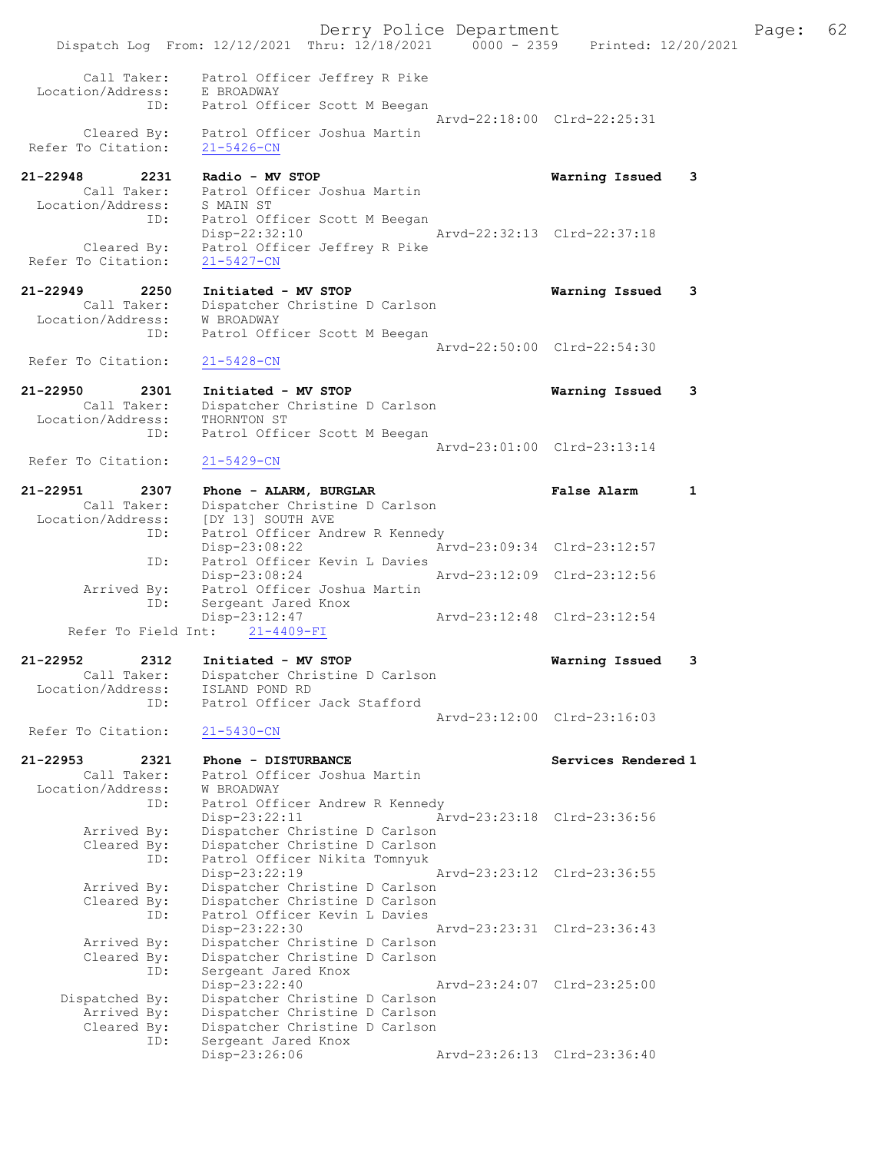|                                   | Derry Police Department<br>Dispatch Log From: 12/12/2021 Thru: 12/18/2021 0000 - 2359 Printed: 12/20/2021 |                             | Page: | 62 |
|-----------------------------------|-----------------------------------------------------------------------------------------------------------|-----------------------------|-------|----|
| Call Taker:                       | Patrol Officer Jeffrey R Pike                                                                             |                             |       |    |
| Location/Address:<br>ID:          | E BROADWAY<br>Patrol Officer Scott M Beegan                                                               |                             |       |    |
|                                   |                                                                                                           | Arvd-22:18:00 Clrd-22:25:31 |       |    |
| Cleared By:<br>Refer To Citation: | Patrol Officer Joshua Martin<br>$21 - 5426 - CN$                                                          |                             |       |    |
| 21-22948<br>2231                  | Radio - MV STOP<br>Call Taker: Patrol Officer Joshua Martin                                               | Warning Issued 3            |       |    |
| Location/Address: S MAIN ST       |                                                                                                           |                             |       |    |
| ID:                               | Patrol Officer Scott M Beegan<br>Disp-22:32:10                                                            | Arvd-22:32:13 Clrd-22:37:18 |       |    |
| Cleared By:<br>Refer To Citation: | Patrol Officer Jeffrey R Pike<br>$21 - 5427 - CN$                                                         |                             |       |    |
| 21-22949<br>2250                  | Initiated - MV STOP                                                                                       | Warning Issued 3            |       |    |
| Call Taker:                       | Dispatcher Christine D Carlson                                                                            |                             |       |    |
| Location/Address:<br>ID:          | W BROADWAY<br>Patrol Officer Scott M Beegan                                                               |                             |       |    |
|                                   |                                                                                                           | Arvd-22:50:00 Clrd-22:54:30 |       |    |
| Refer To Citation:                | $21 - 5428 - CN$                                                                                          |                             |       |    |
| 21-22950<br>2301                  | Initiated - MV STOP                                                                                       | Warning Issued 3            |       |    |
| Call Taker:                       | Dispatcher Christine D Carlson                                                                            |                             |       |    |
| Location/Address:<br>ID:          | THORNTON ST<br>Patrol Officer Scott M Beegan                                                              |                             |       |    |
|                                   |                                                                                                           | Arvd-23:01:00 Clrd-23:13:14 |       |    |
| Refer To Citation:                | $21 - 5429 - CN$                                                                                          |                             |       |    |
| 21-22951<br>2307                  | Phone - ALARM, BURGLAR                                                                                    | False Alarm<br>1            |       |    |
| Call Taker:<br>Location/Address:  | Dispatcher Christine D Carlson<br>[DY 13] SOUTH AVE                                                       |                             |       |    |
| ID:                               | Patrol Officer Andrew R Kennedy                                                                           |                             |       |    |
|                                   | $Disp-23:08:22$                                                                                           | Arvd-23:09:34 Clrd-23:12:57 |       |    |
| ID:                               | Patrol Officer Kevin L Davies<br>Disp-23:08:24                                                            | Arvd-23:12:09 Clrd-23:12:56 |       |    |
|                                   | Arrived By: Patrol Officer Joshua Martin                                                                  |                             |       |    |
| ID:                               | Sergeant Jared Knox<br>Disp-23:12:47                                                                      | Arvd-23:12:48 Clrd-23:12:54 |       |    |
|                                   | Refer To Field Int: 21-4409-FI                                                                            |                             |       |    |
| 21-22952<br>2312<br>Call Taker:   | Initiated - MV STOP<br>Dispatcher Christine D Carlson                                                     | Warning Issued<br>3         |       |    |
| Location/Address:                 | ISLAND POND RD                                                                                            |                             |       |    |
| ID:                               | Patrol Officer Jack Stafford                                                                              |                             |       |    |
| Refer To Citation:                | $21 - 5430 - CN$                                                                                          | Arvd-23:12:00 Clrd-23:16:03 |       |    |
|                                   |                                                                                                           |                             |       |    |
| 21-22953<br>2321<br>Call Taker:   | Phone - DISTURBANCE<br>Patrol Officer Joshua Martin                                                       | Services Rendered 1         |       |    |
| Location/Address:                 | W BROADWAY                                                                                                |                             |       |    |
| ID:                               | Patrol Officer Andrew R Kennedy                                                                           |                             |       |    |
| Arrived By:                       | Disp-23:22:11<br>Dispatcher Christine D Carlson                                                           | Arvd-23:23:18 Clrd-23:36:56 |       |    |
| Cleared By:                       | Dispatcher Christine D Carlson                                                                            |                             |       |    |
| ID:                               | Patrol Officer Nikita Tomnyuk                                                                             |                             |       |    |
|                                   | Disp-23:22:19                                                                                             | Arvd-23:23:12 Clrd-23:36:55 |       |    |
| Arrived By:                       | Dispatcher Christine D Carlson                                                                            |                             |       |    |
| Cleared By:<br>ID:                | Dispatcher Christine D Carlson<br>Patrol Officer Kevin L Davies                                           |                             |       |    |
|                                   | Disp-23:22:30                                                                                             | Arvd-23:23:31 Clrd-23:36:43 |       |    |
| Arrived By:                       | Dispatcher Christine D Carlson                                                                            |                             |       |    |
| Cleared By:                       | Dispatcher Christine D Carlson                                                                            |                             |       |    |
| ID:                               | Sergeant Jared Knox<br>$Disp-23:22:40$                                                                    | Arvd-23:24:07 Clrd-23:25:00 |       |    |
| Dispatched By:                    | Dispatcher Christine D Carlson                                                                            |                             |       |    |
| Arrived By:                       | Dispatcher Christine D Carlson                                                                            |                             |       |    |
| Cleared By:                       | Dispatcher Christine D Carlson                                                                            |                             |       |    |
| ID:                               | Sergeant Jared Knox<br>Disp-23:26:06                                                                      | Arvd-23:26:13 Clrd-23:36:40 |       |    |
|                                   |                                                                                                           |                             |       |    |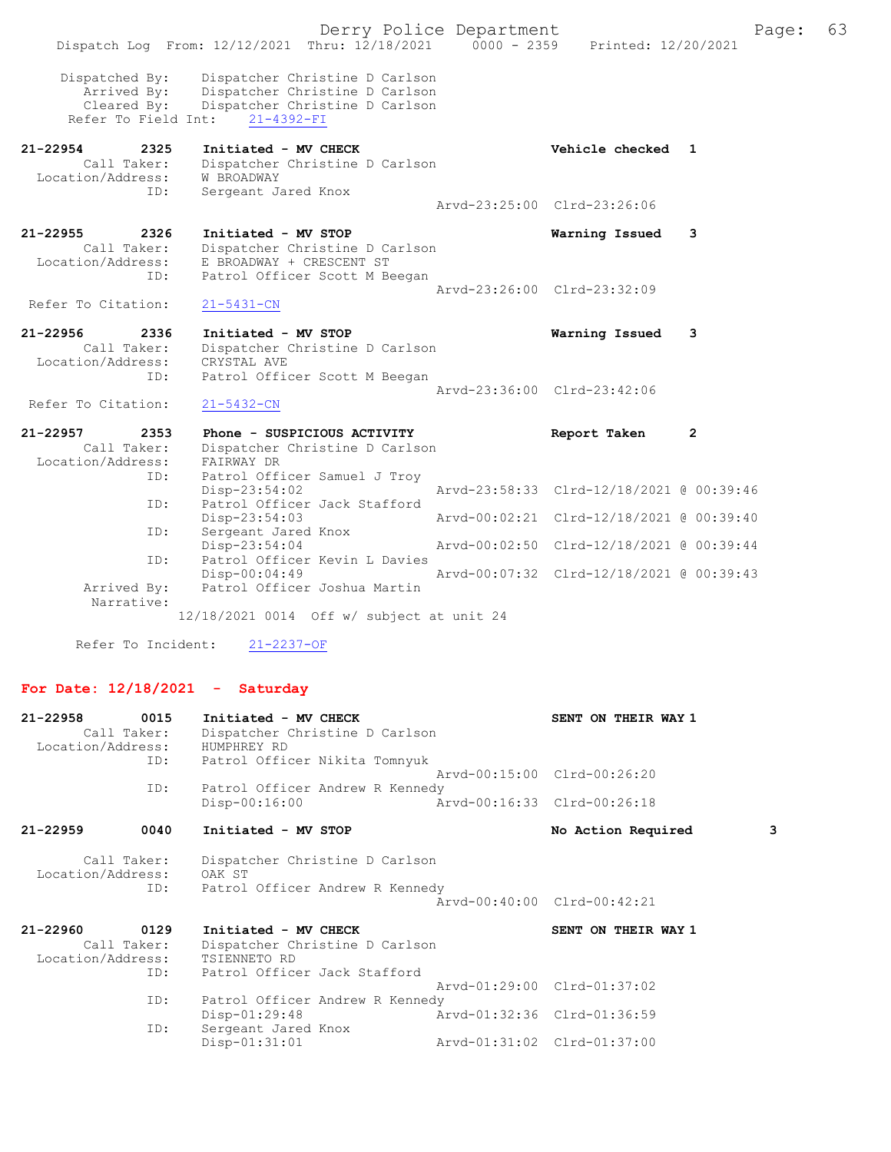Derry Police Department Fage: 63 Dispatch Log From: 12/12/2021 Thru: 12/18/2021 0000 - 2359 Printed: 12/20/2021 Dispatched By: Dispatcher Christine D Carlson Arrived By: Dispatcher Christine D Carlson Cleared By: Dispatcher Christine D Carlson Refer To Field Int: 21-4392-FI 21-22954 2325 Initiated - MV CHECK Vehicle checked 1 Call Taker: Dispatcher Christine D Carlson Location/Address: W BROADWAY ID: Sergeant Jared Knox Arvd-23:25:00 Clrd-23:26:06 21-22955 2326 Initiated - MV STOP Warning Issued 3 Call Taker: Dispatcher Christine D Carlson Location/Address: E BROADWAY + CRESCENT ST ID: Patrol Officer Scott M Beegan Arvd-23:26:00 Clrd-23:32:09<br>21-5431-CN Refer To Citation: 21-22956 2336 Initiated - MV STOP Warning Issued 3 Call Taker: Dispatcher Christine D Carlson Location/Address: CRYSTAL AVE ID: Patrol Officer Scott M Beegan Arvd-23:36:00 Clrd-23:42:06 Refer To Citation: 21-5432-CN 21-22957 2353 Phone - SUSPICIOUS ACTIVITY Report Taken 2 Call Taker: Dispatcher Christine D Carlson Location/Address: FAIRWAY DR ID: Patrol Officer Samuel J Troy Disp-23:54:02 Arvd-23:58:33 Clrd-12/18/2021 @ 00:39:46 ID: Patrol Officer Jack Stafford<br>Disp-23:54:03 Disp-23:54:03 Arvd-00:02:21 Clrd-12/18/2021 @ 00:39:40 ID: Sergeant Jared Knox<br>Disp-23:54:04 Disp-23:54:04 Arvd-00:02:50 Clrd-12/18/2021 @ 00:39:44 ID: Patrol Officer Kevin L Davies Disp-00:04:49 Arvd-00:07:32 Clrd-12/18/2021 @ 00:39:43 Arrived By: Patrol Officer Joshua Martin Narrative: 12/18/2021 0014 Off w/ subject at unit 24

Refer To Incident: 21-2237-OF

#### For Date: 12/18/2021 - Saturday

| Arvd-00:15:00 Clrd-00:26:20 |
|-----------------------------|
|                             |
| Arvd-00:16:33 Clrd-00:26:18 |
| 3<br>No Action Required     |
|                             |
|                             |
| Arvd-00:40:00 Clrd-00:42:21 |
|                             |
| SENT ON THEIR WAY 1         |
|                             |
|                             |
|                             |
| Arvd-01:29:00 Clrd-01:37:02 |
|                             |
| Arvd-01:32:36 Clrd-01:36:59 |
|                             |
| Arvd-01:31:02 Clrd-01:37:00 |
|                             |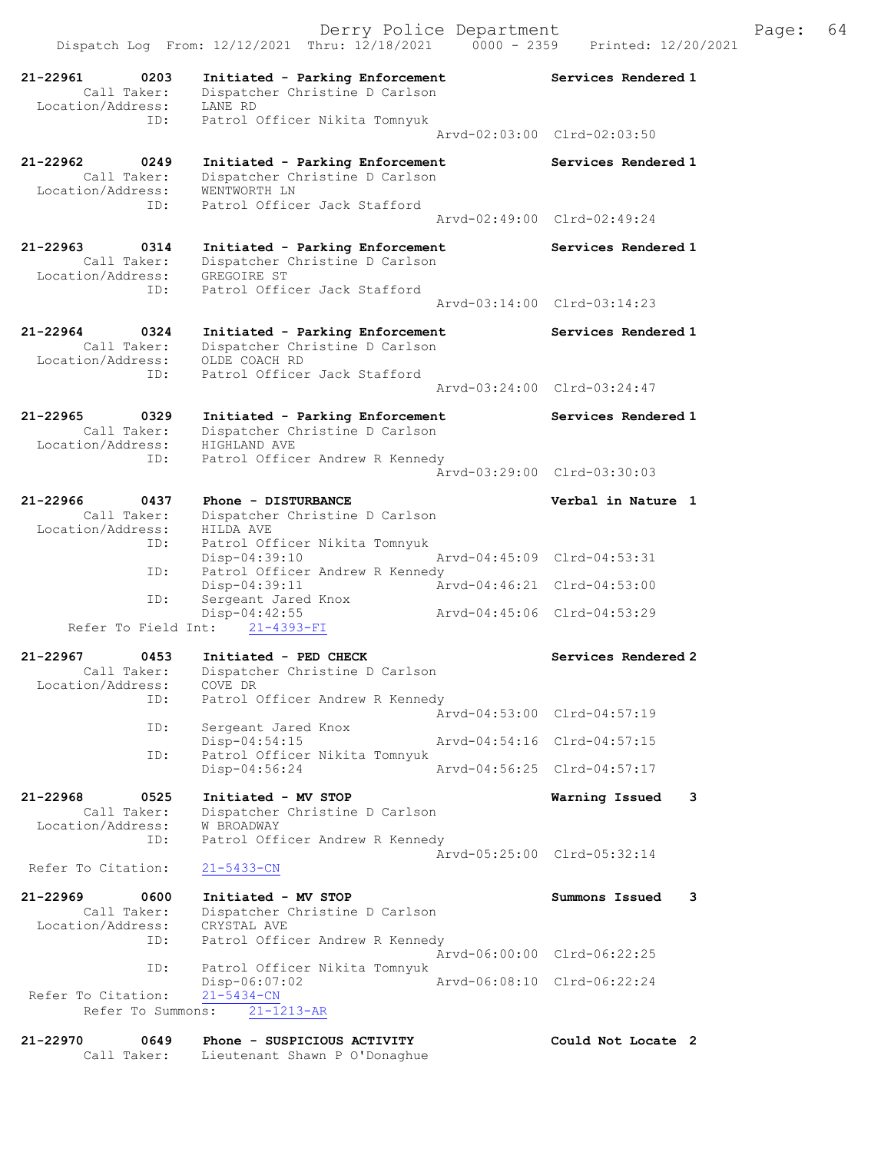|                                                      | Dispatch Log From: 12/12/2021 Thru: 12/18/2021                                    | $0000 - 2359$ | Printed: 12/20/2021         |   |
|------------------------------------------------------|-----------------------------------------------------------------------------------|---------------|-----------------------------|---|
| 21-22961<br>0203<br>Call Taker:<br>Location/Address: | Initiated - Parking Enforcement<br>Dispatcher Christine D Carlson<br>LANE RD      |               | Services Rendered 1         |   |
| ID:                                                  | Patrol Officer Nikita Tomnyuk                                                     |               |                             |   |
|                                                      |                                                                                   |               | Arvd-02:03:00 Clrd-02:03:50 |   |
| 21-22962<br>0249<br>Call Taker:                      | Initiated - Parking Enforcement<br>Dispatcher Christine D Carlson                 |               | Services Rendered 1         |   |
| Location/Address:<br>ID:                             | WENTWORTH LN<br>Patrol Officer Jack Stafford                                      |               |                             |   |
|                                                      |                                                                                   |               | Arvd-02:49:00 Clrd-02:49:24 |   |
| 21-22963<br>0314<br>Call Taker:                      | Initiated - Parking Enforcement<br>Dispatcher Christine D Carlson                 |               | Services Rendered 1         |   |
| Location/Address:                                    | GREGOIRE ST                                                                       |               |                             |   |
| ID:                                                  | Patrol Officer Jack Stafford                                                      |               | Arvd-03:14:00 Clrd-03:14:23 |   |
| 21-22964<br>0324                                     | Initiated - Parking Enforcement                                                   |               | Services Rendered 1         |   |
| Call Taker:<br>Location/Address:                     | Dispatcher Christine D Carlson<br>OLDE COACH RD                                   |               |                             |   |
| ID:                                                  | Patrol Officer Jack Stafford                                                      |               | Arvd-03:24:00 Clrd-03:24:47 |   |
|                                                      |                                                                                   |               |                             |   |
| 21-22965<br>0329<br>Call Taker:<br>Location/Address: | Initiated - Parking Enforcement<br>Dispatcher Christine D Carlson<br>HIGHLAND AVE |               | Services Rendered 1         |   |
| ID:                                                  | Patrol Officer Andrew R Kennedy                                                   |               | Arvd-03:29:00 Clrd-03:30:03 |   |
| 21-22966<br>0437                                     | Phone - DISTURBANCE                                                               |               | Verbal in Nature 1          |   |
| Call Taker:<br>Location/Address:                     | Dispatcher Christine D Carlson<br>HILDA AVE                                       |               |                             |   |
| ID:                                                  | Patrol Officer Nikita Tomnyuk<br>Disp-04:39:10                                    |               | Arvd-04:45:09 Clrd-04:53:31 |   |
| ID:                                                  | Patrol Officer Andrew R Kennedy<br>Disp-04:39:11                                  |               | Arvd-04:46:21 Clrd-04:53:00 |   |
| ID:                                                  | Sergeant Jared Knox<br>Disp-04:42:55                                              |               | Arvd-04:45:06 Clrd-04:53:29 |   |
| Refer To Field Int:                                  | $21 - 4393 - FI$                                                                  |               |                             |   |
| 21-22967<br>0453<br>Call Taker:                      | Initiated - PED CHECK<br>Dispatcher Christine D Carlson                           |               | Services Rendered 2         |   |
| Location/Address:                                    | COVE DR                                                                           |               |                             |   |
| ID:                                                  | Patrol Officer Andrew R Kennedy                                                   |               | Arvd-04:53:00 Clrd-04:57:19 |   |
| ID:                                                  | Sergeant Jared Knox<br>$Disp-04:54:15$                                            |               | Arvd-04:54:16 Clrd-04:57:15 |   |
| ID:                                                  | Patrol Officer Nikita Tomnyuk                                                     |               | Arvd-04:56:25 Clrd-04:57:17 |   |
|                                                      | Disp-04:56:24                                                                     |               |                             |   |
| 21-22968<br>0525<br>Call Taker:<br>Location/Address: | Initiated - MV STOP<br>Dispatcher Christine D Carlson<br>W BROADWAY               |               | Warning Issued              | 3 |
| ID:                                                  | Patrol Officer Andrew R Kennedy                                                   |               | Arvd-05:25:00 Clrd-05:32:14 |   |
| Refer To Citation:                                   | $21 - 5433 - CN$                                                                  |               |                             |   |
| 21-22969<br>0600<br>Call Taker:                      | Initiated - MV STOP                                                               |               | Summons Issued              | 3 |
| Location/Address:                                    | Dispatcher Christine D Carlson<br>CRYSTAL AVE                                     |               |                             |   |
| ID:                                                  | Patrol Officer Andrew R Kennedy                                                   |               | Arvd-06:00:00 Clrd-06:22:25 |   |
| ID:                                                  | Patrol Officer Nikita Tomnyuk<br>$Disp-06:07:02$                                  |               | Arvd-06:08:10 Clrd-06:22:24 |   |
| Refer To Citation:                                   | $21 - 5434 - CN$                                                                  |               |                             |   |
| Refer To Summons:                                    | $21 - 1213 - AR$                                                                  |               |                             |   |
|                                                      |                                                                                   |               |                             |   |

Derry Police Department Fage: 64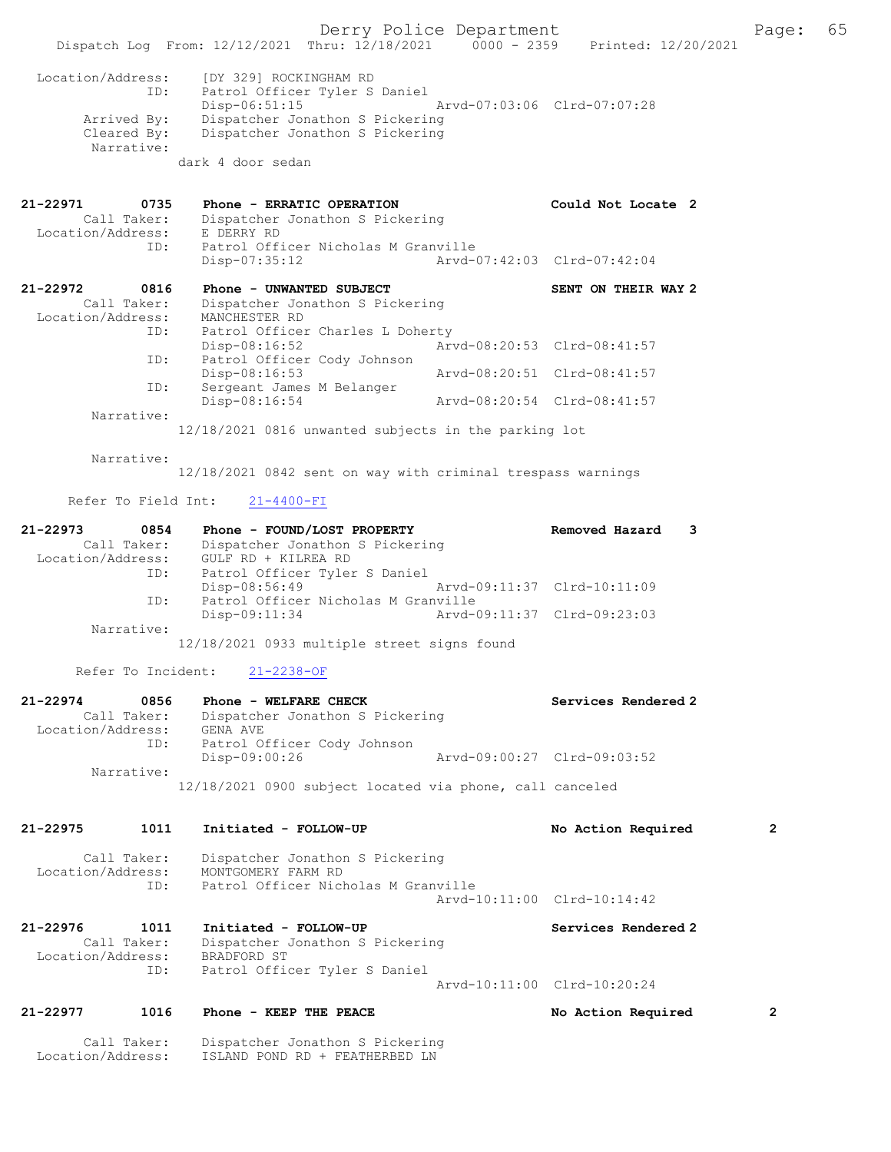Derry Police Department The Page: 65 Dispatch Log From: 12/12/2021 Thru: 12/18/2021 0000 - 2359 Printed: 12/20/2021 Location/Address: [DY 329] ROCKINGHAM RD<br>ID: Patrol Officer Tyler S Patrol Officer Tyler S Daniel<br>Disp-06:51:15<br>Rrvd-07:03:06 Clrd-07:07:28  $Disp-06:51:15$  Arrived By: Dispatcher Jonathon S Pickering Cleared By: Dispatcher Jonathon S Pickering Narrative: dark 4 door sedan 21-22971 0735 Phone - ERRATIC OPERATION Could Not Locate 2 Call Taker: Dispatcher Jonathon S Pickering Location/Address: E DERRY RD ID: Patrol Officer Nicholas M Granville<br>Disp-07:35:12 Arvd-0 Disp-07:35:12 Arvd-07:42:03 Clrd-07:42:04 21-22972 0816 Phone - UNWANTED SUBJECT SENT ON THEIR WAY 2 Call Taker: Dispatcher Jonathon S Pickering Location/Address: MANCHESTER RD ID: Patrol Officer Charles L Doherty<br>Disp-08:16:52 Art Disp-08:16:52 Arvd-08:20:53 Clrd-08:41:57 ID: Patrol Officer Cody Johnson<br>Disp-08:16:53 Disp-08:16:53 Arvd-08:20:51 Clrd-08:41:57 ID: Sergeant James M Belanger Disp-08:16:54 Arvd-08:20:54 Clrd-08:41:57 Narrative: 12/18/2021 0816 unwanted subjects in the parking lot Narrative: 12/18/2021 0842 sent on way with criminal trespass warnings Refer To Field Int: 21-4400-FI 21-22973 0854 Phone - FOUND/LOST PROPERTY Removed Hazard 3 Call Taker: Dispatcher Jonathon S Pickering Location/Address: GULF RD + KILREA RD ID: Patrol Officer Tyler S Daniel Disp-08:56:49 Arvd-09:11:37 Clrd-10:11:09<br>ID: Patrol Officer Nicholas M Granville Patrol Officer Nicholas M Granville<br>Disp-09:11:34 Arvd-09:11:37 Clrd-09:23:03 Disp-09:11:34 Narrative: 12/18/2021 0933 multiple street signs found Refer To Incident: 21-2238-OF 21-22974 0856 Phone - WELFARE CHECK Services Rendered 2 Call Taker: Dispatcher Jonathon S Pickering<br>ion/Address: GENA AVE Location/Address:<br>TD. Patrol Officer Cody Johnson<br>Disp-09:00:26 Disp-09:00:26 Arvd-09:00:27 Clrd-09:03:52 Narrative: 12/18/2021 0900 subject located via phone, call canceled 21-22975 1011 Initiated - FOLLOW-UP No Action Required 2 Call Taker: Dispatcher Jonathon S Pickering Location/Address: MONTGOMERY FARM RD<br>ID: Patrol Officer Nich Patrol Officer Nicholas M Granville Arvd-10:11:00 Clrd-10:14:42 21-22976 1011 Initiated - FOLLOW-UP Services Rendered 2 Call Taker: Dispatcher Jonathon S Pickering Location/Address: BRADFORD ST ID: Patrol Officer Tyler S Daniel Arvd-10:11:00 Clrd-10:20:24 21-22977 1016 Phone - KEEP THE PEACE No Action Required 2 Call Taker: Dispatcher Jonathon S Pickering Location/Address: ISLAND POND RD + FEATHERBED LN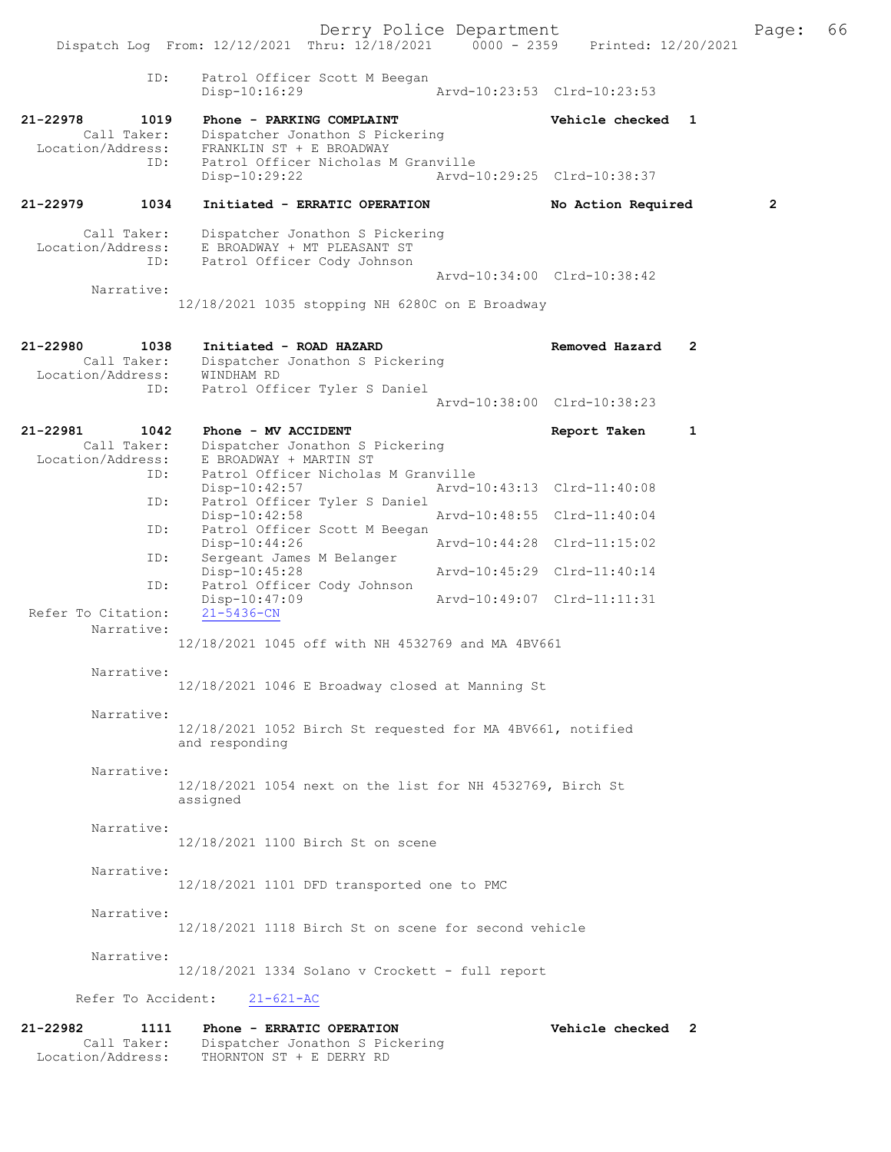Derry Police Department The Page: 66 Dispatch Log From:  $12/12/2021$  Thru:  $12/18/2021$  0000 - 2359 Printed:  $12/20/2021$  ID: Patrol Officer Scott M Beegan Disp-10:16:29 Arvd-10:23:53 Clrd-10:23:53 21-22978 1019 Phone - PARKING COMPLAINT Vehicle checked 1 Call Taker: Dispatcher Jonathon S Pickering Location/Address: FRANKLIN ST + E BROADWAY<br>TD: Patrol Officer Nicholas M Patrol Officer Nicholas M Granville<br>Disp-10:29:22 Arvd-1 Disp-10:29:22 Arvd-10:29:25 Clrd-10:38:37 21-22979 1034 Initiated - ERRATIC OPERATION No Action Required 2 Call Taker: Dispatcher Jonathon S Pickering Location/Address: E BROADWAY + MT PLEASANT ST ID: Patrol Officer Cody Johnson Arvd-10:34:00 Clrd-10:38:42 Narrative: 12/18/2021 1035 stopping NH 6280C on E Broadway 21-22980 1038 Initiated - ROAD HAZARD Removed Hazard 2 Call Taker: Dispatcher Jonathon S Pickering Location/Address: WINDHAM RD ID: Patrol Officer Tyler S Daniel Arvd-10:38:00 Clrd-10:38:23 21-22981 1042 Phone - MV ACCIDENT Report Taken 1<br>Call Taker: Dispatcher Jonathon S Pickering Call Taker: Dispatcher Jonathon S Pickering Location/Address: E BROADWAY + MARTIN ST ID: Patrol Officer Nicholas M Granville<br>Disp-10:42:57 Arvd- Disp-10:42:57 Arvd-10:43:13 Clrd-11:40:08 ID: Patrol Officer Tyler S Daniel Disp-10:42:58 Arvd-10:48:55 Clrd-11:40:04<br>ID: Patrol Officer Scott M Beegan Patrol Officer Scott M Beegan<br>Disp-10:44:26 Disp-10:44:26 Arvd-10:44:28 Clrd-11:15:02 ID: Sergeant James M Belanger Disp-10:45:28 Arvd-10:45:29 Clrd-11:40:14<br>ID: Patrol Officer Cody Johnson Patrol Officer Cody Johnson<br>Disp-10:47:09 Disp-10:47:09 Arvd-10:49:07 Clrd-11:11:31 Refer To Citation: Narrative: 12/18/2021 1045 off with NH 4532769 and MA 4BV661 Narrative: 12/18/2021 1046 E Broadway closed at Manning St Narrative: 12/18/2021 1052 Birch St requested for MA 4BV661, notified and responding Narrative: 12/18/2021 1054 next on the list for NH 4532769, Birch St assigned Narrative: 12/18/2021 1100 Birch St on scene Narrative: 12/18/2021 1101 DFD transported one to PMC Narrative: 12/18/2021 1118 Birch St on scene for second vehicle Narrative: 12/18/2021 1334 Solano v Crockett - full report Refer To Accident: 21-621-AC 21-22982 1111 Phone - ERRATIC OPERATION Vehicle checked 2

Call Taker: Dispatcher Jonathon S Pickering

Location/Address: THORNTON ST + E DERRY RD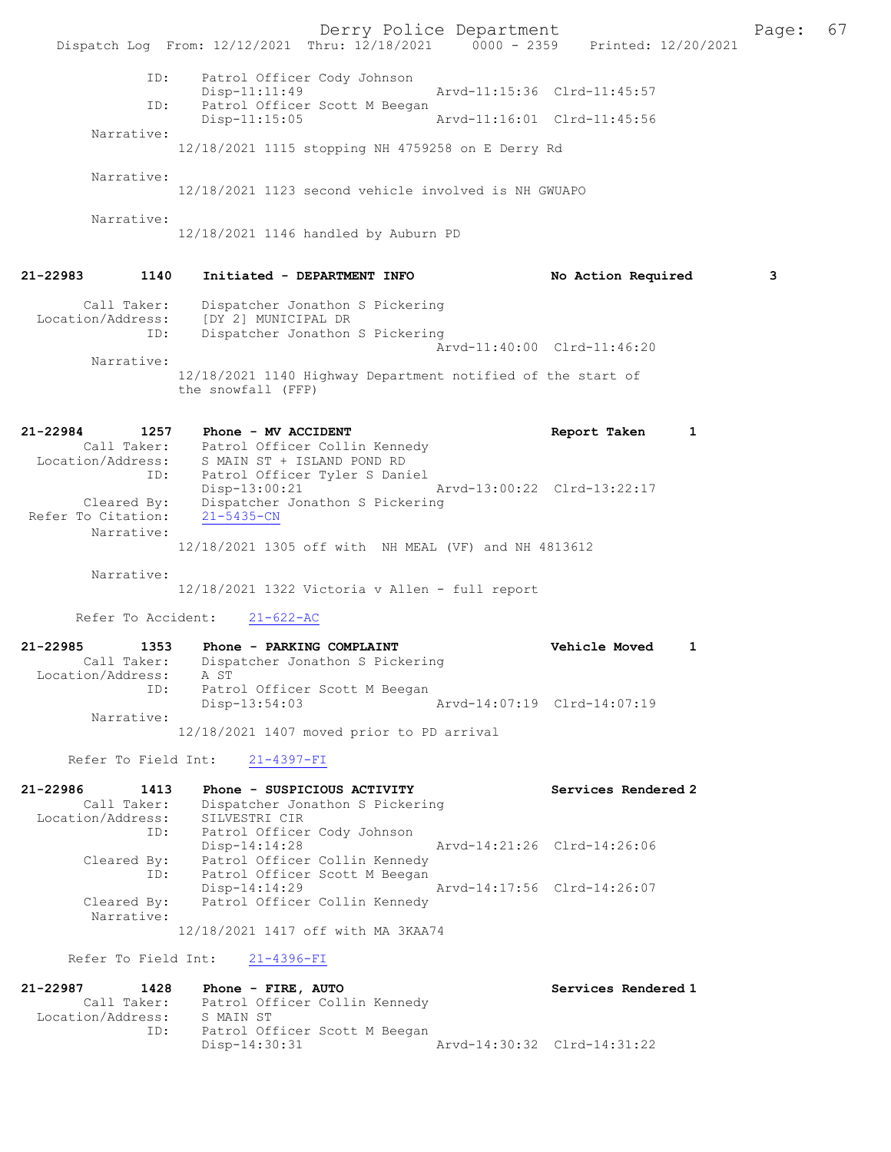Derry Police Department Fage: 67 Dispatch Log From: 12/12/2021 Thru: 12/18/2021 0000 - 2359 Printed: 12/20/2021 ID: Patrol Officer Cody Johnson Disp-11:11:49 Arvd-11:15:36 Clrd-11:45:57<br>TD: Patrol Officer Scott M Beegan Patrol Officer Scott M Beegan<br>Disp-11:15:05 Arvd-11:16:01 Clrd-11:45:56 Narrative: 12/18/2021 1115 stopping NH 4759258 on E Derry Rd Narrative: 12/18/2021 1123 second vehicle involved is NH GWUAPO Narrative: 12/18/2021 1146 handled by Auburn PD 21-22983 1140 Initiated - DEPARTMENT INFO No Action Required 3 Call Taker: Dispatcher Jonathon S Pickering Location/Address: [DY 2] MUNICIPAL DR ID: Dispatcher Jonathon S Pickering Arvd-11:40:00 Clrd-11:46:20 Narrative: 12/18/2021 1140 Highway Department notified of the start of the snowfall (FFP) 21-22984 1257 Phone - MV ACCIDENT Report Taken 1 Call Taker: Patrol Officer Collin Kennedy Location/Address: S MAIN ST + ISLAND POND RD ID: Patrol Officer Tyler S Daniel Disp-13:00:21 Arvd-13:00:22 Clrd-13:22:17 Cleared By: Dispatcher Jonathon S Pickering Refer To Citation: 21-5435-CN Narrative: 12/18/2021 1305 off with NH MEAL (VF) and NH 4813612 Narrative: 12/18/2021 1322 Victoria v Allen - full report Refer To Accident: 21-622-AC 21-22985 1353 Phone - PARKING COMPLAINT Vehicle Moved 1 Call Taker: Dispatcher Jonathon S Pickering Location/Address: A ST ID: Patrol Officer Scott M Beegan Disp-13:54:03 Arvd-14:07:19 Clrd-14:07:19 Narrative: 12/18/2021 1407 moved prior to PD arrival Refer To Field Int: 21-4397-FI 21-22986 1413 Phone - SUSPICIOUS ACTIVITY Services Rendered 2 Call Taker: Dispatcher Jonathon S Pickering Location/Address: SILVESTRI CIR ID: Patrol Officer Cody Johnson Disp-14:14:28 Arvd-14:21:26 Clrd-14:26:06 Cleared By: Patrol Officer Collin Kennedy ID: Patrol Officer Scott M Beegan Disp-14:14:29 Arvd-14:17:56 Clrd-14:26:07<br>Cleared By: Patrol Officer Collin Kennedy Patrol Officer Collin Kennedy Narrative: 12/18/2021 1417 off with MA 3KAA74 Refer To Field Int: 21-4396-FI 21-22987 1428 Phone - FIRE, AUTO Services Rendered 1 Call Taker: Patrol Officer Collin Kennedy Location/Address: S MAIN ST ID: Patrol Officer Scott M Beegan Disp-14:30:31 Arvd-14:30:32 Clrd-14:31:22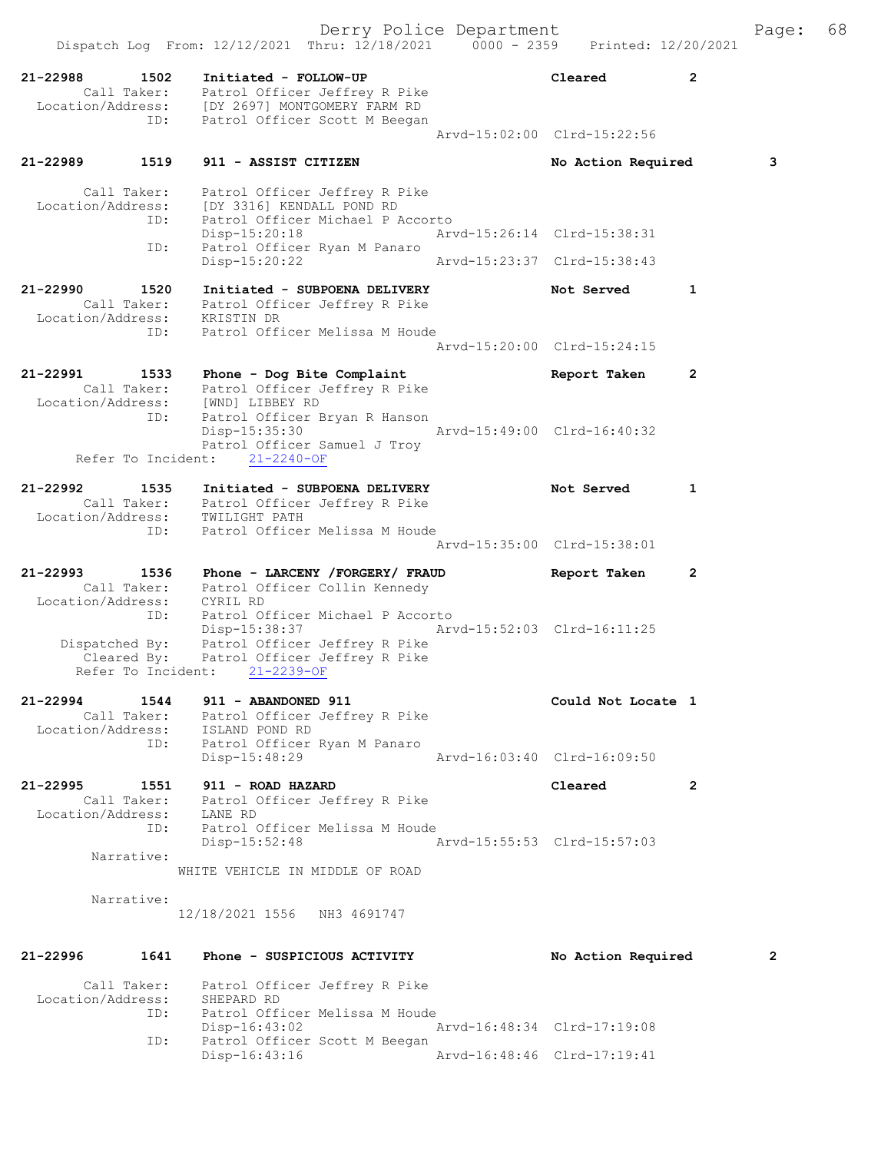| aqe: |  | 68 |  |
|------|--|----|--|
|      |  |    |  |

|                                           |                                          | Dispatch Log From: 12/12/2021 Thru: 12/18/2021                                                                                                         |                             |                |
|-------------------------------------------|------------------------------------------|--------------------------------------------------------------------------------------------------------------------------------------------------------|-----------------------------|----------------|
| 21-22988                                  | 1502<br>Call Taker:                      | Initiated - FOLLOW-UP<br>Patrol Officer Jeffrey R Pike<br>Location/Address: [DY 2697] MONTGOMERY FARM RD                                               | Cleared                     | $\mathbf{2}$   |
|                                           | ID:                                      | Patrol Officer Scott M Beegan                                                                                                                          | Aryd-15:02:00 Clrd-15:22:56 |                |
| 21-22989                                  | 1519                                     | 911 - ASSIST CITIZEN                                                                                                                                   | No Action Required          | 3              |
| Location/Address:                         | Call Taker:<br>ID:                       | Patrol Officer Jeffrey R Pike<br>[DY 3316] KENDALL POND RD<br>Patrol Officer Michael P Accorto<br>$Disp-15:20:18$                                      | Arvd-15:26:14 Clrd-15:38:31 |                |
|                                           | ID:                                      | Patrol Officer Ryan M Panaro<br>Disp-15:20:22                                                                                                          | Arvd-15:23:37 Clrd-15:38:43 |                |
| 21-22990<br>Location/Address:             | 1520<br>Call Taker:                      | Initiated - SUBPOENA DELIVERY<br>Patrol Officer Jeffrey R Pike<br>KRISTIN DR                                                                           | Not Served                  | 1              |
|                                           | ID:                                      | Patrol Officer Melissa M Houde                                                                                                                         | Arvd-15:20:00 Clrd-15:24:15 |                |
| 21-22991<br>Location/Address:             | 1533<br>Call Taker:                      | Phone - Dog Bite Complaint<br>Patrol Officer Jeffrey R Pike<br>[WND] LIBBEY RD                                                                         | Report Taken                | 2              |
|                                           | ID:                                      | Patrol Officer Bryan R Hanson<br>Disp-15:35:30<br>Patrol Officer Samuel J Troy                                                                         | Arvd-15:49:00 Clrd-16:40:32 |                |
|                                           |                                          | Refer To Incident:<br>$21 - 2240 - OF$                                                                                                                 |                             |                |
| 21-22992                                  | 1535                                     | Initiated - SUBPOENA DELIVERY<br>Call Taker: Patrol Officer Jeffrey R Pike<br>Location/Address: TWILIGHT PATH                                          | Not Served                  | 1              |
|                                           | ID:                                      | Patrol Officer Melissa M Houde                                                                                                                         | Arvd-15:35:00 Clrd-15:38:01 |                |
|                                           |                                          |                                                                                                                                                        |                             |                |
| 21-22993                                  | 1536<br>Call Taker:                      | Phone - LARCENY / FORGERY / FRAUD<br>Patrol Officer Collin Kennedy<br>Location/Address: CYRIL RD                                                       | Report Taken                | $\overline{2}$ |
|                                           | ID:<br>Cleared By:<br>Refer To Incident: | Patrol Officer Michael P Accorto<br>Disp-15:38:37<br>Dispatched By: Patrol Officer Jeffrey R Pike<br>Patrol Officer Jeffrey R Pike<br>$21 - 2239 - OF$ | Arvd-15:52:03 Clrd-16:11:25 |                |
| 21-22994<br>Location/Address:             | 1544<br>Call Taker:                      | 911 - ABANDONED 911<br>Patrol Officer Jeffrey R Pike<br>ISLAND POND RD                                                                                 | Could Not Locate 1          |                |
|                                           | ID:                                      | Patrol Officer Ryan M Panaro<br>Disp-15:48:29                                                                                                          | Arvd-16:03:40 Clrd-16:09:50 |                |
| $21 - 22995$<br>Location/Address: LANE RD | 1551<br>Call Taker:                      | 911 - ROAD HAZARD<br>Patrol Officer Jeffrey R Pike                                                                                                     | Cleared                     | 2              |
|                                           | ID:<br>Narrative:                        | Patrol Officer Melissa M Houde<br>$Disp-15:52:48$                                                                                                      | Arvd-15:55:53 Clrd-15:57:03 |                |
|                                           |                                          | WHITE VEHICLE IN MIDDLE OF ROAD                                                                                                                        |                             |                |
|                                           | Narrative:                               | 12/18/2021 1556 NH3 4691747                                                                                                                            |                             |                |
| 21-22996                                  | 1641                                     | Phone - SUSPICIOUS ACTIVITY                                                                                                                            | No Action Required          | 2              |
| Location/Address:                         | Call Taker:<br>ID:                       | Patrol Officer Jeffrey R Pike<br>SHEPARD RD<br>Patrol Officer Melissa M Houde                                                                          |                             |                |
|                                           | ID:                                      | Disp-16:43:02<br>Patrol Officer Scott M Beegan<br>Disp-16:43:16                                                                                        | Arvd-16:48:34 Clrd-17:19:08 |                |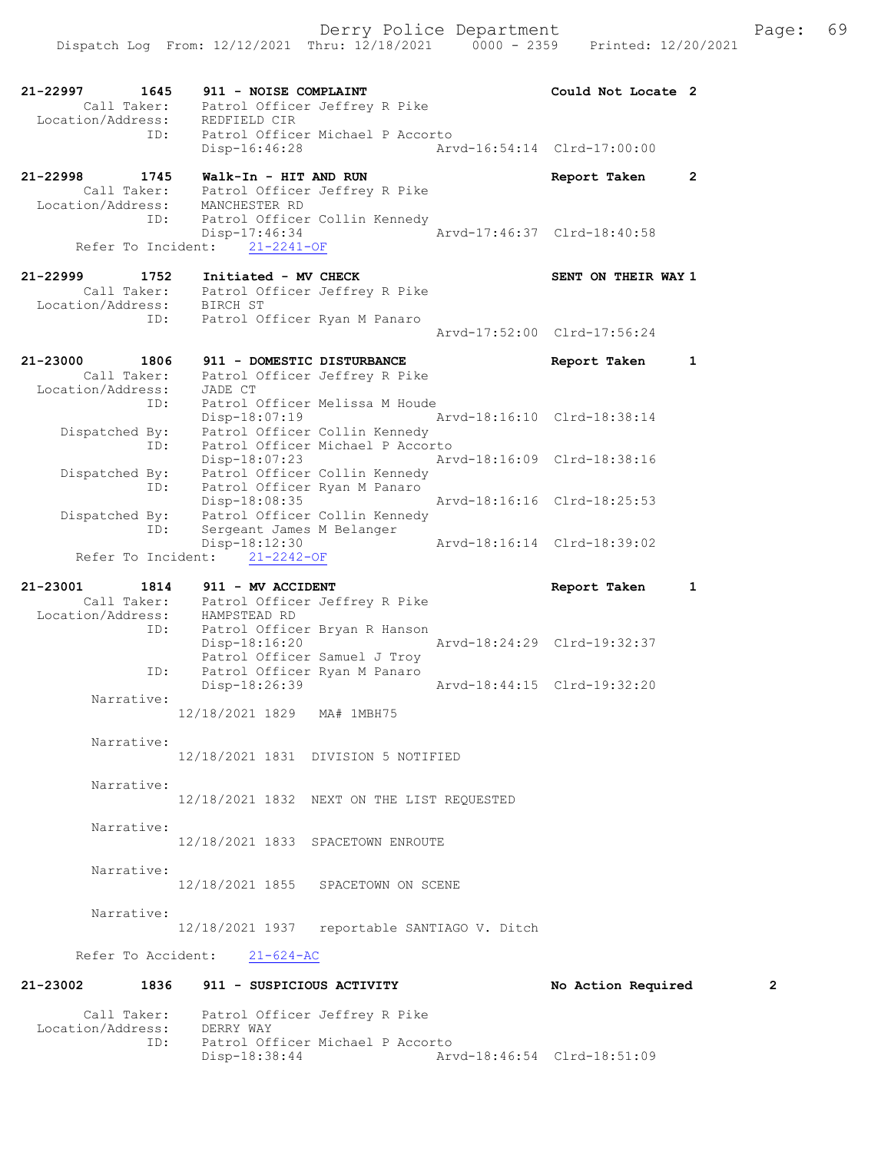| 21-22997<br>1645                    | 911 - NOISE COMPLAINT                                     | Could Not Locate 2          |                |
|-------------------------------------|-----------------------------------------------------------|-----------------------------|----------------|
| Call Taker:                         | Patrol Officer Jeffrey R Pike                             |                             |                |
| Location/Address:                   | REDFIELD CIR                                              |                             |                |
| ID:                                 | Patrol Officer Michael P Accorto                          |                             |                |
|                                     | $Disp-16:46:28$                                           | Arvd-16:54:14 Clrd-17:00:00 |                |
| 21-22998<br>1745                    | Walk-In - HIT AND RUN                                     |                             | $\overline{2}$ |
| Call Taker:                         | Patrol Officer Jeffrey R Pike                             | Report Taken                |                |
| Location/Address:                   | MANCHESTER RD                                             |                             |                |
| ID:                                 | Patrol Officer Collin Kennedy                             |                             |                |
|                                     | Disp-17:46:34                                             | Arvd-17:46:37 Clrd-18:40:58 |                |
| Refer To Incident:                  | $21 - 2241 - OF$                                          |                             |                |
|                                     |                                                           |                             |                |
| $21 - 22999$<br>1752<br>Call Taker: | Initiated - MV CHECK                                      | SENT ON THEIR WAY 1         |                |
| Location/Address:                   | Patrol Officer Jeffrey R Pike<br>BIRCH ST                 |                             |                |
| ID:                                 | Patrol Officer Ryan M Panaro                              |                             |                |
|                                     |                                                           | Arvd-17:52:00 Clrd-17:56:24 |                |
|                                     |                                                           |                             |                |
| 21-23000<br>1806                    | 911 - DOMESTIC DISTURBANCE                                | Report Taken                | 1              |
| Call Taker:                         | Patrol Officer Jeffrey R Pike                             |                             |                |
| Location/Address:<br>ID:            | JADE CT<br>Patrol Officer Melissa M Houde                 |                             |                |
|                                     | Disp-18:07:19                                             | Aryd-18:16:10 Clrd-18:38:14 |                |
| Dispatched By:                      | Patrol Officer Collin Kennedy                             |                             |                |
| ID:                                 | Patrol Officer Michael P Accorto                          |                             |                |
|                                     | Disp-18:07:23                                             | Arvd-18:16:09 Clrd-18:38:16 |                |
| Dispatched By:<br>ID:               | Patrol Officer Collin Kennedy                             |                             |                |
|                                     | Patrol Officer Ryan M Panaro<br>Disp-18:08:35             | Arvd-18:16:16 Clrd-18:25:53 |                |
| Dispatched By:                      | Patrol Officer Collin Kennedy                             |                             |                |
| ID:                                 | Sergeant James M Belanger                                 |                             |                |
|                                     | Disp-18:12:30                                             | Arvd-18:16:14 Clrd-18:39:02 |                |
| Refer To Incident:                  | $21 - 2242 - OF$                                          |                             |                |
|                                     |                                                           |                             |                |
|                                     |                                                           |                             |                |
| 21-23001<br>1814                    | 911 - MV ACCIDENT                                         | Report Taken                | 1              |
| Location/Address:                   | Call Taker: Patrol Officer Jeffrey R Pike<br>HAMPSTEAD RD |                             |                |
| ID:                                 | Patrol Officer Bryan R Hanson                             |                             |                |
|                                     | Disp-18:16:20                                             | Arvd-18:24:29 Clrd-19:32:37 |                |
|                                     | Patrol Officer Samuel J Troy                              |                             |                |
| ID:                                 | Patrol Officer Ryan M Panaro                              | Arvd-18:44:15 Clrd-19:32:20 |                |
| Narrative:                          | Disp-18:26:39                                             |                             |                |
|                                     | 12/18/2021 1829<br>MA# 1MBH75                             |                             |                |
|                                     |                                                           |                             |                |
| Narrative:                          |                                                           |                             |                |
|                                     | 12/18/2021 1831 DIVISION 5 NOTIFIED                       |                             |                |
| Narrative:                          |                                                           |                             |                |
|                                     | 12/18/2021 1832 NEXT ON THE LIST REQUESTED                |                             |                |
|                                     |                                                           |                             |                |
| Narrative:                          |                                                           |                             |                |
|                                     | 12/18/2021 1833 SPACETOWN ENROUTE                         |                             |                |
| Narrative:                          |                                                           |                             |                |
|                                     | 12/18/2021 1855 SPACETOWN ON SCENE                        |                             |                |
|                                     |                                                           |                             |                |
| Narrative:                          |                                                           |                             |                |
|                                     | 12/18/2021 1937 reportable SANTIAGO V. Ditch              |                             |                |
|                                     | Refer To Accident: 21-624-AC                              |                             |                |
|                                     |                                                           |                             |                |
|                                     | 21-23002 1836 911 - SUSPICIOUS ACTIVITY                   | No Action Required          | 2              |
|                                     |                                                           |                             |                |
| Location/Address: DERRY WAY         | Call Taker: Patrol Officer Jeffrey R Pike                 |                             |                |

Arvd-18:46:54 Clrd-18:51:09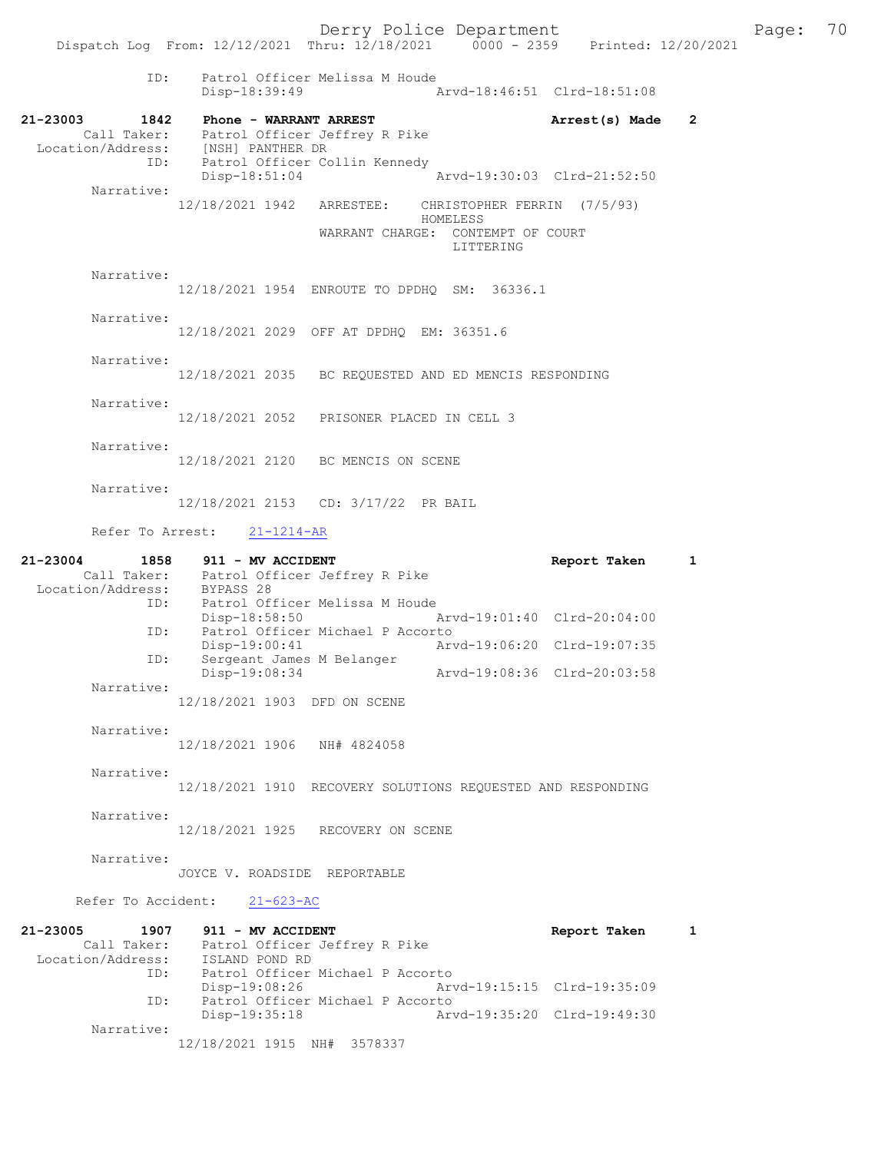ID: Patrol Officer Melissa M Houde Disp-18:39:49 Arvd-18:46:51 Clrd-18:51:08 21-23003 1842 Phone - WARRANT ARREST Arrest(s) Made 2 Call Taker: Patrol Officer Jeffrey R Pike Location/Address: [NSH] PANTHER DR ID: Patrol Officer Collin Kennedy Disp-18:51:04 Arvd-19:30:03 Clrd-21:52:50 Narrative:<br>12/18/2021 1942 ARRESTEE: CHRISTOPHER FERRIN (7/5/93) HOMELESS WARRANT CHARGE: CONTEMPT OF COURT LITTERING Narrative: 12/18/2021 1954 ENROUTE TO DPDHQ SM: 36336.1 Narrative: 12/18/2021 2029 OFF AT DPDHQ EM: 36351.6 Narrative: 12/18/2021 2035 BC REQUESTED AND ED MENCIS RESPONDING Narrative: 12/18/2021 2052 PRISONER PLACED IN CELL 3 Narrative: 12/18/2021 2120 BC MENCIS ON SCENE Narrative: 12/18/2021 2153 CD: 3/17/22 PR BAIL Refer To Arrest: 21-1214-AR 21-23004 1858 911 - MV ACCIDENT Report Taken 1 Call Taker: Patrol Officer Jeffrey R Pike Location/Address: BYPASS 28 ID: Patrol Officer Melissa M Houde Disp-18:58:50 Arvd-19:01:40 Clrd-20:04:00<br>ID: Patrol Officer Michael P Accorto ID: Patrol Officer Michael P Accorto Disp-19:00:41 Arvd-19:06:20 Clrd-19:07:35 ID: Sergeant James M Belanger Disp-19:08:34 Arvd-19:08:36 Clrd-20:03:58 Narrative: 12/18/2021 1903 DFD ON SCENE Narrative: 12/18/2021 1906 NH# 4824058 Narrative: 12/18/2021 1910 RECOVERY SOLUTIONS REQUESTED AND RESPONDING Narrative: 12/18/2021 1925 RECOVERY ON SCENE Narrative: JOYCE V. ROADSIDE REPORTABLE Refer To Accident: 21-623-AC 21-23005 1907 911 - MV ACCIDENT Report Taken 1 Call Taker: Patrol Officer Jeffrey R Pike Location/Address: ISLAND POND RD ID: Patrol Officer Michael P Accorto Disp-19:08:26 Arvd-19:15:15 Clrd-19:35:09 ID: Patrol Officer Michael P Accorto Disp-19:35:18 Arvd-19:35:20 Clrd-19:49:30 Narrative: 12/18/2021 1915 NH# 3578337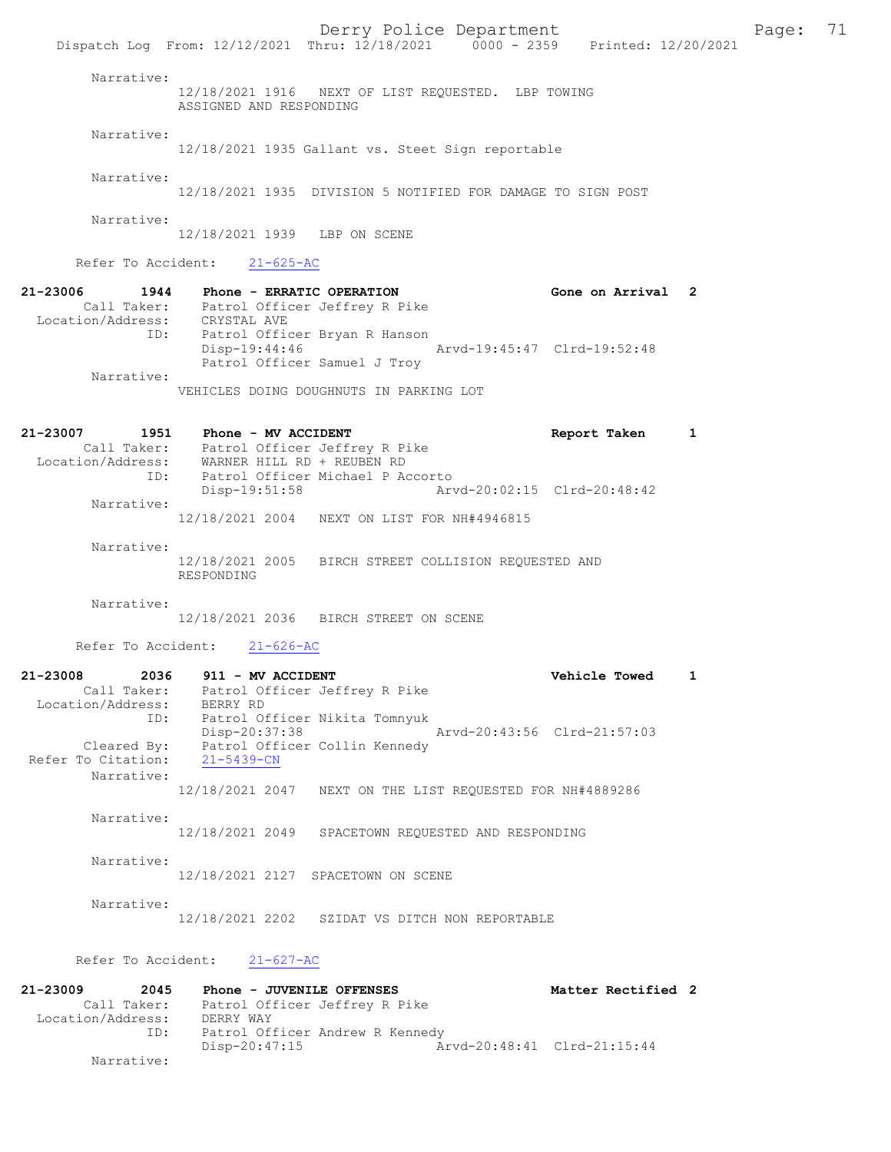Derry Police Department Form Page: 71 Dispatch Log From: 12/12/2021 Thru: 12/18/2021 0000 - 2359 Printed: 12/20/2021 Narrative: 12/18/2021 1916 NEXT OF LIST REQUESTED. LBP TOWING ASSIGNED AND RESPONDING Narrative: 12/18/2021 1935 Gallant vs. Steet Sign reportable Narrative: 12/18/2021 1935 DIVISION 5 NOTIFIED FOR DAMAGE TO SIGN POST Narrative: 12/18/2021 1939 LBP ON SCENE Refer To Accident: 21-625-AC 21-23006 1944 Phone - ERRATIC OPERATION Gone on Arrival 2 Call Taker: Patrol Officer Jeffrey R Pike Location/Address: CRYSTAL AVE ID: Patrol Officer Bryan R Hanson Disp-19:44:46 Arvd-19:45:47 Clrd-19:52:48 Patrol Officer Samuel J Troy Narrative: VEHICLES DOING DOUGHNUTS IN PARKING LOT 21-23007 1951 Phone - MV ACCIDENT Report Taken 1 Call Taker: Patrol Officer Jeffrey R Pike Location/Address: WARNER HILL RD + REUBEN RD ID: Patrol Officer Michael P Accorto Disp-19:51:58 Arvd-20:02:15 Clrd-20:48:42 Narrative: 12/18/2021 2004 NEXT ON LIST FOR NH#4946815 Narrative: 12/18/2021 2005 BIRCH STREET COLLISION REQUESTED AND RESPONDING Narrative: 12/18/2021 2036 BIRCH STREET ON SCENE Refer To Accident: 21-626-AC 21-23008 2036 911 - MV ACCIDENT Vehicle Towed 1 Call Taker: Patrol Officer Jeffrey R Pike Location/Address: BERRY RD ID: Patrol Officer Nikita Tomnyuk Disp-20:37:38 Arvd-20:43:56 Clrd-21:57:03 Cleared By: Patrol Officer Collin Kennedy Refer To Citation: 21-5439-CN Narrative: 12/18/2021 2047 NEXT ON THE LIST REQUESTED FOR NH#4889286 Narrative: 12/18/2021 2049 SPACETOWN REQUESTED AND RESPONDING Narrative: 12/18/2021 2127 SPACETOWN ON SCENE Narrative: 12/18/2021 2202 SZIDAT VS DITCH NON REPORTABLE Refer To Accident: 21-627-AC 21-23009 2045 Phone - JUVENILE OFFENSES Noted that Matter Rectified 2 Call Taker: Patrol Officer Jeffrey R Pike Location/Address: DERRY WAY ID: Patrol Officer Andrew R Kennedy Disp-20:47:15 Arvd-20:48:41 Clrd-21:15:44 Narrative: